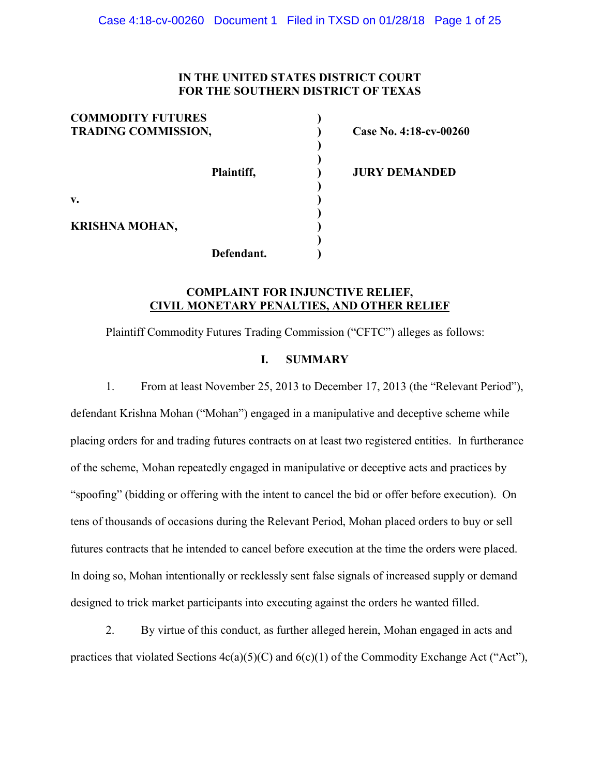#### **IN THE UNITED STATES DISTRICT COURT FOR THE SOUTHERN DISTRICT OF TEXAS**

| <b>COMMODITY FUTURES</b><br><b>TRADING COMMISSION,</b> |            |  |
|--------------------------------------------------------|------------|--|
|                                                        |            |  |
|                                                        | Plaintiff, |  |
| V.                                                     |            |  |
| <b>KRISHNA MOHAN,</b>                                  |            |  |
|                                                        | Defendant. |  |

**TRADING COMMISSION, ) Case No. 4:18-cv-00260**

**Plaintiff, ) JURY DEMANDED**

#### **COMPLAINT FOR INJUNCTIVE RELIEF, CIVIL MONETARY PENALTIES, AND OTHER RELIEF**

Plaintiff Commodity Futures Trading Commission ("CFTC") alleges as follows:

#### **I. SUMMARY**

1. From at least November 25, 2013 to December 17, 2013 (the "Relevant Period"), defendant Krishna Mohan ("Mohan") engaged in a manipulative and deceptive scheme while placing orders for and trading futures contracts on at least two registered entities. In furtherance of the scheme, Mohan repeatedly engaged in manipulative or deceptive acts and practices by "spoofing" (bidding or offering with the intent to cancel the bid or offer before execution). On tens of thousands of occasions during the Relevant Period, Mohan placed orders to buy or sell futures contracts that he intended to cancel before execution at the time the orders were placed. In doing so, Mohan intentionally or recklessly sent false signals of increased supply or demand designed to trick market participants into executing against the orders he wanted filled.

2. By virtue of this conduct, as further alleged herein, Mohan engaged in acts and practices that violated Sections 4c(a)(5)(C) and 6(c)(1) of the Commodity Exchange Act ("Act"),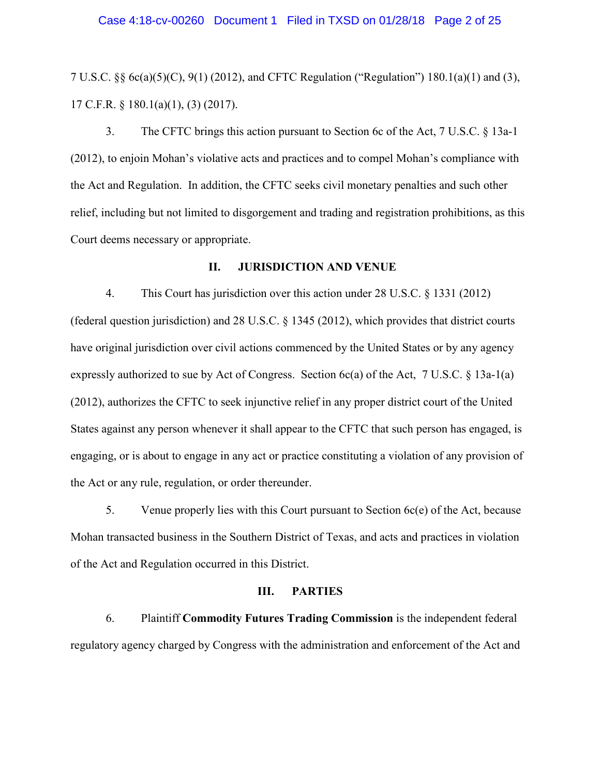7 U.S.C. §§ 6c(a)(5)(C), 9(1) (2012), and CFTC Regulation ("Regulation") 180.1(a)(1) and (3), 17 C.F.R. § 180.1(a)(1), (3) (2017).

3. The CFTC brings this action pursuant to Section 6c of the Act, 7 U.S.C. § 13a-1 (2012), to enjoin Mohan's violative acts and practices and to compel Mohan's compliance with the Act and Regulation. In addition, the CFTC seeks civil monetary penalties and such other relief, including but not limited to disgorgement and trading and registration prohibitions, as this Court deems necessary or appropriate.

#### **II. JURISDICTION AND VENUE**

4. This Court has jurisdiction over this action under 28 U.S.C. § 1331 (2012) (federal question jurisdiction) and 28 U.S.C. § 1345 (2012), which provides that district courts have original jurisdiction over civil actions commenced by the United States or by any agency expressly authorized to sue by Act of Congress. Section 6c(a) of the Act, 7 U.S.C. § 13a-1(a) (2012), authorizes the CFTC to seek injunctive relief in any proper district court of the United States against any person whenever it shall appear to the CFTC that such person has engaged, is engaging, or is about to engage in any act or practice constituting a violation of any provision of the Act or any rule, regulation, or order thereunder.

5. Venue properly lies with this Court pursuant to Section 6c(e) of the Act, because Mohan transacted business in the Southern District of Texas, and acts and practices in violation of the Act and Regulation occurred in this District.

#### **III. PARTIES**

6. Plaintiff **Commodity Futures Trading Commission** is the independent federal regulatory agency charged by Congress with the administration and enforcement of the Act and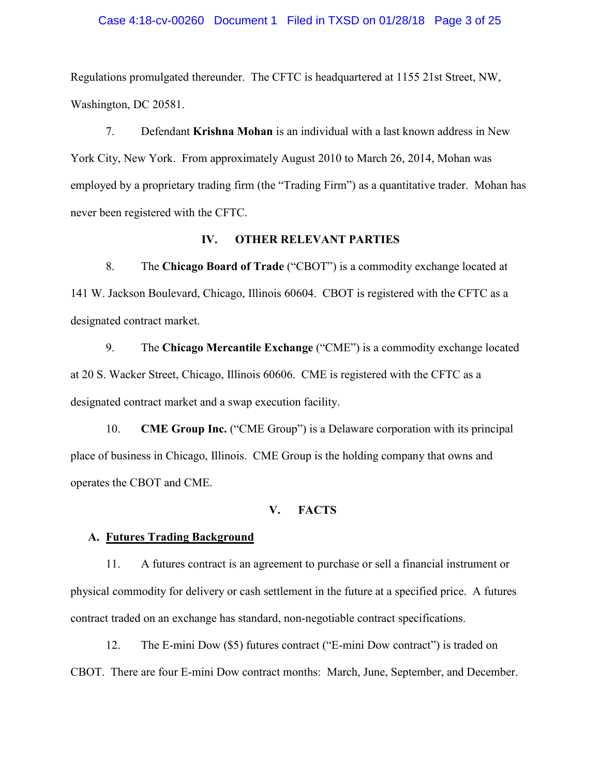#### Case 4:18-cv-00260 Document 1 Filed in TXSD on 01/28/18 Page 3 of 25

Regulations promulgated thereunder. The CFTC is headquartered at 1155 21st Street, NW, Washington, DC 20581.

7. Defendant **Krishna Mohan** is an individual with a last known address in New York City, New York. From approximately August 2010 to March 26, 2014, Mohan was employed by a proprietary trading firm (the "Trading Firm") as a quantitative trader. Mohan has never been registered with the CFTC.

#### **IV. OTHER RELEVANT PARTIES**

8. The **Chicago Board of Trade** ("CBOT") is a commodity exchange located at 141 W. Jackson Boulevard, Chicago, Illinois 60604. CBOT is registered with the CFTC as a designated contract market.

9. The **Chicago Mercantile Exchange** ("CME") is a commodity exchange located at 20 S. Wacker Street, Chicago, Illinois 60606. CME is registered with the CFTC as a designated contract market and a swap execution facility.

10. **CME Group Inc.** ("CME Group") is a Delaware corporation with its principal place of business in Chicago, Illinois. CME Group is the holding company that owns and operates the CBOT and CME.

#### **V. FACTS**

#### **A. Futures Trading Background**

11. A futures contract is an agreement to purchase or sell a financial instrument or physical commodity for delivery or cash settlement in the future at a specified price. A futures contract traded on an exchange has standard, non-negotiable contract specifications.

12. The E-mini Dow (\$5) futures contract ("E-mini Dow contract") is traded on CBOT. There are four E-mini Dow contract months: March, June, September, and December.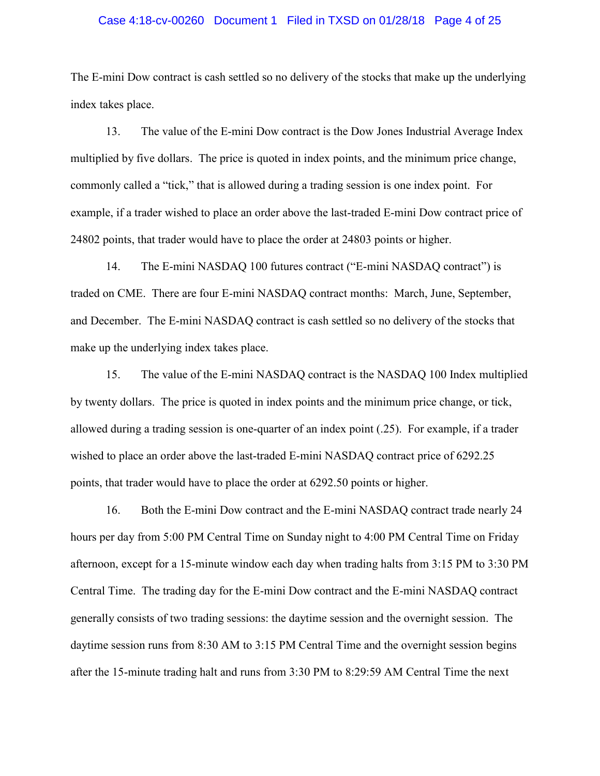#### Case 4:18-cv-00260 Document 1 Filed in TXSD on 01/28/18 Page 4 of 25

The E-mini Dow contract is cash settled so no delivery of the stocks that make up the underlying index takes place.

13. The value of the E-mini Dow contract is the Dow Jones Industrial Average Index multiplied by five dollars. The price is quoted in index points, and the minimum price change, commonly called a "tick," that is allowed during a trading session is one index point. For example, if a trader wished to place an order above the last-traded E-mini Dow contract price of 24802 points, that trader would have to place the order at 24803 points or higher.

14. The E-mini NASDAQ 100 futures contract ("E-mini NASDAQ contract") is traded on CME. There are four E-mini NASDAQ contract months: March, June, September, and December. The E-mini NASDAQ contract is cash settled so no delivery of the stocks that make up the underlying index takes place.

15. The value of the E-mini NASDAQ contract is the NASDAQ 100 Index multiplied by twenty dollars. The price is quoted in index points and the minimum price change, or tick, allowed during a trading session is one-quarter of an index point (.25). For example, if a trader wished to place an order above the last-traded E-mini NASDAQ contract price of 6292.25 points, that trader would have to place the order at 6292.50 points or higher.

16. Both the E-mini Dow contract and the E-mini NASDAQ contract trade nearly 24 hours per day from 5:00 PM Central Time on Sunday night to 4:00 PM Central Time on Friday afternoon, except for a 15-minute window each day when trading halts from 3:15 PM to 3:30 PM Central Time. The trading day for the E-mini Dow contract and the E-mini NASDAQ contract generally consists of two trading sessions: the daytime session and the overnight session. The daytime session runs from 8:30 AM to 3:15 PM Central Time and the overnight session begins after the 15-minute trading halt and runs from 3:30 PM to 8:29:59 AM Central Time the next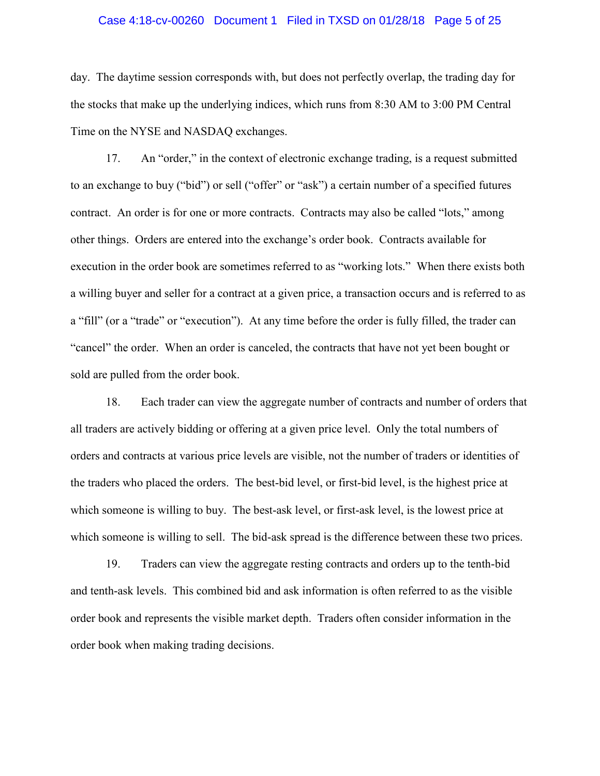#### Case 4:18-cv-00260 Document 1 Filed in TXSD on 01/28/18 Page 5 of 25

day. The daytime session corresponds with, but does not perfectly overlap, the trading day for the stocks that make up the underlying indices, which runs from 8:30 AM to 3:00 PM Central Time on the NYSE and NASDAQ exchanges.

17. An "order," in the context of electronic exchange trading, is a request submitted to an exchange to buy ("bid") or sell ("offer" or "ask") a certain number of a specified futures contract. An order is for one or more contracts. Contracts may also be called "lots," among other things. Orders are entered into the exchange's order book. Contracts available for execution in the order book are sometimes referred to as "working lots." When there exists both a willing buyer and seller for a contract at a given price, a transaction occurs and is referred to as a "fill" (or a "trade" or "execution"). At any time before the order is fully filled, the trader can "cancel" the order. When an order is canceled, the contracts that have not yet been bought or sold are pulled from the order book.

18. Each trader can view the aggregate number of contracts and number of orders that all traders are actively bidding or offering at a given price level. Only the total numbers of orders and contracts at various price levels are visible, not the number of traders or identities of the traders who placed the orders. The best-bid level, or first-bid level, is the highest price at which someone is willing to buy. The best-ask level, or first-ask level, is the lowest price at which someone is willing to sell. The bid-ask spread is the difference between these two prices.

19. Traders can view the aggregate resting contracts and orders up to the tenth-bid and tenth-ask levels. This combined bid and ask information is often referred to as the visible order book and represents the visible market depth. Traders often consider information in the order book when making trading decisions.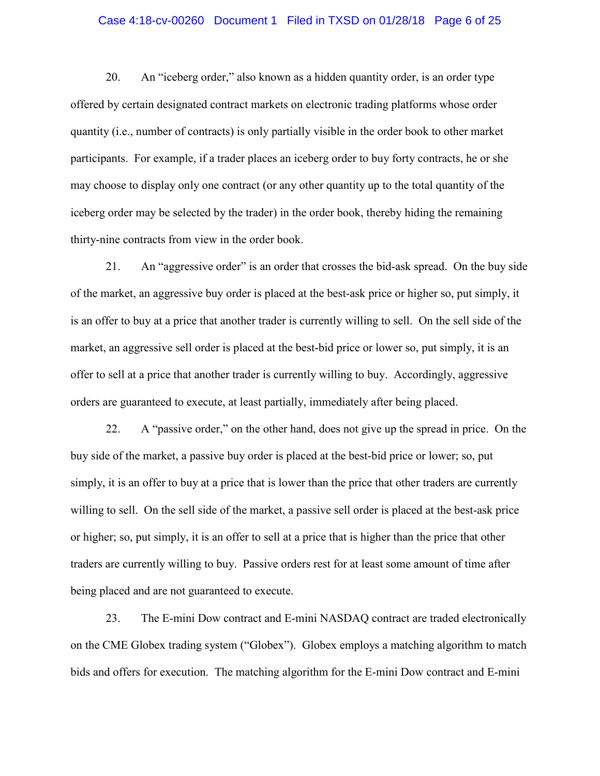#### Case 4:18-cv-00260 Document 1 Filed in TXSD on 01/28/18 Page 6 of 25

20. An "iceberg order," also known as a hidden quantity order, is an order type offered by certain designated contract markets on electronic trading platforms whose order quantity (i.e., number of contracts) is only partially visible in the order book to other market participants. For example, if a trader places an iceberg order to buy forty contracts, he or she may choose to display only one contract (or any other quantity up to the total quantity of the iceberg order may be selected by the trader) in the order book, thereby hiding the remaining thirty-nine contracts from view in the order book.

21. An "aggressive order" is an order that crosses the bid-ask spread. On the buy side of the market, an aggressive buy order is placed at the best-ask price or higher so, put simply, it is an offer to buy at a price that another trader is currently willing to sell. On the sell side of the market, an aggressive sell order is placed at the best-bid price or lower so, put simply, it is an offer to sell at a price that another trader is currently willing to buy. Accordingly, aggressive orders are guaranteed to execute, at least partially, immediately after being placed.

22. A "passive order," on the other hand, does not give up the spread in price. On the buy side of the market, a passive buy order is placed at the best-bid price or lower; so, put simply, it is an offer to buy at a price that is lower than the price that other traders are currently willing to sell. On the sell side of the market, a passive sell order is placed at the best-ask price or higher; so, put simply, it is an offer to sell at a price that is higher than the price that other traders are currently willing to buy. Passive orders rest for at least some amount of time after being placed and are not guaranteed to execute.

23. The E-mini Dow contract and E-mini NASDAQ contract are traded electronically on the CME Globex trading system ("Globex"). Globex employs a matching algorithm to match bids and offers for execution. The matching algorithm for the E-mini Dow contract and E-mini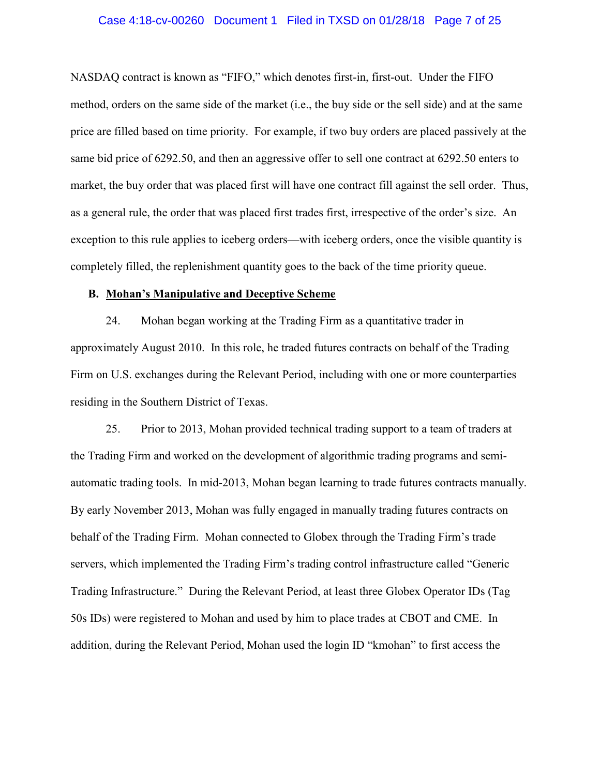#### Case 4:18-cv-00260 Document 1 Filed in TXSD on 01/28/18 Page 7 of 25

NASDAQ contract is known as "FIFO," which denotes first-in, first-out. Under the FIFO method, orders on the same side of the market (i.e., the buy side or the sell side) and at the same price are filled based on time priority. For example, if two buy orders are placed passively at the same bid price of 6292.50, and then an aggressive offer to sell one contract at 6292.50 enters to market, the buy order that was placed first will have one contract fill against the sell order. Thus, as a general rule, the order that was placed first trades first, irrespective of the order's size. An exception to this rule applies to iceberg orders—with iceberg orders, once the visible quantity is completely filled, the replenishment quantity goes to the back of the time priority queue.

#### **B. Mohan's Manipulative and Deceptive Scheme**

24. Mohan began working at the Trading Firm as a quantitative trader in approximately August 2010. In this role, he traded futures contracts on behalf of the Trading Firm on U.S. exchanges during the Relevant Period, including with one or more counterparties residing in the Southern District of Texas.

25. Prior to 2013, Mohan provided technical trading support to a team of traders at the Trading Firm and worked on the development of algorithmic trading programs and semiautomatic trading tools. In mid-2013, Mohan began learning to trade futures contracts manually. By early November 2013, Mohan was fully engaged in manually trading futures contracts on behalf of the Trading Firm. Mohan connected to Globex through the Trading Firm's trade servers, which implemented the Trading Firm's trading control infrastructure called "Generic Trading Infrastructure." During the Relevant Period, at least three Globex Operator IDs (Tag 50s IDs) were registered to Mohan and used by him to place trades at CBOT and CME. In addition, during the Relevant Period, Mohan used the login ID "kmohan" to first access the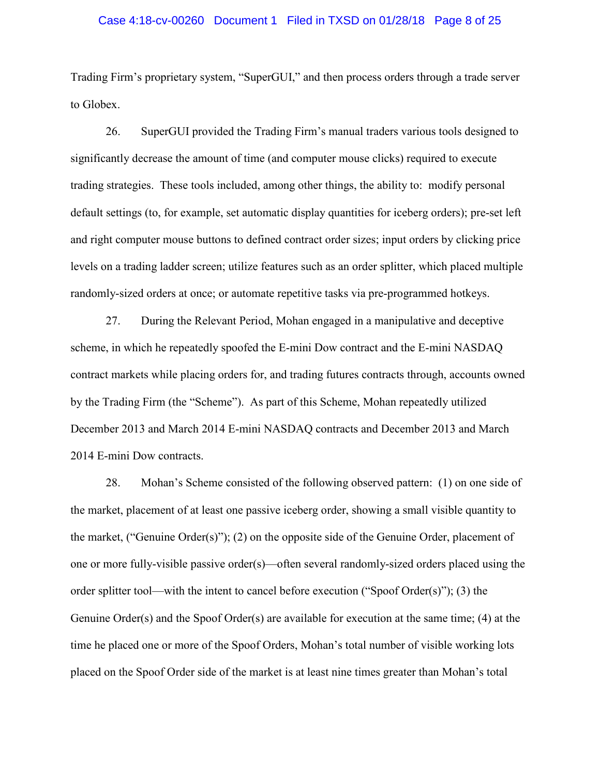#### Case 4:18-cv-00260 Document 1 Filed in TXSD on 01/28/18 Page 8 of 25

Trading Firm's proprietary system, "SuperGUI," and then process orders through a trade server to Globex.

26. SuperGUI provided the Trading Firm's manual traders various tools designed to significantly decrease the amount of time (and computer mouse clicks) required to execute trading strategies. These tools included, among other things, the ability to: modify personal default settings (to, for example, set automatic display quantities for iceberg orders); pre-set left and right computer mouse buttons to defined contract order sizes; input orders by clicking price levels on a trading ladder screen; utilize features such as an order splitter, which placed multiple randomly-sized orders at once; or automate repetitive tasks via pre-programmed hotkeys.

27. During the Relevant Period, Mohan engaged in a manipulative and deceptive scheme, in which he repeatedly spoofed the E-mini Dow contract and the E-mini NASDAQ contract markets while placing orders for, and trading futures contracts through, accounts owned by the Trading Firm (the "Scheme"). As part of this Scheme, Mohan repeatedly utilized December 2013 and March 2014 E-mini NASDAQ contracts and December 2013 and March 2014 E-mini Dow contracts.

28. Mohan's Scheme consisted of the following observed pattern: (1) on one side of the market, placement of at least one passive iceberg order, showing a small visible quantity to the market, ("Genuine Order(s)"); (2) on the opposite side of the Genuine Order, placement of one or more fully-visible passive order(s)—often several randomly-sized orders placed using the order splitter tool—with the intent to cancel before execution ("Spoof Order(s)"); (3) the Genuine Order(s) and the Spoof Order(s) are available for execution at the same time; (4) at the time he placed one or more of the Spoof Orders, Mohan's total number of visible working lots placed on the Spoof Order side of the market is at least nine times greater than Mohan's total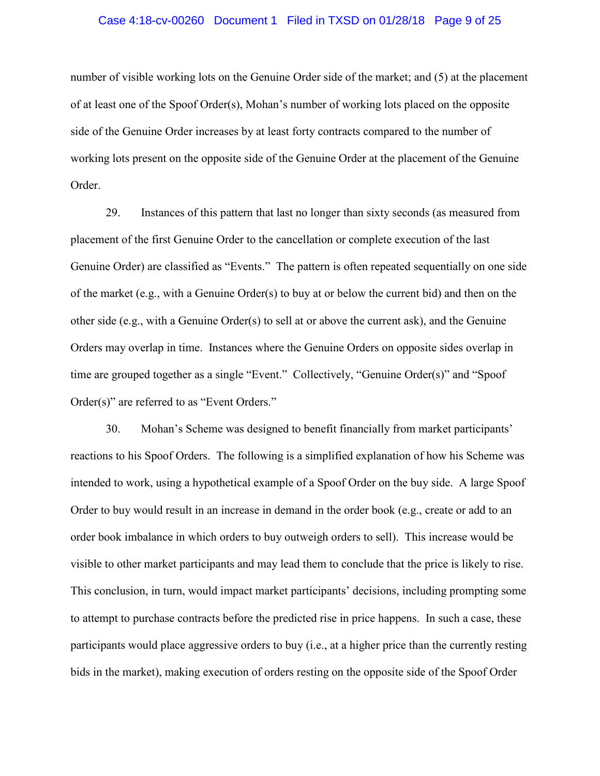#### Case 4:18-cv-00260 Document 1 Filed in TXSD on 01/28/18 Page 9 of 25

number of visible working lots on the Genuine Order side of the market; and (5) at the placement of at least one of the Spoof Order(s), Mohan's number of working lots placed on the opposite side of the Genuine Order increases by at least forty contracts compared to the number of working lots present on the opposite side of the Genuine Order at the placement of the Genuine Order.

29. Instances of this pattern that last no longer than sixty seconds (as measured from placement of the first Genuine Order to the cancellation or complete execution of the last Genuine Order) are classified as "Events." The pattern is often repeated sequentially on one side of the market (e.g., with a Genuine Order(s) to buy at or below the current bid) and then on the other side (e.g., with a Genuine Order(s) to sell at or above the current ask), and the Genuine Orders may overlap in time. Instances where the Genuine Orders on opposite sides overlap in time are grouped together as a single "Event." Collectively, "Genuine Order(s)" and "Spoof Order(s)" are referred to as "Event Orders."

30. Mohan's Scheme was designed to benefit financially from market participants' reactions to his Spoof Orders. The following is a simplified explanation of how his Scheme was intended to work, using a hypothetical example of a Spoof Order on the buy side. A large Spoof Order to buy would result in an increase in demand in the order book (e.g., create or add to an order book imbalance in which orders to buy outweigh orders to sell). This increase would be visible to other market participants and may lead them to conclude that the price is likely to rise. This conclusion, in turn, would impact market participants' decisions, including prompting some to attempt to purchase contracts before the predicted rise in price happens. In such a case, these participants would place aggressive orders to buy (i.e., at a higher price than the currently resting bids in the market), making execution of orders resting on the opposite side of the Spoof Order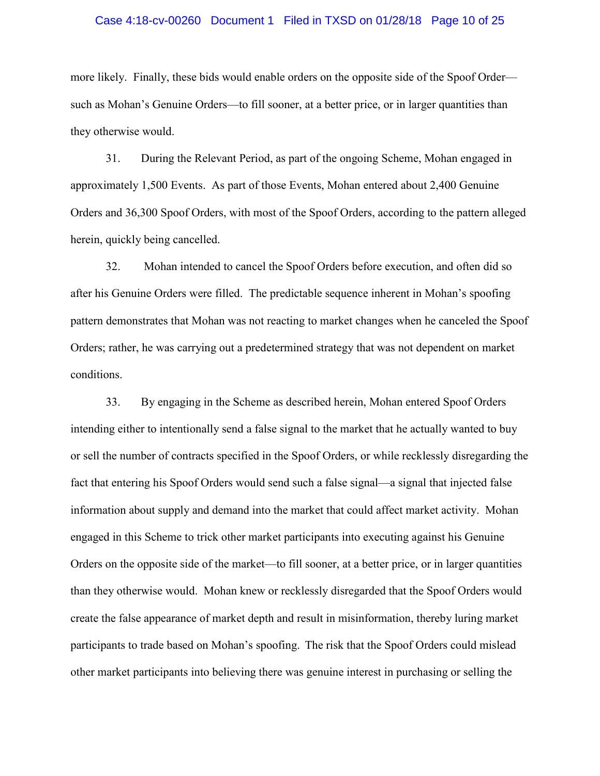#### Case 4:18-cv-00260 Document 1 Filed in TXSD on 01/28/18 Page 10 of 25

more likely. Finally, these bids would enable orders on the opposite side of the Spoof Order such as Mohan's Genuine Orders—to fill sooner, at a better price, or in larger quantities than they otherwise would.

31. During the Relevant Period, as part of the ongoing Scheme, Mohan engaged in approximately 1,500 Events. As part of those Events, Mohan entered about 2,400 Genuine Orders and 36,300 Spoof Orders, with most of the Spoof Orders, according to the pattern alleged herein, quickly being cancelled.

32. Mohan intended to cancel the Spoof Orders before execution, and often did so after his Genuine Orders were filled. The predictable sequence inherent in Mohan's spoofing pattern demonstrates that Mohan was not reacting to market changes when he canceled the Spoof Orders; rather, he was carrying out a predetermined strategy that was not dependent on market conditions.

33. By engaging in the Scheme as described herein, Mohan entered Spoof Orders intending either to intentionally send a false signal to the market that he actually wanted to buy or sell the number of contracts specified in the Spoof Orders, or while recklessly disregarding the fact that entering his Spoof Orders would send such a false signal—a signal that injected false information about supply and demand into the market that could affect market activity. Mohan engaged in this Scheme to trick other market participants into executing against his Genuine Orders on the opposite side of the market—to fill sooner, at a better price, or in larger quantities than they otherwise would. Mohan knew or recklessly disregarded that the Spoof Orders would create the false appearance of market depth and result in misinformation, thereby luring market participants to trade based on Mohan's spoofing. The risk that the Spoof Orders could mislead other market participants into believing there was genuine interest in purchasing or selling the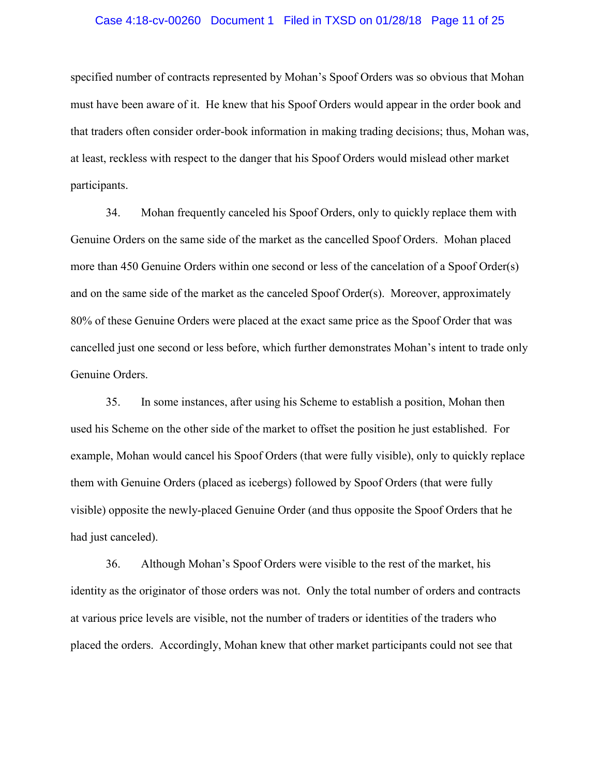#### Case 4:18-cv-00260 Document 1 Filed in TXSD on 01/28/18 Page 11 of 25

specified number of contracts represented by Mohan's Spoof Orders was so obvious that Mohan must have been aware of it. He knew that his Spoof Orders would appear in the order book and that traders often consider order-book information in making trading decisions; thus, Mohan was, at least, reckless with respect to the danger that his Spoof Orders would mislead other market participants.

34. Mohan frequently canceled his Spoof Orders, only to quickly replace them with Genuine Orders on the same side of the market as the cancelled Spoof Orders. Mohan placed more than 450 Genuine Orders within one second or less of the cancelation of a Spoof Order(s) and on the same side of the market as the canceled Spoof Order(s). Moreover, approximately 80% of these Genuine Orders were placed at the exact same price as the Spoof Order that was cancelled just one second or less before, which further demonstrates Mohan's intent to trade only Genuine Orders.

35. In some instances, after using his Scheme to establish a position, Mohan then used his Scheme on the other side of the market to offset the position he just established. For example, Mohan would cancel his Spoof Orders (that were fully visible), only to quickly replace them with Genuine Orders (placed as icebergs) followed by Spoof Orders (that were fully visible) opposite the newly-placed Genuine Order (and thus opposite the Spoof Orders that he had just canceled).

36. Although Mohan's Spoof Orders were visible to the rest of the market, his identity as the originator of those orders was not. Only the total number of orders and contracts at various price levels are visible, not the number of traders or identities of the traders who placed the orders. Accordingly, Mohan knew that other market participants could not see that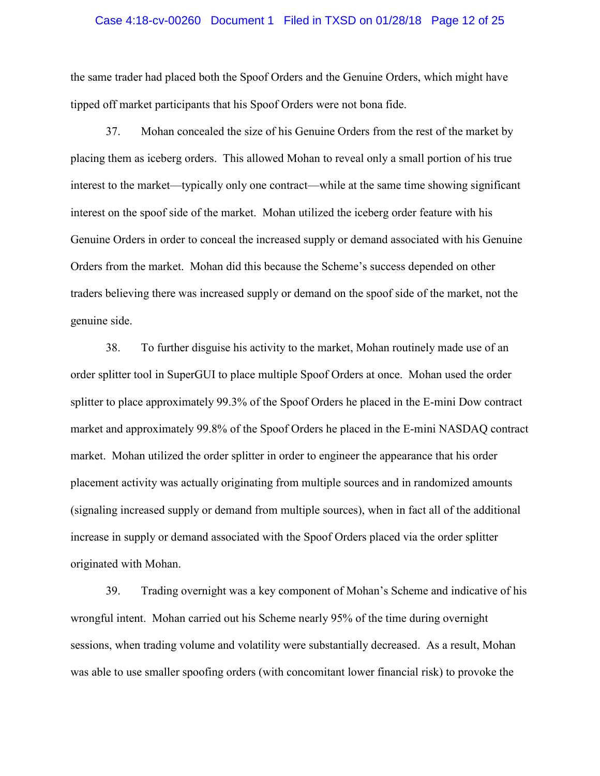#### Case 4:18-cv-00260 Document 1 Filed in TXSD on 01/28/18 Page 12 of 25

the same trader had placed both the Spoof Orders and the Genuine Orders, which might have tipped off market participants that his Spoof Orders were not bona fide.

37. Mohan concealed the size of his Genuine Orders from the rest of the market by placing them as iceberg orders. This allowed Mohan to reveal only a small portion of his true interest to the market—typically only one contract—while at the same time showing significant interest on the spoof side of the market. Mohan utilized the iceberg order feature with his Genuine Orders in order to conceal the increased supply or demand associated with his Genuine Orders from the market. Mohan did this because the Scheme's success depended on other traders believing there was increased supply or demand on the spoof side of the market, not the genuine side.

38. To further disguise his activity to the market, Mohan routinely made use of an order splitter tool in SuperGUI to place multiple Spoof Orders at once. Mohan used the order splitter to place approximately 99.3% of the Spoof Orders he placed in the E-mini Dow contract market and approximately 99.8% of the Spoof Orders he placed in the E-mini NASDAQ contract market. Mohan utilized the order splitter in order to engineer the appearance that his order placement activity was actually originating from multiple sources and in randomized amounts (signaling increased supply or demand from multiple sources), when in fact all of the additional increase in supply or demand associated with the Spoof Orders placed via the order splitter originated with Mohan.

39. Trading overnight was a key component of Mohan's Scheme and indicative of his wrongful intent. Mohan carried out his Scheme nearly 95% of the time during overnight sessions, when trading volume and volatility were substantially decreased. As a result, Mohan was able to use smaller spoofing orders (with concomitant lower financial risk) to provoke the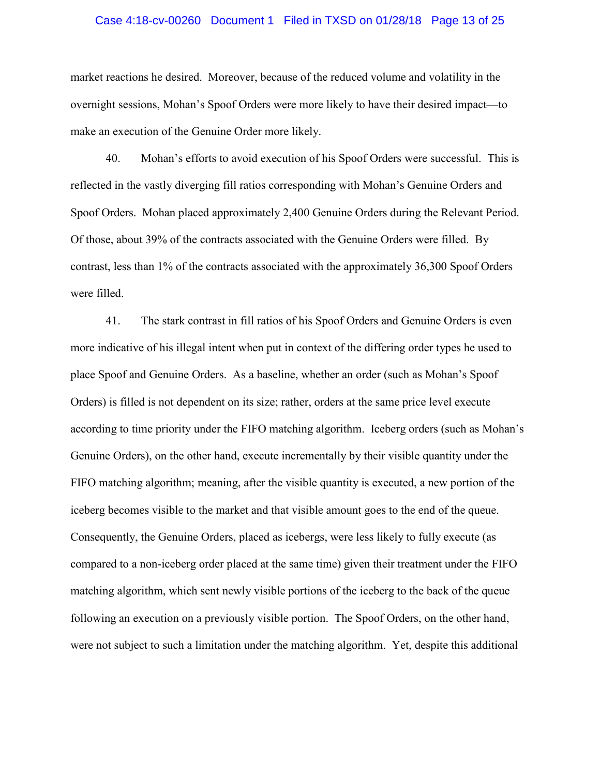#### Case 4:18-cv-00260 Document 1 Filed in TXSD on 01/28/18 Page 13 of 25

market reactions he desired. Moreover, because of the reduced volume and volatility in the overnight sessions, Mohan's Spoof Orders were more likely to have their desired impact—to make an execution of the Genuine Order more likely.

40. Mohan's efforts to avoid execution of his Spoof Orders were successful. This is reflected in the vastly diverging fill ratios corresponding with Mohan's Genuine Orders and Spoof Orders. Mohan placed approximately 2,400 Genuine Orders during the Relevant Period. Of those, about 39% of the contracts associated with the Genuine Orders were filled. By contrast, less than 1% of the contracts associated with the approximately 36,300 Spoof Orders were filled.

41. The stark contrast in fill ratios of his Spoof Orders and Genuine Orders is even more indicative of his illegal intent when put in context of the differing order types he used to place Spoof and Genuine Orders. As a baseline, whether an order (such as Mohan's Spoof Orders) is filled is not dependent on its size; rather, orders at the same price level execute according to time priority under the FIFO matching algorithm. Iceberg orders (such as Mohan's Genuine Orders), on the other hand, execute incrementally by their visible quantity under the FIFO matching algorithm; meaning, after the visible quantity is executed, a new portion of the iceberg becomes visible to the market and that visible amount goes to the end of the queue. Consequently, the Genuine Orders, placed as icebergs, were less likely to fully execute (as compared to a non-iceberg order placed at the same time) given their treatment under the FIFO matching algorithm, which sent newly visible portions of the iceberg to the back of the queue following an execution on a previously visible portion. The Spoof Orders, on the other hand, were not subject to such a limitation under the matching algorithm. Yet, despite this additional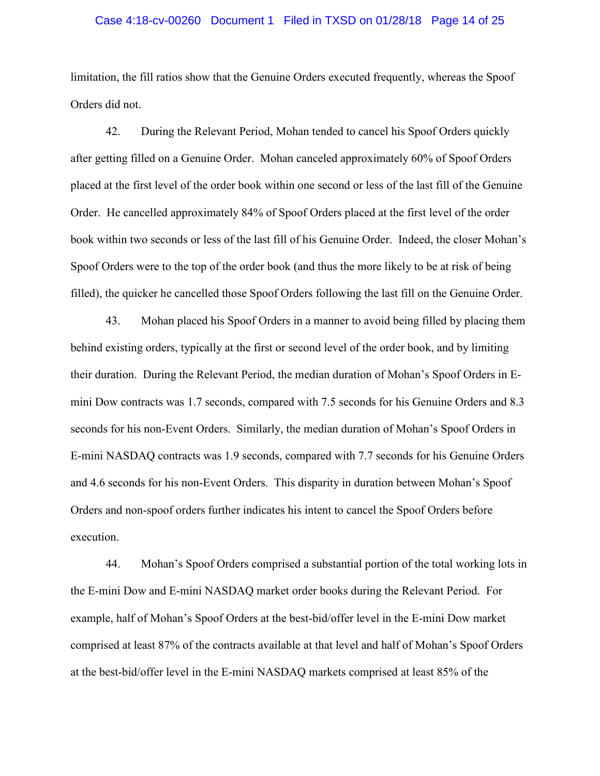#### Case 4:18-cv-00260 Document 1 Filed in TXSD on 01/28/18 Page 14 of 25

limitation, the fill ratios show that the Genuine Orders executed frequently, whereas the Spoof Orders did not.

42. During the Relevant Period, Mohan tended to cancel his Spoof Orders quickly after getting filled on a Genuine Order. Mohan canceled approximately 60% of Spoof Orders placed at the first level of the order book within one second or less of the last fill of the Genuine Order. He cancelled approximately 84% of Spoof Orders placed at the first level of the order book within two seconds or less of the last fill of his Genuine Order. Indeed, the closer Mohan's Spoof Orders were to the top of the order book (and thus the more likely to be at risk of being filled), the quicker he cancelled those Spoof Orders following the last fill on the Genuine Order.

43. Mohan placed his Spoof Orders in a manner to avoid being filled by placing them behind existing orders, typically at the first or second level of the order book, and by limiting their duration. During the Relevant Period, the median duration of Mohan's Spoof Orders in Emini Dow contracts was 1.7 seconds, compared with 7.5 seconds for his Genuine Orders and 8.3 seconds for his non-Event Orders. Similarly, the median duration of Mohan's Spoof Orders in E-mini NASDAQ contracts was 1.9 seconds, compared with 7.7 seconds for his Genuine Orders and 4.6 seconds for his non-Event Orders. This disparity in duration between Mohan's Spoof Orders and non-spoof orders further indicates his intent to cancel the Spoof Orders before execution.

44. Mohan's Spoof Orders comprised a substantial portion of the total working lots in the E-mini Dow and E-mini NASDAQ market order books during the Relevant Period. For example, half of Mohan's Spoof Orders at the best-bid/offer level in the E-mini Dow market comprised at least 87% of the contracts available at that level and half of Mohan's Spoof Orders at the best-bid/offer level in the E-mini NASDAQ markets comprised at least 85% of the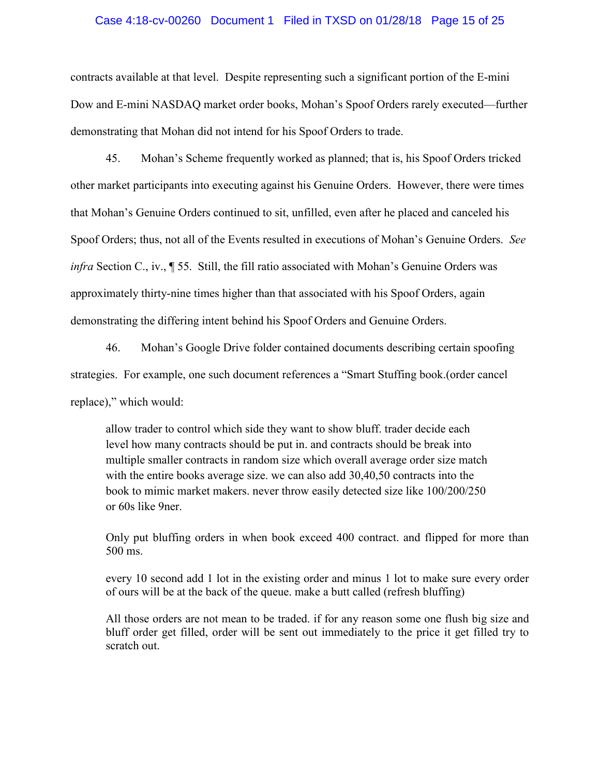#### Case 4:18-cv-00260 Document 1 Filed in TXSD on 01/28/18 Page 15 of 25

contracts available at that level. Despite representing such a significant portion of the E-mini Dow and E-mini NASDAQ market order books, Mohan's Spoof Orders rarely executed—further demonstrating that Mohan did not intend for his Spoof Orders to trade.

45. Mohan's Scheme frequently worked as planned; that is, his Spoof Orders tricked other market participants into executing against his Genuine Orders. However, there were times that Mohan's Genuine Orders continued to sit, unfilled, even after he placed and canceled his Spoof Orders; thus, not all of the Events resulted in executions of Mohan's Genuine Orders. *See infra* Section C., iv., ¶ 55. Still, the fill ratio associated with Mohan's Genuine Orders was approximately thirty-nine times higher than that associated with his Spoof Orders, again demonstrating the differing intent behind his Spoof Orders and Genuine Orders.

46. Mohan's Google Drive folder contained documents describing certain spoofing strategies. For example, one such document references a "Smart Stuffing book.(order cancel replace)," which would:

allow trader to control which side they want to show bluff. trader decide each level how many contracts should be put in. and contracts should be break into multiple smaller contracts in random size which overall average order size match with the entire books average size. we can also add 30,40,50 contracts into the book to mimic market makers. never throw easily detected size like 100/200/250 or 60s like 9ner.

Only put bluffing orders in when book exceed 400 contract. and flipped for more than 500 ms.

every 10 second add 1 lot in the existing order and minus 1 lot to make sure every order of ours will be at the back of the queue. make a butt called (refresh bluffing)

All those orders are not mean to be traded. if for any reason some one flush big size and bluff order get filled, order will be sent out immediately to the price it get filled try to scratch out.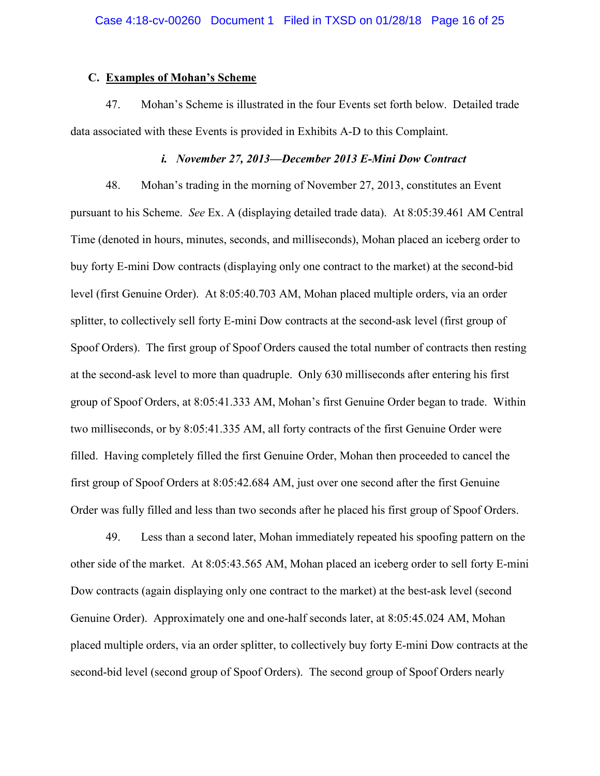#### **C. Examples of Mohan's Scheme**

47. Mohan's Scheme is illustrated in the four Events set forth below. Detailed trade data associated with these Events is provided in Exhibits A-D to this Complaint.

#### *i. November 27, 2013—December 2013 E-Mini Dow Contract*

48. Mohan's trading in the morning of November 27, 2013, constitutes an Event pursuant to his Scheme. *See* Ex. A (displaying detailed trade data). At 8:05:39.461 AM Central Time (denoted in hours, minutes, seconds, and milliseconds), Mohan placed an iceberg order to buy forty E-mini Dow contracts (displaying only one contract to the market) at the second-bid level (first Genuine Order). At 8:05:40.703 AM, Mohan placed multiple orders, via an order splitter, to collectively sell forty E-mini Dow contracts at the second-ask level (first group of Spoof Orders). The first group of Spoof Orders caused the total number of contracts then resting at the second-ask level to more than quadruple. Only 630 milliseconds after entering his first group of Spoof Orders, at 8:05:41.333 AM, Mohan's first Genuine Order began to trade. Within two milliseconds, or by 8:05:41.335 AM, all forty contracts of the first Genuine Order were filled. Having completely filled the first Genuine Order, Mohan then proceeded to cancel the first group of Spoof Orders at 8:05:42.684 AM, just over one second after the first Genuine Order was fully filled and less than two seconds after he placed his first group of Spoof Orders.

49. Less than a second later, Mohan immediately repeated his spoofing pattern on the other side of the market. At 8:05:43.565 AM, Mohan placed an iceberg order to sell forty E-mini Dow contracts (again displaying only one contract to the market) at the best-ask level (second Genuine Order). Approximately one and one-half seconds later, at 8:05:45.024 AM, Mohan placed multiple orders, via an order splitter, to collectively buy forty E-mini Dow contracts at the second-bid level (second group of Spoof Orders). The second group of Spoof Orders nearly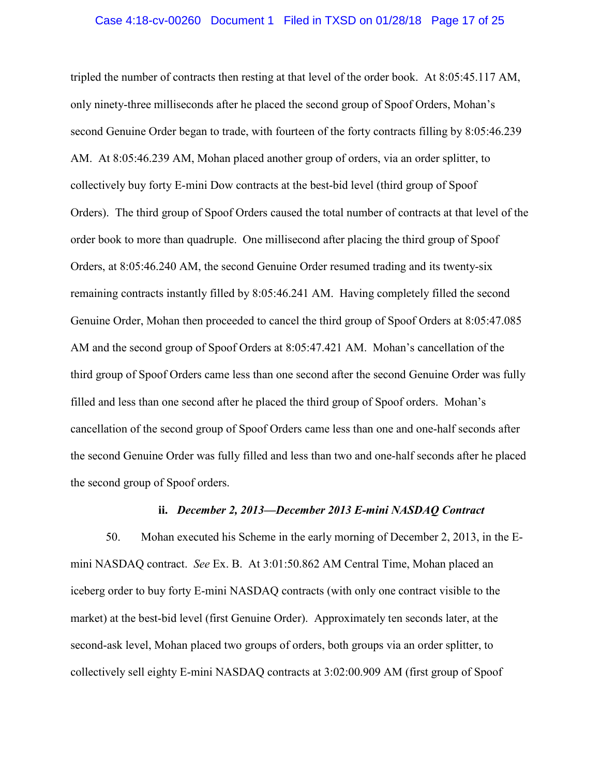#### Case 4:18-cv-00260 Document 1 Filed in TXSD on 01/28/18 Page 17 of 25

tripled the number of contracts then resting at that level of the order book. At 8:05:45.117 AM, only ninety-three milliseconds after he placed the second group of Spoof Orders, Mohan's second Genuine Order began to trade, with fourteen of the forty contracts filling by 8:05:46.239 AM. At 8:05:46.239 AM, Mohan placed another group of orders, via an order splitter, to collectively buy forty E-mini Dow contracts at the best-bid level (third group of Spoof Orders). The third group of Spoof Orders caused the total number of contracts at that level of the order book to more than quadruple. One millisecond after placing the third group of Spoof Orders, at 8:05:46.240 AM, the second Genuine Order resumed trading and its twenty-six remaining contracts instantly filled by 8:05:46.241 AM. Having completely filled the second Genuine Order, Mohan then proceeded to cancel the third group of Spoof Orders at 8:05:47.085 AM and the second group of Spoof Orders at 8:05:47.421 AM. Mohan's cancellation of the third group of Spoof Orders came less than one second after the second Genuine Order was fully filled and less than one second after he placed the third group of Spoof orders. Mohan's cancellation of the second group of Spoof Orders came less than one and one-half seconds after the second Genuine Order was fully filled and less than two and one-half seconds after he placed the second group of Spoof orders.

#### **ii.** *December 2, 2013—December 2013 E-mini NASDAQ Contract*

50. Mohan executed his Scheme in the early morning of December 2, 2013, in the Emini NASDAQ contract. *See* Ex. B. At 3:01:50.862 AM Central Time, Mohan placed an iceberg order to buy forty E-mini NASDAQ contracts (with only one contract visible to the market) at the best-bid level (first Genuine Order). Approximately ten seconds later, at the second-ask level, Mohan placed two groups of orders, both groups via an order splitter, to collectively sell eighty E-mini NASDAQ contracts at 3:02:00.909 AM (first group of Spoof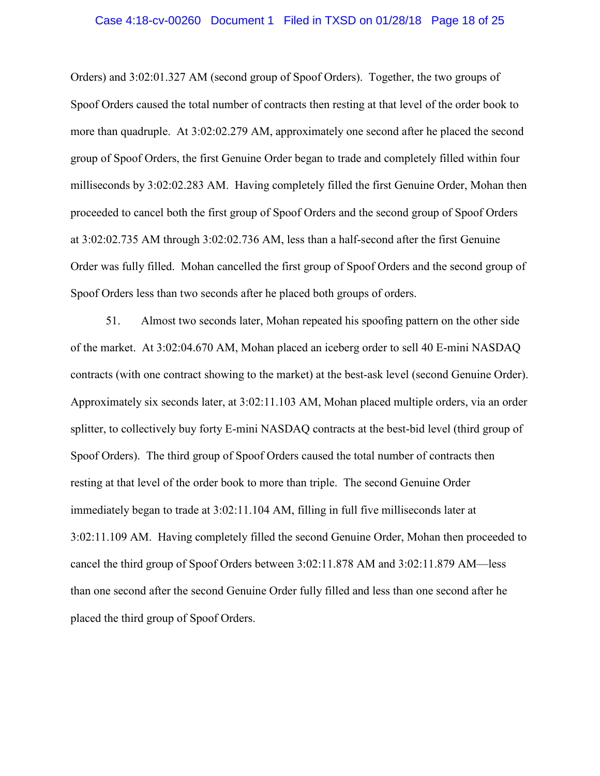#### Case 4:18-cv-00260 Document 1 Filed in TXSD on 01/28/18 Page 18 of 25

Orders) and 3:02:01.327 AM (second group of Spoof Orders). Together, the two groups of Spoof Orders caused the total number of contracts then resting at that level of the order book to more than quadruple. At 3:02:02.279 AM, approximately one second after he placed the second group of Spoof Orders, the first Genuine Order began to trade and completely filled within four milliseconds by 3:02:02.283 AM. Having completely filled the first Genuine Order, Mohan then proceeded to cancel both the first group of Spoof Orders and the second group of Spoof Orders at 3:02:02.735 AM through 3:02:02.736 AM, less than a half-second after the first Genuine Order was fully filled. Mohan cancelled the first group of Spoof Orders and the second group of Spoof Orders less than two seconds after he placed both groups of orders.

51. Almost two seconds later, Mohan repeated his spoofing pattern on the other side of the market. At 3:02:04.670 AM, Mohan placed an iceberg order to sell 40 E-mini NASDAQ contracts (with one contract showing to the market) at the best-ask level (second Genuine Order). Approximately six seconds later, at 3:02:11.103 AM, Mohan placed multiple orders, via an order splitter, to collectively buy forty E-mini NASDAQ contracts at the best-bid level (third group of Spoof Orders). The third group of Spoof Orders caused the total number of contracts then resting at that level of the order book to more than triple. The second Genuine Order immediately began to trade at 3:02:11.104 AM, filling in full five milliseconds later at 3:02:11.109 AM. Having completely filled the second Genuine Order, Mohan then proceeded to cancel the third group of Spoof Orders between 3:02:11.878 AM and 3:02:11.879 AM—less than one second after the second Genuine Order fully filled and less than one second after he placed the third group of Spoof Orders.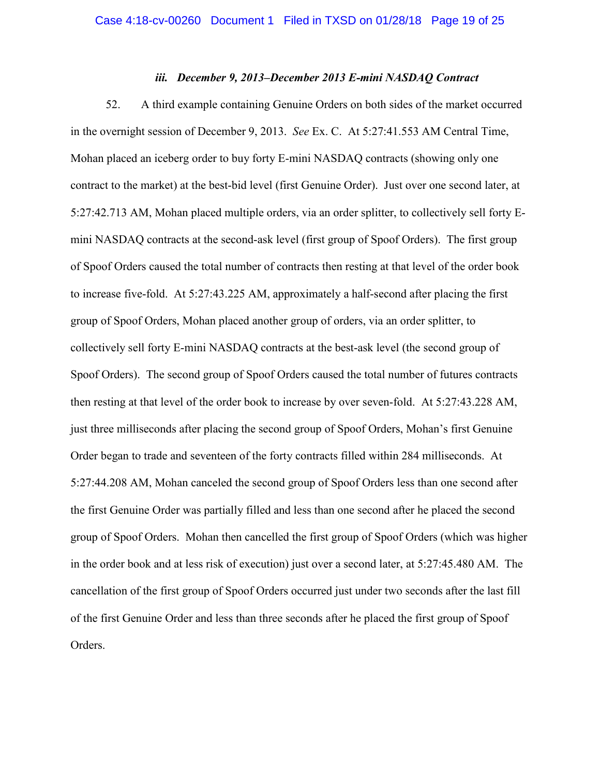#### *iii. December 9, 2013–December 2013 E-mini NASDAQ Contract*

52. A third example containing Genuine Orders on both sides of the market occurred in the overnight session of December 9, 2013. *See* Ex. C. At 5:27:41.553 AM Central Time, Mohan placed an iceberg order to buy forty E-mini NASDAQ contracts (showing only one contract to the market) at the best-bid level (first Genuine Order). Just over one second later, at 5:27:42.713 AM, Mohan placed multiple orders, via an order splitter, to collectively sell forty Emini NASDAQ contracts at the second-ask level (first group of Spoof Orders). The first group of Spoof Orders caused the total number of contracts then resting at that level of the order book to increase five-fold. At 5:27:43.225 AM, approximately a half-second after placing the first group of Spoof Orders, Mohan placed another group of orders, via an order splitter, to collectively sell forty E-mini NASDAQ contracts at the best-ask level (the second group of Spoof Orders). The second group of Spoof Orders caused the total number of futures contracts then resting at that level of the order book to increase by over seven-fold. At 5:27:43.228 AM, just three milliseconds after placing the second group of Spoof Orders, Mohan's first Genuine Order began to trade and seventeen of the forty contracts filled within 284 milliseconds. At 5:27:44.208 AM, Mohan canceled the second group of Spoof Orders less than one second after the first Genuine Order was partially filled and less than one second after he placed the second group of Spoof Orders. Mohan then cancelled the first group of Spoof Orders (which was higher in the order book and at less risk of execution) just over a second later, at 5:27:45.480 AM. The cancellation of the first group of Spoof Orders occurred just under two seconds after the last fill of the first Genuine Order and less than three seconds after he placed the first group of Spoof Orders.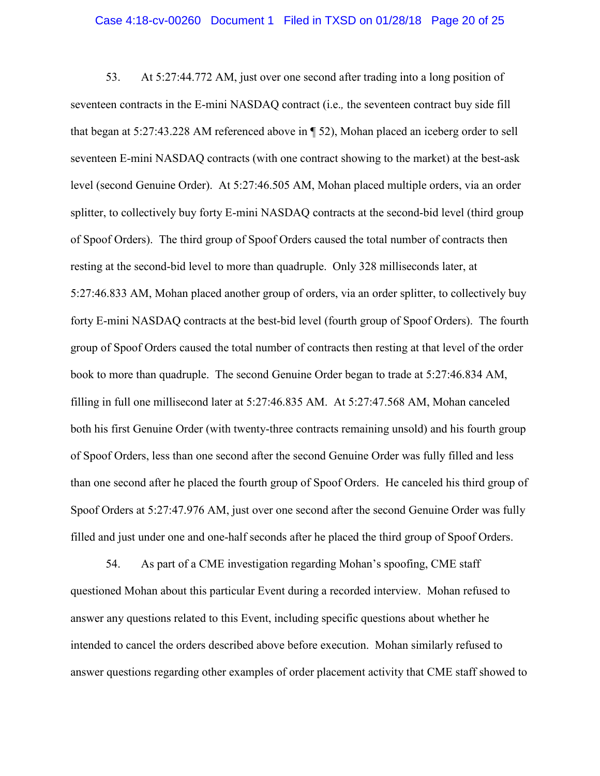53. At 5:27:44.772 AM, just over one second after trading into a long position of seventeen contracts in the E-mini NASDAQ contract (i.e.*,* the seventeen contract buy side fill that began at 5:27:43.228 AM referenced above in ¶ 52), Mohan placed an iceberg order to sell seventeen E-mini NASDAQ contracts (with one contract showing to the market) at the best-ask level (second Genuine Order). At 5:27:46.505 AM, Mohan placed multiple orders, via an order splitter, to collectively buy forty E-mini NASDAQ contracts at the second-bid level (third group of Spoof Orders). The third group of Spoof Orders caused the total number of contracts then resting at the second-bid level to more than quadruple. Only 328 milliseconds later, at 5:27:46.833 AM, Mohan placed another group of orders, via an order splitter, to collectively buy forty E-mini NASDAQ contracts at the best-bid level (fourth group of Spoof Orders). The fourth group of Spoof Orders caused the total number of contracts then resting at that level of the order book to more than quadruple. The second Genuine Order began to trade at 5:27:46.834 AM, filling in full one millisecond later at 5:27:46.835 AM. At 5:27:47.568 AM, Mohan canceled both his first Genuine Order (with twenty-three contracts remaining unsold) and his fourth group of Spoof Orders, less than one second after the second Genuine Order was fully filled and less than one second after he placed the fourth group of Spoof Orders. He canceled his third group of Spoof Orders at 5:27:47.976 AM, just over one second after the second Genuine Order was fully filled and just under one and one-half seconds after he placed the third group of Spoof Orders.

54. As part of a CME investigation regarding Mohan's spoofing, CME staff questioned Mohan about this particular Event during a recorded interview. Mohan refused to answer any questions related to this Event, including specific questions about whether he intended to cancel the orders described above before execution. Mohan similarly refused to answer questions regarding other examples of order placement activity that CME staff showed to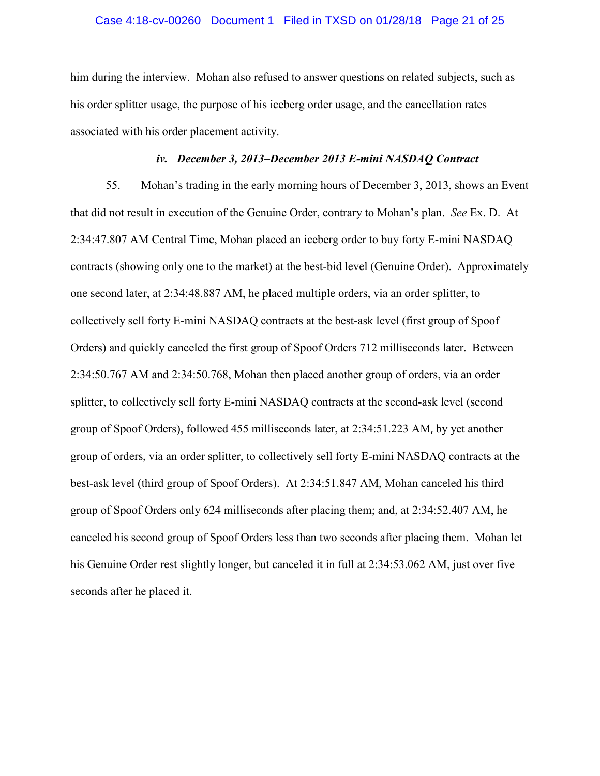#### Case 4:18-cv-00260 Document 1 Filed in TXSD on 01/28/18 Page 21 of 25

him during the interview. Mohan also refused to answer questions on related subjects, such as his order splitter usage, the purpose of his iceberg order usage, and the cancellation rates associated with his order placement activity.

#### *iv. December 3, 2013–December 2013 E-mini NASDAQ Contract*

55. Mohan's trading in the early morning hours of December 3, 2013, shows an Event that did not result in execution of the Genuine Order, contrary to Mohan's plan. *See* Ex. D. At 2:34:47.807 AM Central Time, Mohan placed an iceberg order to buy forty E-mini NASDAQ contracts (showing only one to the market) at the best-bid level (Genuine Order). Approximately one second later, at 2:34:48.887 AM, he placed multiple orders, via an order splitter, to collectively sell forty E-mini NASDAQ contracts at the best-ask level (first group of Spoof Orders) and quickly canceled the first group of Spoof Orders 712 milliseconds later. Between 2:34:50.767 AM and 2:34:50.768, Mohan then placed another group of orders, via an order splitter, to collectively sell forty E-mini NASDAQ contracts at the second-ask level (second group of Spoof Orders), followed 455 milliseconds later, at 2:34:51.223 AM, by yet another group of orders, via an order splitter, to collectively sell forty E-mini NASDAQ contracts at the best-ask level (third group of Spoof Orders). At 2:34:51.847 AM, Mohan canceled his third group of Spoof Orders only 624 milliseconds after placing them; and, at 2:34:52.407 AM, he canceled his second group of Spoof Orders less than two seconds after placing them. Mohan let his Genuine Order rest slightly longer, but canceled it in full at 2:34:53.062 AM, just over five seconds after he placed it.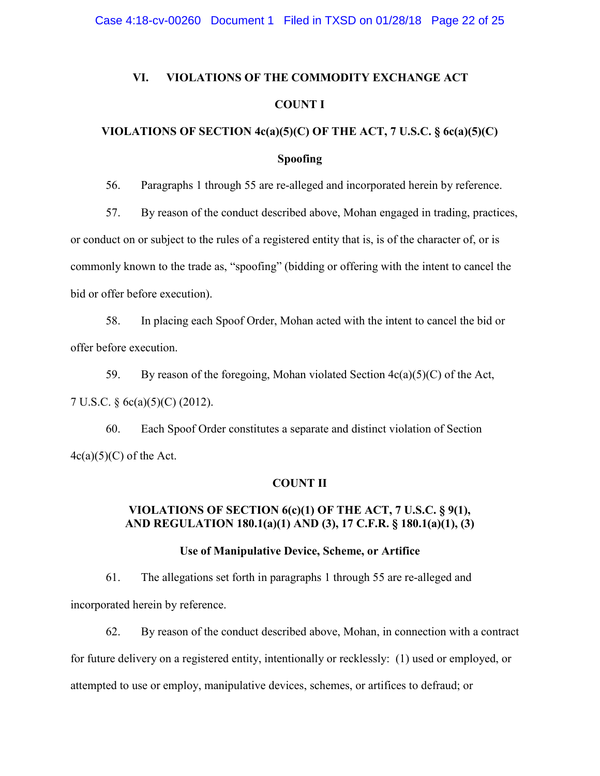### **VI. VIOLATIONS OF THE COMMODITY EXCHANGE ACT COUNT I**

### **VIOLATIONS OF SECTION 4c(a)(5)(C) OF THE ACT, 7 U.S.C. § 6c(a)(5)(C)**

#### **Spoofing**

56. Paragraphs 1 through 55 are re-alleged and incorporated herein by reference.

57. By reason of the conduct described above, Mohan engaged in trading, practices,

or conduct on or subject to the rules of a registered entity that is, is of the character of, or is

commonly known to the trade as, "spoofing" (bidding or offering with the intent to cancel the

bid or offer before execution).

58. In placing each Spoof Order, Mohan acted with the intent to cancel the bid or offer before execution.

59. By reason of the foregoing, Mohan violated Section 4c(a)(5)(C) of the Act, 7 U.S.C. § 6c(a)(5)(C) (2012).

60. Each Spoof Order constitutes a separate and distinct violation of Section  $4c(a)(5)(C)$  of the Act.

#### **COUNT II**

#### **VIOLATIONS OF SECTION 6(c)(1) OF THE ACT, 7 U.S.C. § 9(1), AND REGULATION 180.1(a)(1) AND (3), 17 C.F.R. § 180.1(a)(1), (3)**

#### **Use of Manipulative Device, Scheme, or Artifice**

61. The allegations set forth in paragraphs 1 through 55 are re-alleged and incorporated herein by reference.

62. By reason of the conduct described above, Mohan, in connection with a contract for future delivery on a registered entity, intentionally or recklessly: (1) used or employed, or attempted to use or employ, manipulative devices, schemes, or artifices to defraud; or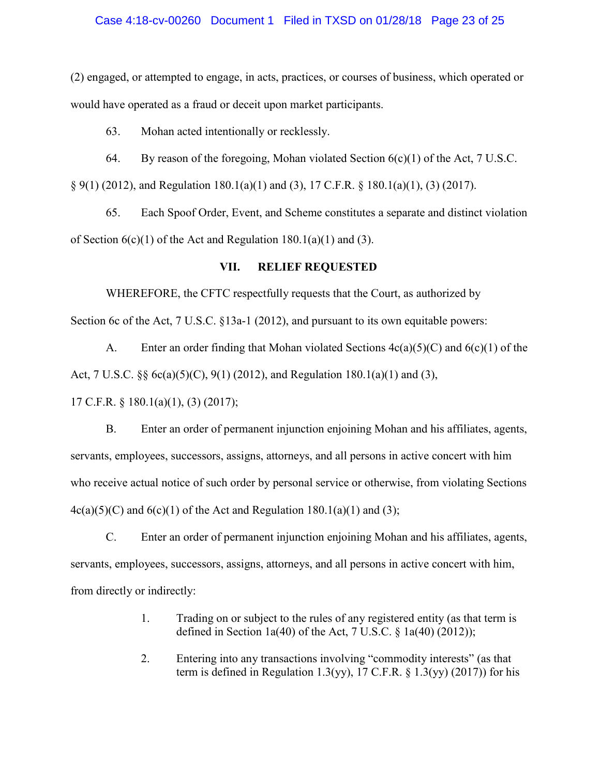#### Case 4:18-cv-00260 Document 1 Filed in TXSD on 01/28/18 Page 23 of 25

(2) engaged, or attempted to engage, in acts, practices, or courses of business, which operated or would have operated as a fraud or deceit upon market participants.

63. Mohan acted intentionally or recklessly.

64. By reason of the foregoing, Mohan violated Section  $6(c)(1)$  of the Act, 7 U.S.C.

§ 9(1) (2012), and Regulation 180.1(a)(1) and (3), 17 C.F.R. § 180.1(a)(1), (3) (2017).

65. Each Spoof Order, Event, and Scheme constitutes a separate and distinct violation of Section  $6(c)(1)$  of the Act and Regulation 180.1(a)(1) and (3).

#### **VII. RELIEF REQUESTED**

WHEREFORE, the CFTC respectfully requests that the Court, as authorized by

Section 6c of the Act, 7 U.S.C. §13a-1 (2012), and pursuant to its own equitable powers:

A. Enter an order finding that Mohan violated Sections  $4c(a)(5)(C)$  and  $6(c)(1)$  of the Act, 7 U.S.C. §§ 6c(a)(5)(C), 9(1) (2012), and Regulation 180.1(a)(1) and (3),

17 C.F.R. § 180.1(a)(1), (3) (2017);

B. Enter an order of permanent injunction enjoining Mohan and his affiliates, agents, servants, employees, successors, assigns, attorneys, and all persons in active concert with him who receive actual notice of such order by personal service or otherwise, from violating Sections  $4c(a)(5)(C)$  and  $6(c)(1)$  of the Act and Regulation 180.1(a)(1) and (3);

C. Enter an order of permanent injunction enjoining Mohan and his affiliates, agents, servants, employees, successors, assigns, attorneys, and all persons in active concert with him, from directly or indirectly:

- 1. Trading on or subject to the rules of any registered entity (as that term is defined in Section 1a(40) of the Act, 7 U.S.C.  $\S$  1a(40) (2012));
- 2. Entering into any transactions involving "commodity interests" (as that term is defined in Regulation 1.3(yy), 17 C.F.R.  $\S$  1.3(yy) (2017)) for his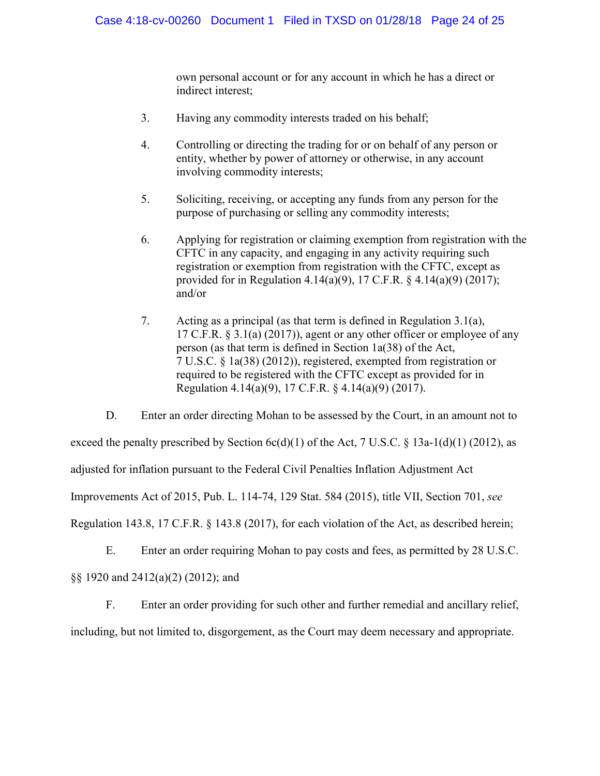own personal account or for any account in which he has a direct or indirect interest;

- 3. Having any commodity interests traded on his behalf;
- 4. Controlling or directing the trading for or on behalf of any person or entity, whether by power of attorney or otherwise, in any account involving commodity interests;
- 5. Soliciting, receiving, or accepting any funds from any person for the purpose of purchasing or selling any commodity interests;
- 6. Applying for registration or claiming exemption from registration with the CFTC in any capacity, and engaging in any activity requiring such registration or exemption from registration with the CFTC, except as provided for in Regulation 4.14(a)(9), 17 C.F.R. § 4.14(a)(9) (2017); and/or
- 7. Acting as a principal (as that term is defined in Regulation 3.1(a), 17 C.F.R. § 3.1(a) (2017)), agent or any other officer or employee of any person (as that term is defined in Section 1a(38) of the Act, 7 U.S.C. § 1a(38) (2012)), registered, exempted from registration or required to be registered with the CFTC except as provided for in Regulation 4.14(a)(9), 17 C.F.R. § 4.14(a)(9) (2017).

D. Enter an order directing Mohan to be assessed by the Court, in an amount not to exceed the penalty prescribed by Section  $6c(d)(1)$  of the Act, 7 U.S.C. § 13a-1(d)(1) (2012), as adjusted for inflation pursuant to the Federal Civil Penalties Inflation Adjustment Act Improvements Act of 2015, Pub. L. 114-74, 129 Stat. 584 (2015), title VII, Section 701, *see*  Regulation 143.8, 17 C.F.R. § 143.8 (2017), for each violation of the Act, as described herein;

E. Enter an order requiring Mohan to pay costs and fees, as permitted by 28 U.S.C. §§ 1920 and 2412(a)(2) (2012); and

F. Enter an order providing for such other and further remedial and ancillary relief,

including, but not limited to, disgorgement, as the Court may deem necessary and appropriate.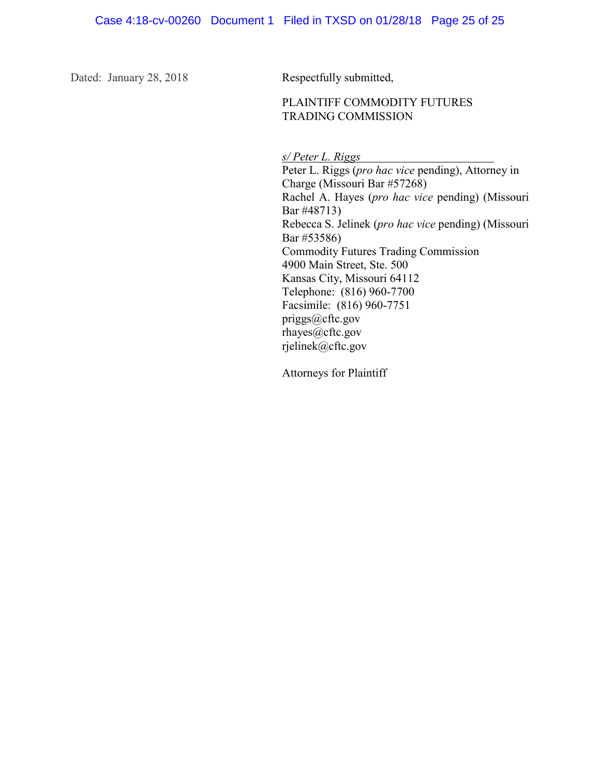Dated: January 28, 2018 Respectfully submitted,

#### PLAINTIFF COMMODITY FUTURES TRADING COMMISSION

*s/ Peter L. Riggs*

Peter L. Riggs (*pro hac vice* pending), Attorney in Charge (Missouri Bar #57268) Rachel A. Hayes (*pro hac vice* pending) (Missouri Bar #48713) Rebecca S. Jelinek (*pro hac vice* pending) (Missouri Bar #53586) Commodity Futures Trading Commission 4900 Main Street, Ste. 500 Kansas City, Missouri 64112 Telephone: (816) 960-7700 Facsimile: (816) 960-7751 priggs@cftc.gov rhayes@cftc.gov rjelinek@cftc.gov

Attorneys for Plaintiff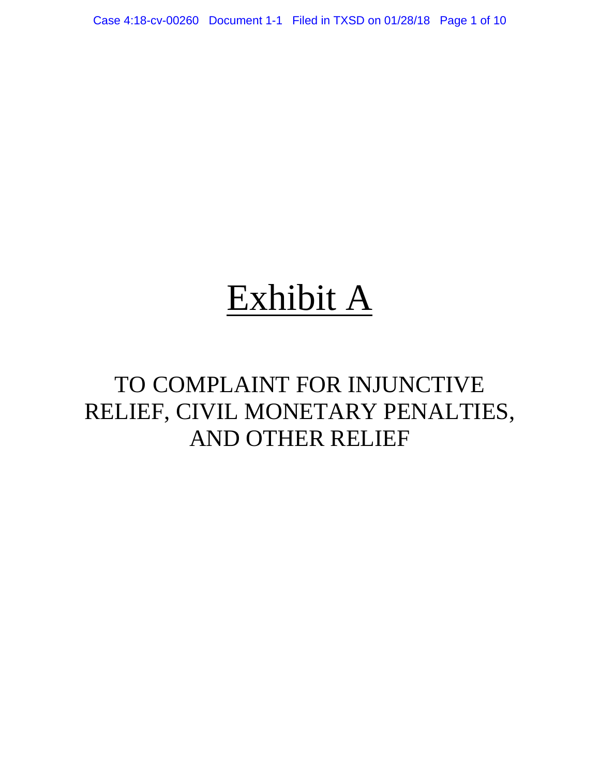Case 4:18-cv-00260 Document 1-1 Filed in TXSD on 01/28/18 Page 1 of 10

# Exhibit A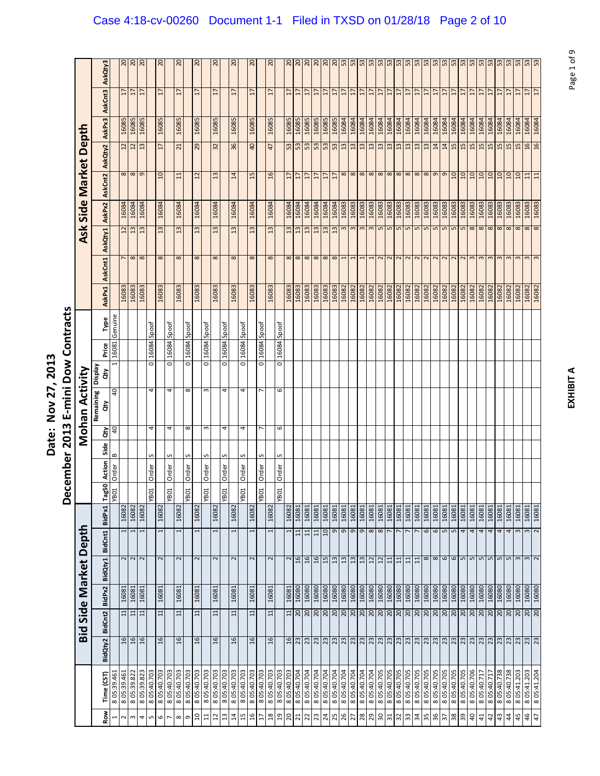|                   | AskQty3                 |                | $\frac{20}{20}$ | 0 <sup>2</sup>             |            | $\overline{c}$          |            | 20              |            | $\overline{c}$  |                      | $\overline{c}$  | $\overline{c}$ |                 | $\overline{c}$           |            | 20             |                  | 20              | $\overline{c}$  | $\overline{c}$  | 0 <sup>2</sup>  |                 |                | 3333                     |                          | 53            |                            | $\sqrt{2\sqrt{2}}$ ងន្ត្រី |                 |                |                             |                |             | n n n n n     |                          |                |                          | £5                     | $\frac{53}{53}$        |                    |                        | $\frac{53}{53}$        |                 | $\frac{53}{53}$          |             |
|-------------------|-------------------------|----------------|-----------------|----------------------------|------------|-------------------------|------------|-----------------|------------|-----------------|----------------------|-----------------|----------------|-----------------|--------------------------|------------|----------------|------------------|-----------------|-----------------|-----------------|-----------------|-----------------|----------------|--------------------------|--------------------------|---------------|----------------------------|----------------------------|-----------------|----------------|-----------------------------|----------------|-------------|---------------|--------------------------|----------------|--------------------------|------------------------|------------------------|--------------------|------------------------|------------------------|-----------------|--------------------------|-------------|
|                   |                         |                | $\overline{17}$ | 17<br>$\overline{17}$      |            | 17                      |            | $\overline{1}$  |            | H               |                      | H               |                | $\overline{17}$ | $\overline{17}$          |            | H              |                  | $\overline{17}$ | $\overline{17}$ | $\overline{17}$ | 17              | 17              | $\overline{1}$ | $\overline{17}$          | 17                       | 17            | $\overline{1}$             | $\overline{17}$            | $\overline{17}$ | $\overline{1}$ | $\overline{17}$             | $\overline{1}$ | 17          | 17            | $\overline{17}$          | 17             | $\overline{17}$          | $\overline{1}$         | $\overline{1}$         | $\overline{1}$     | $\overline{1}$         | $\overline{1}$         | $\overline{17}$ | $\frac{17}{12}$          |             |
|                   | AskCnt3                 |                |                 |                            |            |                         |            |                 |            |                 |                      |                 |                |                 |                          |            |                |                  |                 |                 |                 |                 |                 |                |                          |                          |               |                            |                            |                 |                |                             |                |             |               |                          |                |                          |                        |                        |                    |                        |                        |                 |                          |             |
|                   | AskPx3                  |                | 16085           | 16085                      |            | 16085                   |            | 16085           |            | 16085           |                      | 16085           |                | 16085           | 16085                    |            | 16085          |                  | 16085           | 16085           | 16085           | 16085           | 16085           | 16085          | 16084                    | 16084                    | 16084         | 16084                      | 16084                      | 16084           | 16084          | 16084                       | 16084          | 16084       | 16084         | 16084                    | 16084          | 16084                    | 16084                  | 16084                  | 16084              | 16084                  | 16084                  | 16084           | 16084                    | 16084       |
| Side Market Depth | AskQty2                 |                | $\frac{12}{12}$ | 13                         |            | 17                      |            | $\overline{21}$ |            | 29              |                      | 32              |                | 36              | $\overline{a}$           |            | 47             |                  | 53              | 53              | 53              | 53              | 53              |                | 13                       | 13                       | 13            | 13                         | 13                         | 13              | 13             | 13                          | 13             | 13          | 14            | 14                       | 15             | 15                       | 15                     | 15                     | 15                 | 15                     | 15                     | 15              | 16                       | 16          |
|                   |                         |                | $\frac{8}{8}$   | $\sigma$                   |            | $\overline{a}$          |            | 11              |            | $\overline{12}$ |                      | $\overline{13}$ |                | 14              | 15                       |            | 16             |                  | $\overline{17}$ | $\overline{17}$ | 17              | 17              | $\overline{17}$ | $17\,$         |                          | $\infty$ $\infty$        |               | $\infty$ $\infty$ $\infty$ |                            |                 |                | <mark>॑∞│∞│∞│∞│∞│⊙│ञ</mark> |                |             |               |                          |                |                          | $\overline{a}$         | OT                     | $\Omega$           | $\mathfrak{Q}$         | $\Box$                 | $\overline{a}$  | $\Xi$                    | 11          |
|                   | AskCnt2                 |                |                 |                            |            |                         |            |                 |            |                 |                      |                 |                |                 |                          |            |                |                  |                 |                 |                 |                 |                 |                |                          |                          |               |                            |                            |                 |                |                             |                |             |               |                          |                |                          |                        |                        |                    |                        |                        |                 |                          |             |
|                   | AskPx2                  |                | 16084           | 16084<br>16084             |            | 16084                   |            | 16084           |            | 16084           |                      | 16084           |                | 16084           | 16084                    |            | 16084          |                  | 16084           | 16084           | 16084           | 16084           | 16084           | 16084          | 16083                    | 16083                    | 16083         | 16083                      | 16083                      | 16083           | 16083          | 16083                       | 16083          | 16083       | 16083         | 16083                    | 16083          | 16083                    | 16083                  | 16083                  | 16083              | 16083                  | 16083                  | 16083           | 16083                    | 16083       |
| Ask               | AskQty1                 |                | $12 \n$         | 13<br>13                   |            | 13                      |            | 13              |            | $\overline{13}$ |                      | $\mathfrak{u}$  |                | 13              | 13                       |            | 13             |                  | 13              | 13              | 13              | 13              | 13              | 13             | $\omega$                 | $\mathbf{c}$             | $\mathbf{c}$  | $\mathsf m$                | L                          | 5               | $\overline{5}$ | 5                           | $\overline{5}$ | $\sqrt{2}$  |               | $m$ m                    | $\overline{5}$ | $\overline{5}$           | 8                      | 8                      | 8                  | $\infty$               | 8                      | $\infty$        | $\frac{8}{8}$            |             |
|                   |                         |                | $\frac{7}{8}$   | 8                          |            | 8                       |            | 8               |            | 8               |                      | 8               |                | 8               | 8                        |            | 8              |                  | $\infty$        | $\infty$        | $\infty$        | $\infty$        | $\infty$        | $\infty$       | 1                        | $\mathbf{I}$             | 1             | 1                          | $\overline{\mathbf{c}}$    | $\sim$          | $\sim$         | $\sim$                      | $\sim$         | $\sim$      | $\sim$        | $\sim$                   | $\sim$         | $\sim$                   | $\mathbf{c}$           | $\mathsf m$            | $\mathsf{S}$       | $\epsilon$             | $\mathbf{c}$           | $\omega$        | $\mathsf{S}$             | $\sim$      |
|                   | AskCnt1                 |                |                 |                            |            |                         |            |                 |            |                 |                      |                 |                |                 |                          |            |                |                  |                 |                 |                 |                 |                 |                |                          |                          |               |                            |                            |                 |                |                             |                |             |               |                          |                |                          |                        |                        |                    |                        |                        |                 |                          |             |
|                   | AskPx1                  |                | 16083           | 16083<br>16083             |            | 16083                   |            | 16083           |            | 16083           |                      | 16083           |                | 16083           | 16083                    |            | 16083          |                  | 16083           | 16083           | 16083           | 16083           | 16083           | 16083          | 16082                    | 16082                    | 16082         | 16082                      | 16082                      | 16082           | 16082          | 16082                       | 16082          | 16082       | 16082         | 16082                    | 16082          | 16082                    | 16082                  | 16082                  | 16082              | 16082                  | 16082                  | 16082           | 16082                    | 16082       |
|                   | Type                    | Genuine        |                 |                            | Spoof      |                         | Spoof      |                 | Spoof      |                 | Spoof                |                 | Spoof          |                 | Spoof                    | Spoof      |                | Spoof            |                 |                 |                 |                 |                 |                |                          |                          |               |                            |                            |                 |                |                             |                |             |               |                          |                |                          |                        |                        |                    |                        |                        |                 |                          |             |
|                   | Price                   | 16081          |                 |                            | 16084      |                         | 16084      |                 | 16084      |                 | 16084                |                 | 16084          |                 | 16084                    | 16084      |                | 16084            |                 |                 |                 |                 |                 |                |                          |                          |               |                            |                            |                 |                |                             |                |             |               |                          |                |                          |                        |                        |                    |                        |                        |                 |                          |             |
|                   | <b>Display</b><br>đ     | $\mathbf{1}$   |                 |                            | o          |                         | ō          |                 | ō          |                 | $\overline{\bullet}$ |                 | ō              |                 | $\overline{\circ}$       | ō          |                | ō                |                 |                 |                 |                 |                 |                |                          |                          |               |                            |                            |                 |                |                             |                |             |               |                          |                |                          |                        |                        |                    |                        |                        |                 |                          |             |
|                   |                         | 40             |                 |                            | 4          |                         | 4          |                 | $\infty$   |                 | w                    |                 | 4              |                 | 4                        |            |                | $\mathbf \omega$ |                 |                 |                 |                 |                 |                |                          |                          |               |                            |                            |                 |                |                             |                |             |               |                          |                |                          |                        |                        |                    |                        |                        |                 |                          |             |
| Mohan Activity    | Remaining<br>άŅ         |                |                 |                            |            |                         |            |                 |            |                 |                      |                 |                |                 |                          |            |                |                  |                 |                 |                 |                 |                 |                |                          |                          |               |                            |                            |                 |                |                             |                |             |               |                          |                |                          |                        |                        |                    |                        |                        |                 |                          |             |
|                   | $\ddot{\tilde{\sigma}}$ | $\overline{a}$ |                 |                            | 4          |                         | 4          |                 | $\infty$   |                 | ω                    |                 | 4              |                 | 4                        |            |                | 6                |                 |                 |                 |                 |                 |                |                          |                          |               |                            |                            |                 |                |                             |                |             |               |                          |                |                          |                        |                        |                    |                        |                        |                 |                          |             |
|                   | Side                    | $\bf{c}$       |                 |                            | S          |                         | S          |                 | S          |                 | S                    |                 | S              |                 | S                        | S          |                | S                |                 |                 |                 |                 |                 |                |                          |                          |               |                            |                            |                 |                |                             |                |             |               |                          |                |                          |                        |                        |                    |                        |                        |                 |                          |             |
|                   | Action                  | Order          |                 |                            | Order      |                         | Order      |                 | Order      |                 | Order                |                 | Order          |                 | Order                    | Order      |                | Order            |                 |                 |                 |                 |                 |                |                          |                          |               |                            |                            |                 |                |                             |                |             |               |                          |                |                          |                        |                        |                    |                        |                        |                 |                          |             |
|                   | Tag50                   | YB01           |                 |                            | YBO1       |                         | YBO1       |                 | YB01       |                 | YB01                 |                 | YB01           |                 | YB01                     |            | YBO1           | YB01             |                 |                 |                 |                 |                 |                |                          |                          |               |                            |                            |                 |                |                             |                |             |               |                          |                |                          |                        |                        |                    |                        |                        |                 |                          |             |
|                   | BidPx1                  |                | 16082           | 16082<br>16082             |            | 16082                   |            | 16082           |            | 16082           |                      | 16082           |                | 16082           | 16082                    |            | 16082          |                  | 16082           | 16081           | 16081           | 16081           | 16081           | 16081          | 16081                    | 16081                    | 16081         | 16081                      | 16081                      | 16081           | 16081          | 16081                       | 16081          | 16081       |               | $\frac{16081}{16081}$    | 16081          | 16081                    | 16081                  | 16081                  | 16081              | 16081                  | 16081                  | 16081           | 16081                    | 16081       |
|                   | BidCnt1                 |                | 1               | $\overline{ }$<br>1        |            |                         |            | 1               |            |                 |                      | $\mathbf -$     |                | $\mathbf{I}$    | $\overline{ }$           |            |                |                  | 1               | $\overline{11}$ | $\overline{11}$ | $\overline{11}$ | $\Omega$        | o              | G                        | G                        | $\sigma$      | $\infty$                   | $\infty$                   |                 |                |                             |                | 6           | 6             | S                        | Б              | 4                        | 4                      | 4                      | 4                  | 4                      | 4                      | $\mathsf{c}$    | $\mathsf{S}$             | $\sim$      |
|                   | BidQty1                 |                | $\sim$ $\sim$   | $\sim$                     |            | $\overline{\mathsf{c}}$ |            | $\sim$          |            | $\sim$          |                      | 2               |                | 2               | $\sim$                   |            | $\sim$         |                  | 2               | 16              | 16              | 16              | 45              | 13             | $13$                     | 13                       | $\frac{3}{2}$ | 12                         | 12                         | $11$            | 11             | 11                          | 11             |             | $\frac{8}{8}$ |                          | 6              | l ru                     | $\mathsf{L}\mathsf{D}$ | $\mathsf{L}\mathsf{D}$ | $\mathsf{L}\Omega$ | $\mathsf{L}\mathsf{D}$ | $\mathsf{L}\mathsf{D}$ | $\infty$        | $\mathsf{S}$             | $\sim$      |
| Side Market Depth |                         |                |                 |                            |            |                         |            |                 |            |                 |                      |                 |                |                 |                          |            |                |                  |                 |                 |                 |                 |                 |                |                          |                          |               |                            |                            |                 |                |                             |                |             |               |                          |                |                          |                        |                        |                    |                        |                        |                 |                          |             |
|                   | BidPx2                  |                | 16081           | 16081<br>16081<br>11       |            | 16081                   |            | 16081           |            | 16081           |                      | 16081           |                | 16081           | 16081                    |            | 16081          |                  | 16081<br>$\Xi$  | 16080<br>20     | 16080<br>20     | 16080<br>20     | 16080           | 16080          | 16080<br>$\frac{20}{20}$ | 16080<br>$\overline{20}$ | 16080<br>20   | 16080<br>20                | 16080<br>20                | 16080<br>20     | 16080<br>20    | 16080<br>20                 | 16080<br>20    | 16080<br>20 | 16080<br>07   | 16080<br>$\frac{20}{20}$ | 16080          | 16080<br>$\overline{20}$ | 16080<br>20            | 16080<br>20            | 16080<br>07        | 16080<br>20            | 16080<br>20            | 16080<br>07     | 16080<br>$\frac{20}{20}$ | 16080       |
| Bid               | BidCnt2                 |                | $\overline{11}$ | $\overline{11}$            |            | $\Xi$                   |            | $\Xi$           |            | $\Xi$           |                      | $\Xi$           |                | $\mathbf{1}$    | $\Xi$                    |            | $\overline{1}$ |                  |                 |                 |                 |                 |                 |                |                          |                          |               |                            |                            |                 |                |                             |                |             |               |                          |                |                          |                        |                        |                    |                        |                        |                 |                          |             |
|                   | BidQty2                 |                | $\frac{16}{16}$ | 16                         |            | 16                      |            | 16              |            | $\mathfrak{a}$  |                      | $\mathfrak{a}$  |                | $\frac{6}{2}$   | $\frac{6}{2}$            |            | 16             |                  | 16              | 23              |                 |                 |                 |                |                          |                          |               |                            |                            |                 |                |                             |                |             |               |                          |                |                          |                        |                        |                    |                        | 23 23                  |                 | $\frac{23}{23}$          |             |
|                   |                         |                |                 |                            |            |                         |            |                 |            |                 |                      |                 |                |                 |                          |            |                |                  |                 |                 |                 |                 |                 |                |                          |                          |               |                            |                            |                 |                |                             |                |             |               |                          |                |                          |                        |                        |                    |                        |                        |                 |                          |             |
|                   | Time (CST)              | 8 05:39.461    | 8 05:39.461     | 8 05:39.823<br>8 05:39.822 | 805:40.703 | 805:40.703              | 805:40.703 | 805:40.703      | 805:40.703 | 805:40.703      | 8 05:40.703          | 805:40.703      | 805:40.703     | 805:40.703      | 805:40.703<br>805:40.703 | 805:40.703 | 805:40.703     | 805:40.703       | 805:40.703      | 8 05:40.704     | 8 05:40.704     | 8 05:40.704     | 8 05:40.704     | 8 05:40.704    | 8 05:40.704              | 8 05:40.704              | 8 05:40.704   | 8 05:40.704                | 805:40.705                 | 8 05:40.705     | 805:40.705     | 8 05:40.705                 | 8 05:40.705    | 8 05:40.705 | 8 05:40.705   | 805:40.705               | 8 05:40.705    | 8 05:40.705              | 805:40.706             | 8 05:40.717            | 8 05:40.717        | 805:40.738             | 805:40.738             | 805:41.203      | 805:41.203               | 8 05:41.204 |
|                   | Row                     | $\mathbf{r}$   | $\sim$          | $\sim$<br>4                | LŊ         | $\mathbf \omega$        |            | $\infty$        | $\sigma$   | å               | $\Xi$                | 12              | 13             | $\overline{a}$  | 15<br>$\frac{1}{2}$      | H          | $^{28}$        | $\mathfrak{g}$   | $20\,$          | $\overline{z}$  | $22\,$          | 23              | $\frac{24}{25}$ |                | 26                       | 27                       | 28            | 29                         | <b>OE</b>                  | $\overline{31}$ | 32             | $33\,$                      | $\frac{1}{2}$  | 35          | 36            | 57                       | $38\,$         | 39                       | $\overline{a}$         | 41                     | 42                 | $\ddot{a}$             | $\ddot{a}$             | $45\,$          | 46                       | $47$        |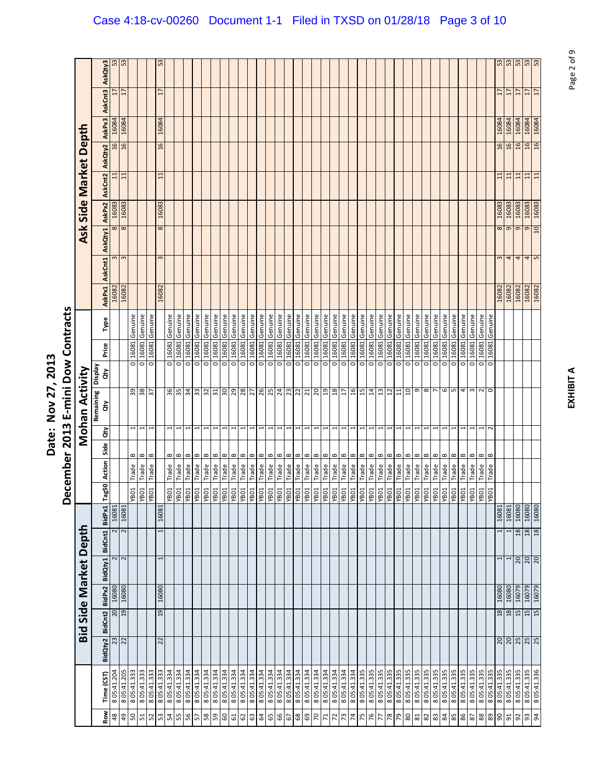| ててい |             |
|-----|-------------|
| ί   | م<br>م<br>: |

|                                    |             |                 |         |                |         | Bid Side Market Depth |                         |                                                                                                      |              |                             |                          | Mohan Activity   |                      |       |         |               |                |              |        | Ask Side Market Depth   |         |        |                 |                 |
|------------------------------------|-------------|-----------------|---------|----------------|---------|-----------------------|-------------------------|------------------------------------------------------------------------------------------------------|--------------|-----------------------------|--------------------------|------------------|----------------------|-------|---------|---------------|----------------|--------------|--------|-------------------------|---------|--------|-----------------|-----------------|
| Row                                | Time (CST)  | BidQty2         | BidCnt2 | BidPx2         | BidQty1 |                       | BidCnt1 BidPx1          | Tag5C                                                                                                | Action<br>ត  | Side                        | đ                        | Remaining<br>άŅ  | Veldsig<br>đγ        | Price | Type    | <b>AskPx1</b> | AskCnt1        | AskQty1      | AskPx2 | AskCnt2                 | AskQty2 | AskPx3 | AskCnt3         | AskQty3         |
| $48$                               | 805:41.204  |                 |         | $rac{67}{19}$  | 16080   |                       | 16081<br>2              |                                                                                                      |              |                             |                          |                  |                      |       |         | 16082         | w              | $\infty$     | 16083  | $\Xi$                   | 16      | 16084  | H               | 53              |
| $\frac{1}{6}$                      | 8 05:41.205 | 23              |         |                | 16080   | 2                     | 16081<br>$\overline{2}$ |                                                                                                      |              |                             |                          |                  |                      |       |         | 16082         | $\mathsf{c}$   | 8            | 16083  | $\Xi$                   | 16      | 16084  | $\overline{1}$  | 53              |
|                                    | 8 05:41.333 |                 |         |                |         |                       |                         | <b>TOBA</b>                                                                                          | Trade        | $\bf{m}$                    | 1                        | 39               | $\overline{\circ}$   | 16081 | Genuine |               |                |              |        |                         |         |        |                 |                 |
| 51                                 | 8 05:41.333 |                 |         |                |         |                       |                         | TOBA.                                                                                                | Trade        | $\bf{m}$                    | $\overline{ }$           | 8 <sub>5</sub>   | ō                    | 16081 | Genuine |               |                |              |        |                         |         |        |                 |                 |
| 52                                 | 8 05:41.333 |                 |         |                |         |                       |                         | YB01                                                                                                 | Trade        | $\mathbf 0$                 |                          | $\approx$        | o                    | 16081 | Genuine |               |                |              |        |                         |         |        |                 |                 |
| 53                                 | 8 05:41.333 | 22              |         | 19             | 16080   |                       | 16081                   |                                                                                                      |              |                             |                          |                  |                      |       |         | 16082         | 3              | $\infty$     | 16083  | $\Xi$                   | 16      | 16084  | 17              | 53              |
| 54                                 | 8 05:41.334 |                 |         |                |         |                       |                         | <b>TOBA</b>                                                                                          | Trade        | B                           | 1                        | 36               | 0                    | 16081 | Genuine |               |                |              |        |                         |         |        |                 |                 |
| 55                                 | 8 05:41.334 |                 |         |                |         |                       |                         | <b>TOBA</b>                                                                                          | Trade        | $\bf{m}$                    | $\overline{ }$           | 35               | o                    | 16081 | Genuine |               |                |              |        |                         |         |        |                 |                 |
| 95                                 | 8 05:41.334 |                 |         |                |         |                       |                         | YB01                                                                                                 | Trade        | B                           | $\overline{\phantom{0}}$ | 34               | o                    | 16081 | Genuine |               |                |              |        |                         |         |        |                 |                 |
| 57                                 | 8 05:41.334 |                 |         |                |         |                       |                         | <b>TOBA</b>                                                                                          | Trade        | $\bf{m}$                    |                          | 33               | ō                    | 16081 | Genuine |               |                |              |        |                         |         |        |                 |                 |
| $58\,$                             | 8 05:41.334 |                 |         |                |         |                       |                         | <b>TOBA</b>                                                                                          | Trade        | B                           |                          | 32               | ō                    | 16081 | Genuine |               |                |              |        |                         |         |        |                 |                 |
| 59                                 | 8 05:41.84  |                 |         |                |         |                       |                         | <b>TOBA</b>                                                                                          | <b>Trade</b> | $\bf{m}$                    |                          | 31               | ō                    | 16081 | Genuine |               |                |              |        |                         |         |        |                 |                 |
| 09                                 | 8 05:41.334 |                 |         |                |         |                       |                         |                                                                                                      | Trade        | B                           | 1                        | $0\epsilon$      | ō                    | 16081 | Genuine |               |                |              |        |                         |         |        |                 |                 |
| 61                                 | 8 05:41.334 |                 |         |                |         |                       |                         |                                                                                                      | Trade        | B                           | 1                        |                  | o                    | 16081 | Genuine |               |                |              |        |                         |         |        |                 |                 |
| $\mathfrak{S}% _{A}^{\alpha\beta}$ | 8 05:41.334 |                 |         |                |         |                       |                         | $\frac{\frac{108 \text{h}}{\text{108 \text{h}}} }{\frac{\text{108 \text{h}}}{\text{108 \text{h}}} }$ | <b>Trade</b> | B                           | 1                        | $\frac{29}{28}$  | ō                    | 16081 | Genuine |               |                |              |        |                         |         |        |                 |                 |
| 63                                 | 8 05:41.334 |                 |         |                |         |                       |                         |                                                                                                      | Trade        | $\bf{m}$                    | 1                        |                  | $\overline{\circ}$   | 16081 | Genuine |               |                |              |        |                         |         |        |                 |                 |
| $\mathfrak{A}$                     | 8 05:41.334 |                 |         |                |         |                       |                         | <b>TOBA</b>                                                                                          | Trade        | $\bf{m}$                    | J                        |                  | ō                    | 16081 | Genuine |               |                |              |        |                         |         |        |                 |                 |
| 65                                 | 8 05:41.334 |                 |         |                |         |                       |                         | <b>TOBA</b>                                                                                          | <b>Trade</b> | $\bf{m}$                    | 1                        | 26               | ō                    | 16081 | Genuine |               |                |              |        |                         |         |        |                 |                 |
| 66                                 | 8 05:41.334 |                 |         |                |         |                       |                         | TOBA.                                                                                                | Trade        | $\bf{m}$                    | $\overline{\phantom{0}}$ | 24               | ō                    | 16081 | Genuine |               |                |              |        |                         |         |        |                 |                 |
| $\sqrt{9}$                         | 8 05:41.334 |                 |         |                |         |                       |                         | YB01                                                                                                 | Trade        | $\bf{m}$                    | $\mathbf{\overline{u}}$  | 23               | ō                    | 16081 | Genuine |               |                |              |        |                         |         |        |                 |                 |
| $\mathsf{68}$                      | 8 05:41.334 |                 |         |                |         |                       |                         | <b>TOBA</b>                                                                                          | Trade        | $\, \underline{\mathrm{m}}$ | $\mathbf{\overline{u}}$  |                  | o                    | 16081 | Genuine |               |                |              |        |                         |         |        |                 |                 |
| $\mathbb{G}^3$                     | 8 05:41.334 |                 |         |                |         |                       |                         | YB01                                                                                                 | Trade        | $\, \underline{\mathrm{m}}$ | $\overline{\phantom{0}}$ | $\frac{2}{21}$   | ō                    | 16081 | Genuine |               |                |              |        |                         |         |        |                 |                 |
| $\overline{0}$                     | 8 05:41.334 |                 |         |                |         |                       |                         | <b>TOBA</b>                                                                                          | Trade        | $\bf{m}$                    |                          | 07               | $\overline{\bullet}$ | 16081 | Genuine |               |                |              |        |                         |         |        |                 |                 |
| $71\,$                             | 8 05:41.334 |                 |         |                |         |                       |                         | YB01                                                                                                 | Trade        | $\bf{m}$                    | $\overline{\phantom{0}}$ | 19               | $\overline{\circ}$   | 16081 | Genuine |               |                |              |        |                         |         |        |                 |                 |
| 72                                 | 8 05:41.334 |                 |         |                |         |                       |                         | <b>TOBA</b>                                                                                          | Trade        | $\bf{m}$                    | 1                        | 18               | $\overline{\circ}$   | 16081 | Genuine |               |                |              |        |                         |         |        |                 |                 |
| $73\,$                             | 8 05:41.334 |                 |         |                |         |                       |                         | TOBA<br>TOBA                                                                                         | <b>Trade</b> | $\bf{m}$                    | $\overline{\phantom{0}}$ | $\overline{1}$   | ō                    | 16081 | Genuine |               |                |              |        |                         |         |        |                 |                 |
| 74                                 | 8 05:41.334 |                 |         |                |         |                       |                         |                                                                                                      | Trade        | $\bf{m}$                    | 1                        | 16               | o                    | 16081 | Genuine |               |                |              |        |                         |         |        |                 |                 |
| 75                                 | 8 05:41.335 |                 |         |                |         |                       |                         |                                                                                                      | <b>Trade</b> | B                           | 1                        | 15               | O                    | 16081 | Genuine |               |                |              |        |                         |         |        |                 |                 |
| 76                                 | 8 05:41.335 |                 |         |                |         |                       |                         | <b>TOBA</b>                                                                                          | Trade        | $\bf{m}$                    | 1                        | 14               | ō                    | 16081 | Genuine |               |                |              |        |                         |         |        |                 |                 |
| 77                                 | 8 05:41.335 |                 |         |                |         |                       |                         | YB01                                                                                                 | Trade        | B                           |                          | $\mathfrak{u}$   | ō                    | 16081 | Genuine |               |                |              |        |                         |         |        |                 |                 |
| 78                                 | 805:41.335  |                 |         |                |         |                       |                         | <b>TOBA</b>                                                                                          | Trade        | $\bf{m}$                    | $\overline{\phantom{0}}$ | 12               | ō                    | 16081 | Genuine |               |                |              |        |                         |         |        |                 |                 |
| P9                                 | 8 05:41.335 |                 |         |                |         |                       |                         | <b>TOBA</b>                                                                                          | Trade        | B                           | 1                        | 11               | ō                    | 16081 | Genuine |               |                |              |        |                         |         |        |                 |                 |
| 80                                 | 8 05:41.335 |                 |         |                |         |                       |                         | TOBA                                                                                                 | Trade        | $\bf{m}$                    | $\overline{\phantom{0}}$ | 01               | o                    | 16081 | Genuine |               |                |              |        |                         |         |        |                 |                 |
| <b>B1</b>                          | 8 05:41.335 |                 |         |                |         |                       |                         | <b>TOBA</b>                                                                                          | Trade        | B                           | $\overline{\phantom{0}}$ | $\sigma$         | ō                    | 16081 | Genuine |               |                |              |        |                         |         |        |                 |                 |
| $82\,$                             | 8 05:41.335 |                 |         |                |         |                       |                         | <b>TOBA</b>                                                                                          | Trade        | $\bf{m}$                    | $\overline{ }$           | $\infty$ $\sim$  | o                    | 16081 | Genuine |               |                |              |        |                         |         |        |                 |                 |
| $83\,$                             | 8 05:41.335 |                 |         |                |         |                       |                         | <b>TOBA</b>                                                                                          | Trade        | Б                           | 1                        |                  | o                    | 16081 | Genuine |               |                |              |        |                         |         |        |                 |                 |
| $\,$ 84 $\,$                       | 8 05:41.335 |                 |         |                |         |                       |                         | <b>TOBA</b>                                                                                          | Trade        | $\bf{m}$                    |                          | 6                | ō                    | 16081 | Genuine |               |                |              |        |                         |         |        |                 |                 |
| 85                                 | 8 05:41.335 |                 |         |                |         |                       |                         | <b>TOBA</b>                                                                                          | Trade        | $\bf{m}$                    | J                        | $\mathsf{L}\cap$ | ō                    | 16081 | Genuine |               |                |              |        |                         |         |        |                 |                 |
| $86\,$                             | 8 05:41.335 |                 |         |                |         |                       |                         | <b>TOBA</b>                                                                                          | <b>Trade</b> | B                           |                          | 4                | o                    | 16081 | Genuine |               |                |              |        |                         |         |        |                 |                 |
| $87\,$                             | 8 05:41.335 |                 |         |                |         |                       |                         | <b>TOBA</b>                                                                                          | Trade        | $\bf{m}$                    | 1                        | $\omega$         | ō                    | 16081 | Genuine |               |                |              |        |                         |         |        |                 |                 |
| 88                                 | 8 05:41.335 |                 |         |                |         |                       |                         | <b>TOBA</b><br>TOBA                                                                                  | Trade        | В                           | 1                        | $\sim$ 0         | 0                    | 16081 | Genuine |               |                |              |        |                         |         |        |                 |                 |
|                                    | 8 05:41.335 |                 |         |                |         |                       |                         |                                                                                                      | Trade        | $\mathbf{\Omega}$           | $\sim$                   |                  | O                    | 16081 | Genuine |               |                |              |        |                         |         |        |                 |                 |
| $\mathsf{S}$                       | 8 05:41.335 | 20              |         | 18             | 16080   |                       | 16081                   |                                                                                                      |              |                             |                          |                  |                      |       |         | 16082         | 3              | $\infty$     | 16083  | $\Xi$                   | 16      | 16084  | H               | 53              |
| <b>BD</b>                          | 8 05:41.335 |                 |         | 87             | 16080   | $\overline{ }$        | 16081                   |                                                                                                      |              |                             |                          |                  |                      |       |         | 16082         | 4              | $\sigma$     | 16083  | $\overline{\mathbf{u}}$ | 16      | 16084  | $\overline{1}$  | 53              |
| 92                                 | 8 05:41.335 | $\frac{25}{25}$ |         | 5T             | 16079   |                       | 16080<br>18             |                                                                                                      |              |                             |                          |                  |                      |       |         | 16082         | 4              | g            | 16083  | $\overline{1}$          | 16      | 16084  | $\overline{1}$  | 53              |
| 93                                 | 8 05:41.335 |                 |         | 15             | 16079   | <u>ននន្</u>           | 16080<br>81             |                                                                                                      |              |                             |                          |                  |                      |       |         | 16082         | 4              | $\mathsf{o}$ | 16083  | $11\,$                  | 16      | 16084  | $\overline{17}$ | $\frac{53}{53}$ |
| 94                                 | 8 05:41.336 |                 |         | 5 <sub>T</sub> | 16079   |                       | 08091<br>18             |                                                                                                      |              |                             |                          |                  |                      |       |         | 16082         | $\overline{5}$ | 10           | 16083  | $\Xi$                   | 16      | 16084  | H               |                 |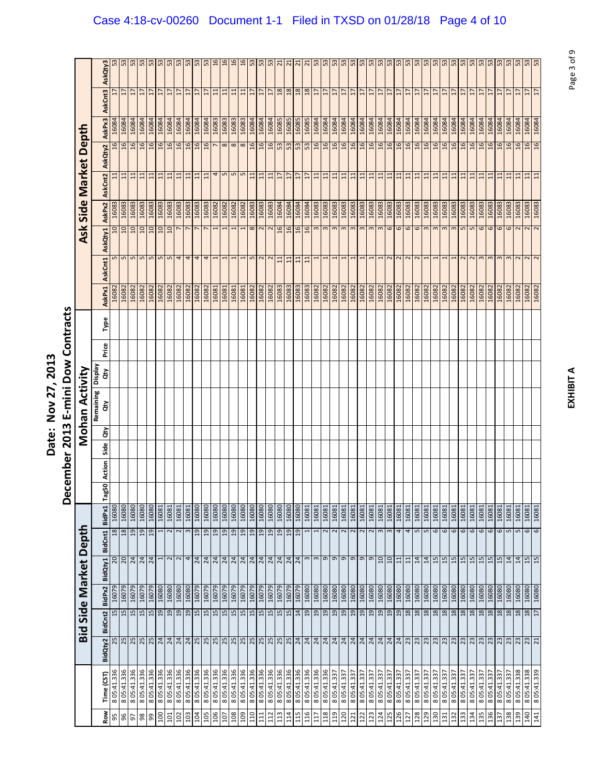|                              |                 |                 | 53                              | 53              | 53             | 53             | 53             | 53                      | ES.             | 53 <sub>5</sub> |                          | 53                       |                 | 16             | 16              | 16             | 53             | 53              | 53              | $\overline{21}$ | $\overline{21}$ | $\overline{21}$ |               |                         | $\frac{1}{2}$ $\frac{1}{2}$ $\frac{1}{2}$ $\frac{1}{2}$ $\frac{1}{2}$ $\frac{1}{2}$ $\frac{1}{2}$ $\frac{1}{2}$ $\frac{1}{2}$ $\frac{1}{2}$ $\frac{1}{2}$ $\frac{1}{2}$ |                       |                 |                | 53             | 53                | 53<br>53                               | 53               | 53              | 53             | 53               | 53              | 53             | 53              | 53             | 53          | 53               | 53               | 53               | 53               | 53             | 53              |
|------------------------------|-----------------|-----------------|---------------------------------|-----------------|----------------|----------------|----------------|-------------------------|-----------------|-----------------|--------------------------|--------------------------|-----------------|----------------|-----------------|----------------|----------------|-----------------|-----------------|-----------------|-----------------|-----------------|---------------|-------------------------|-------------------------------------------------------------------------------------------------------------------------------------------------------------------------|-----------------------|-----------------|----------------|----------------|-------------------|----------------------------------------|------------------|-----------------|----------------|------------------|-----------------|----------------|-----------------|----------------|-------------|------------------|------------------|------------------|------------------|----------------|-----------------|
|                              | AskQty3         |                 |                                 |                 |                |                |                |                         |                 |                 |                          |                          |                 |                |                 |                |                |                 |                 |                 |                 |                 |               |                         |                                                                                                                                                                         |                       |                 |                |                |                   |                                        |                  |                 |                |                  |                 |                |                 |                |             |                  |                  |                  |                  |                |                 |
|                              | AskCnt3         |                 | $\overline{1}$                  | $\overline{1}$  | $\overline{1}$ | H              | H              | $\overline{1}$          | $\overline{17}$ | $\frac{17}{17}$ |                          | $\overline{17}$          | $\overline{11}$ | 11             | $\overline{11}$ | $\Xi$          | $\overline{1}$ | $\overline{17}$ | $\overline{1}$  | 18              | 18              | 18              | 18            | $\overline{17}$         | $\frac{17}{17}$                                                                                                                                                         |                       | $\overline{17}$ | $\overline{1}$ | $\overline{1}$ | $\overline{17}$   | H<br>H                                 | $\overline{17}$  | $\overline{17}$ | $\overline{1}$ | $\overline{17}$  | $\overline{17}$ | $\overline{1}$ | $\overline{17}$ | $\frac{17}{2}$ |             | $\overline{17}$  | $\overline{1}$   | $\overline{1}$   | $\overline{17}$  | $\overline{1}$ | $\overline{1}$  |
|                              | AskPx3          | 16084           | 16084                           | 16084           | 16084          | 16084          | 16084          | 16084                   | 16084           | 16084           | 16084                    | 16084                    | 16083           | 16083          | 16083           | 16083          | 16084          | 16084           | 16084           | 16085           | 16085           | 16085           | 16085         | 16084                   | 16084                                                                                                                                                                   | 16084                 | 16084           | 16084          | 16084          | 16084             | 16084<br>16084                         | 16084            | 16084           | 16084          | 16084            | 16084           | 16084          | 16084           | 16084          | 16084       | 16084            | 16084            | 16084            | 16084            | 16084          | 16084           |
| Depth                        | AskQty2         | 16              | 16                              | $\overline{a}$  | 16             | $\overline{5}$ | 16             | 16                      | 16              |                 | $\frac{16}{16}$          | 16                       | $\overline{ }$  | $\infty$       | $\infty$        | $\infty$       | 16             | $\overline{a}$  | $\frac{16}{53}$ |                 | 53              | 53              | $rac{53}{16}$ |                         | 16                                                                                                                                                                      | 16                    | 16              | 16             | 16             | 9T                | 16<br>$\overline{a}$                   | $\mathfrak{g}$   | 16              | 16             | $\overline{a}$   | 16              | $\overline{5}$ | $\overline{a}$  | $\mathfrak{a}$ | 16          | 16               | 16               | 16               | 16               | 16             | $\overline{a}$  |
| <b>Market</b>                | AskCnt2         | $\Xi$           | $\Xi$                           | $\frac{11}{11}$ |                | 11             | 11             |                         |                 |                 | 디디디디디                    |                          |                 | $4n$ $nn$      |                 |                | $\Xi$          | $11$            | $\frac{11}{17}$ |                 | $\frac{17}{17}$ |                 |               |                         | <b>b</b> 리비리티브                                                                                                                                                          |                       |                 |                |                |                   | 日日 日 日 日                               |                  |                 | 11             | $\overline{11}$  | $\overline{11}$ | $11$           | 11              | $\mathbf{1}$   | $11$        | 11               | $\overline{11}$  | 11               | 71               |                | 11              |
| Side                         | AskPx2          | 16083           | 16083                           | 16083           | 16083          | 16083          | 16083          | 16083                   | 16083           | 16083           | 16083                    | 16083                    | 16082           | 16082          | 16082           | 16082          | 16083          | 16083           | 16083           | 16084           | 16084           | 16084           | 16084         | 16083                   | 16083                                                                                                                                                                   | 16083                 | 16083           | 16083          | 16083          | 16083             | 16083<br>16083                         | 16083            | 16083           | 16083          | 16083            | 16083           | 16083          | 16083           | 16083          | 16083       | 16083            | 16083            | 16083            | 16083            | 16083<br>16083 |                 |
|                              |                 | 10              | 10                              | $\Omega$        | $\Box$         | $\Box$         | $\Box$         | $\overline{a}$          | $\overline{ }$  | $\overline{ }$  | $\overline{\phantom{a}}$ | $\overline{\phantom{a}}$ | 1               |                | $\overline{ }$  |                | 8              | $\sim$ $\sim$   |                 | 16              | 16              | 16              | 16            |                         | m <sub>m</sub>                                                                                                                                                          | $\mathsf m$           | m <sub>m</sub>  |                | $\mathbf{c}$   | $\mathbf{c}$      | 6<br>$\mathsf m$                       | $\mathbf \omega$ | 6               | 6              | $\sim$           | $\sim$          | $\omega$       | $\omega$        | $m$ m          |             | $\mathbf \omega$ | $\mathbf \Omega$ | $\mathbf \omega$ | $\mathbf \omega$ | $\sim$         |                 |
| <b>Ask</b>                   | AskQty1         |                 |                                 |                 |                |                |                |                         |                 |                 |                          |                          |                 |                |                 |                |                |                 |                 |                 |                 |                 |               |                         |                                                                                                                                                                         |                       |                 |                |                |                   |                                        |                  |                 |                |                  |                 |                |                 |                |             |                  |                  |                  |                  |                |                 |
|                              | AskCnt1         |                 | $\frac{10 0 0 0 0 0 0 4 4 }{2}$ |                 |                |                |                |                         |                 |                 | $\overline{4}$           | $\frac{4}{1}$            |                 | ſ              | $\overline{ }$  |                | $\overline{5}$ | N <sub>N</sub>  |                 | $\overline{11}$ | 11              | 11              | 11            | $\mathbf{\overline{u}}$ |                                                                                                                                                                         | ī                     | T               |                |                |                   |                                        |                  | $\sim$          | $\sim$         |                  |                 |                |                 |                | $N$ $N$ $m$ |                  | $\omega$         | $\epsilon$       | m <sub>N</sub>   | N <sub>N</sub> |                 |
|                              | AskPx1          | 16082           | 16082                           | 16082           | 16082          | 16082          | 16082          | 16082                   | 16082           | 16082           | 16082                    | 16082                    | 16081           | 16081          | 16081           | 16081          | 16082          | 16082           | 16082           | 16083           | 16083           | 16083           | 16083         | 16082                   | 16082                                                                                                                                                                   | 16082                 | 16082           | 16082          | 16082          | 16082             | 16082<br>16082                         | 16082            | 16082           | 16082          | 16082            | 16082           | 16082          | 16082           | 16082          | 16082       | 16082            | 16082            | 16082            | 16082            | 16082          |                 |
|                              | Type            |                 |                                 |                 |                |                |                |                         |                 |                 |                          |                          |                 |                |                 |                |                |                 |                 |                 |                 |                 |               |                         |                                                                                                                                                                         |                       |                 |                |                |                   |                                        |                  |                 |                |                  |                 |                |                 |                |             |                  |                  |                  |                  |                |                 |
|                              | Price           |                 |                                 |                 |                |                |                |                         |                 |                 |                          |                          |                 |                |                 |                |                |                 |                 |                 |                 |                 |               |                         |                                                                                                                                                                         |                       |                 |                |                |                   |                                        |                  |                 |                |                  |                 |                |                 |                |             |                  |                  |                  |                  |                |                 |
|                              | Display<br>άŅ   |                 |                                 |                 |                |                |                |                         |                 |                 |                          |                          |                 |                |                 |                |                |                 |                 |                 |                 |                 |               |                         |                                                                                                                                                                         |                       |                 |                |                |                   |                                        |                  |                 |                |                  |                 |                |                 |                |             |                  |                  |                  |                  |                |                 |
|                              |                 |                 |                                 |                 |                |                |                |                         |                 |                 |                          |                          |                 |                |                 |                |                |                 |                 |                 |                 |                 |               |                         |                                                                                                                                                                         |                       |                 |                |                |                   |                                        |                  |                 |                |                  |                 |                |                 |                |             |                  |                  |                  |                  |                |                 |
| Mohan Activity               | Remaining<br>ά  |                 |                                 |                 |                |                |                |                         |                 |                 |                          |                          |                 |                |                 |                |                |                 |                 |                 |                 |                 |               |                         |                                                                                                                                                                         |                       |                 |                |                |                   |                                        |                  |                 |                |                  |                 |                |                 |                |             |                  |                  |                  |                  |                |                 |
|                              | ă               |                 |                                 |                 |                |                |                |                         |                 |                 |                          |                          |                 |                |                 |                |                |                 |                 |                 |                 |                 |               |                         |                                                                                                                                                                         |                       |                 |                |                |                   |                                        |                  |                 |                |                  |                 |                |                 |                |             |                  |                  |                  |                  |                |                 |
|                              | Side            |                 |                                 |                 |                |                |                |                         |                 |                 |                          |                          |                 |                |                 |                |                |                 |                 |                 |                 |                 |               |                         |                                                                                                                                                                         |                       |                 |                |                |                   |                                        |                  |                 |                |                  |                 |                |                 |                |             |                  |                  |                  |                  |                |                 |
|                              | Action<br>Tag50 |                 |                                 |                 |                |                |                |                         |                 |                 |                          |                          |                 |                |                 |                |                |                 |                 |                 |                 |                 |               |                         |                                                                                                                                                                         |                       |                 |                |                |                   |                                        |                  |                 |                |                  |                 |                |                 |                |             |                  |                  |                  |                  |                |                 |
|                              | BidPx1          | 16080           | 16080                           | 16080           | 16080          | 16080          | 16081          | 16081                   | 16081           | 16081           | 16080                    | 16080                    | 16080           | 16080          | 16080           | 16080          | 16080          | 16080           | 16080           | 16080           | 16080           | 16080           | 16081         | 16081                   | 16081                                                                                                                                                                   | $\frac{16081}{16081}$ |                 |                | 16081          | 16081             | 16081<br>16081                         | 16081            | 16081           | 16081          | 16081            | 16081           | 16081          | 16081           | 16081          | 16081       | 16081            | 16081            | 16081            | 16081            | 16081          |                 |
|                              | BidCnt1         | $\overline{18}$ | 18                              | $\overline{a}$  | 19             | $\overline{a}$ |                | $\overline{\mathbf{c}}$ | $\sim$          | $\mathsf{m}$    | $\overline{a}$           | $_{19}$                  | 19              | $\overline{a}$ | $\overline{a}$  | $\overline{a}$ | $\overline{a}$ | 19              | $\overline{a}$  | $\overline{a}$  | 19              | $\overline{a}$  |               |                         | $\sim$                                                                                                                                                                  | $\sim$                | $\sim$          | $\sim$         | $\sim$         | $\sim$            | 3<br>$\mathsf{m}$                      | 4                | 4               | $\overline{5}$ | $\mathsf{L}\cap$ | 6               | 6              | 6               | 6              | 6           | 6                | 6                | 6                | 5                | 16081<br>5     |                 |
|                              |                 | 20              |                                 | $\frac{20}{24}$ |                |                | $\overline{ }$ |                         |                 |                 |                          |                          |                 |                |                 |                |                |                 |                 |                 |                 |                 |               |                         |                                                                                                                                                                         |                       |                 |                |                | $\mathbf{\sigma}$ | $\frac{10}{10}$                        | 11               | $11\,$          |                | $\frac{14}{14}$  | 15              |                | $\frac{15}{2}$  |                |             |                  |                  |                  | $\frac{15}{14}$  |                | $\frac{15}{15}$ |
| <b>Bid Side Market Depth</b> | BidQty1         |                 |                                 |                 |                |                |                |                         |                 |                 |                          |                          |                 |                |                 |                |                |                 |                 |                 |                 |                 |               |                         |                                                                                                                                                                         |                       |                 |                |                |                   |                                        |                  |                 |                |                  |                 |                |                 |                |             |                  |                  |                  |                  |                |                 |
|                              | BidPx2          | 16079<br>15     | 16079<br>15                     | 16079<br>15     | 16079<br>15    | 16079<br>15    | 16080<br>19    | 16080<br>19             | 16080<br>19     | 16080<br>19     | 16079<br>15              | 16079                    | 16079           | 16079<br>15    | 16079<br>15     | 16079<br>15    | 16079<br>15    | 16079<br>15     | 16079<br>15     | 16079<br>15     | 16079<br>15     | 16079<br>14     | 16080<br>19   | 16080<br>19             | 16080<br>19                                                                                                                                                             | 16080<br>19           | 16080<br>19     | 16080          | 16080          | 16080<br>19       | 16080<br>16080<br>$\overline{a}$<br>19 | 16080<br>19      | 16080<br>18     | 16080<br>18    | 16080<br>18      | 16080<br>18     | 16080<br>18    | 16080<br>18     | 16080<br>18    | 16080<br>18 | 16080<br>18      | 16080<br>18      | 16080<br>18      | 16080<br>18      | 16080<br>18    | 16080<br>18     |
|                              | BidCnt2         |                 |                                 |                 |                |                |                |                         |                 |                 |                          | 15                       | 15              |                |                 |                |                |                 |                 |                 |                 |                 |               |                         |                                                                                                                                                                         |                       |                 | 19             | $^{29}$        |                   |                                        |                  |                 |                |                  |                 |                |                 |                |             |                  |                  |                  |                  |                |                 |
|                              | BidQty2         |                 |                                 |                 |                |                |                |                         |                 |                 |                          |                          |                 |                |                 |                |                |                 |                 |                 |                 |                 |               |                         |                                                                                                                                                                         |                       |                 |                |                |                   |                                        |                  |                 |                |                  |                 |                |                 |                |             |                  |                  |                  |                  |                |                 |
|                              |                 |                 |                                 |                 |                |                |                |                         |                 |                 |                          |                          |                 |                |                 |                |                |                 |                 |                 |                 |                 |               |                         |                                                                                                                                                                         |                       |                 |                |                |                   |                                        |                  |                 |                |                  |                 |                |                 |                |             |                  |                  |                  |                  |                |                 |
|                              |                 |                 |                                 |                 |                |                |                |                         |                 |                 |                          |                          |                 |                |                 |                |                |                 |                 |                 |                 |                 |               |                         |                                                                                                                                                                         |                       |                 |                |                |                   |                                        |                  |                 |                |                  |                 |                |                 |                |             |                  |                  |                  |                  |                |                 |
|                              | Time (CST)      | 8 05:41.336     | 8 05:41.336                     | 8 05:41.336     | 8 05:41.336    | 8 05:41.336    | 8 05:41.336    | 8 05:41.336             | 8 05:41.336     | 8 05:41.336     | 8 05:41.336              | 8 05:41.336              | 8 05:41.336     | 8 05:41.336    | 8 05:41.336     | 8 05:41.336    | 8 05:41.336    | 8 05:41.336     | 8 05:41.336     | 8 05:41.336     | 8 05:41.336     | 8 05:41.336     | 8 05:41.336   | 8 05:41.336             | 8 05:41.336                                                                                                                                                             | 8 05:41.337           | 8 05:41.337     | 8 05:41.337    | 8 05:41.337    | 8 05:41.337       | 8 05:41.337<br>8 05:41.337             | 8 05:41.337      | 8 05:41.337     | 8 05:41.337    | 8 05:41.337      | 8 05:41.337     | 8 05:41.337    | 8 05:41.337     | 8 05:41.337    | 8 05:41.337 | 8 05:41.337      | 8 05:41.337      | 8 05:41.33       | 8 05:41.337      | 8 05:41.338    | 8 05:41.338     |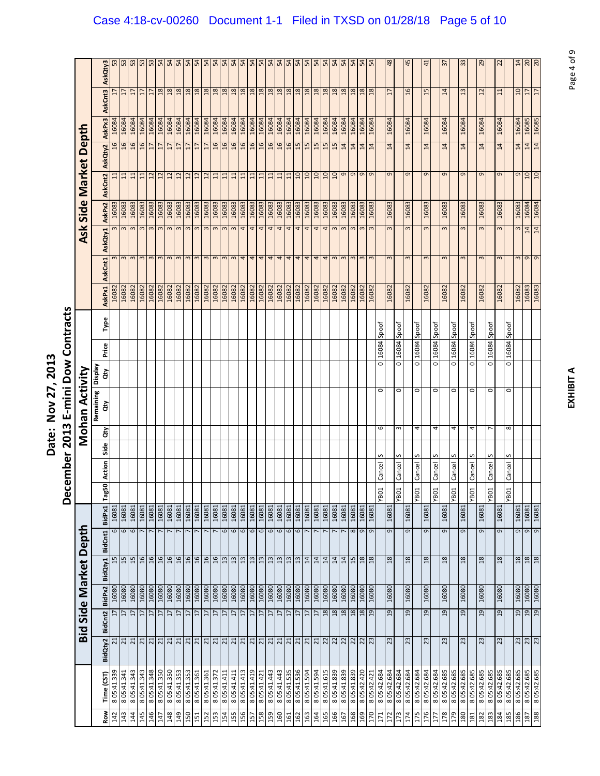|            |                            |                 |                 |                       |         | Bid Side Market Depth |                                   |       |        |      |                | Mohan Activity  |                      |             |       |               |                    | <b>Ask</b>   |        | Side Market Depth |                             |                                                                                |                 |                 |
|------------|----------------------------|-----------------|-----------------|-----------------------|---------|-----------------------|-----------------------------------|-------|--------|------|----------------|-----------------|----------------------|-------------|-------|---------------|--------------------|--------------|--------|-------------------|-----------------------------|--------------------------------------------------------------------------------|-----------------|-----------------|
| <b>Row</b> | Time (CST                  | BidQty2         | BidCnt2         | BidPx2                | BidQty1 | BidCnt1               | BidPx1                            | Tag50 | Action | Side | άŅ             | Remaining<br>άŅ | Veldsig<br>đ         | Price       | Type  | <b>AskPx1</b> | AskCnt1            | AskQty1      | AskPx2 | AskCnt2           | AskQty2                     | AskPx3                                                                         | AskCnt3         | AskQty3         |
| 142        | 8 05:41.339                | ដ               | $\overline{17}$ | 16080                 |         | 15                    | 16081<br>6                        |       |        |      |                |                 |                      |             |       | 16082         |                    |              | 16083  | 11                |                             | 16084                                                                          |                 |                 |
| 143        | 8 05:41.341                | 21              | 17              | 16080                 |         | 15                    | 16081<br>6                        |       |        |      |                |                 |                      |             |       | 16082         |                    |              | 16083  | 11                | 16                          | 16084                                                                          | $\overline{17}$ |                 |
| 144        | 8 05:41.343                | z z z z         | $17$            | 16080                 |         | 15                    | 16081<br>$\mathbf \omega$         |       |        |      |                |                 |                      |             |       | 16082         | $m \, m \, m$      | $\sim$       | 16083  | 11                | 16                          | 16084                                                                          | $\frac{17}{17}$ | 53              |
| 145        | 8 05:41.343                |                 | $17$            | 16080                 |         | 16                    | 16081<br>$\overline{\phantom{a}}$ |       |        |      |                |                 |                      |             |       | 16082         |                    | $\mathsf{c}$ | 16083  | $11$              | 16                          | 16084                                                                          |                 | 53              |
| 146        | 805:41.348                 |                 | $17$            | 16080                 |         | 16                    | 16081<br>$\overline{ }$           |       |        |      |                |                 |                      |             |       | 16082         |                    | $\sim$       | 16083  | $\frac{12}{12}$   | 17                          | 16084                                                                          | $\overline{17}$ | 53              |
| 147        | 8 05:41.350                |                 | $\overline{17}$ | 16080                 |         | 16                    | 16081                             |       |        |      |                |                 |                      |             |       | 16082         | $\sim$             | $\mathsf{m}$ | 16083  |                   | $\overline{17}$             | 16084                                                                          | $\frac{8}{2}$   | 54              |
| 148        | 8 05:41.350                |                 | $\overline{17}$ | 16080                 |         | 16                    | 16081                             |       |        |      |                |                 |                      |             |       | 16082         | $\mathbf{c}$       | $\mathsf{c}$ | 16083  |                   | $\overline{17}$             | 16084                                                                          | $\frac{18}{18}$ | 54              |
| 149        | 8 05:41.353                |                 | $\overline{17}$ | 16080                 |         | 16                    | 16081                             |       |        |      |                |                 |                      |             |       | 16082         | $\mathbf{c}$       | $\mathsf{S}$ | 16083  |                   | $\overline{17}$             | 16084                                                                          |                 | 54              |
| 150        | 8 05:41.353                |                 | 17              | 16080                 |         | $\frac{16}{16}$       | 16081                             |       |        |      |                |                 |                      |             |       | 16082         | m <sub>m</sub>     | 3            | 16083  |                   | $\overline{1}$              | 16084                                                                          |                 |                 |
| 151        | 8 05:41.361                |                 | 17              | 16080                 |         |                       | 16081                             |       |        |      |                |                 |                      |             |       | 16082         |                    | $\mathsf{S}$ | 16083  |                   | 17                          | 16084                                                                          |                 |                 |
| 152        | 8 05:41.361                |                 | 17              | 16080                 |         |                       | 16081                             |       |        |      |                |                 |                      |             |       | 16082         | $\mathsf m$        | $\mathsf{m}$ | 16083  | 2 2 2 2 1         | 17                          | 16084                                                                          |                 |                 |
| 153        | 8 05:41.372                |                 | 17              | 16080                 |         | $\frac{16}{16}$       | 16081<br>L                        |       |        |      |                |                 |                      |             |       | 16082         | $\mathbf{\hat{z}}$ | $\mathsf{m}$ | 16083  |                   | 16                          | 16084                                                                          |                 |                 |
| 154        | 8 05:41.411                |                 | $17\,$          |                       |         |                       | 16081<br>6                        |       |        |      |                |                 |                      |             |       | 16082         |                    | $\epsilon$   | 16083  |                   |                             | 16084                                                                          |                 |                 |
| 155        | 8 05:41.411                | 리비비비비비비비비비비     | 17              | 16080<br>08091        |         | $\frac{13}{13}$       | 16081<br>6                        |       |        |      |                |                 |                      |             |       | 16082         | m <sub>m</sub>     | $\infty$     | 16083  | 11                | $\frac{16}{16}$             | 16084                                                                          | a   a   a   a   | z z z z z       |
| 156        | 8 05:41.413                |                 | $\overline{17}$ | 16080                 |         | $13$                  | 16081<br>6                        |       |        |      |                |                 |                      |             |       | 16082         | 4                  | 4            | 16083  | $\mathbf{11}$     | 16                          | 16084                                                                          |                 | 54              |
| 157        | 805:41.419                 |                 | $17$            | 16080                 |         | 13                    | 16081<br>6                        |       |        |      |                |                 |                      |             |       | 16082         | 4                  | 4            | 16083  | 11                | 16                          | 16084                                                                          | $\frac{18}{18}$ | 54              |
| 158        | 8 05:41.421                |                 | 17              | 16080                 |         | 13                    | 16081<br>6                        |       |        |      |                |                 |                      |             |       | 16082         | 4                  | 4            | 16083  | 11                | 16                          | 16084                                                                          | 18              | 54              |
| 159        | 8 05:41.443                |                 | $\overline{17}$ | 16080                 |         | 13                    | 16081<br>$\mathbf \omega$         |       |        |      |                |                 |                      |             |       | 16082         | 4                  | 4            | 16083  | 11                | 16                          | 16084                                                                          | 18              | 54              |
| 160        | 8 05:41.443                | 21              | $\overline{17}$ | 16080                 |         | $\overline{13}$       | 16081<br>$\mathbf \omega$         |       |        |      |                |                 |                      |             |       | 16082         | 4                  | 4            | 16083  | $\overline{11}$   | 16                          | 16084                                                                          |                 | 54              |
| 161        | 8 05:41.535                |                 | $17$            | 16080                 |         | $13$                  | 16081<br>6                        |       |        |      |                |                 |                      |             |       | 16082         | 4                  | 4            | 16083  | $11\,$            | 16                          | 16084                                                                          | $\frac{18}{18}$ | 54              |
| 162        | 8 05:41.536                |                 | 17              | 16080                 |         | $13$                  | 16081<br>$\mathbf \omega$         |       |        |      |                |                 |                      |             |       | 16082         | 4                  | 4            | 16083  | 10                | 15                          | 16084                                                                          | 18              | 54              |
| 163        | 8 05:41.594                | $\frac{21}{21}$ | 17              | 16080                 |         | 14                    | 16081                             |       |        |      |                |                 |                      |             |       | 16082         | 4                  | 4            | 16083  | 10                | 15                          | 16084                                                                          | 18              | 54              |
| 164        | 8 05:41.594                |                 | 17              | 16080                 |         | 14                    | 16081                             |       |        |      |                |                 |                      |             |       | 16082         | 4                  | 4            | 16083  | $\overline{a}$    | 15                          | 16084                                                                          | 18              | 54              |
| 165        | 8 05:41.615                |                 | 18              | 16080                 |         | 14                    | 16081                             |       |        |      |                |                 |                      |             |       | 16082         | 4                  | 4            | 16083  |                   | 15                          | 16084                                                                          | 18              | 54              |
| 166        | 8 05:41.839                |                 | 18              | 16080                 |         | 14                    | 16081                             |       |        |      |                |                 |                      |             |       | 16082         | $\mathsf{S}$       | $\infty$     | 16083  |                   | 15                          | 16084                                                                          | 18              | 54              |
| 167        | 8 05:41.839                |                 | 18              | 16080                 |         | 14                    | 16081                             |       |        |      |                |                 |                      |             |       | 16082         |                    |              | 16083  | 9900              | 14                          | 16084                                                                          | $\frac{8}{18}$  | $\frac{54}{54}$ |
| 168        | 805:41.839                 |                 | 18              | 16080                 |         | 15                    | 16081<br>$\infty$                 |       |        |      |                |                 |                      |             |       | 16082         |                    |              | 16083  |                   | 14                          | 16084                                                                          |                 |                 |
| 169        | 8 05:42.420                | 지지지지지지          | $18\,$          | 16080                 |         | $18\,$                | 16081<br>9                        |       |        |      |                |                 |                      |             |       | 16082         | $\mathsf{S}$       | $\omega$     | 16083  | $\sigma$ $\sigma$ | $\frac{14}{4}$              | 16084                                                                          | $\frac{8}{18}$  | $\frac{54}{4}$  |
| 170        | 8 05:42.421                |                 | 19              | 16080                 |         | 18                    | 16081<br>$\sigma$                 |       |        |      |                |                 |                      |             |       | 16082         | $\mathbf{c}$       |              | 16083  |                   |                             | 16084                                                                          |                 |                 |
| 171        | 805:42.684                 |                 |                 |                       |         |                       |                                   | YB01  | Cancel |      | 6              | 0               | 0                    | 16084       | Spoof |               |                    |              |        |                   |                             |                                                                                |                 |                 |
| 172        | 805:42.684                 | 23              | 19              | 16080                 |         | 18                    | 16081<br>G                        |       |        |      |                |                 |                      |             |       | 16082         | 3                  | 3            | 16083  | $\sigma$          | 14                          | 16084                                                                          | $\overline{17}$ | 48              |
| 173        | 8 05:42.684                |                 |                 |                       |         |                       |                                   | YB01  | Cancel |      | m              | $\circ$         | ō                    | 16084 Spoof |       |               |                    |              |        |                   |                             |                                                                                |                 |                 |
| 174<br>175 | 805:42.684<br>8 05:42.684  | 23              | 19              | 16080                 |         | 18                    | 16081<br>G                        | YB01  |        |      | 4              |                 | o                    | 16084       |       | 16082         | 3                  | 3            | 16083  | $\sigma$          | 14                          | 16084                                                                          | $\overline{16}$ | 45              |
| 176        | 805:42.684                 | 23              | 19              | 16080                 |         | 18                    | 16081<br>G                        |       | Cancel |      |                | 0               |                      |             | Spoof | 16082         | 3                  | $\mathsf{S}$ | 16083  | $\sigma$          | 14                          | 16084                                                                          | 15              | $\frac{4}{1}$   |
| 177        | 8 05:42.684                |                 |                 |                       |         |                       |                                   | YB01  | Cancel |      | 4              | 0               | o                    | 16084       | Spoof |               |                    |              |        |                   |                             |                                                                                |                 |                 |
| 178        | 805:42.685                 | 23              | 19              | 16080                 |         | 18                    | 16081<br>G                        |       |        |      |                |                 |                      |             |       | 16082         | $\mathsf{S}$       | $\mathsf{S}$ | 16083  | $\sigma$          | 14                          | 16084                                                                          | 14              | $\frac{1}{2}$   |
| 179        | 805:42.685                 |                 |                 |                       |         |                       |                                   | YBO1  | Cancel |      | 4              | $\circ$         | O                    | 16084       | Spoof |               |                    |              |        |                   |                             |                                                                                |                 |                 |
| 180        | 805:42.685                 | 23              | 19              | 16080                 |         | 18                    | 16081<br>G                        |       |        |      |                |                 |                      |             |       | 16082         | 3                  | $\sim$       | 16083  | $\sigma$          | 14                          | 16084                                                                          | 13              | 33              |
| 181        | 8 05:42.685                |                 |                 |                       |         |                       |                                   | YB01  | Cancel |      | $\overline{a}$ | $\circ$         | ō                    | 16084       | Spoof |               |                    |              |        |                   |                             |                                                                                |                 |                 |
| 182        | 805:42.685                 | 23              | 19              | 16080                 |         | 18                    | 16081<br>G                        |       |        |      |                |                 |                      |             |       | 16082         | $\infty$           | 3            | 16083  | $\sigma$          | 14                          | 16084                                                                          | $\overline{c}$  | 29              |
| 183        | 8 05:42.685                |                 |                 |                       |         |                       |                                   | YB01  | Cancel | S    | r              | $\circ$         | $\overline{\bullet}$ | 16084 Spoof |       |               |                    |              |        |                   |                             |                                                                                |                 |                 |
| 184        | 805:42.685                 | 23              | 19              | 16080                 |         | 18                    | 16081<br>G                        |       |        |      |                |                 |                      |             |       | 16082         | 3                  | 3            | 16083  | G                 | 14                          | 16084                                                                          | $\Xi$           | 2               |
| 185        | 8 05:42.685                |                 |                 |                       |         |                       |                                   | YB01  | Cancel | S    | $\infty$       | $\circ$         | ō                    | 16084       | Spoof |               |                    |              |        |                   |                             |                                                                                |                 |                 |
| 186        | 8 05:42.685<br>8 05:42.685 | $\frac{23}{23}$ |                 | $\frac{16080}{16080}$ |         | $\frac{18}{28}$       | $\frac{16081}{16081}$<br>9        |       |        |      |                |                 |                      |             |       | 16082         | <u>გ</u><br>მ      | $\omega$     | 16083  | $\frac{1}{2}$     | $\frac{1}{4}$ $\frac{1}{4}$ | $\begin{array}{r}\n 16084 \\  \hline\n 16085 \\  \hline\n 16085\n \end{array}$ | $\frac{10}{17}$ | $\frac{14}{20}$ |
| 187        |                            |                 |                 |                       |         |                       | $\frac{1}{9}$                     |       |        |      |                |                 |                      |             |       |               |                    | 14           | 16084  |                   |                             |                                                                                |                 |                 |
| 188        | 805:42.685                 |                 |                 |                       |         |                       |                                   |       |        |      |                |                 |                      |             |       | 16083         |                    | 14           |        |                   |                             |                                                                                |                 |                 |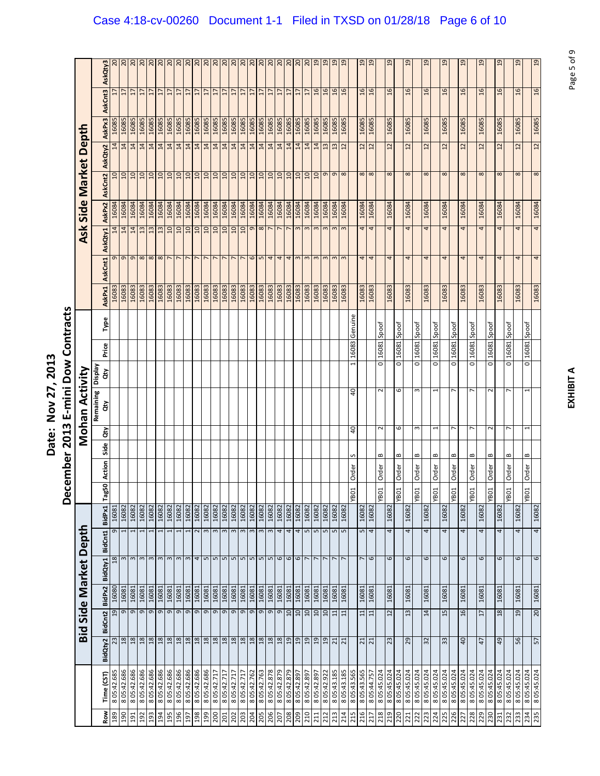|            |                            |                 |                   |        | <b>Bid Side Market Depth</b> |                           |                                   |                  |        |              |                | Mohan Activity  |               |                                |         |               |                         | <b>Ask</b>                | Side   | Market            |                 | Depth          |                 |                 |
|------------|----------------------------|-----------------|-------------------|--------|------------------------------|---------------------------|-----------------------------------|------------------|--------|--------------|----------------|-----------------|---------------|--------------------------------|---------|---------------|-------------------------|---------------------------|--------|-------------------|-----------------|----------------|-----------------|-----------------|
| <b>Row</b> | Time (CST)                 | BidQty2         | BidCnt2           | BidPx2 | BidQty1                      | BidCnt1                   | BidPx1                            | Tag50            | Action | Side         | έř             | Remaining<br>άŅ | Veldsig<br>đη | Price                          | Type    | <b>AskPx1</b> | AskCnt1                 | AskQty1                   | AskPx2 | AskCnt2           | AskQty2         | AskPx3         | AskCnt3         | AskQty3         |
| 189        | 805:42.685                 | 23              | 19                | 16080  |                              | 18                        | 16081<br>$\sigma$                 |                  |        |              |                |                 |               |                                |         | 16083         |                         | 14                        | 16084  |                   | 14              | 16085          |                 |                 |
| 190        | 805:42.686                 | 18              | 9                 | 16081  |                              | $\mathsf{c}$              | 16082                             |                  |        |              |                |                 |               |                                |         | 16083         |                         | $\overline{1}$            | 16084  |                   | 14              | 16085          | $\overline{1}$  | $\overline{c}$  |
| 191        | 805:42.686                 | $\frac{18}{18}$ | G                 | 16081  |                              | $\sim$                    | 16082                             |                  |        |              |                |                 |               |                                |         | 16083         |                         | $\overline{1}$            | 16084  |                   | 14              | 16085          | $\overline{17}$ | $\frac{20}{20}$ |
| 192        | 805:42.686                 |                 | 9                 | 16081  |                              | $\mathsf m$               | 16082                             |                  |        |              |                |                 |               |                                |         | 16083         | <b>ത</b> ത ത <b>∞</b> ∞ | $\mathfrak{a}$            | 16084  | $\frac{10}{12}$   | 14              | 16085          | $\overline{17}$ |                 |
| 193        | 805:42.686                 | 18              | 9                 | 16081  |                              | $\mathbf{c}$              | 16082                             |                  |        |              |                |                 |               |                                |         | 16083         |                         | $\overline{13}$           | 16084  |                   | 14              | 16085          | $\overline{1}$  | $\overline{c}$  |
| 194        | 805:42.686                 | $\frac{8}{2}$   | 9                 | 16081  |                              | $\boldsymbol{\mathsf{m}}$ | 16082                             |                  |        |              |                |                 |               |                                |         | 16083         |                         | $\frac{2}{3}$             | 16084  | $\overline{a}$    | 14              | 16085          | $17$            | $\overline{c}$  |
| 195        | 805:42.686                 | 18              | G                 | 16081  |                              | $\mathsf m$               | 16082                             |                  |        |              |                |                 |               |                                |         | 16083         |                         | $\overline{a}$            | 16084  |                   | 14              | 16085          | $\overline{17}$ |                 |
| 196        | 805:42.686                 | 18              | 9                 | 16081  |                              | $\sim$                    | 16082                             |                  |        |              |                |                 |               |                                |         | 16083         |                         | $\mathsf{D}$              | 16084  |                   | $14$            | 16085          | $17\,$          |                 |
| 197        | 805:42.686                 | $\frac{8}{18}$  | 9                 | 16081  |                              | $\sim$                    | 16082                             |                  |        |              |                |                 |               |                                |         | 16083         | $\frac{1}{2}$           | $\overline{\mathfrak{a}}$ | 16084  |                   | $\frac{4}{4}$   | 16085<br>16085 | H               |                 |
| 198        | 805:42.686                 |                 | 9                 | 16081  |                              | $\overline{4}$            | 16082<br>$\overline{\phantom{0}}$ |                  |        |              |                |                 |               |                                |         | 16083         |                         | $\Box$                    | 16084  |                   |                 |                | $\sqrt{1}$      |                 |
| 199        | 805:42.686                 |                 | 9                 | 16081  |                              |                           | 16082<br>$\sim$                   |                  |        |              |                |                 |               |                                |         | 16083         | $\overline{2}$          |                           | 16084  |                   | $\frac{14}{14}$ | 16085          | $\frac{17}{17}$ |                 |
| 200        | 8 05:42.717                |                 | 9                 | 16081  |                              |                           | 16082<br>$\mathbf{c}$             |                  |        |              |                |                 |               |                                |         | 16083         |                         | $\frac{10}{10}$           | 16084  |                   |                 |                |                 |                 |
| 201        | 8 05:42.717                | $\frac{28}{28}$ | 9                 | 16081  |                              |                           | 16082<br>$\mathbf{c}$             |                  |        |              |                |                 |               |                                |         | 16083         | $\overline{ }$          | <b>DT</b>                 | 16084  | 2222222222        | 14              | 16085          | $\overline{17}$ | 3333232         |
| 202        | 8 05:42.717                |                 | 9                 | 16081  |                              |                           | 16082<br>$\mathbf{c}$             |                  |        |              |                |                 |               |                                |         | 16083         | $\overline{ }$          | $\Box$                    | 16084  |                   | 14              | 16085          | $\overline{1}$  |                 |
| 203        | 8 05:42.717                |                 | 9                 | 16081  |                              |                           | 16082<br>$\sim$                   |                  |        |              |                |                 |               |                                |         | 16083         | $\overline{ }$          | $\overline{a}$            | 16084  |                   | 14              | 16085          | $\overline{1}$  |                 |
| <b>204</b> | 8 05:42.762                | $\frac{18}{18}$ | 9                 | 16081  |                              |                           | 16082<br>$\sim$                   |                  |        |              |                |                 |               |                                |         | 16083         |                         | $\sigma$                  | 16084  |                   | 14              | 16085          | $\overline{17}$ | $20^{20}$       |
| 205        | 805:42.763                 | 18              | G                 | 16081  |                              |                           | 16082<br>$\infty$                 |                  |        |              |                |                 |               |                                |         | 16083         | $\frac{6}{5}$           | $\infty$                  | 16084  |                   | 14              | 16085          | $\overline{17}$ |                 |
| 206        | 805:42.878                 | $18\,$          | $\sigma$          | 16081  |                              | 5                         | 16082<br>$\sim$                   |                  |        |              |                |                 |               |                                |         | 16083         | $\overline{4}$          |                           | 16084  |                   | 14              | 16085          | 17              | $\overline{c}$  |
| 207        | 805:42.879                 | 18              | G                 | 16081  |                              | 6                         | 16082<br>4                        |                  |        |              |                |                 |               |                                |         | 16083         | 4                       |                           | 16084  |                   | 14              | 16085          | $\overline{17}$ | $\overline{c}$  |
| 208        | 805:42.879                 | 19              | $10 \,$           | 16081  |                              | 6                         | 16082<br>4                        |                  |        |              |                |                 |               |                                |         | 16083         | 4                       |                           | 16084  | $\frac{5}{10}$    | 14              | 16085          | $\overline{1}$  | 0 <sup>2</sup>  |
| 209        | 8 05:42.897                | 6T              | 10                | 16081  |                              | $\mathbf \omega$          | 16082<br>4                        |                  |        |              |                |                 |               |                                |         | 16083         | $\mathbf{c}$            | $\infty$                  | 16084  |                   | 14              | 16085          | $\overline{1}$  | $\overline{5}$  |
| 210        | 8 05:42.897                | 19              | 10                | 16081  |                              | $\overline{\phantom{a}}$  | 16082<br>5                        |                  |        |              |                |                 |               |                                |         | 16083         | $\mathbf{c}$            | $\infty$                  | 16084  | $\Box$            | 14              | 16085          | $\overline{17}$ | 20              |
| 211        | 8 05:42.897                | $\overline{a}$  | 10                | 16081  |                              | $\overline{ }$            | 16082<br>$\mathsf{L}\mathsf{D}$   |                  |        |              |                |                 |               |                                |         | 16083         | $\mathbf{c}$            |                           | 16084  | $\Omega$          | 14              | 16085          | 16              | 19              |
| 212        | 8 05:42.922                | $\frac{1}{21}$  | $10 \,$           | 16081  |                              | $\overline{ }$            | 16082<br>5<br>5                   |                  |        |              |                |                 |               |                                |         | 16083         |                         |                           | 16084  | $\sigma$          | 13              | 16085          | $\overline{16}$ | $\overline{5}$  |
| 213        | 805:43.185                 |                 | 11                | 16081  |                              | $\overline{ }$            | 16082                             |                  |        |              |                |                 |               |                                |         | 16083         | $\frac{3}{2}$           |                           | 16084  | $\sigma$          | 13              | 16085          | 16              | $\overline{a}$  |
| 214        | 8 05:43.185                |                 | $\overline{11}$   | 16081  |                              |                           | 16082<br>5                        |                  |        |              |                |                 |               |                                |         | 16083         |                         |                           | 16084  | 8                 | $\overline{1}$  | 16085          | $\frac{6}{2}$   | $\overline{a}$  |
| 215        | 8 05:43.565                |                 |                   |        |                              |                           |                                   | <b>TOBY</b>      | Order  | S            | ਰੀ             | ą0              |               | 16083<br>$\mathbf{\mathbf{t}}$ | Genuine |               |                         |                           |        |                   |                 |                |                 |                 |
| 216        | 8 05:43.565                | $\frac{21}{21}$ | $\frac{11}{11}$   | 16081  |                              | 7                         | 16082<br>$\frac{5}{4}$            |                  |        |              |                |                 |               |                                |         | 16083         | 44                      | 4                         | 16084  | $\infty$ $\infty$ | $\frac{12}{12}$ | 16085          | $\frac{16}{16}$ | $\overline{5}$  |
| 217        | 8 05:44.757                |                 |                   | 16081  |                              | $\mathbf \omega$          | 16082                             |                  |        |              |                |                 |               |                                |         | 16083         |                         | 4                         | 16084  |                   |                 | 16085          |                 | 19              |
| 218        | 8 05:45.024                |                 |                   |        |                              |                           |                                   | YBO:             | Order  | B            | $\sim$         | 2               |               | 16081<br>O                     | Spoof   |               |                         |                           |        |                   |                 |                |                 |                 |
| 219        | 8 05:45.024                | 23              | $12 \overline{ }$ | 16081  |                              | 6                         | 16082<br>4                        |                  |        |              |                |                 |               |                                |         | 16083         | 4                       | 4                         | 16084  | $\infty$          | 12              | 16085          | $\frac{6}{2}$   | 19              |
| 220        | 8 05:45.024                |                 |                   |        |                              |                           |                                   | YB <sub>01</sub> | Order  | B            | $\circ$        | 6               |               | 16081<br>$\overline{\circ}$    | Spoof   |               |                         |                           |        |                   |                 |                |                 |                 |
| 221<br>222 | 8 05:45.024<br>8 05:45.024 | 29              | 13                | 16081  |                              | 6                         | 16082<br>4                        | <b>NBO1</b>      | Order  | B            | $\epsilon$     |                 |               | 16081                          |         | 16083         | 4                       | 4                         | 16084  | $\infty$          | $\overline{12}$ | 16085          | $\frac{6}{2}$   | $^{29}$         |
| 223        | 8 05:45.024                | 32              | 14                | 16081  |                              | $\mathbf \omega$          | 16082<br>4                        |                  |        |              |                | m               |               | $\overline{\circ}$             | Spoof   | 16083         | 4                       | 4                         | 16084  | $\infty$          | 12              | 16085          | $\overline{a}$  | $\overline{a}$  |
| 224        | 8 05:45.024                |                 |                   |        |                              |                           |                                   | <b>TOBY</b>      | Order  | B            | 1              |                 |               | 16081<br>$\overline{\circ}$    | Spoof   |               |                         |                           |        |                   |                 |                |                 |                 |
| 225        | 8 05:45.024                | 33              | 15                | 16081  |                              | 6                         | 16082<br>4                        |                  |        |              |                |                 |               |                                |         | 16083         | 4                       | 4                         | 16084  | $\infty$          | 12              | 16085          | 16              | 19              |
| 226        | 8 05:45.024                |                 |                   |        |                              |                           |                                   | YB <sub>01</sub> | Order  | B            | $\overline{ }$ |                 |               | 16081<br>$\overline{\circ}$    | Spoof   |               |                         |                           |        |                   |                 |                |                 |                 |
| 227        | 8 05:45.024                | 40              | 16                | 16081  |                              | 6                         | 16082<br>4                        |                  |        |              |                |                 |               |                                |         | 16083         | 4                       | 4                         | 16084  | $\infty$          | $\overline{12}$ | 16085          | $\overline{a}$  | 19              |
| 228        | 8 05:45.024                |                 |                   |        |                              |                           |                                   | <b>VBO</b>       | Order  | $\mathbf{a}$ | $\overline{ }$ | r               |               | 16081<br>$\overline{\circ}$    | Spoof   |               |                         |                           |        |                   |                 |                |                 |                 |
| 229        | 8 05:45.024                | t,              | $\overline{17}$   | 16081  |                              | 6                         | 16082<br>4                        |                  |        |              |                |                 |               |                                |         | 16083         | 4                       | 4                         | 16084  | $\infty$          | 12              | 16085          | $\frac{6}{2}$   | $\overline{a}$  |
| 230        | 8 05:45.024                |                 |                   |        |                              |                           |                                   | LOBA             | Order  | $\bf{m}$     | $\sim$         | $\mathbf \sim$  |               | 16081<br>$\overline{\circ}$    | Spoof   |               |                         |                           |        |                   |                 |                |                 |                 |
| 231        | 8 05:45.024                | 49              | 18                | 16081  |                              | 6                         | 16082<br>4                        |                  |        |              |                |                 |               |                                |         | 16083         | 4                       | 4                         | 16084  | $\infty$          | $\overline{12}$ | 16085          | $\mathfrak{a}$  | 19              |
| 232        | 8 05:45.024                |                 |                   |        |                              |                           |                                   | <b>TOBY</b>      | Order  | B            | $\overline{ }$ |                 |               | 16081<br>$\overline{\bullet}$  | Spoof   |               |                         |                           |        |                   |                 |                |                 |                 |
| 233        | 8 05:45.024                | 56              | 19                | 16081  |                              | 6                         | 16082<br>4                        |                  |        |              |                |                 |               |                                |         | 16083         | 4                       | 4                         | 16084  | $\infty$          | 12              | 16085          | $\overline{a}$  | $\overline{a}$  |
| 234        | 8 05:45.024                |                 |                   |        |                              |                           |                                   | LOBA             | Order  | B            | Ţ              |                 |               | 16081 Spoof<br>ō               |         |               |                         |                           |        |                   |                 |                |                 |                 |
| 235        | 8 05:45.024                | 57              | 20                | 16081  |                              | 6                         | 16082<br>$\overline{\mathbf{r}}$  |                  |        |              |                |                 |               |                                |         | 16083         | 4                       | 4                         | 16084  | 8                 | $\overline{2}$  | 16085          | 16              | 19              |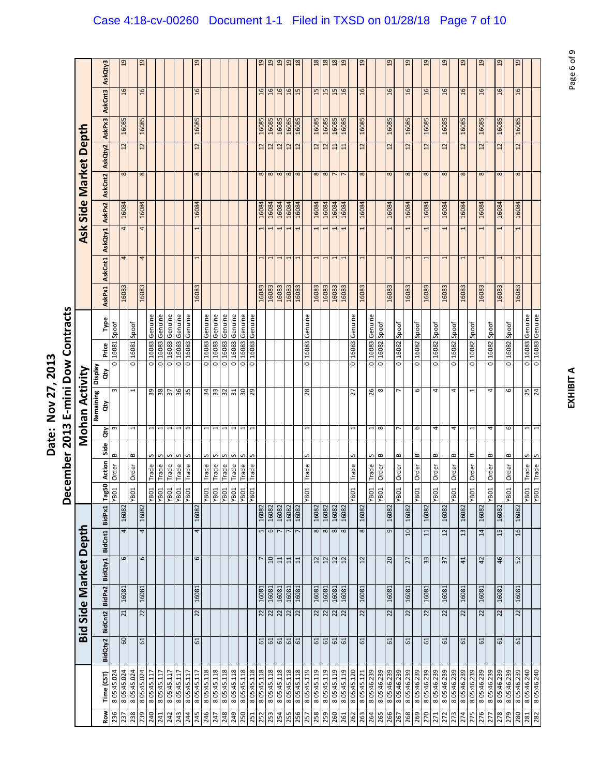|                       | AskQty3            |             | 19          | $\overline{a}$             |               |                    |                        |             |               | <u>၅</u>       |                    |                     |            |                     |                   |                    | $\overline{a}$  | 19                                        | $\overline{a}$         | $\overline{a}$                          | $\frac{8}{2}$ |             | $\frac{8}{2}$   | $18$                           | $18\,$         | $\overline{a}$  |             | $\overline{5}$  |                    |                    | $\overline{5}$  |             | $\frac{9}{2}$             | $\overline{a}$ |                    | <u>၅</u>      |             | $\overline{a}$  |                          | $\overline{a}$  |             | 19             |                    | $^{29}$       |                                    |
|-----------------------|--------------------|-------------|-------------|----------------------------|---------------|--------------------|------------------------|-------------|---------------|----------------|--------------------|---------------------|------------|---------------------|-------------------|--------------------|-----------------|-------------------------------------------|------------------------|-----------------------------------------|---------------|-------------|-----------------|--------------------------------|----------------|-----------------|-------------|-----------------|--------------------|--------------------|-----------------|-------------|---------------------------|----------------|--------------------|---------------|-------------|-----------------|--------------------------|-----------------|-------------|----------------|--------------------|---------------|------------------------------------|
|                       | AskCnt3            |             | 16          | $\frac{1}{6}$              |               |                    |                        |             |               | $\frac{1}{6}$  |                    |                     |            |                     |                   |                    | $\overline{16}$ | $\frac{1}{6}$                             | $\overline{a}$         | 16                                      | 15            |             | 15              | 15                             | 15             | $\frac{6}{2}$   |             | $\overline{a}$  |                    |                    | $\frac{1}{6}$   |             | $\frac{1}{6}$             | $\overline{a}$ |                    | $\frac{1}{6}$ |             | $\mathfrak{a}$  |                          | $\frac{6}{2}$   |             | $\overline{a}$ |                    | $\frac{9}{2}$ |                                    |
|                       | AskPx3             |             | 16085       | 16085                      |               |                    |                        |             |               | 16085          |                    |                     |            |                     |                   |                    | 16085           | 16085                                     | 16085                  | 16085                                   | 16085         |             | 16085           | 16085                          | 16085          | 16085           |             | 16085           |                    |                    | 16085           |             | 16085                     | 16085          |                    | 16085         |             | 16085           |                          | 16085           |             | 16085          |                    | 16085         |                                    |
|                       | AskQty2            |             | 12          | $12 \overline{ }$          |               |                    |                        |             |               | $\overline{c}$ |                    |                     |            |                     |                   |                    | 12              | $\overline{12}$                           | 12                     | 12                                      | 12            |             | $\overline{12}$ | 12                             | 11             | $\overline{11}$ |             | $\overline{12}$ |                    |                    | $\overline{12}$ |             | 12                        | $\overline{c}$ |                    | 22            |             | $\overline{12}$ |                          | $\overline{12}$ |             | $\overline{c}$ |                    | $12 \n$       |                                    |
|                       | AskCnt2            |             | $\infty$    | $\infty$                   |               |                    |                        |             |               | $\infty$       |                    |                     |            |                     |                   |                    | $\infty$        | $\infty$                                  | $\infty$               | $\infty$                                | $\infty$      |             | $\infty$        | $\infty$                       | $\overline{ }$ |                 |             | $\infty$        |                    |                    | $\infty$        |             | $\infty$                  | $\infty$       |                    | $\infty$      |             | $\infty$        |                          | $\infty$        |             | $\infty$       |                    | 8             |                                    |
| Ask Side Market Depth | AskPx2             |             | 16084       | 16084                      |               |                    |                        |             |               | 16084          |                    |                     |            |                     |                   |                    | 16084           | 16084                                     | 16084                  | 16084                                   | 16084         |             | 16084           | 16084                          | 16084          | 16084           |             | 16084           |                    |                    | 16084           |             | 16084                     | 16084          |                    | 16084         |             | 16084           |                          | 16084           |             | 16084          |                    | 16084         |                                    |
|                       | AskQty1            |             | 4           | 4                          |               |                    |                        |             |               | 1              |                    |                     |            |                     |                   |                    | 1               | 1                                         | 1                      | I                                       | 1             |             |                 | 1                              | 1              |                 |             | 1               |                    |                    | 1               |             | 1                         | 1              |                    |               |             | 1               |                          |                 |             | 1              |                    | 1             |                                    |
|                       |                    |             | 4           | 4                          |               |                    |                        |             |               |                |                    |                     |            |                     |                   |                    | J               | J                                         | $\mathbf{\overline{}}$ | 1                                       |               |             |                 | $\mathbf{\mathbf{\mathsf{H}}}$ | H              |                 |             | $\mathbf \tau$  |                    |                    | 1               |             | 1                         |                |                    |               |             |                 |                          |                 |             |                |                    | 1             |                                    |
|                       | AskCnt1            |             |             |                            |               |                    |                        |             |               |                |                    |                     |            |                     |                   |                    |                 |                                           |                        |                                         |               |             |                 |                                |                |                 |             |                 |                    |                    |                 |             |                           |                |                    |               |             |                 |                          |                 |             |                |                    |               |                                    |
|                       | AskPx1             |             | 16083       | 16083                      |               |                    |                        |             |               | 16083          |                    |                     |            |                     |                   |                    | 16083           | 16083                                     | 16083                  | 16083                                   | 16083         |             | 16083           | 16083                          | 16083          | 16083           |             | 16083           |                    |                    | 16083           |             | 16083                     | 16083          |                    | 16083         |             | 16083           |                          | 16083           |             | 16083          |                    | 16083         |                                    |
|                       | Type               | Spoof       |             | Spoof                      | 16083 Genuine | Genuine            | Genuine                | Genuine     | 16083 Genuine |                | 16083 Genuine      | Genuine             | Genuine    | Genuine             | Genuine           | Genuine            |                 |                                           |                        |                                         |               | Genuine     |                 |                                |                |                 | Genuine     |                 | 16083 Genuine      |                    |                 |             | Spoof                     |                | Spoof              |               | Spoof       |                 | Spoof                    |                 | Spoof       |                | Spoof              |               | 0 16083 Genuine<br>0 16083 Genuine |
|                       | Price              | 16081       |             | 16081                      |               | 16083              | 16083                  | 16083       |               |                |                    | 16083               | 16083      | 16083               | 16083             | 16083              |                 |                                           |                        |                                         |               | 16083       |                 |                                |                |                 | 16083       |                 |                    | 16082 Spoof        |                 | 16082 Spoof | 16082                     |                | 16082              |               | 16082       |                 | 16082                    |                 | 16082       |                | 16082              |               |                                    |
|                       | Veldsig<br>ξ       | 0           |             | $\overline{\circ}$         | Ō             | $\overline{\circ}$ | $\overline{\circ}$     | ō           | ō             |                | $\overline{\circ}$ | ō                   | ō          | $\overline{\circ}$  | ō                 | $\overline{\circ}$ |                 |                                           |                        |                                         |               | o           |                 |                                |                |                 | ō           |                 | $\overline{\circ}$ | $\overline{\circ}$ |                 | Ō           | $\overline{\circ}$        |                | $\overline{\circ}$ |               | O           |                 | $\overline{\circ}$       |                 | O           |                | $\overline{\circ}$ |               |                                    |
| Mohan Activity        | Remaining<br>ਰੋਂ   | $\sim$      |             | 1                          | 59            | 38                 | 57                     | 36          | 5£            |                | 34                 | 33                  | 32         | 51                  | 30                | 29                 |                 |                                           |                        |                                         |               | 28          |                 |                                |                |                 | 27          |                 | 26                 | ${}^{\circ}$       |                 | ∼           | 6                         |                | 4                  |               | 4           |                 |                          |                 | 4           |                | 6                  |               | 25<br>24                           |
|                       | άŅ                 | $\infty$    |             | 1                          | 1             | 1                  | 1                      | 1           | 1             |                | 1                  | 1                   | 1          | 1                   | 1                 | 1                  |                 |                                           |                        |                                         |               | 1           |                 |                                |                |                 | 1           |                 | 1                  | $\infty$           |                 | 7           | 6                         |                | 4                  |               | 4           |                 | $\overline{\phantom{0}}$ |                 | 4           |                | 6                  |               | $\mathbf{1}$<br>1                  |
|                       | Side               | $\bf{m}$    |             | B                          | S             | S                  | S                      | S           | S             |                | S                  | S                   | S          | S                   | S                 | S                  |                 |                                           |                        |                                         |               | S           |                 |                                |                |                 | S           |                 | S                  | B                  |                 | B           | ≃                         |                | B                  |               | $\bf{m}$    |                 | $\bf{c}$                 |                 | $\bf{m}$    |                | $\bf{m}$           |               | S<br>S                             |
|                       | <b>Action</b>      | Order       |             | <b>Order</b>               | Trade         | Trade              | Trade                  | Trade       | Trade         |                | Trade              | Trade               | Trade      | Trade               | Trade             | Trade              |                 |                                           |                        |                                         |               | Trade       |                 |                                |                |                 | Trade       |                 | <b>Trade</b>       | Order              |                 | Order       | Order                     |                | Order              |               | Order       |                 | Order                    |                 | Order       |                | Order              |               | Trade<br>Trade                     |
|                       | $\frac{50}{2}$     | <b>TOBA</b> |             | YBO1                       |               |                    | $\frac{1}{\sqrt{100}}$ | <b>TOBA</b> | <b>TOBA</b>   |                |                    | <b>YBO1</b><br>YBO1 |            | <b>YBO1</b><br>YBO1 | <b>TOBA</b>       |                    |                 |                                           |                        |                                         |               | YB01        |                 |                                |                |                 | YBO1        |                 | <b>TOBA</b>        |                    |                 | YBO1        | <b>YB01</b>               |                | YB01               |               | YB01        |                 | YBO1                     |                 | YB01        |                | YB01               |               | TOBAL<br>TOBA                      |
|                       |                    |             | 16082       | 16082                      |               |                    |                        |             |               | 16082          |                    |                     |            |                     |                   |                    | 16082           | 16082                                     | 16082                  | 16082                                   | 16082         |             | 16082           | 16082                          | 16082          | 16082           |             | 16082           |                    |                    | 16082           |             | 16082                     | 16082          |                    | 16082         |             | 16082           |                          | 16082           |             | 16082          |                    | 16082         |                                    |
|                       | BidCnt1 BidPx1 Tag |             | 4           | 4                          |               |                    |                        |             |               | 4              |                    |                     |            |                     |                   |                    |                 | 567                                       |                        | $\overline{ }$                          |               |             | 8               | $\frac{8}{2}$                  |                |                 |             | $^{\circ}$      |                    |                    | 9               |             | $\overline{a}$            | 11             |                    | 12            |             | 13              |                          | 14              |             | 15             |                    | 16            |                                    |
| Bid Side Market Depth | BidPx2 BidQty1     |             | 6           | 6                          |               |                    |                        |             |               | 6              |                    |                     |            |                     |                   |                    |                 | $10 \overline{a}$                         |                        | $\begin{array}{c} 11 \\ 11 \end{array}$ |               |             | 12              | $\frac{12}{12}$                |                | 12              |             | 12              |                    |                    | 20              |             | 27                        | 33             |                    | 57            |             | 41              |                          | 42              |             | 46             |                    | 52            |                                    |
|                       |                    |             | 16081       | 16081                      |               |                    |                        |             |               | 16081          |                    |                     |            |                     |                   |                    | 16081           | 16081                                     | 16081                  | 16081                                   | 16081         |             | 16081           | 16081                          | 16081          | 16081           |             | 16081           |                    |                    | 16081           |             | 16081                     | 16081          |                    | 16081         |             | 16081           |                          | 16081           |             | 16081          |                    | 16081         |                                    |
|                       | BidCnt2            |             | 21          | 22                         |               |                    |                        |             |               | 22             |                    |                     |            |                     |                   |                    |                 | $\frac{2}{2}$ $\frac{2}{2}$ $\frac{2}{2}$ |                        |                                         |               |             |                 | $\frac{2}{2}$ $\frac{2}{2}$    |                |                 |             | 22              |                    |                    | 22              |             | 22                        | 22             |                    | 22            |             | 22              |                          | 22              |             | 22             |                    | 22            |                                    |
|                       | BidQty2            |             | 60          | 61                         |               |                    |                        |             |               | 61             |                    |                     |            |                     |                   |                    |                 | <b>៤</b> ៤                                |                        | 61<br>61                                |               |             | $61\,$          | 61<br>61                       |                |                 |             | $61\,$          |                    |                    | 61              |             | 61                        | 61             |                    | $61\,$        |             | $61\,$          |                          | 61              |             | $61$           |                    | $61\,$        |                                    |
|                       |                    |             |             |                            |               |                    |                        |             |               |                |                    |                     |            |                     |                   |                    |                 |                                           |                        |                                         |               |             |                 |                                |                |                 |             |                 |                    |                    |                 |             |                           |                |                    |               |             |                 |                          |                 |             |                |                    |               |                                    |
|                       | Time (CST)         | 8 05:45.024 | 8 05:45.024 | 8 05:45.024<br>8 05:45.024 | 8 05:45.117   | 8 05:45.11         | 8 05:45.117            | 8 05:45.117 | 8 05:45.117   | 8 05:45.117    | 805:45.118         | 805:45.118          | 805:45.118 | 805:45.118          | 805:45.118        | 805:45.118         | 805:45.118      | 805:45.118                                | 805:45.118             | 805:45.118                              | 805:45.118    | 8 05:45.119 | 8 05:45.119     | 8 05:45.119                    | 8 05:45.119    | 8 05:45.119     | 8 05:45.120 | 8 05:45.121     | 8 05:46.239        | 8 05:46.239        | 8 05:46.239     | 8 05:46.239 | 8 05:46.239<br>805:46.239 | 805:46.239     | 8 05:46.239        | 8 05:46.239   | 8 05:46.239 | 8 05:46.239     | 8 05:46.239              | 8 05:46.239     | 8 05:46.239 | 8 05:46.239    | 8 05:46.239        | 8 05:46.239   | 8 05:46.240<br>8 05:46.240         |
|                       | Row                | 236         | 237         | 238                        | 239           | 241                | 242                    | 243         | 244           | 245            | 246                | 247                 | 248        | 249                 | <b>250</b><br>251 |                    |                 | 252                                       | 254                    | 255                                     | 256           | 257         | 258             | 259                            | 260            | 261             | 262         | 263             | 264                | 265                | 266             | 267         | 268<br>269                | 270            | 271                | 272           | 273         | 274             | 275                      | 276             | 277         | 278            | 279                | 281<br>280    | 282                                |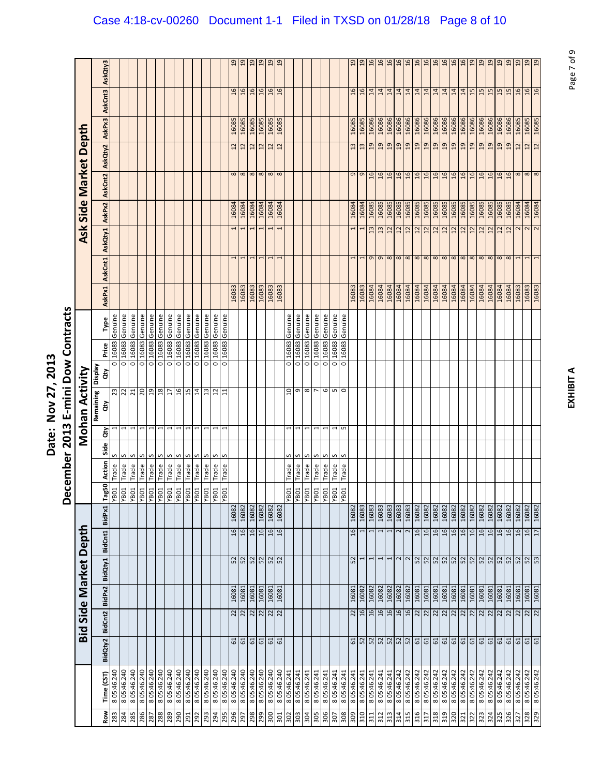|                  |             |               |                             |        | <b>Bid Side Market Depth</b>                                          |                 |        |                                     |              |      |                          | Mohan Activity  |              |       |         |               |                          | Ask                     |        | Side Market       |                 | Depth  |                 |                 |
|------------------|-------------|---------------|-----------------------------|--------|-----------------------------------------------------------------------|-----------------|--------|-------------------------------------|--------------|------|--------------------------|-----------------|--------------|-------|---------|---------------|--------------------------|-------------------------|--------|-------------------|-----------------|--------|-----------------|-----------------|
| <b>Row</b>       | Time (CST)  | BidQty2       | BidCnt2                     | BidPx2 | BidQty1                                                               | BidCnt1         | BidPx1 | 50<br>Tag                           | Action       | Side | $\tilde{g}$              | Remaining<br>ă  | Display<br>š | Price | Type    | <b>AskPx1</b> | AskCnt1                  | AskQty1                 | AskPx2 | AskCnt2           | AskQty2         | AskPx3 | AskCnt3         | AskQty3         |
| 283              | 8 05:46.240 |               |                             |        |                                                                       |                 |        | TOBA                                | Trade        | S    |                          | 23              | o            | 16083 | Genuine |               |                          |                         |        |                   |                 |        |                 |                 |
| 284              | 8 05:46.240 |               |                             |        |                                                                       |                 |        | <b>TOBA</b>                         | Trade        | S    |                          | $\overline{2}$  | ō            | 16083 | Genuine |               |                          |                         |        |                   |                 |        |                 |                 |
| 285              | 8 05:46.240 |               |                             |        |                                                                       |                 |        |                                     | Trade        | S    | $\mathbf{\overline{u}}$  | $\frac{21}{20}$ | ō            | 16083 | Genuine |               |                          |                         |        |                   |                 |        |                 |                 |
| 286              | 8 05:46.240 |               |                             |        |                                                                       |                 |        | $\frac{108 \lambda}{108 \lambda}$   | Trade        | S    |                          |                 | o            | 16083 | Genuine |               |                          |                         |        |                   |                 |        |                 |                 |
| 287              | 8 05:46.240 |               |                             |        |                                                                       |                 |        |                                     | Trade        | S    | 1                        | 19              | ō            | 16083 | Genuine |               |                          |                         |        |                   |                 |        |                 |                 |
| 288              | 8 05:46.240 |               |                             |        |                                                                       |                 |        | <b>TOBA</b>                         | Trade        | S    | $\overline{\phantom{0}}$ | 18              | ō            | 16083 | Genuine |               |                          |                         |        |                   |                 |        |                 |                 |
| 289              | 8 05:46.240 |               |                             |        |                                                                       |                 |        |                                     | Trade        | S    | $\overline{\phantom{0}}$ | $\overline{17}$ | ō            | 16083 | Genuine |               |                          |                         |        |                   |                 |        |                 |                 |
| 290              | 8 05:46.240 |               |                             |        |                                                                       |                 |        |                                     | <b>Trade</b> | S    | 1                        | 16              | o            | 16083 | Genuine |               |                          |                         |        |                   |                 |        |                 |                 |
| 291              | 8 05:46.240 |               |                             |        |                                                                       |                 |        |                                     | Trade        | S    | $\overline{\phantom{0}}$ | 15              | o            | 16083 | Genuine |               |                          |                         |        |                   |                 |        |                 |                 |
|                  | 8 05:46.240 |               |                             |        |                                                                       |                 |        |                                     | Trade        | S    | 1                        | $\overline{1}$  | ō            | 16083 | Genuine |               |                          |                         |        |                   |                 |        |                 |                 |
| $\frac{29}{293}$ | 8 05:46.240 |               |                             |        |                                                                       |                 |        |                                     | Trade        | S    | 1                        |                 | o            | 16083 | Genuine |               |                          |                         |        |                   |                 |        |                 |                 |
|                  | 8 05:46.240 |               |                             |        |                                                                       |                 |        |                                     | Trade        | S    | 1                        | $\frac{13}{11}$ | o            | 16083 | Genuine |               |                          |                         |        |                   |                 |        |                 |                 |
| 295              | 8 05:46.240 |               |                             |        |                                                                       |                 |        |                                     | Trade        | S    |                          |                 | O            | 16083 | Genuine |               |                          |                         |        |                   |                 |        |                 |                 |
| 296              | 8 05:46.240 |               | 22                          | 16081  |                                                                       | 16              | 16082  |                                     |              |      |                          |                 |              |       |         | 16083         |                          | 1                       | 16084  | $\infty$          | 22              | 16085  | $\frac{6}{2}$   | $\overline{a}$  |
| 797              | 8 05:46.240 | $\frac{1}{2}$ |                             | 16081  | $\frac{2}{3}$ $\frac{2}{3}$ $\frac{2}{3}$ $\frac{2}{3}$ $\frac{2}{3}$ | 16              | 16082  |                                     |              |      |                          |                 |              |       |         | 16083         | 1                        | 1                       | 16084  | $\infty$          | $\overline{12}$ | 16085  | 16              | 19              |
| 298              | 8 05:46.240 |               | $\frac{22}{22}$             | 16081  |                                                                       | 16              | 16082  |                                     |              |      |                          |                 |              |       |         | 16083         | $\overline{\phantom{0}}$ | 1                       | 16084  | $\infty$          | 12              | 16085  | 16              | 19              |
| 299              | 8 05:46.240 |               |                             | 16081  |                                                                       | 16              | 16082  |                                     |              |      |                          |                 |              |       |         | 16083         | 1                        | 1                       | 16084  | $\infty$          | $\overline{12}$ | 16085  | $\overline{a}$  | 19              |
|                  |             |               | $\frac{2}{2}$ $\frac{2}{2}$ |        |                                                                       |                 |        |                                     |              |      |                          |                 |              |       |         |               |                          |                         |        |                   |                 |        |                 |                 |
| 300              | 8 05:46.240 |               |                             | 16081  |                                                                       | 16              | 16082  |                                     |              |      |                          |                 |              |       |         | 16083         | 1                        | 1                       | 16084  | $\infty$          | $12$            | 16085  | $\overline{a}$  | 19              |
| 301              | 8 05:46.240 |               |                             | 16081  |                                                                       | 9T              | 16082  |                                     |              |      |                          |                 |              |       |         | 16083         |                          |                         | 16084  | $\infty$          | 12              | 16085  | 16              | 19              |
| 302              | 8 05:46.241 |               |                             |        |                                                                       |                 |        | <b>YBO1</b>                         | Trade        | S    |                          | ី               | o            | 16083 | Genuine |               |                          |                         |        |                   |                 |        |                 |                 |
| 303              | 8 05:46.241 |               |                             |        |                                                                       |                 |        | <b>TOBA</b>                         | Trade        | S    | $\overline{\phantom{0}}$ | $\sigma$        | o            | 16083 | Genuine |               |                          |                         |        |                   |                 |        |                 |                 |
| 304              | 8 05:46.241 |               |                             |        |                                                                       |                 |        | $\overline{MS}$                     | Trade        | S    | 1                        | $\infty$ $\sim$ | ō            | 16083 | Genuine |               |                          |                         |        |                   |                 |        |                 |                 |
| 305              | 8 05:46.241 |               |                             |        |                                                                       |                 |        |                                     | Trade        | S    | H                        |                 | o            | 16083 | Genuine |               |                          |                         |        |                   |                 |        |                 |                 |
| 306              | 8 05:46.241 |               |                             |        |                                                                       |                 |        |                                     | Trade        | S    | H                        | $\circ$         | ō            | 16083 | Genuine |               |                          |                         |        |                   |                 |        |                 |                 |
| 307              | 8 05:46.241 |               |                             |        |                                                                       |                 |        |                                     | Trade        | S    | 1                        |                 | o            | 16083 | Genuine |               |                          |                         |        |                   |                 |        |                 |                 |
| 808              | 8 05:46.241 |               |                             |        |                                                                       |                 |        | $\frac{ \mathbf{g} }{ \mathbf{g} }$ | Trade        | S    | S                        | $\sqrt{2}$      | o            | 16083 | Genuine |               |                          |                         |        |                   |                 |        |                 |                 |
| 309              | 8 05:46.241 | 5             | 22                          | 16081  | 52                                                                    | 16              | 16082  |                                     |              |      |                          |                 |              |       |         | 16083         |                          | 1                       | 16084  | G                 | $\frac{3}{2}$   | 16085  | $\frac{1}{2}$   | $\mathbf{5}$    |
| 310              | 8 05:46.241 |               | 16                          | 16082  | 1                                                                     |                 | 16083  |                                     |              |      |                          |                 |              |       |         | 16083         |                          |                         | 16084  | $\sigma$          | $\mathbf{r}$    | 16085  | $\overline{a}$  | $\overline{5}$  |
| 311              | 8 05:46.241 |               | $16$                        | 16082  | $\overline{\phantom{a}}$                                              |                 | 16083  |                                     |              |      |                          |                 |              |       |         | 16084         | $\sigma$                 | $\overline{13}$         | 16085  | $\frac{6}{2}$     | $\overline{a}$  | 16086  | 14              | 16              |
| 312              | 8 05:46.241 |               | 16                          | 16082  | $\overline{ }$                                                        |                 | 16083  |                                     |              |      |                          |                 |              |       |         | 16084         | $\sigma$                 | 13                      | 16085  | 16                | $\overline{a}$  | 16086  | 14              | 16              |
| 313              | 8 05:46.241 |               | 16                          | 16082  | $\overline{ }$                                                        |                 | 16083  |                                     |              |      |                          |                 |              |       |         | 16084         | $\infty$                 | 12                      | 16085  | $\overline{a}$    | $\overline{a}$  | 16086  | 14              | 16              |
| 314              | 8 05:46.242 |               | 16                          | 16082  |                                                                       |                 | 16083  |                                     |              |      |                          |                 |              |       |         | 16084         | $\infty$                 | $\overline{12}$         | 16085  | $\mathfrak{a}$    | $\overline{a}$  | 16086  | $\overline{1}$  | 16              |
| 315              | 8 05:46.242 |               | 16                          | 16082  |                                                                       | 2               | 16083  |                                     |              |      |                          |                 |              |       |         | 16084         |                          | 12                      | 16085  | 16                | 19              | 16086  | 14              | 16              |
| 316              | 8 05:46.242 |               | 22                          | 16081  |                                                                       | 16              | 16082  |                                     |              |      |                          |                 |              |       |         | 16084         | $\infty$ $\infty$        | 12                      | 16085  | $\overline{a}$    | 19              | 16086  | $\overline{1}$  | 16              |
| 317              | 8 05:46.242 |               |                             | 16081  |                                                                       | 16              | 16082  |                                     |              |      |                          |                 |              |       |         | 16084         | $\infty$                 | 12                      | 16085  | 16                | 19              | 16086  | 14              | 16              |
| 318              | 8 05:46.242 |               |                             | 16081  |                                                                       | 16              | 16082  |                                     |              |      |                          |                 |              |       |         | 16084         |                          | 12                      | 16085  | $\overline{a}$    | 19              | 16086  | 14              | 16              |
| 319              | 8 05:46.242 |               | 2  2  2  2  2               | 16081  |                                                                       | $\frac{16}{16}$ | 16082  |                                     |              |      |                          |                 |              |       |         | 16084         | $\frac{8}{8}$            |                         | 16085  | $\frac{16}{16}$   | $\overline{a}$  | 16086  | $\frac{14}{14}$ |                 |
| 320              | 8 05:46.242 |               |                             | 16081  |                                                                       |                 | 16082  |                                     |              |      |                          |                 |              |       |         | 16084         |                          | $\frac{2}{12}$          | 16085  |                   | 6T              | 16086  |                 | $\frac{16}{16}$ |
| 321              | 8 05:46.242 |               |                             | 16081  |                                                                       | 16              | 16082  |                                     |              |      |                          |                 |              |       |         | 16084         | $\infty$                 | 12                      | 16085  | 16                | 19              | 16086  | 14              | 16              |
| 322              | 8 05:46.242 |               |                             | 16081  |                                                                       | 16              | 16082  |                                     |              |      |                          |                 |              |       |         | 16084         | $\infty$                 | $\overline{12}$         | 16085  | 16                | 19              | 16086  | 15              | 19              |
| 323              | 8 05:46.242 |               | $\overline{22}$             | 16081  |                                                                       | $\mathfrak{a}$  | 16082  |                                     |              |      |                          |                 |              |       |         | 16084         | $\infty$                 | $\overline{12}$         | 16085  | 16                | $\overline{a}$  | 16086  | 15              | $\overline{a}$  |
| 324              | 8 05:46.242 |               |                             | 16081  |                                                                       | 16              | 16082  |                                     |              |      |                          |                 |              |       |         | 16084         | $\infty$                 | 12                      | 16085  | $\overline{a}$    | $\overline{a}$  | 16086  | 15              | $\overline{a}$  |
| 325              | 8 05:46.242 |               | $\frac{22}{22}$             | 16081  |                                                                       | 16              | 16082  |                                     |              |      |                          |                 |              |       |         | 16084         | $\infty$                 | 12                      | 16085  | 16                | $\overline{a}$  | 16086  | 15              | 19              |
| 326              | 8 05:46.242 |               | 22                          | 16081  |                                                                       | 16              | 16082  |                                     |              |      |                          |                 |              |       |         | 16084         | $\infty$                 | 12                      | 16085  | 16                | $\overline{a}$  | 16086  | 15              | $\overline{19}$ |
| 327              | 8 05:46.242 |               |                             | 16081  |                                                                       | 16              | 16082  |                                     |              |      |                          |                 |              |       |         | 16083         |                          |                         | 16084  | $\infty$          | 12              | 16085  | $\mathfrak{a}$  | 19              |
| 328              | 8 05:46.242 | $\frac{d}{d}$ | $\frac{2}{2}$ $\frac{2}{2}$ | 16081  | $\frac{1}{2}$                                                         | $\frac{16}{17}$ | 16082  |                                     |              |      |                          |                 |              |       |         | 16083         |                          | 2                       | 16084  | $\infty$ $\infty$ | $\frac{12}{12}$ | 16085  | $\frac{9}{26}$  | $\frac{9}{19}$  |
|                  | 8 05:46.242 |               |                             | 16081  |                                                                       |                 | 16082  |                                     |              |      |                          |                 |              |       |         | 16083         |                          | $\overline{\mathbf{c}}$ | 16084  |                   |                 | 16085  |                 |                 |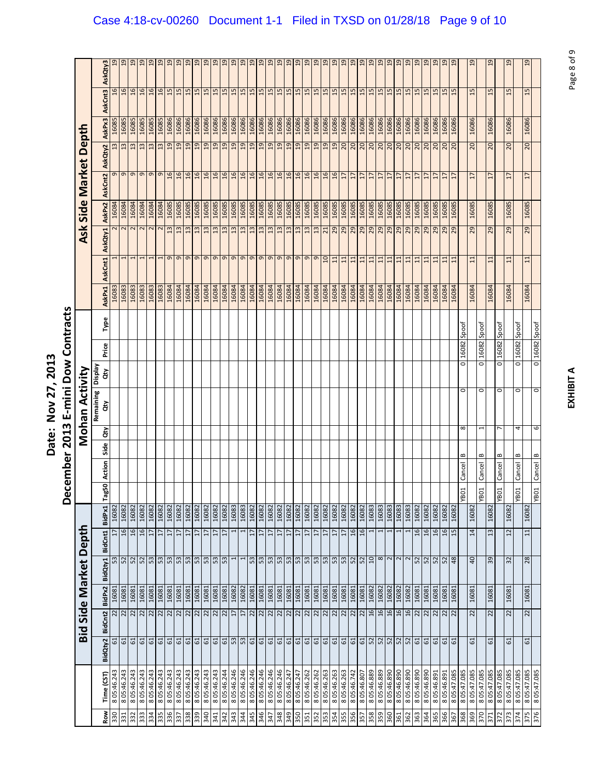|                       | AskQty3        |             | 5            | $\overline{5}$          | $\overline{5}$                                          | 19                | $\overline{a}$       | $\overline{5}$  | 9              | $^{29}$     | $\overline{a}$  | $^{9}$                            | $\overline{a}$    | 9                                                                                                                                                                                                                                                                                                                                                                                                         | 19          | $\overline{a}$ | $\overline{19}$ | $\overline{5}$  | $\overline{5}$              | $\overline{5}$ | $_{19}$         | $\overline{19}$ | $\overline{a}$  | $\overline{a}$ | $\overline{5}$ | $^{9}$          | $^{29}$                                   | $\overline{5}$ | $\overline{a}$  | $\overline{a}$  | $^{2}$         | $\overline{a}$  | $\overline{a}$  | $\overline{a}$  | $^{29}$         | $\overline{a}$                                                                      | $^{9}$      | $\overline{a}$        | $\overline{a}$ |              | $\overline{a}$ |             | $\overline{5}$  |              | $\overline{5}$ |             | 19              |
|-----------------------|----------------|-------------|--------------|-------------------------|---------------------------------------------------------|-------------------|----------------------|-----------------|----------------|-------------|-----------------|-----------------------------------|-------------------|-----------------------------------------------------------------------------------------------------------------------------------------------------------------------------------------------------------------------------------------------------------------------------------------------------------------------------------------------------------------------------------------------------------|-------------|----------------|-----------------|-----------------|-----------------------------|----------------|-----------------|-----------------|-----------------|----------------|----------------|-----------------|-------------------------------------------|----------------|-----------------|-----------------|----------------|-----------------|-----------------|-----------------|-----------------|-------------------------------------------------------------------------------------|-------------|-----------------------|----------------|--------------|----------------|-------------|-----------------|--------------|----------------|-------------|-----------------|
|                       | AskCnt3        |             | 16           | 16                      | $\overline{5}$                                          | $\overline{a}$    | $\overline{5}$       | 15              | 15             | 15          | 15              |                                   |                   | $\begin{array}{c c c c c} \hline \text{15} & \text{16} & \text{17} \\\hline \text{26} & \text{18} & \text{19} & \text{19} \\\hline \text{27} & \text{28} & \text{29} & \text{20} \\\hline \text{28} & \text{29} & \text{20} & \text{21} \\\hline \text{29} & \text{20} & \text{21} & \text{22} & \text{23} \\\hline \text{20} & \text{22} & \text{23} & \text{24} & \text{25} \\\hline \text{21} & \text$ |             | 15             | 15              | 15              | 15                          | 15             | 15              | 15              | 15              | 15             | 15             | 5T              | 15                                        | 15             | 15              | 15              | 15             | 15              | 15              | 15              | 15              | 15                                                                                  | 15          | 15                    | 15             |              | 15             |             | 15              |              | 15             |             | 15              |
|                       | AskPx3         | 16085       | 16085        | 16085                   | 16085                                                   | 16085             | 16085                | 16086           | 16086          | 16086       | 16086           | 16086                             | 16086             | 16086                                                                                                                                                                                                                                                                                                                                                                                                     | 16086       | 16086          | 16086           | 16086           | 16086                       | 16086          | 16086           | 16086           | 16086           | 16086          | 16086          | 16086           | 16086                                     | 16086          | 16086           | 16086           | 16086          | 16086           | 16086           | 16086           | 16086           | 16086                                                                               | 16086       | 16086                 | 16086          |              | 16086          |             | 16086           |              | 16086          |             | 16086           |
| Depth                 | AskQty2        | 13          | 13           | 13                      | 13                                                      | 13                | 13                   | 19              | 19             | 19          | 19              | $\overline{5}$                    | 19                | 19                                                                                                                                                                                                                                                                                                                                                                                                        | 6T          | 19             | 19              | $\overline{a}$  | $\overline{a}$              | $\overline{a}$ | 19              | 19              | $\overline{a}$  | 19             | 19             | 19              | 20                                        | 0z             | 20              | 20              | 20             | 07              | $\frac{20}{20}$ |                 | $\frac{20}{20}$ |                                                                                     | 02          | $\overline{5}$        | $\overline{a}$ |              | 20             |             | $\overline{c}$  |              | 20             |             | 20              |
| <b>Side Market</b>    | AskCnt2        |             | $\sigma$     | $\sigma$                | $\sigma$                                                | $\sigma$          | $\sigma$             | 16              | 16             | 16          | 16              | $\overline{5}$                    | 16                | 16                                                                                                                                                                                                                                                                                                                                                                                                        | 16          | 16             | 16              | 16              | 16                          | 16             | 16              | $\overline{a}$  | 16              | 16             | 16             | 16              | $\overline{1}$                            | 17             | $\overline{17}$ | $\overline{1}$  | $\overline{1}$ | $\overline{17}$ | H               | $\overline{17}$ | H               | $\overline{17}$                                                                     | H           | $\overline{17}$       | H              |              | Ħ              |             | 17              |              | $\overline{1}$ |             | $\overline{17}$ |
|                       | AskPx2         | 16084       | 16084        | 16084                   | 16084                                                   | 16084             | 16084                | 16085           | 16085          | 16085       | 16085           | 16085                             | 16085             | 16085                                                                                                                                                                                                                                                                                                                                                                                                     | 16085       | 16085          | 16085           | 16085           | 16085                       | 16085          | 16085           | 16085           | 16085           | 16085          | 16085          | 16085           | 16085                                     | 16085          | 16085           | 16085           | 16085          | 16085           | 16085           | 16085           | 16085           | 16085                                                                               | 16085       | 16085                 | 16085          |              | 16085          |             | 16085           |              | 16085          |             | 16085           |
|                       |                |             | $\mathbf{z}$ | $\overline{\mathbf{c}}$ | $\mathbf{\Omega}$                                       | $\mathbf{\Omega}$ | $\mathbf{\tilde{z}}$ | 13              | 13             | $13$        | $\overline{13}$ | $13$                              | 13                | 13                                                                                                                                                                                                                                                                                                                                                                                                        | 13          | 13             | 13              | $\overline{13}$ | $\overline{13}$             | 13             | 13              | 13              | 13              | 13             | $\frac{1}{2}$  |                 | $R^2$                                     |                | $\overline{5}$  | 52              | 29             |                 | R R R R R R     |                 |                 |                                                                                     |             |                       | <b>PS</b>      |              | 29             |             | 29              |              | 29             |             | 29              |
| Ask                   | AskQty1        |             |              |                         |                                                         |                   |                      |                 | $\sigma$       | $\sigma$    | $\sigma$        | $\sigma$                          | $\mathsf{\Theta}$ | $\sigma$                                                                                                                                                                                                                                                                                                                                                                                                  | $\sigma$    | G              | $\sigma$        | $\sigma$        |                             | $\sigma$       | $\sigma$        |                 |                 |                |                |                 |                                           |                |                 |                 |                |                 |                 |                 |                 |                                                                                     |             |                       |                |              |                |             |                 |              |                |             |                 |
|                       | AskCnt1        |             |              |                         |                                                         |                   |                      | $\sigma$        |                |             |                 |                                   |                   |                                                                                                                                                                                                                                                                                                                                                                                                           |             |                |                 |                 | $\sigma$                    |                |                 | $\sigma$        | e               | e              | 10             | $\overline{11}$ | $\overline{1}$                            | $\Xi$          | 11              | $\overline{11}$ | $\Xi$          | 11              | 11              | 11              | $\Xi$           | $\Xi$                                                                               | H,          | $\overline{11}$       | 11             |              | $\Xi$          |             | $\overline{11}$ |              | $\overline{1}$ |             | 11              |
|                       | <b>AskPx1</b>  | 16083       | 16083        | 16083                   | 16083                                                   | 16083             | 16083                | 16084           | 16084          | 16084       | 16084           | 16084                             | 16084             | 16084                                                                                                                                                                                                                                                                                                                                                                                                     | 16084       | 16084          | 16084           | 16084           | 16084                       | 16084          | 16084           | 16084           | 16084           | 16084          | 16084          | 16084           | 16084                                     | 16084          | 16084           | 16084           | 16084          | 16084           | 16084           | 16084           | 16084           | 16084                                                                               | 16084       | 16084                 | 16084          |              | 16084          |             | 16084           |              | 16084          |             | 16084           |
|                       | Type           |             |              |                         |                                                         |                   |                      |                 |                |             |                 |                                   |                   |                                                                                                                                                                                                                                                                                                                                                                                                           |             |                |                 |                 |                             |                |                 |                 |                 |                |                |                 |                                           |                |                 |                 |                |                 |                 |                 |                 |                                                                                     |             |                       |                | Spoof        |                | Spoot       |                 | Spoof        |                | Spoof       |                 |
|                       | Price          |             |              |                         |                                                         |                   |                      |                 |                |             |                 |                                   |                   |                                                                                                                                                                                                                                                                                                                                                                                                           |             |                |                 |                 |                             |                |                 |                 |                 |                |                |                 |                                           |                |                 |                 |                |                 |                 |                 |                 |                                                                                     |             |                       |                | 16082        |                | 16082       |                 | 16082        |                | 16082       |                 |
|                       | Veldsig<br>έř  |             |              |                         |                                                         |                   |                      |                 |                |             |                 |                                   |                   |                                                                                                                                                                                                                                                                                                                                                                                                           |             |                |                 |                 |                             |                |                 |                 |                 |                |                |                 |                                           |                |                 |                 |                |                 |                 |                 |                 |                                                                                     |             |                       |                | 0            |                | $\circ$     |                 | $\circ$      |                | o           |                 |
| <b>Mohan Activity</b> | Remaining<br>ά |             |              |                         |                                                         |                   |                      |                 |                |             |                 |                                   |                   |                                                                                                                                                                                                                                                                                                                                                                                                           |             |                |                 |                 |                             |                |                 |                 |                 |                |                |                 |                                           |                |                 |                 |                |                 |                 |                 |                 |                                                                                     |             |                       |                | 0            |                | 0           |                 | $\circ$      |                | $\circ$     |                 |
|                       | đη             |             |              |                         |                                                         |                   |                      |                 |                |             |                 |                                   |                   |                                                                                                                                                                                                                                                                                                                                                                                                           |             |                |                 |                 |                             |                |                 |                 |                 |                |                |                 |                                           |                |                 |                 |                |                 |                 |                 |                 |                                                                                     |             |                       |                | $\infty$     |                | 1           |                 | r,           |                | 4           |                 |
|                       | Side           |             |              |                         |                                                         |                   |                      |                 |                |             |                 |                                   |                   |                                                                                                                                                                                                                                                                                                                                                                                                           |             |                |                 |                 |                             |                |                 |                 |                 |                |                |                 |                                           |                |                 |                 |                |                 |                 |                 |                 |                                                                                     |             |                       |                | $\mathbf{r}$ |                | $\bf{m}$    |                 | $\mathbf{m}$ |                | $\bf{c}$    |                 |
|                       | Action         |             |              |                         |                                                         |                   |                      |                 |                |             |                 |                                   |                   |                                                                                                                                                                                                                                                                                                                                                                                                           |             |                |                 |                 |                             |                |                 |                 |                 |                |                |                 |                                           |                |                 |                 |                |                 |                 |                 |                 |                                                                                     |             |                       |                | Cancel       |                | Cancel      |                 | Cancel       |                | Cancel      |                 |
|                       | 50<br>Tag      |             |              |                         |                                                         |                   |                      |                 |                |             |                 |                                   |                   |                                                                                                                                                                                                                                                                                                                                                                                                           |             |                |                 |                 |                             |                |                 |                 |                 |                |                |                 |                                           |                |                 |                 |                |                 |                 |                 |                 |                                                                                     |             |                       |                | YBO1         |                | <b>YB01</b> |                 | YB01         |                | <b>YB01</b> |                 |
|                       | BidPx1         | 16082       | 16082        | 16082                   | 16082                                                   | 16082             | 16082                | 16082           | 16082          | 16082       | 16082           | 16082                             | 16082             | 16082                                                                                                                                                                                                                                                                                                                                                                                                     | 16083       | 16083          | 16082           | 16082           | 16082                       | 16082          | 16082           | 16082           | 16082           | 16082          | 16082          | 16082           | 16082                                     | 16082          | 16082           | 16083           | 16083          | 16083           | 16083           | 16083           | 16082           | 16082                                                                               | 16082       | 16082                 | 16082          |              | 16082          |             | 16082           |              | 16082          |             | 16082           |
|                       | BidCnt1        | H           | 16           | 16                      | 16                                                      | 17                | $\overline{H}$       | $\overline{17}$ | $\overline{1}$ |             | $\frac{17}{17}$ |                                   | $\frac{17}{17}$   |                                                                                                                                                                                                                                                                                                                                                                                                           |             |                | $\overline{17}$ | 17              | 17                          | $\Gamma$       | $\overline{17}$ | $\overline{17}$ | $\overline{17}$ | $\overline{1}$ | $\Gamma$       | $\overline{1}$  | $\Gamma$                                  | 16             | 16              |                 |                |                 |                 |                 | 16              | 16                                                                                  |             | $\frac{16}{15}$       |                |              | 14             |             | 13              |              | 12             |             | 11              |
|                       | BidQty1        |             |              |                         | $R[X]R[X]R[X]R[X]R[X]R[X]R]T[-1]$                       |                   |                      |                 |                |             |                 |                                   |                   |                                                                                                                                                                                                                                                                                                                                                                                                           |             |                |                 |                 |                             |                |                 |                 |                 |                |                |                 |                                           |                |                 |                 |                |                 |                 |                 |                 | $\frac{5}{2}$ $\frac{5}{2}$ $\frac{1}{2}$ $\frac{1}{2}$ $\frac{1}{2}$ $\frac{1}{2}$ |             |                       |                |              | 40             |             | 39              |              | 32             |             | 28              |
|                       | BidPx2         | 16081       | 16081        | 16081                   | 16081                                                   | 16081             | 16081                | 16081           | 16081          | 16081       | 16081           | 16081                             | 16081             | 16081                                                                                                                                                                                                                                                                                                                                                                                                     | 16082       | 16082          | 16081           | 16081           | 16081                       | 16081          | 16081           | 16081           | 16081           | 16081          | 16081          | 16081           | 16081                                     | 16081          | 16081           | 16082           | 16082          | 16082           | 16082           | 16082           | 16081           | 16081                                                                               | 16081       | $\frac{16081}{16081}$ |                |              | 16081          |             | 16081           |              | 16081          |             | 16081           |
| Bid Side Market Depth | BidCnt2        | 22          | 22           |                         | $\frac{2}{2}$ $\frac{2}{2}$ $\frac{2}{2}$ $\frac{2}{2}$ |                   |                      |                 |                |             |                 | $\frac{2 2 2 2 2 1}{2 2 2 2 2 2}$ |                   |                                                                                                                                                                                                                                                                                                                                                                                                           |             | 17             | $\overline{22}$ | $\overline{22}$ | $\frac{2}{2}$ $\frac{2}{2}$ |                |                 |                 | 22              |                |                |                 | $\frac{2}{2}$ $\frac{2}{2}$ $\frac{2}{2}$ |                |                 | $\frac{22}{16}$ |                |                 | $\frac{16}{15}$ |                 |                 | $\frac{2}{2}$ $\frac{2}{2}$ $\frac{2}{2}$                                           |             |                       |                |              | 22             |             | 22              |              | 22             |             | 22              |
|                       | BidQty2        | 5           | 61           | 61                      |                                                         |                   |                      |                 |                |             |                 |                                   |                   |                                                                                                                                                                                                                                                                                                                                                                                                           |             |                |                 |                 |                             |                |                 |                 |                 |                |                |                 |                                           |                |                 |                 |                |                 |                 |                 |                 |                                                                                     |             |                       |                |              | 5              |             | $61\,$          |              | 61             |             | $61\,$          |
|                       |                |             |              |                         |                                                         |                   |                      |                 |                |             |                 |                                   |                   |                                                                                                                                                                                                                                                                                                                                                                                                           |             |                |                 |                 |                             |                |                 |                 |                 |                |                |                 |                                           |                |                 |                 |                |                 |                 |                 |                 |                                                                                     |             |                       |                |              |                |             |                 |              |                |             |                 |
|                       | Time (CST      | 8 05:46.243 | 8 05:46.243  | 8 05:46.243             | 8 05:46.243                                             | 8 05:46.243       | 8 05:46.243          | 8 05:46.243     | 8 05:46.243    | 8 05:46.243 | 8 05:46.243     | 8 05:46.243                       | 8 05:46.243       | 8 05:46.244                                                                                                                                                                                                                                                                                                                                                                                               | 8 05:46.246 | 8 05:46.246    | 805:46.246      | 8 05:46.246     | 8 05:46.246                 | 8 05:46.246    | 8 05:46.247     | 8 05:46.247     | 8 05:46.262     | 8 05:46.262    | 8 05:46.263    | 8 05:46.263     | 8 05:46.263                               | 8 05:46.742    | 8 05:46.807     | 8 05:46.889     | 8 05:46.889    | 8 05:46.890     | 8 05:46.890     | 8 05:46.890     | 8 05:46.890     | 068'97:50                                                                           | 8 05:46.891 | 805:46.891            | 805:47.08      | 805:47.085   | 805:47.08      | 805:47.085  | 805:47:085      | 805:47.085   | 805:47.085     | 805:47.085  | 805:47.085      |
|                       | <b>Row</b>     | 330         | 331          | 332                     | 333                                                     | 334               | 335                  | 336             | 337            | 338         | 339             | 340                               | 341               | 342                                                                                                                                                                                                                                                                                                                                                                                                       | 343         | 344            | 345             | 346             | 347                         | 348            | 349             | 350             | 351             | 352            | 353            | 354             | 355                                       | 356            | 357             | 358             | 359            | 360             | 361             | 362             | 363             | 364                                                                                 | 365         | 366                   | 367            | 368          | 369            | 370         | 371             | 372          | 373            | 374         | 375             |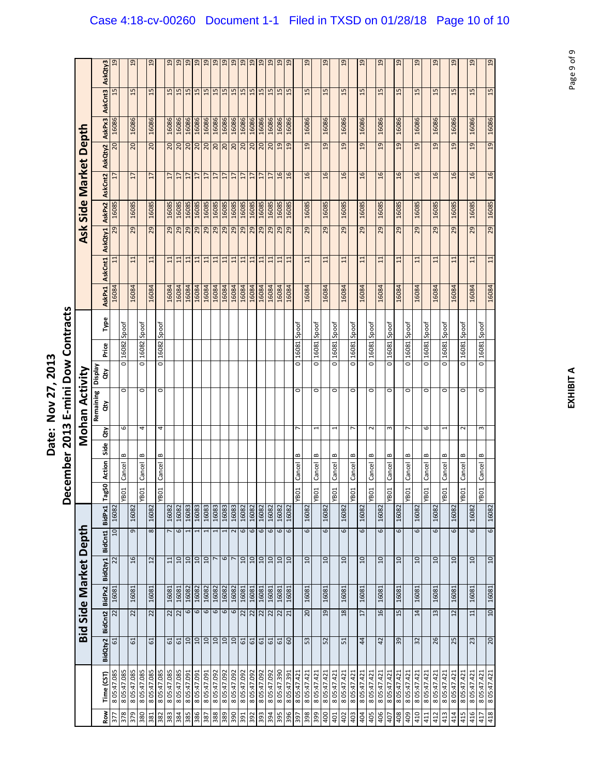|                       | AskQty3                | 19         |             | 19              |                      | 19                |            | 19         | $\overline{a}$            | 19             | 19          | 19         | 19              | 19               | 19             | 19                | 19              | 19              | 19              | 19              | $\overline{a}$  |             | $\frac{9}{2}$  |             | $\overline{5}$ |             | $^{29}$         |                   | $^{29}$         |             | $\overline{a}$  |              | 19             |             | $\overline{a}$ |             | $\overline{a}$ |                            | $\overline{a}$ |             | $\frac{9}{2}$   | 19                         |
|-----------------------|------------------------|------------|-------------|-----------------|----------------------|-------------------|------------|------------|---------------------------|----------------|-------------|------------|-----------------|------------------|----------------|-------------------|-----------------|-----------------|-----------------|-----------------|-----------------|-------------|----------------|-------------|----------------|-------------|-----------------|-------------------|-----------------|-------------|-----------------|--------------|----------------|-------------|----------------|-------------|----------------|----------------------------|----------------|-------------|-----------------|----------------------------|
|                       | AskCnt3                | 15         |             | 15              |                      | 15                |            |            | $\frac{15}{15}$           | 15             | 15          | 15         | 15              | 15               | 15             | $\frac{15}{15}$   |                 | 15              | 15              | 15              | 15              |             | 15             |             | 15             |             | 15              |                   | 15              |             | 15              |              | 15             |             | 15             |             | 15             |                            | 15             |             | 15              | 15                         |
|                       | AskPx3                 | 16086      |             | 16086           |                      | 16086             |            | 16086      | 16086                     | 16086          | 16086       | 16086      | 16086           | 16086            | 16086          | 16086             | 16086           | 16086           | 16086           | 16086           | 16086           |             | 16086          |             | 16086          |             | 16086           |                   | 16086           |             | 16086           |              | 16086          |             | 16086          |             | 16086          |                            | 16086          |             | 16086           | 16086                      |
|                       | AskQty2                | 20         |             | 20              |                      | $\overline{c}$    |            |            | ន $\overline{\mathsf{a}}$ | 20             | 20          | <b>DC</b>  | 20              | 20               | $\overline{0}$ | 20                | 20              | 20              | $\overline{20}$ | 19              | $\overline{a}$  |             | $\overline{a}$ |             | $\overline{a}$ |             | $\overline{a}$  |                   | $\overline{a}$  |             | $\overline{a}$  |              | $\overline{a}$ |             | 9              |             | 19             |                            | $\overline{a}$ |             | $\overline{a}$  | 19                         |
|                       | AskCnt2                | 17         |             | $\overline{17}$ |                      | 17                |            | L          | $\overline{1}$            | $\overline{1}$ | 17          | 17         | $\overline{17}$ | $\overline{17}$  | 17             | $\overline{17}$   | $\overline{17}$ | $\overline{17}$ | $\overline{17}$ | 16              | $\overline{16}$ |             | $\frac{6}{2}$  |             | $\overline{a}$ |             | $\frac{6}{2}$   |                   | 16              |             | 16              |              | 16             |             | $\overline{a}$ |             | $\frac{6}{2}$  |                            | $\frac{6}{1}$  |             | $\overline{16}$ | 16                         |
| Side Market Depth     | AskPx2                 | 16085      |             | 16085           |                      | 16085             |            | 16085      | 16085                     | 16085          | 16085       | 16085      | 16085           | 16085            | 16085          | 16085             | 16085           | 16085           | 16085           | 16085           | 16085           |             | 16085          |             | 16085          |             | 16085           |                   | 16085           |             | 16085           |              | 16085          |             | 16085          |             | 16085          |                            | 16085          |             | 16085           | 16085                      |
| Ask                   |                        | 29         |             | 29              |                      | 29                |            | 29         | 29                        | 29             | 29          | 29         | 29              | 29               | 29             | 29                | 29              | 29              | 29              | 29              | 29              |             | 29             |             | 29             |             | 29              |                   | 29              |             | 29              |              | 29             |             | 29             |             | 29             |                            | 29             |             | 29              | 29                         |
|                       | AskQty1                |            |             |                 |                      |                   |            |            |                           |                |             |            |                 |                  |                |                   |                 |                 |                 |                 |                 |             |                |             |                |             |                 |                   |                 |             |                 |              |                |             |                |             |                |                            |                |             |                 |                            |
|                       | AskCnt1                | $\Xi$      |             | 11              |                      | $\Xi$             |            | 11         | $\overline{11}$           | 11             | 11          | 11         | 11              | 11               | 11             | 11                | $\overline{1}$  | 11              | 11              | 11              | 11              |             | $\Xi$          |             | 11             |             | $\Xi$           |                   | $\overline{11}$ |             | $\overline{11}$ |              | 11             |             | $\Xi$          |             | $\Xi$          |                            | $\Xi$          |             | $\Xi$           | 11                         |
|                       | <b>AskPx1</b>          | 16084      |             | 16084           |                      | 16084             |            | 16084      | 16084                     | 16084          | 16084       | 16084      | 16084           | 16084            | 16084          | 16084             | 16084           | 16084           | 16084           | 16084           | 16084           |             | 16084          |             | 16084          |             | 16084           |                   | 16084           |             | 16084           |              | 16084          |             | 16084          |             | 16084          |                            | 16084          |             | 16084           | 16084                      |
|                       | Type                   |            | Spoof       |                 | Spoof                |                   | Spoof      |            |                           |                |             |            |                 |                  |                |                   |                 |                 |                 |                 |                 | Spoof       |                | Spoof       |                | Spoof       |                 | Spoof             |                 | Spoof       |                 | Spoof        |                | Spoof       |                | Spoof       |                | Spoof                      |                | Spoof       |                 | Spoof                      |
|                       | Price                  |            | 16082       |                 | 16082                |                   | 16082      |            |                           |                |             |            |                 |                  |                |                   |                 |                 |                 |                 |                 | 16081       |                | 16081       |                | 16081       |                 | 16081             |                 | 16081       |                 | 16081        |                | 16081       |                | 16081       |                | 16081                      |                | 16081       |                 | 16081                      |
|                       | Display<br>άŅ          |            | ō           |                 | $\overline{\bullet}$ |                   | ō          |            |                           |                |             |            |                 |                  |                |                   |                 |                 |                 |                 |                 | o           |                | ō           |                | o           |                 | ō                 |                 | ō           |                 | ō            |                | ō           |                | ō           |                | ō                          |                | ō           |                 | ō                          |
| Mohan Activity        | Remaining              |            | $\circ$     |                 | $\circ$              |                   | $\circ$    |            |                           |                |             |            |                 |                  |                |                   |                 |                 |                 |                 |                 | $\circ$     |                | 0           |                | $\circ$     |                 | 0                 |                 | $\circ$     |                 | $\circ$      |                | $\circ$     |                | $\circ$     |                | $\circ$                    |                | 0           |                 | 0                          |
|                       | $\mathbf{d}$           |            |             |                 |                      |                   |            |            |                           |                |             |            |                 |                  |                |                   |                 |                 |                 |                 |                 |             |                |             |                |             |                 |                   |                 |             |                 |              |                |             |                |             |                |                            |                |             |                 |                            |
|                       | έř                     |            | 6           |                 | 4                    |                   | 4          |            |                           |                |             |            |                 |                  |                |                   |                 |                 |                 |                 |                 | r           |                |             |                | 1           |                 | r                 |                 | $\sim$      |                 | $\mathsf{c}$ |                | r           |                | 6           |                | 1                          |                | $\sim$      |                 | S                          |
|                       | Side                   |            | $\bf{c}$    |                 | ≃                    |                   | ≃          |            |                           |                |             |            |                 |                  |                |                   |                 |                 |                 |                 |                 | B           |                | ≃           |                | ≃           |                 | ≃                 |                 | ≃           |                 | ≃            |                | B           |                | B           |                | ≃                          |                | B           |                 | ≃                          |
|                       | Action                 |            | Cancel      |                 | Cancel               |                   | Cancel     |            |                           |                |             |            |                 |                  |                |                   |                 |                 |                 |                 |                 | Cancel      |                | Cancel      |                | Cancel      |                 | Cancel            |                 | Cancel      |                 | Cancel       |                | Cancel      |                | Cancel      |                | Cancel                     |                | Cancel      |                 | Cancel                     |
|                       | ξŌ<br>lag<br>Tag       |            | <b>YBO1</b> |                 | YB01                 |                   | YB01       |            |                           |                |             |            |                 |                  |                |                   |                 |                 |                 |                 |                 | YB01        |                | YB01        |                | <b>VBO1</b> |                 | YB01              |                 | YB01        |                 | YB01         |                | <b>TOBA</b> |                | YB01        |                | YB01                       |                | YB01        |                 | YBO1                       |
|                       | BidPx1                 | 10 16082   |             | 16082           |                      | 16082             |            | 16082      | 16082                     | 16083          | 16083       | 16083      | 16083           | 16083            | 16083          | 16082             | 16082           | 16082           | 16082           | 16082           | 16082           |             | 16082          |             | 16082          |             | 16082           |                   | 16082           |             | 16082           |              | 16082          |             | 16082          |             | 16082          |                            | 16082          |             | 16082           | 16082                      |
|                       | BidCnt1                |            |             | 9               |                      | 8                 |            | 7          | 6                         | $\overline{ }$ | 1           |            | 1               |                  | $\sim$         | 6                 | 6               | 6               | 6               | 6               | 6               |             | 6              |             | 6              |             | 6               |                   | 6               |             | 6               |              | 6              |             | 6              |             | 6              |                            | 6              |             | 6               | 6                          |
| Bid Side Market Depth | BidQty1                | 22         |             | 16              |                      | $12 \overline{ }$ |            | 11         | 10                        | 10             | 10          | 10         |                 | $\mathbf \omega$ |                | $10 \overline{a}$ | 10              | 10              | 10              | 10              | 10              |             | 10             |             | $10 \,$        |             | 10              |                   | $10 \,$         |             | 10              |              | 10             |             | $\overline{a}$ |             | 10             |                            | 10             |             | $10 \,$         | 10                         |
|                       |                        | 16081      |             | 16081           |                      | 16081             |            | 16081      | 16081                     | 16082          | 16082       | 16082      | 16082           | 16082            | 16082          | 16081             | 16081           | 16081           | 16081           | 16081           | 16081           |             | 16081          |             | 16081          |             | 16081           |                   | 16081           |             | 16081           |              | 16081          |             | 16081          |             | 16081          |                            | 16081          |             | 16081           | 16081                      |
|                       |                        | 22         |             | 22              |                      | 22                |            |            | 22                        | 6              | 6           | 6          | 6               | 6                | $\overline{6}$ | 22                | 22              | 22              | 22              | $\frac{22}{21}$ |                 |             | 20             |             | 19             |             | 18              |                   | 17              |             | 16              |              | 15             |             | 14             |             | 13             |                            | 12             |             | 11              | 10                         |
|                       | BidQty2 BidCnt2 BidPx2 | 61         |             | 61              |                      | 51                |            |            | ದ ದ                       | 10             | OT.         | 10         | OT.             | OT.              | 0T             | $\mathfrak{S}1$   | 5               | 61              | 5               | $\frac{d}{d}$   |                 |             | 53             |             | 52             |             | $\overline{51}$ |                   | 44              |             | 42              |              | 39             |             | 32             |             | 26             |                            | 25             |             | 23              | 20                         |
|                       |                        |            |             |                 |                      |                   |            |            |                           |                |             |            |                 |                  |                |                   |                 |                 |                 |                 |                 |             |                |             |                |             |                 |                   |                 |             |                 |              |                |             |                |             |                |                            |                |             |                 |                            |
|                       | Time (CST)             | 805:47.085 | 805:47.085  | 805:47.085      | 805:47.085           | 805:47.085        | 805:47.085 | 805:47.085 | 805:47.085                | 8 05:47.091    | 8 05:47.091 | I60'41'508 | 8 05:47.092     | 8 05:47.092      | 8 05:47.092    | 8 05:47.092       | 8 05:47.092     | 8 05:47.092     | 805:47.092      | 8 05:47.390     | 8 05:47.391     | 8 05:47.421 | 8 05:47.421    | 8 05:47.421 | 8 05:47.421    | 8 05:47.421 | 8 05:47.421     | 8 05:47.421       | 8 05:47.421     | 8 05:47.421 | 8 05:47.421     | 8 05:47.421  | 8 05:47.421    | 8 05:47.421 | 8 05:47.421    | 8 05:47.421 | 8 05:47.421    | 8 05:47.421<br>8 05:47.421 |                | 8 05:47.421 | 8 05:47.421     | 8 05:47.421<br>8 05:47.421 |
|                       | Row                    | 377        | 378         | 379             | <b>086</b>           | 381               | 382        | 384        |                           | 385            | 386         | <b>387</b> | 388             | 389              | 390            |                   | 392             | 393             | 394             | 395             | 396             | <b>165</b>  | 398            | 399         | 400            | 401         |                 | $\frac{402}{403}$ | 404             | 405         | 406             | 407          | 408            | 409         | 410            | 411         | 412            | 413<br>414                 |                | 415         | 416             | 418<br>417                 |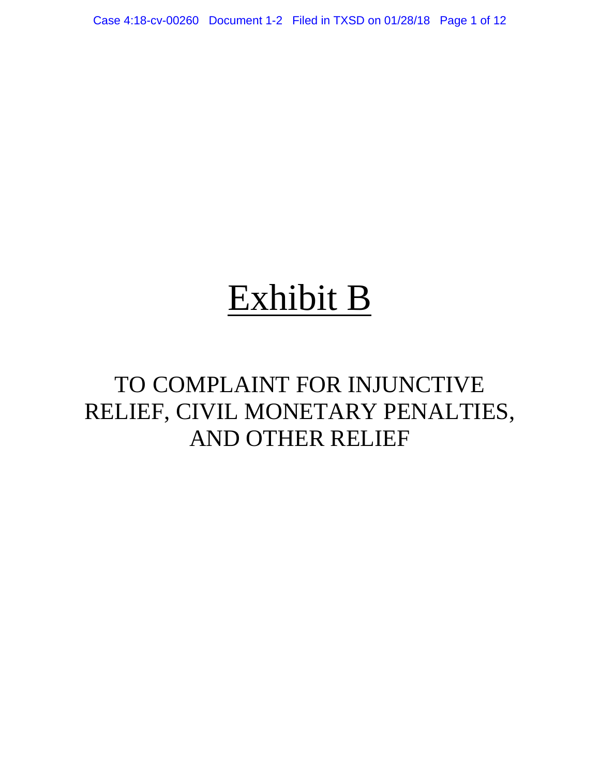Case 4:18-cv-00260 Document 1-2 Filed in TXSD on 01/28/18 Page 1 of 12

## Exhibit B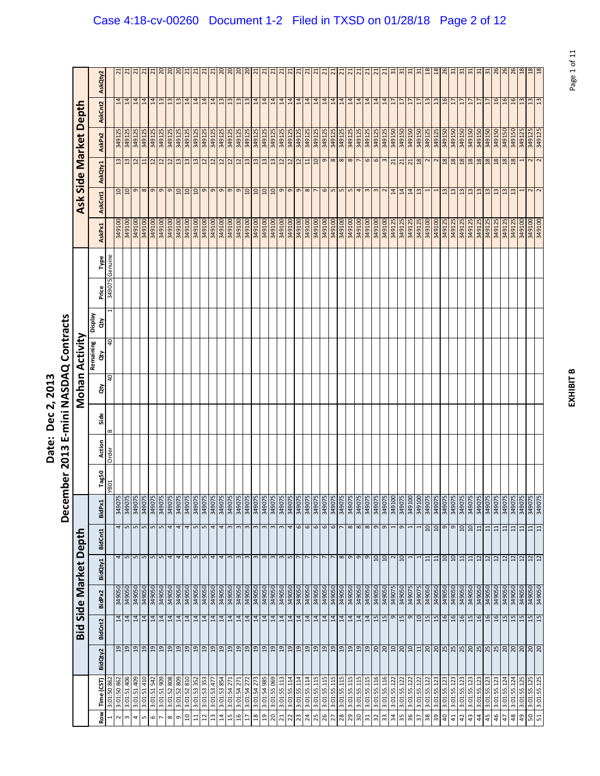|                          | Ξ<br>י<br>י                                                  |
|--------------------------|--------------------------------------------------------------|
| י<br>こうりょう<br>Ξ<br>Pate. | C<br>C<br>C<br>֚<br>֚֓<br>ă<br>Į<br>$\mathbf{c}_1$<br>ŗ<br>Š |

|                 |                            |                                                                                      |                 |                  |         |                             | Decer            |                | mber 2013     |                   |      |                | E-mini NASDAQ Contracts |               |        |         |                  |                 |                      |                       |                 |                 |
|-----------------|----------------------------|--------------------------------------------------------------------------------------|-----------------|------------------|---------|-----------------------------|------------------|----------------|---------------|-------------------|------|----------------|-------------------------|---------------|--------|---------|------------------|-----------------|----------------------|-----------------------|-----------------|-----------------|
|                 |                            |                                                                                      | Bid             |                  |         | Side Market Depth           |                  |                |               |                   |      |                | Mohan Activity          |               |        |         |                  |                 |                      | Ask Side Market Depth |                 |                 |
| <b>Row</b>      | Time (CST)                 | BidQty2                                                                              | BidCnt2         | BidPx2           | BidQty1 | BidCnt1                     | BidPx1           |                |               | Action            | Side | ਰੋ             | Remaining<br>ਲੋ         | Veldsig<br>đη | Price  | Type    | AskPx1           | AskCnt1         | AskQty1              | AskPx2                | AskCnt2         | AskQty2         |
| $\mathbf{r}$    | 3:01:50 862                |                                                                                      |                 |                  |         |                             |                  |                | Tag50<br>YB01 | $\bf{m}$<br>Order |      | $\overline{a}$ | 0t                      |               | 349075 | Genuine |                  |                 |                      |                       |                 |                 |
| $\sim$          | 3:01:50 862                | $_{29}$                                                                              | $\frac{14}{14}$ | 349050           |         | 4                           | 4                | 349075         |               |                   |      |                |                         |               |        |         | 349100           | 10              | 13                   | 349125                | 14              | $\overline{21}$ |
| $\infty$<br>4   | 3:01:51.406<br>3:01:51.409 | 19<br>01                                                                             | 14              | 349050<br>349050 |         | 5<br>5                      | S                | 34907<br>34907 |               |                   |      |                |                         |               |        |         | 349100<br>349100 | $\overline{10}$ | 13<br>$\overline{u}$ | 349125<br>349125      | 14<br>14        | $\overline{a}$  |
| LŊ              | 3:01:51.410                | 9                                                                                    | 14              | 349050           |         |                             | LO.              | 34907          |               |                   |      |                |                         |               |        |         | 349100           |                 | 11                   | 349125                | $14$            | $\overline{a}$  |
| $\circ$         | 3:01:51 542                | $_{01}$                                                                              | 14              | 349050           |         | $m$ m                       | S                | 349075         |               |                   |      |                |                         |               |        |         | 349100           | $\sigma$        | $\overline{c}$       | 349125                | 14              | 21              |
|                 | 909<br>3:01:51             |                                                                                      |                 | 349050           |         | $\sqrt{2}$                  | 5                | 34907          |               |                   |      |                |                         |               |        |         | 349100           | e               | 12                   | 349125                | 13              | $\overline{c}$  |
| $\infty$        | 3:01:52 808                | $\begin{array}{c c c c} \hline \text{9} & \text{2} & \text{2} \\ \hline \end{array}$ | $\frac{14}{14}$ | 349050           |         | 4                           |                  | 34907          |               |                   |      |                |                         |               |        |         | 349100           | $\sigma$        | 12                   | 349125                | $13$            | $\frac{20}{20}$ |
| $\sigma$        | 3:01:52 809                |                                                                                      |                 | 349050           |         | 4                           | 4                | 349075         |               |                   |      |                |                         |               |        |         | 349100           | $\overline{10}$ | 13                   | 349125                | 13              |                 |
| $\overline{a}$  | 3:01:52 810                | 9 9                                                                                  | 14              | 349050           |         | 4                           | 4                | 34907          |               |                   |      |                |                         |               |        |         | 349100           | $\overline{a}$  | 13                   | 349125                | 14              | ដ               |
| $\Xi$           | 3:01:53 352                |                                                                                      |                 | 349050           |         | $\mathbf{L}$                |                  | 34907          |               |                   |      |                |                         |               |        |         | 349100           | $\overline{a}$  | $13$                 | 349125                | 14              | $\overline{21}$ |
| $\mathbf{z}$    | 3:01:53 353                | $_{01}$                                                                              | 14              | 349050           |         | 5                           | 5                | 349075         |               |                   |      |                |                         |               |        |         | 349100           | o               | $\overline{12}$      | 349125                | 14              | $\overline{z}$  |
| $\frac{3}{2}$   | 3:01:53.477                | 19                                                                                   | 14              | <b>0506bE</b>    |         | 4                           |                  | <b>Z06bE</b>   |               |                   |      |                |                         |               |        |         | <b>00T6bE</b>    | $\sigma$        | 12                   | 349125                | 14              | 21              |
| $\overline{14}$ | 3:01:53 854                | $\begin{array}{c c} 2 & 0 \\ 0 & 0 \end{array}$                                      |                 | 349050           |         | 4                           |                  | 34907          |               |                   |      |                |                         |               |        |         | 349100           | $\sigma$        | $12$                 | 349125                | 13              | $\frac{20}{20}$ |
| 15              | 3:01:54 271                |                                                                                      | $\frac{14}{14}$ | 349050           |         | 3                           | 3                | 34907          |               |                   |      |                |                         |               |        |         | 349100           | e               | 12                   | 349125                | 13              |                 |
| $\frac{6}{2}$   | 3:01:54 27                 | 19                                                                                   |                 | 349050           |         | $\infty$                    |                  | 34907          |               |                   |      |                |                         |               |        |         | 349100           | $\sigma$        | 12                   | 349125                | 13              | $\overline{0}$  |
| 17              | 3:01:54 272                | 9 <sub>19</sub>                                                                      | $\frac{14}{14}$ | 349050           |         | $\omega$                    |                  | 34907          |               |                   |      |                |                         |               |        |         | 349100           | 10              | 13                   | 349125                | 13              | $\frac{20}{21}$ |
| $\frac{8}{2}$   | 3:01:54 273                |                                                                                      |                 | 349050           |         | $\mathbf{c}$                | 3                | 34907          |               |                   |      |                |                         |               |        |         | 349100           | $\overline{a}$  | 13                   | 349125                | 14              |                 |
| $\overline{a}$  | 586 b5:10:3                | $_{01}$                                                                              | 14              | 349050           |         | $\infty$                    |                  | 34907          |               |                   |      |                |                         |               |        |         | 349100           | $\overline{a}$  | 13                   | 349125                | 14              | $\overline{N}$  |
| 20              | 3:01:55 069                | $\frac{61}{2}$                                                                       | $\frac{14}{14}$ | 349050           |         | 3                           |                  | 34907          |               |                   |      |                |                         |               |        |         | 349100           | $\overline{a}$  | 13                   | 349125                | 14              | ಸ               |
| $\overline{z}$  | 3:01:55.113                |                                                                                      |                 | 349050           |         | $\mathbf{c}$                |                  | 34907          |               |                   |      |                |                         |               |        |         | 349100           | o               | 12                   | 349125                | 14              | $\overline{z}$  |
| 22              | 3:01:55.114                | 19                                                                                   | 14              | 349050           |         | $\mathbf{L}$                |                  | 349075         |               |                   |      |                |                         |               |        |         | <b>00T6tE</b>    | $\sigma$        | 12                   | 349125                | 14              | $\overline{a}$  |
| 23              | 3:01:55.114                | 29                                                                                   | 14              | 349050           |         | L                           | $\mathbf \omega$ | 34907          |               |                   |      |                |                         |               |        |         | 349100           | $\sigma$        | 12                   | 349125                | $\frac{14}{14}$ | $\overline{a}$  |
| 24              | 3:01:55.114                |                                                                                      |                 | 349050           |         | $\sim$                      | $\mathbf \omega$ | 349075         |               |                   |      |                |                         |               |        |         | 349100           | $\infty$        | 11                   | 349125                |                 | $\overline{z}$  |
| 25              | 3:01:55.115                |                                                                                      | 14              | 349050           |         |                             | $\mathbf \omega$ | 349075         |               |                   |      |                |                         |               |        |         | 349100           |                 | 10                   | 349125                | 14              | $\overline{a}$  |
| 26              | 3:01:55.115                |                                                                                      | $\frac{14}{14}$ | 349050           |         | L                           | 6                | 34907          |               |                   |      |                |                         |               |        |         | 349100           | 9               | g                    | 349125                | $\frac{14}{14}$ | 2               |
| 27              | 3:01:55.115                |                                                                                      |                 | 349050           |         | $\sim$                      | $\mathbf \omega$ | 34907          |               |                   |      |                |                         |               |        |         | <b>00T6tE</b>    | E               | $\frac{8}{8}$        | 349125                |                 | $\overline{2}$  |
| 28              | 3:01:55.115                |                                                                                      | 14              | 349050           |         | $\infty$ $\infty$           |                  | 34907          |               |                   |      |                |                         |               |        |         | 349100           | S               |                      | 349125                | $\frac{14}{14}$ | $\sim$          |
| 29              | 3:01:55.115                |                                                                                      | 14              | 349050           |         |                             | $\infty$         | 34907          |               |                   |      |                |                         |               |        |         | 349100           | 5               | $\infty$             | 349125                |                 | $\overline{z}$  |
| 30 <sub>o</sub> | 3:01:55.115                |                                                                                      | 14              | 349050           |         | e<br>G                      | $\infty$         | <b>20675</b>   |               |                   |      |                |                         |               |        |         | 349100           | 4               | $\overline{ }$       | 349125                |                 | $\overline{z}$  |
| $\overline{31}$ | 3:01:55.115                |                                                                                      | $\frac{14}{3}$  | 349050           |         |                             | $\infty$         | 34907          |               |                   |      |                |                         |               |        |         | 349100           | $\mathbf{c}$    | 6                    | 349125                |                 | $\sim$          |
| 32              | 3:01:55.116                |                                                                                      | 15              | 349050           |         | 10                          | G                | 349075         |               |                   |      |                |                         |               |        |         | 349100           | $\mathsf{c}$    | 6                    | 349125                | 14              | $\overline{2}$  |
| 33              | 3:01:55.116                |                                                                                      | 15              | 349050           |         | 10                          | $\sigma$         | 34907          |               |                   |      |                |                         |               |        |         | 349100           |                 | $\infty$             | 349125                | 14              | $\overline{z}$  |
| 34              | 3:01:55.122                |                                                                                      | $\mathsf o$     | 349075           |         | $\sim$                      |                  | 349100         |               |                   |      |                |                         |               |        |         | 349125           | $\overline{1}$  | $\overline{21}$      | 349150                | $17\,$          | $\mathbb{Z}$    |
| 35              | 3:01:55.122                |                                                                                      | 15              | 349050           |         | 10                          | σ                | 349075         |               |                   |      |                |                         |               |        |         | 349125           | $\overline{14}$ | 21                   | 349150                | $\overline{17}$ | 51              |
| 36              | 3:01:55.122                |                                                                                      | $\sigma$        | 349075           |         | I                           |                  | 349100         |               |                   |      |                |                         |               |        |         | 349125           | 14              | $\overline{21}$      | 349150                | 17              | $\Xi$           |
| 57              | 3:01:55.122                |                                                                                      | $\overline{a}$  | 349075           |         |                             |                  | 349100         |               |                   |      |                |                         |               |        |         | 349125           | $\frac{2}{3}$   | 18                   | 349150                | $\overline{1}$  | $\mathbb{E}$    |
| 38              | 3:01:55.122                |                                                                                      | 15              | 349050           |         | 11                          | $\overline{a}$   | 349075         |               |                   |      |                |                         |               |        |         | 349100           |                 | 2                    | 349125                | 13              | $\frac{8}{2}$   |
| 39              | 3:01:55.123                |                                                                                      | 15              | 349050           |         | 11                          | $\overline{a}$   | 34907          |               |                   |      |                |                         |               |        |         | 349100           |                 | $\sim$               | 349125                | 13              | $\frac{8}{2}$   |
| $\overline{a}$  | 3:01:55.123                |                                                                                      | 16              | 349050           |         | $\overline{a}$              | G                | 34907          |               |                   |      |                |                         |               |        |         | 349125           | ౢ               | 18                   | 349150                | 16              | 26              |
| $\overline{4}$  | 3:01:55.123                |                                                                                      | $\frac{6}{1}$   | 349050           |         | $\overline{10}$             | თ                | 34907          |               |                   |      |                |                         |               |        |         | 349125           | $\frac{3}{2}$   | 18                   | 349150                | 17              | ಸ               |
| $\overline{a}$  | 3:01:55.123                |                                                                                      | 16              | 349050           |         | 11                          | $\overline{a}$   | 34907          |               |                   |      |                |                         |               |        |         | 349125           | $\frac{3}{2}$   | 18                   | <b>05T6bE</b>         | 17              | $\frac{1}{2}$   |
| 43              | 3:01:55.123                |                                                                                      | 15              | 349050           |         | 11                          | $\overline{a}$   | 34907          |               |                   |      |                |                         |               |        |         | 349125           | $\mathbf{u}$    | 18                   | 349150                | $\overline{17}$ | ౢ               |
| $\overline{4}$  | 3:01:55.123                |                                                                                      | $\frac{6}{2}$   | 349050           |         | 12                          | $\Xi$            | 34907          |               |                   |      |                |                         |               |        |         | 349125           | ግ               | 18                   | 349150                | 17              | ಸ               |
| 45              | 3:01:55.123                |                                                                                      | 16              | 349050           |         | 12                          | $\Xi$            | 34907          |               |                   |      |                |                         |               |        |         | 349125           | 13              | 18                   | 349150                | $\overline{17}$ | $\frac{1}{2}$   |
| 46              | 3:01:55.123                |                                                                                      | 16              | 349050           |         | $\frac{2}{12}$              | $\Xi$            | 34907          |               |                   |      |                |                         |               |        |         | 349125           | $\frac{3}{2}$   | $18$                 | 349150                | 16              | 26              |
| 47              | 3:01:55.124                |                                                                                      | 15              | 349050           |         |                             | $\overline{11}$  | 34907          |               |                   |      |                |                         |               |        |         | 349125           | 13              | 18                   | 349150                | 16              | 26              |
| 48              | 3:01:55.124                |                                                                                      | 15              | 349050           |         |                             | $\Xi$            | 34907          |               |                   |      |                |                         |               |        |         | 349125           | 13              | $18$                 | 349150                | 16              | 26              |
| 49              | 3:01:55.125                |                                                                                      | 15              | 349050           |         |                             | $\frac{11}{11}$  | 349075         |               |                   |      |                |                         |               |        |         | 349100           |                 |                      | 349125                | 13              | $\frac{8}{2}$   |
| 50              | 3:01:55.125                | 88988928888888888888                                                                 | 15              | 349050           |         | $\frac{2}{2}$ $\frac{2}{2}$ |                  | 349075         |               |                   |      |                |                         |               |        |         | 349100           | $\sim$ $\sim$   | $\sim$               | 349125                | 13              | 18              |
| 51              | 3:01:55.125                |                                                                                      | 15              | 349050           |         |                             | $\overline{11}$  | 34907          |               |                   |      |                |                         |               |        |         | 349100           |                 | 2                    | 349125                | £1              | 18              |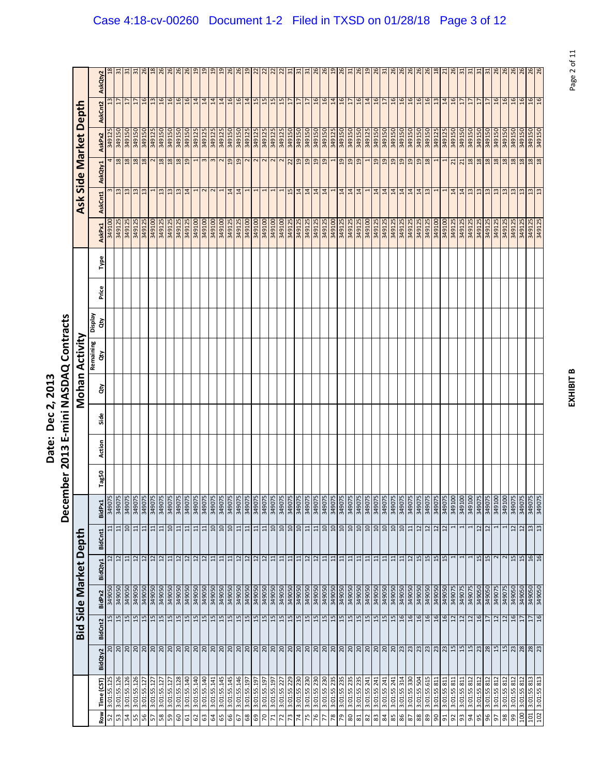|                                      | )<br>ק                                                           |
|--------------------------------------|------------------------------------------------------------------|
| ì<br><u>י</u><br>Č<br>י<br>.<br>ate. | ร<br>ผ<br>ļ<br>≧<br>۱.<br>ا<br>j<br>$\frac{3}{2}$<br>ŗ<br>Š<br>Ì |

|                  |                            |                 |                      |                  |                                   |                 | December         |       | 2013   |      |    | E-mini NASDAQ Contracts |               |       |      |                  |                 |                         |                         |                                   |                              |
|------------------|----------------------------|-----------------|----------------------|------------------|-----------------------------------|-----------------|------------------|-------|--------|------|----|-------------------------|---------------|-------|------|------------------|-----------------|-------------------------|-------------------------|-----------------------------------|------------------------------|
|                  |                            |                 | Bid                  |                  | Side Market Depth                 |                 |                  |       |        |      |    | Mohan Activity          |               |       |      |                  |                 | Ask Side Market Dept    |                         |                                   |                              |
| Row              | Time (CST)                 | BidQty2         | <b>BidCnt2</b>       | BidPx2           | BidQty1                           | BidCnt1         | BidPx1           | Tag50 | Action | Side | ਰੋ | Remaining<br>ਲੇ         | Veldsig<br>ਨੇ | Price | Type | AskPx1           | AskCnt1         | AskQty1                 | AskPx2                  | AskCnt2                           | AskQty2                      |
| 52               | 3:01:55.125                | $\Omega$        | 15                   | 349050           | $\overline{u}$                    | 11              | 540075           |       |        |      |    |                         |               |       |      | <b>0016b8</b>    |                 |                         | 349125                  |                                   |                              |
| S3               | 3:01:55.126                |                 | 15                   | 349050           | 12                                | $\Xi$           | 34907            |       |        |      |    |                         |               |       |      | 349125           | $\frac{13}{2}$  | 18                      | 349150                  | $\overline{17}$                   | 5                            |
| 54<br>55         | 3:01:55.126<br>3:01:55.126 |                 | $\frac{15}{2}$<br>15 | 349050<br>349050 | $\overline{12}$<br>$\overline{1}$ | $\Omega$<br>11  | 349075<br>34907  |       |        |      |    |                         |               |       |      | 349125<br>349125 | 13<br>13        | 18<br>18                | 349150<br>349150        | $\overline{17}$<br>$\overline{1}$ | $\mathbb{Z}$<br>$\mathbb{Z}$ |
| 56               | 3:01:55.127                |                 | 15                   | 349050           |                                   |                 | 34907            |       |        |      |    |                         |               |       |      | 349125           | $\frac{13}{2}$  | 18                      | 349150                  |                                   |                              |
| 57               | 3:01:55.127                |                 | 15                   | 349050           | 2 2                               | 비부              | 349075           |       |        |      |    |                         |               |       |      | 349100           |                 |                         | 349125                  | 13<br>$\frac{16}{2}$              | 26                           |
| 58               | 3:01:55.127                |                 | 15                   | 349050           | 12                                | 11              | 34907            |       |        |      |    |                         |               |       |      | 349125           | $\Xi$           | 18                      | 349150                  | 16                                | 26                           |
| 59               | 3:01:55.127                |                 | 15                   | 349050           | 11                                | 10              | 34907            |       |        |      |    |                         |               |       |      | 349125           | 13              | $18$                    | 349150                  | $\overline{16}$                   | $rac{26}{26}$                |
| 60               | 3:01:55.128                |                 | 15                   | 349050           | 12                                | $11\,$          | 349075           |       |        |      |    |                         |               |       |      | 349125           | $\overline{13}$ | 18                      | 349150                  | 16                                |                              |
| 61               | 3:01:55.140                |                 | 15                   | 349050           | 12                                | 11              | 349075           |       |        |      |    |                         |               |       |      | 349125           | 14              | 19                      | 349150                  | 16                                | 26                           |
| 3                | 3:01:55.140                |                 | $\frac{15}{2}$       | 349050           | $\frac{12}{11}$                   | $\frac{11}{11}$ | 34907            |       |        |      |    |                         |               |       |      | 349100           |                 |                         | 349125                  | $\frac{14}{14}$                   | 19                           |
| යි               | 3:01:55.140                |                 | 15                   | 349050           |                                   |                 | 34907            |       |        |      |    |                         |               |       |      | 349100           | $\sim$          | 3                       | 349125                  |                                   | $\overline{a}$               |
| 54               | 3:01:55.141                |                 | 15                   | 349050           |                                   | $\overline{a}$  | 34907            |       |        |      |    |                         |               |       |      | 349100           | $\sim$          |                         | 349125                  | 14                                | <u>၅</u>                     |
| 65               | 3:01:55.145                |                 | 15                   | 349050           | $\Xi$                             | 01              | 34907            |       |        |      |    |                         |               |       |      | 349100           |                 |                         | 349125                  | 14                                | $\overline{a}$               |
| 99               | 3:01:55.145                |                 | 15                   | 349050           | $\overline{11}$                   | $\overline{10}$ | 349075           |       |        |      |    |                         |               |       |      | 349125           | 14              | 19                      | 349150                  | 16                                | 26                           |
| 67               | 3:01:55.146                |                 | 15                   | 349050           | 12                                | 11              | 349075           |       |        |      |    |                         |               |       |      | 349125           | 14              | $\overline{19}$         | <b>949150</b>           | 16                                | 26                           |
| 89               | 3:01:55.197                |                 | 15                   | 349050           | $\frac{12}{12}$                   | $\Xi$           | 34907            |       |        |      |    |                         |               |       |      | 349100           |                 | $\mathbf 2$             | 349125                  | $\frac{14}{15}$                   | <u>၅</u>                     |
| 69               | 3:01:55.197                |                 | 15                   | 349050           |                                   | $11\,$          | 349075           |       |        |      |    |                         |               |       |      | 349100           | ſ               | $\sim$                  | 349125                  |                                   | $\overline{2}$               |
| $\mathcal{R}$    | 3:01:55.197                |                 | 15                   | 349050           | 12                                | 11              | 349075           |       |        |      |    |                         |               |       |      | 349100           |                 | $\sim$                  | 349125                  | 15                                | $\tilde{z}$                  |
| $\mathbf{r}$     | 3:01:55.197                |                 | 15                   | 349050           | $\Xi$                             | $\overline{a}$  | 349075           |       |        |      |    |                         |               |       |      | 349100           | I               | $\overline{\mathbf{c}}$ | 349125                  | 15                                | $\overline{z}$               |
| 22               | 3:01:55 227                |                 | 15                   | 349050           | $\overline{11}$                   | 10              | 34907            |       |        |      |    |                         |               |       |      | 349100           |                 | $\sim$                  | 349125                  | 15                                | $\overline{2}$               |
| 73               | 3:01:55 229                |                 | 15                   | 349050           | $\Xi$                             | 10              | 349075           |       |        |      |    |                         |               |       |      | 349125           | 15              | 22                      | 349150                  | $\frac{17}{17}$                   | $\frac{1}{2}$                |
| 74               | 3:01:55 230                |                 | 15                   | 349050           | 11                                | 10              | 349075           |       |        |      |    |                         |               |       |      | 349125           | 14              | $_{19}$                 | 349150                  |                                   | $\frac{1}{2}$                |
| 75               | 3:01:55 230                |                 | 15                   | 349050           | 12                                | $11$            | 34907            |       |        |      |    |                         |               |       |      | 349125           | 14              | $_{19}$                 | 349150                  | $17\,$                            | $\overline{31}$              |
| 76               | 3:01:55 230                |                 | 15                   | 349050           | 12                                | 11              | 34907            |       |        |      |    |                         |               |       |      | 349125           | 14              | $_{19}$                 | 349150                  | 16                                | 26                           |
| 77               | 3:01:55 230                |                 | 15                   | 349050           | $\Xi$                             | $\overline{10}$ | 349075           |       |        |      |    |                         |               |       |      | 349125           | 14              | $\overline{a}$          | 349150                  | 16                                | 26                           |
| $\overline{78}$  | 3:01:55 235                |                 | 15                   | 349050           | $\overline{11}$                   | $\overline{a}$  | <b>Z06bE</b>     |       |        |      |    |                         |               |       |      | <b>00T6bE</b>    |                 |                         | 349125                  | 14                                | $\overline{a}$               |
| 79               | 3:01:55 235                |                 | 15                   | 349050           | 11                                | $\frac{10}{10}$ | 34907            |       |        |      |    |                         |               |       |      | 349125           | $\frac{14}{14}$ | 19                      | 349150                  | 16                                | 26                           |
| 80               | 3:01:55 235                |                 | 15                   | 349050           | $\Xi$                             |                 | 349075           |       |        |      |    |                         |               |       |      | 349125           |                 | $_{19}$                 | 349150                  | $\overline{17}$                   | $\mathfrak{a}$               |
| 81               | 3:01:55 235                |                 | 15                   | 349050           | 11                                | 01              | 34907            |       |        |      |    |                         |               |       |      | 349125           | 14              | $_{01}$                 | 349150                  | $-16$                             | 26                           |
| $\approx$        | 3:01:55 241                |                 | 15                   | 349050           | $\Xi$                             | $\frac{10}{10}$ | 349075           |       |        |      |    |                         |               |       |      | 349100           | $\mathbf{r}$    |                         | 349125                  | 14                                | e,                           |
| 83               | 3:01:55 241                |                 | 15                   | 349050           | 11                                |                 | 349075           |       |        |      |    |                         |               |       |      | 349125           | 14              | $^{29}$                 | 349150                  | 16                                | 26                           |
| 84               | 3:01:55 241                |                 | 15                   | 349050           | 11                                | OT              | 349075           |       |        |      |    |                         |               |       |      | 349125           | 14              | 9                       | <b>05T6bE</b>           | 17                                | $\frac{1}{2}$                |
| 85               | 3:01:55 241                |                 | 15                   | 349050           | $\Xi$                             | 01              | 34907            |       |        |      |    |                         |               |       |      | 349125           | $\frac{14}{14}$ | 19                      | 349150                  | 16                                | $^{26}$                      |
| 86               | 3:01:55 314                |                 | 16                   | 349050           | $\overline{11}$                   | 10              | 349075           |       |        |      |    |                         |               |       |      | 349125           |                 | 19                      | 349150                  | 16                                | 26                           |
| 87               | 3:01:55 330                |                 | 16                   | 349050           | $12$                              | $\Xi$           | 349075           |       |        |      |    |                         |               |       |      | 349125           |                 | $_{01}$                 | 349150                  | 16                                | 26                           |
| 88<br>89         | 3:01:55.615<br>3:01:55 504 |                 | 16<br>16             | 349050<br>349050 | 15<br>15                          | $12$<br>12      | 349075<br>349075 |       |        |      |    |                         |               |       |      | 349125<br>349125 | $\frac{14}{13}$ | 19<br>18                | 349150<br><b>949150</b> | 16<br>16                          | 26<br>26                     |
| 90               | 3:01:55 811                |                 | $\overline{a}$       | 349050           |                                   |                 | 34907            |       |        |      |    |                         |               |       |      | 349100           |                 |                         | 349125                  | 13                                | 18                           |
| 51               | 3:01:55 811                |                 | 16                   | 349050           | $\frac{15}{15}$                   | $\frac{2}{12}$  | 349075           |       |        |      |    |                         |               |       |      | 349100           |                 |                         | 349125                  | 14                                | $\overline{z}$               |
| 92               | 3:01:55 811                |                 | 12                   | 540075           |                                   |                 | 349100           |       |        |      |    |                         |               |       |      | 349125           | 14              | 21                      | <b>05T6bE</b>           | 16                                | 26                           |
| 93               | 3:01:55 81.                | 15              | $\overline{12}$      | 349075           |                                   |                 | 349100           |       |        |      |    |                         |               |       |      | 349125           | 14              | $\overline{21}$         | 349150                  |                                   | $\frac{1}{2}$                |
| 94               | 3:01:55 812                | 15              | $\overline{12}$      | 349075           | ſ                                 |                 | 349100           |       |        |      |    |                         |               |       |      | 349125           | $\overline{13}$ | 18                      | 349150                  | $\frac{17}{17}$                   | $\frac{1}{2}$                |
| 95               | 3:01:55 812                | 23              | $-16$                | 349050           | 15                                | 12              | <b>Z06tE</b>     |       |        |      |    |                         |               |       |      | 349125           | 13              | 18                      | 349150                  | $\overline{1}$                    | $\mathbb{Z}$                 |
| 96               | 3:01:55 812                |                 | $\overline{1}$       | 349050           | 15                                | 12              | 34907            |       |        |      |    |                         |               |       |      | 349125           | 13              | $18$                    | 349150                  | 17                                | $\frac{1}{2}$                |
| 50               | 3:01:55 812                | $28$<br>$15$    | $\overline{12}$      | 349075           | $\sim$                            |                 | 349100           |       |        |      |    |                         |               |       |      | 349125           | $\overline{13}$ | 18                      | 349150                  | $16$                              | 26                           |
| 98               | 3:01:55 812                |                 | 12                   | 349075           | $\sim$                            |                 | 349100           |       |        |      |    |                         |               |       |      | 349125           | $\frac{2}{1}$   | 18                      | 349150                  | 16                                | $\frac{8}{2}$                |
| 99               | 3:01:55 812                |                 | $\frac{16}{17}$      | 349050           | $\frac{15}{15}$                   | $\frac{12}{12}$ | 349075           |       |        |      |    |                         |               |       |      | 349125           | 13              | 18                      | 349150                  | 16                                | 26                           |
| $\overline{100}$ | 3:01:55 812                | $\frac{23}{28}$ |                      | 349050           |                                   |                 | 549075           |       |        |      |    |                         |               |       |      | 349125           | 13              | 18                      |                         | $\frac{16}{16}$                   |                              |
| $101\,$          | 3:01:55 813                |                 | 17                   | 349050           | 9T                                | $\frac{13}{13}$ | 349075           |       |        |      |    |                         |               |       |      | 349125           | 13              | 18                      | 349150                  |                                   | $\frac{26}{26}$              |
| 102              | 3:01:55 813                |                 | 16                   | 349050           | 16                                |                 | 349075           |       |        |      |    |                         |               |       |      | 349125           | 13              | 18                      | 349150                  | 16                                |                              |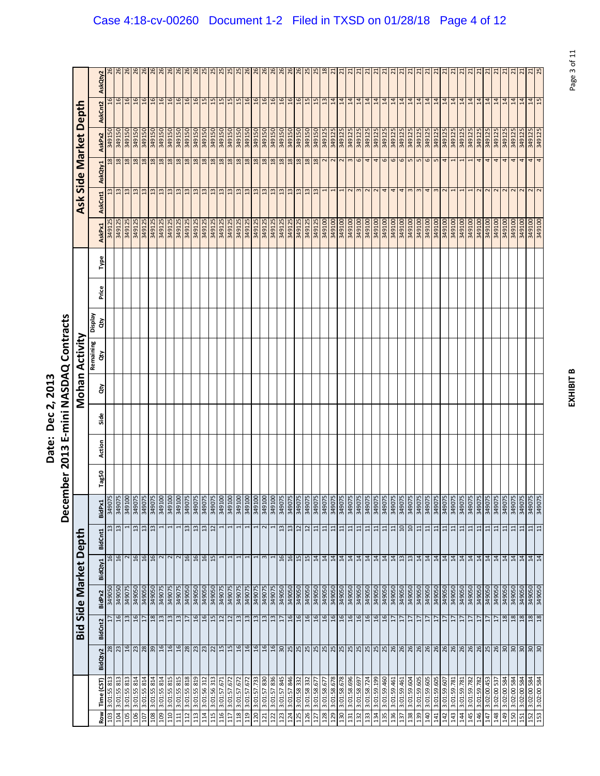|                                      | )<br>ק                                                           |
|--------------------------------------|------------------------------------------------------------------|
| ì<br><u>י</u><br>Č<br>י<br>.<br>ate. | ร<br>ผ<br>ļ<br>≧<br>۱.<br>ا<br>j<br>$\frac{3}{2}$<br>ŗ<br>Š<br>Ì |

|                          |                         |                 |        |         |                                    |               | December | 2013   |      |    | E-mini NASDAQ Contracts |               |       |      |               |                         |                       |               |                 |                 |
|--------------------------|-------------------------|-----------------|--------|---------|------------------------------------|---------------|----------|--------|------|----|-------------------------|---------------|-------|------|---------------|-------------------------|-----------------------|---------------|-----------------|-----------------|
|                          |                         | Bid             |        |         | Side Market Depth                  |               |          |        |      |    | Mohan Activity          |               |       |      |               |                         | Ask Side Market Depth |               |                 |                 |
| Time (CST)<br><b>Row</b> | BidQty2                 | BidCnt2         | BidPx2 | BidQty1 | <b>BidCnt1</b>                     | BidPx1        | Tag50    | Action | Side | ਰੋ | Remaining<br>ਲੇ         | Veldsig<br>हे | Price | Type | AskPx1        | AskCnt1                 | AskQty1               | AskPx2        | AskCnt2         | AskQty2         |
| 3:01:55 813<br>103       | $\overline{28}$         | 17              | 349050 |         | $\frac{6}{2}$                      | 349075        |          |        |      |    |                         |               |       |      | 349125        |                         | 87                    | 349150        | $\frac{6}{2}$   |                 |
| 3:01:55 813<br>104       | 23                      | $\mathfrak{a}$  | 349050 |         | $\overline{13}$<br>16              | 349075        |          |        |      |    |                         |               |       |      | 349125        | $\frac{13}{2}$          | 18                    | 349150        | 16              | 26              |
| 3:01:55 813<br>105       | 16                      | $\frac{3}{2}$   | 349075 |         | $\mathbf{\Omega}$                  | 349100        |          |        |      |    |                         |               |       |      | 349125        | $\frac{3}{2}$           | 18                    | 349150        | 16              | $^{26}$         |
| 3:01:55 814<br>106       |                         | 16              | 349050 |         | $\mathfrak{u}$<br>16               | 34907         |          |        |      |    |                         |               |       |      | 349125        | 13                      | 18                    | 349150        | 16              | 26              |
| 3:01:55 814<br>107       |                         | $\overline{17}$ | 349050 |         | 13<br>$\frac{16}{16}$              | 34907         |          |        |      |    |                         |               |       |      | 349125        | 13                      | 18                    | 349150        | $\overline{16}$ | 26              |
| 3:01:55 814<br>108       | $ z $ $ z $ $ z $ $ z $ | 18              | 349050 |         | 13                                 | 349075        |          |        |      |    |                         |               |       |      | 349125        | $\frac{2}{3}$           | 18                    | 349150        | 16              | 26              |
| 3:01:55 814<br>109       |                         | $\frac{3}{2}$   | 349075 |         | $\frac{2}{2}$                      | 349100        |          |        |      |    |                         |               |       |      | 349125        | 13                      | 18                    | 349150        | $-16$           | 26              |
| 3:01:55 815<br>110       |                         | 13              | 349075 |         |                                    | 349100        |          |        |      |    |                         |               |       |      | 349125        | $\frac{2}{13}$          | 18                    | 349150        | $\frac{16}{16}$ | 26              |
| 3:01:55 815<br>111       |                         | $13$            | 349075 |         |                                    | 349100        |          |        |      |    |                         |               |       |      | 349125        |                         | 18                    |               |                 |                 |
| 3:01:55 818<br>112       | $\frac{88}{23}$         | $\overline{17}$ | 349050 |         | $\Xi$<br>16                        | 34907         |          |        |      |    |                         |               |       |      | 349125        | $\overline{13}$         | $18$                  | 349150        | $-16$           | 26              |
| 3:01:55 819<br>113       |                         | $-16$           | 349050 |         | 13<br>16                           | 34907         |          |        |      |    |                         |               |       |      | 349125        | 13                      | 18                    | 349150        | $-16$           | 26              |
| 3:01:56 312<br>114       |                         | 16              | 349050 |         | $\overline{13}$<br>16              | 349075        |          |        |      |    |                         |               |       |      | 349125        | $\frac{3}{2}$           | 18                    | 349150        | 15              |                 |
| 3:01:56 313<br>115       |                         | 15              | 349050 |         | $\overline{u}$<br>15               | 34907         |          |        |      |    |                         |               |       |      | 349125        | $\frac{3}{2}$           | 18                    | 349150        | 15              | 25              |
| 3:01:57.671<br>116       | $15$<br>$15$            | $\overline{12}$ | 349075 |         |                                    | 349100        |          |        |      |    |                         |               |       |      | 349125        | $\frac{13}{2}$          | $\frac{18}{18}$       | 349150        | 15              | $\frac{25}{25}$ |
| 3:01:57.672<br>117       |                         | 12              | 349075 |         | 1                                  | 349100        |          |        |      |    |                         |               |       |      | 349125        | 13                      |                       | 349150        | 15              |                 |
| 3:01:57.672<br>118       | $-16$                   | 13              | 349075 |         |                                    | 349100        |          |        |      |    |                         |               |       |      | 349125        | $\overline{13}$         | 18                    | 349150        | 15              | 25              |
| 3:01:57.672<br>119       |                         | $\mathfrak{a}$  | 349075 |         |                                    | 349100        |          |        |      |    |                         |               |       |      | 349125        | $\frac{23}{13}$         | $\frac{18}{18}$       | 349150        |                 | $rac{26}{26}$   |
| 3:01:57.733<br>120       | $\frac{16}{16}$         | 13              | 349075 |         | 1                                  | 349100        |          |        |      |    |                         |               |       |      | 349125        |                         |                       | 349150        | $\frac{16}{16}$ |                 |
| 3:01:57 830              | $\frac{16}{2}$          | $13$            | 349075 |         |                                    | <b>00T67E</b> |          |        |      |    |                         |               |       |      | 349125        | 13                      | 18                    | 349150        | $-16$           | 26              |
| 3:01:57 836              |                         | $\mathfrak{a}$  | 349075 |         |                                    | 349100        |          |        |      |    |                         |               |       |      | 349125        | $\overline{13}$         | 18                    | 349150        | 16              | 26              |
| 3:01:57 845              |                         | $\overline{1}$  | 349050 |         | 13<br>16                           | 349075        |          |        |      |    |                         |               |       |      | 349125        | 13                      | 18                    | 349150        | 16              | 26              |
| 3:01:57 846<br>124       |                         | $-16$           | 349050 |         | 13<br>16                           | 349075        |          |        |      |    |                         |               |       |      | 349125        | 13                      | 18                    | <b>05T6bE</b> | $-16$           | 26              |
| 3:01:58 332              |                         | 16              | 349050 |         | $\overline{12}$<br>$\frac{15}{15}$ | 349075        |          |        |      |    |                         |               |       |      | 349125        | $\frac{3}{2}$           | $\frac{18}{18}$       | 349150        | $\frac{16}{15}$ | 26              |
| 3:01:58 332              |                         | 16              | 349050 |         | 12                                 | 349075        |          |        |      |    |                         |               |       |      | 349125        | <sup>13</sup>           |                       | 349150        |                 | 25              |
| 3:01:58.677              |                         | 16              | 349050 |         | $\Xi$<br> z z z z z z              | 349075        |          |        |      |    |                         |               |       |      | 349125        | 13                      | 18                    | 349150        | 15              | 25              |
| 3:01:58.677<br>128       |                         | 16              | 349050 |         | 11                                 | 349075        |          |        |      |    |                         |               |       |      | 349100        |                         | 2                     | 349125        | $\frac{13}{14}$ | 18              |
| 3:01:58.678              |                         | 16              | 349050 |         | $\overline{11}$                    | 349075        |          |        |      |    |                         |               |       |      | 349100        |                         | $\sim$ $\sim$         | 349125        |                 | $\overline{2}$  |
| 3:01:58.678              |                         | 16              | 349050 |         | $\Xi$                              | 349075        |          |        |      |    |                         |               |       |      | 349100        |                         |                       | 349125        |                 | $\overline{2}$  |
| 3:01:58.696              |                         | 16              | 349050 |         | 11                                 | 349075        |          |        |      |    |                         |               |       |      | 349100        | 2                       | $\mathbf{c}$          | 349125        | $\frac{14}{14}$ | $\overline{2}$  |
| 3:01:58.697              |                         | 16              | 349050 |         | 11                                 | 34907         |          |        |      |    |                         |               |       |      | 349100        |                         | 6                     | 349125        |                 | $\overline{21}$ |
| 3:01:58.724              |                         | 16              | 349050 |         | 11                                 | 34907         |          |        |      |    |                         |               |       |      | 349100        | $\overline{\mathbf{c}}$ | $\overline{4}$        | 349125        | 14              | $\overline{a}$  |
| 3:01:59.199<br>134       |                         | 16              | 349050 |         | 11<br>$\frac{14}{14}$              | 349075        |          |        |      |    |                         |               |       |      | 349100        | $\overline{c}$          | 4                     | 349125        | 14              | $\overline{z}$  |
| 3:01:59.460              |                         | $-16$           | 349050 |         | 11                                 | 34907         |          |        |      |    |                         |               |       |      | <b>0016b8</b> | 4                       | 6                     | 349125        | 14              | $\overline{a}$  |
| 3:01:59.461<br>136       |                         | 17              | 349050 |         | $11$                               | 349075        |          |        |      |    |                         |               |       |      | 349100        | 4                       |                       | 349125        | 14              | $\overline{2}$  |
| 3:01:59.461              |                         | $\overline{17}$ | 349050 |         | 10<br>$\frac{13}{13}$              | 349075        |          |        |      |    |                         |               |       |      | 349100        | 4                       | 6<br>5<br>5<br>5      | 349125        |                 | $\overline{z}$  |
| 3:01:59.604<br>139       |                         | $\overline{17}$ | 349050 |         | $\overline{a}$                     | 34907         |          |        |      |    |                         |               |       |      | <b>0016b8</b> | 3                       |                       | 349125        | 14              | $\overline{N}$  |
| 3:01:59.605              |                         | 17              | 349050 |         | $\Xi$                              | 349075        |          |        |      |    |                         |               |       |      | 349100        | 3                       |                       | 349125        | 14              | $\overline{z}$  |
| 3:01:59.605<br>140       |                         | H               | 349050 |         | 11<br> z z z z z z                 | 349075        |          |        |      |    |                         |               |       |      | 349100        | 4                       | 6<br>5                | 349125        | 14              | $\overline{z}$  |
| 3:01:59.605              |                         | $\overline{1}$  | 349050 |         | $\Xi$                              | 349075        |          |        |      |    |                         |               |       |      | 349100        |                         |                       | 349125        | 14              | $\overline{a}$  |
| 3:01:59.607<br>142       |                         | H               | 349050 |         | $\Xi$                              | 34907         |          |        |      |    |                         |               |       |      | 349100        | 2                       | 4                     | 349125        | 14              | $\overline{a}$  |
| 3:01:59.781<br>143       |                         | 17              | 349050 |         | $\overline{1}$                     | 349075        |          |        |      |    |                         |               |       |      | 349100        |                         |                       | 349125        | 14              | $\overline{z}$  |
| 3:01:59.781<br>144       |                         | $\overline{17}$ | 349050 |         | $\Xi$                              | 349075        |          |        |      |    |                         |               |       |      | 349100        |                         | $\mathbf{r}$          | 349125        | 14              | $\overline{z}$  |
| 3:01:59.782<br>145       |                         | 17              | 349050 |         | $\Xi$<br>$\frac{14}{14}$           | 34907         |          |        |      |    |                         |               |       |      | 349100        |                         |                       | 349125        | $\overline{a}$  | $\overline{z}$  |
| 3:01:59.782<br>146       |                         | 17              | 349050 |         | $\Xi$                              | 349075        |          |        |      |    |                         |               |       |      | 349100        | $\overline{\mathsf{c}}$ | 4                     | 349125        | 14              | $\overline{z}$  |
| 3:02:00.453<br>147       |                         | $\overline{17}$ | 349050 |         | $\Xi$                              | 349075        |          |        |      |    |                         |               |       |      | 349100        |                         | $\overline{4}$        | 349125        | 14              | $\overline{2}$  |
| 3:02:00 537<br>148       |                         | $\overline{17}$ | 349050 |         | 11<br>$14$ $14$                    | 349075        |          |        |      |    |                         |               |       |      | 349100        | $\sim$                  | 4                     | 349125        | 14              | $\overline{z}$  |
| 3:02:00 584<br>149       |                         | 18              | 349050 |         | $\overline{11}$                    | 540075        |          |        |      |    |                         |               |       |      | 349100        | $\overline{\mathbf{c}}$ | 4                     | 349125        | 14              | $\overline{2}$  |
| 3:02:00 584<br>150       |                         | $18$            | 349050 |         | $\Xi$                              | 349075        |          |        |      |    |                         |               |       |      | 349100        |                         | 4                     | 349125        | 14              | $\overline{2}$  |
| 3:02:00 584<br>151       |                         | 18              | 349050 |         | 11                                 | 349075        |          |        |      |    |                         |               |       |      | 349100        | 2                       | 4                     | 349125        | 14              | $\overline{z}$  |
| 3:02:00 584<br>152       |                         | 18              | 349050 |         | $\Xi$<br>$\frac{14}{14}$           | 349075        |          |        |      |    |                         |               |       |      | 349100        | $\frac{2}{2}$           | 4                     | 349125        | 14              | $\overline{2}$  |
| 3:02:00 584<br>153       |                         | 18              | 349050 |         | 11                                 | 34907         |          |        |      |    |                         |               |       |      | 349100        |                         | $\overline{a}$        | 349125        | 15              | 25              |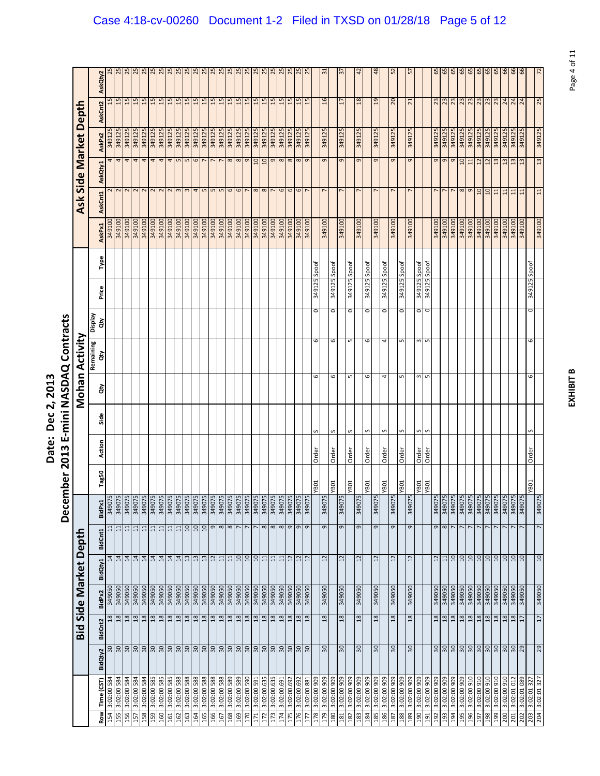|                                      | )<br>ק                                                           |
|--------------------------------------|------------------------------------------------------------------|
| ì<br><u>י</u><br>Č<br>י<br>.<br>ate. | ร<br>ผ<br>ļ<br>≧<br>۱.<br>ا<br>j<br>$\frac{3}{2}$<br>ŗ<br>Š<br>Ì |

|            |                            |                                               |                 |                  |         |                                      | Decer                        | mber 2013   |              |        |         | E-mini NASDAQ Contracts |                       |        |              |                  |                   |                                  |                  |                 |                 |
|------------|----------------------------|-----------------------------------------------|-----------------|------------------|---------|--------------------------------------|------------------------------|-------------|--------------|--------|---------|-------------------------|-----------------------|--------|--------------|------------------|-------------------|----------------------------------|------------------|-----------------|-----------------|
|            |                            |                                               | Bid             |                  |         | Side Market Depth                    |                              |             |              |        |         | Mohan Activity          |                       |        |              |                  |                   | Ask Side Market                  |                  | Depth           |                 |
| Row        | Time (CST)                 | BidQty2                                       | <b>BidCnt2</b>  | BidPx2           | BidQty1 | <b>BidCnt1</b>                       | BidPx1                       | Tag50       | Action       | Side   | ਲੇ      | Remaining<br>हे         | <b>Display</b><br>ਰੇਂ | Price  | Type         | AskPx1           | AskCnt1           | AskQty1                          | AskPx2           | <b>AskCnt2</b>  | AskQty2         |
| 154        | 3:02:00 584                |                                               | $^{18}$         | 349050           |         | $\Xi$<br>$\overline{14}$             | 34907                        |             |              |        |         |                         |                       |        |              | 349100           |                   | 4                                | 349125           | 15              |                 |
| 155        | 3:02:00 584                | $888$                                         | $18$            | 349050           |         | 11<br>$14$                           | 34907                        |             |              |        |         |                         |                       |        |              | 349100           | $\frac{2}{3}$     | $\overline{a}$                   | 349125           | 15              | 25              |
| 156<br>157 | 3:02:00 584<br>3:02:00 584 |                                               | 18<br>18        | 349050<br>349050 |         | 11<br>$\overline{14}$                | 349075<br>34907              |             |              |        |         |                         |                       |        |              | 349100<br>349100 |                   | $\overline{a}$                   | 349125<br>349125 | 15<br>15        | 25<br>25        |
|            |                            |                                               |                 |                  |         | $\Xi$<br>$\overline{14}$             |                              |             |              |        |         |                         |                       |        |              | 349100           |                   | 4                                |                  |                 |                 |
| 159<br>158 | 3:02:00 585<br>3:02:00 584 | 3080                                          | $18$<br>$18$    | 349050<br>349050 |         | $\overline{11}$<br>$\Xi$<br>14<br>14 | 349075<br>34907              |             |              |        |         |                         |                       |        |              | 349100           | $\mathbf{z}$      | $\overline{a}$<br>$\overline{a}$ | 349125<br>349125 | 15<br>15        | 25<br>25        |
| 160        | 3:02:00 585                | 30                                            | 18              | 349050           |         | 11<br>14                             | 349075                       |             |              |        |         |                         |                       |        |              | 349100           |                   | 4                                | 349125           | 15              | 25              |
| 161        | 3:02:00 585                |                                               | $18$            | 349050           |         | $11$<br>14                           | 349075                       |             |              |        |         |                         |                       |        |              | 349100           | $\sim$            | $\frac{4}{5}$                    | 349125           | 15              |                 |
| 162        | 3:02:00 588                | 3080                                          | 18              | 349050           |         | $\overline{11}$<br>14                | 349075                       |             |              |        |         |                         |                       |        |              | 349100           | 3                 | 5                                | 349125           | 15              | $rac{25}{25}$   |
| 163        | 3:02:00 588                |                                               | 18              | 349050           |         | 01<br>13                             | 34907                        |             |              |        |         |                         |                       |        |              | 349100           |                   | $\mathbf{L}$                     | 349125           | 15              | 25              |
| 164        | 3:02:00 588                | 3080                                          | $18$            | 349050           |         | 01<br>13                             | 34907                        |             |              |        |         |                         |                       |        |              | 349100           | 4                 | $\circ$                          | 349125           | 15              | 25              |
| 165        | 3:02:00 588                |                                               | 18              | 349050           |         | 10<br>13                             | 34907                        |             |              |        |         |                         |                       |        |              | 349100           | S                 |                                  | 349125           | 15              | $\frac{25}{25}$ |
| 166        | 885 00:20:8                |                                               | 18              | 349050           |         | 12                                   | 349075<br>$\sigma$           |             |              |        |         |                         |                       |        |              | <b>00T67E</b>    | S                 |                                  | 349125           | 15              |                 |
| 167        | 3:02:00 588                |                                               | 18              | 349050           |         | $\Xi$                                | 34907<br>$\infty$            |             |              |        |         |                         |                       |        |              | 349100           | S                 | ∼                                | 349125           | 15              | 25              |
| 168        | 885 00:20:8                | $R$   $R$   $R$   $R$   $R$   $R$   $R$   $R$ | 18              | 349050           |         | 11                                   | 34907<br>$\infty$            |             |              |        |         |                         |                       |        |              | 349100           | $\mathbf{\sigma}$ | $\infty$                         | 349125           |                 |                 |
| 169        | 3:02:00 589                |                                               | 18              | 349050           |         | $10$                                 | 34907                        |             |              |        |         |                         |                       |        |              | 349100           | 6                 | $\infty$                         | 349125           | 15              | 25              |
| 170        | 3:02:00 590                |                                               | 18              | 349050           |         | 01                                   | 349075                       |             |              |        |         |                         |                       |        |              | 349100           |                   | $\sigma$                         | 349125           | 15              | 25              |
| 171        | 3:02:00 591                |                                               | 18              | 349050           |         | $\overline{a}$                       | <b>24907</b>                 |             |              |        |         |                         |                       |        |              | 349100           | $\infty$          | 10                               | 349125           | 15              | 25              |
| 172        | 3:02:00.635                |                                               | $\frac{8}{2}$   | 349050           |         | $\overline{11}$                      | 34907<br>$\infty$            |             |              |        |         |                         |                       |        |              | 349100           | $\infty$          | 10                               | 349125           | 15              | 25              |
| 173        | 3:02:00.635                |                                               | 18              | 349050           |         | $\overline{1}$                       | 349075<br>$\infty$           |             |              |        |         |                         |                       |        |              | 349100           |                   | $\sigma$                         | 349125           | 15              | 25              |
| 174        | 3:02:00.691                | 30                                            | 18              | 349050           |         | $\Xi$                                | 34907<br>$\infty$            |             |              |        |         |                         |                       |        |              | 349100           | $\mathbf \omega$  | 8                                | 349125           | 15              | 25              |
| 175        | 3:02:00.692                | $\frac{8}{20}$                                | 18              | 349050           |         | $\overline{12}$                      | 34907<br>$\sigma$            |             |              |        |         |                         |                       |        |              | 349100           | 9                 | $\infty$                         | 349125           | $\overline{15}$ | 25              |
| 176        | 3:02:00.692                |                                               | $\frac{8}{2}$   | 349050           |         | $\overline{12}$                      | 34907<br>G                   |             |              |        |         |                         |                       |        |              | 349100           | 6                 | $\infty$                         | 349125           | 15              | 25              |
| 177        | 3:02:00 881                | <b>SC</b>                                     | $\frac{8}{2}$   | 349050           |         | $\overline{12}$                      | 34907                        |             |              |        |         |                         |                       |        |              | 349100           |                   | $\sigma$                         | 349125           | $\ddot{1}$      | $\overline{25}$ |
| 178        | 3:02:00 909                |                                               |                 |                  |         |                                      |                              | <b>YB01</b> | Order        |        | G       | 6                       | $\circ$               | 349125 | Spoof        |                  |                   |                                  |                  |                 |                 |
| 179        | 3:02:00 909                | 30                                            | 18              | 349050           |         | $\overline{12}$                      | 349075<br>G                  |             |              |        |         |                         |                       |        |              | 349100           |                   | G                                | 349125           | 16              | 51              |
| 180        | 606 00:Z0:E                |                                               |                 |                  |         |                                      |                              | <b>YB01</b> | Order        |        | 6       | 6                       | $\circ$               |        | 349125 Spoof |                  |                   |                                  |                  |                 |                 |
| 181        | 3:02:00 909                | 50                                            | $^{28}$         | 349050           |         | 2                                    | 34907<br>G                   |             |              |        |         |                         |                       |        |              | 349100           |                   | G                                | 349125           | 17              | $\frac{1}{2}$   |
| 182        | 606 00:20:8                |                                               |                 |                  |         |                                      |                              | YB01        | Order        |        | S       | S                       | $\circ$               | 349125 | Spoof        |                  | $\overline{ }$    |                                  |                  |                 |                 |
| 183        | 3:02:00 909                | $\overline{\mathrm{30}}$                      | 18              | 349050           |         | 12                                   | 349075<br>$\sigma$           |             |              |        |         |                         |                       |        |              | 349100           |                   | $\sigma$                         | 349125           | 18              | 42              |
| 184<br>185 | 3:02:00 909<br>806 00:20:8 | 90                                            | 18              | 349050           |         | 12                                   | 349075<br>G                  | YB01        | Order        | S      | 6       | 6                       | 0                     | 349125 | Spoof        | 349100           |                   | 9                                | 349125           | $\overline{5}$  | ₽               |
| 186        | 3:02:00 909                |                                               |                 |                  |         |                                      |                              | <b>YB01</b> | Order        | $\sim$ | 4       | 4                       | O                     | 349125 | Spoof        |                  |                   |                                  |                  |                 |                 |
| 187        | 3:02:00 909                | SO                                            | 18              | 349050           |         | $\overline{12}$                      | 34907<br>G                   |             |              |        |         |                         |                       |        |              | 349100           |                   | 9                                | 349125           | 20              | 52              |
| 188        | 3:02:00 909                |                                               |                 |                  |         |                                      |                              | YB01        | Order        | S      | LO      | Б                       | o                     | 349125 | Spoof        |                  |                   |                                  |                  |                 |                 |
| 189        | 3:02:00 909                | O <sub>E</sub>                                | $^{18}$         | 349050           |         | $\overline{12}$                      | 349075<br>$\mathsf{\sigma}$  |             |              |        |         |                         |                       |        |              | 349100           |                   | G                                | 349125           | $\overline{2}$  | 흙               |
| 190        | 3:02:00 909                |                                               |                 |                  |         |                                      |                              | YB01        | Order        | S      | S       | w                       | o<br>o                | 349125 | Spoof        |                  |                   |                                  |                  |                 |                 |
| 191        | 806 00:20:8                |                                               |                 |                  |         |                                      |                              | TOBA.       | <b>Order</b> |        | LO      | S                       |                       | 349125 | Spoof        |                  |                   |                                  |                  |                 |                 |
| 192        | 3:02:00 909                |                                               | $\frac{18}{18}$ | 349050           |         | $\frac{12}{11}$                      | 349075<br>349075<br>$\sigma$ |             |              |        |         |                         |                       |        |              | 349100           |                   | 9                                | 349125           | $23^{2}$        | 65              |
| 193        | 3:02:00 909                | $\frac{10}{20}$                               |                 | 349050           |         |                                      | $\infty$                     |             |              |        |         |                         |                       |        |              | 349100           |                   | $\sigma$                         | 349125           |                 | 65              |
| 194        | 606 00:Z0:E                |                                               | 18              | 349050           |         | $\overline{u}$                       | 349075                       |             |              |        |         |                         |                       |        |              | 349100           |                   | G                                | 349125           | 23              | 65              |
| 195        | 3:02:00 909                |                                               | 18              | 349050           |         | $\overline{a}$                       | 34907                        |             |              |        |         |                         |                       |        |              | 349100           | $\infty$          | 10                               | 349125           | $\frac{23}{23}$ | 65              |
| 196        | 3:02:00 910                | 308                                           | 18              | 349050           |         | 10                                   | 349075                       |             |              |        |         |                         |                       |        |              | 349100           | G                 | $\overline{11}$                  | 349125           |                 | 65              |
| 197        | 3:02:00 910                |                                               | $18$            | 349050           |         | $\overline{10}$                      | 349075                       |             |              |        |         |                         |                       |        |              | 349100           | $\overline{10}$   | $\overline{u}$                   | 349125           | 23              | 65              |
| 198        | 3:02:00 910                |                                               | 18              | 349050           |         |                                      | 349075                       |             |              |        |         |                         |                       |        |              | 349100           | å                 | $\overline{c}$                   | 349125           |                 | 65              |
| 199        | 3:02:00 910                |                                               | 18              | 349050           |         |                                      | 349075                       |             |              |        |         |                         |                       |        |              | 349100           | $\Xi$             | $\frac{3}{2}$                    | 349125           |                 | 65              |
| 200        | 3:02:00 910                |                                               | 18              | 349050           |         | $\frac{10}{2}$                       | 34907                        |             |              |        |         |                         |                       |        |              | 349100           | $\Xi$             | $\frac{3}{2}$                    | 349125           | $\frac{23}{24}$ | 66              |
| 201        | 3:02:01 012                | $3.8888$                                      | 18              | 349050           |         |                                      | 34907                        |             |              |        |         |                         |                       |        |              | 349100           | $\Xi$             | $\frac{2}{3}$                    | 349125           |                 | 99              |
| 202        | 880 10:20:3                |                                               | $\overline{17}$ | 349050           |         | $\Omega$                             | 34907                        |             |              |        |         |                         |                       |        |              | 349100           | $\Xi$             | 13                               | 349125           | 24              | \$              |
| 204<br>203 | 3:02:01 327<br>3:02:01 327 | 29                                            | 17              | 349050           |         | $10 \,$                              | 349075<br>7                  | <b>YB01</b> | Order        |        | $\circ$ | 6                       | $\circ$               | 349125 | Spoof        | 349100           | $\Xi$             | 13                               | 349125           | 25              | $\overline{z}$  |
|            |                            |                                               |                 |                  |         |                                      |                              |             |              |        |         |                         |                       |        |              |                  |                   |                                  |                  |                 |                 |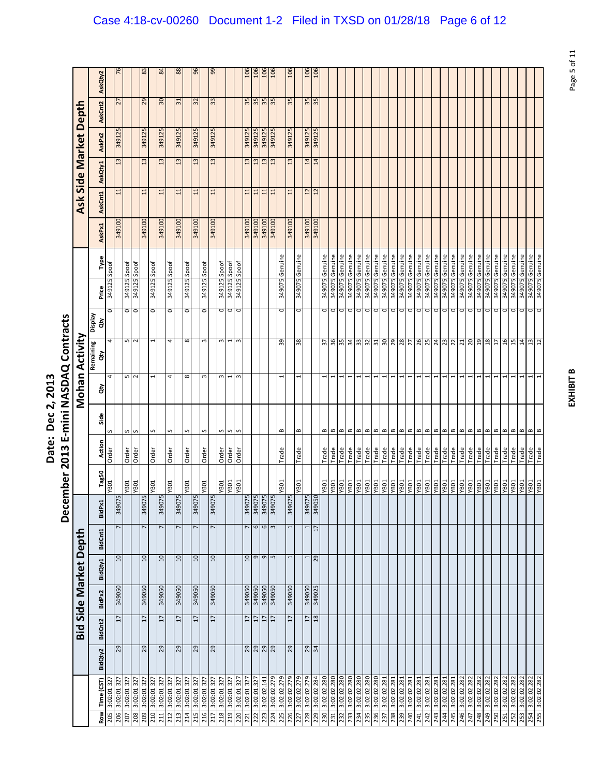|                                      | )<br>ק                                                           |
|--------------------------------------|------------------------------------------------------------------|
| ì<br><u>י</u><br>Č<br>י<br>.<br>ate. | ร<br>ผ<br>ļ<br>≧<br>۱.<br>ا<br>j<br>$\frac{3}{2}$<br>ŗ<br>Š<br>Ì |

|                                   |                       | AskQty2              |             |                            |                    | 83              |              | $\mathbb{Z}$      | 88                         |             | 96              |             | eg             |             |             |             | 106                        | 106<br>106                    | 106               |             | 106          |             |                  | $\frac{106}{106}$ |             |               |             |             |             |                             |                            |                             |             |                     |                |              |             |             |             |                 |                |             |             |                     |                |             |                            |                 |
|-----------------------------------|-----------------------|----------------------|-------------|----------------------------|--------------------|-----------------|--------------|-------------------|----------------------------|-------------|-----------------|-------------|----------------|-------------|-------------|-------------|----------------------------|-------------------------------|-------------------|-------------|--------------|-------------|------------------|-------------------|-------------|---------------|-------------|-------------|-------------|-----------------------------|----------------------------|-----------------------------|-------------|---------------------|----------------|--------------|-------------|-------------|-------------|-----------------|----------------|-------------|-------------|---------------------|----------------|-------------|----------------------------|-----------------|
|                                   |                       | AskCnt2              |             | 27                         |                    | 29              |              | 30                | 31                         |             | 32              |             | 33             |             |             |             | $\frac{35}{35}$            |                               | $\frac{35}{35}$   |             | 35           |             | $\frac{35}{35}$  |                   |             |               |             |             |             |                             |                            |                             |             |                     |                |              |             |             |             |                 |                |             |             |                     |                |             |                            |                 |
|                                   | Ask Side Market Depth |                      |             | 349125                     |                    | 349125          |              | 349125            | 349125                     |             | 349125          |             | 349125         |             |             |             | 349125                     | 349125<br>349125              | 349125            |             | 349125       |             |                  | 349125            |             |               |             |             |             |                             |                            |                             |             |                     |                |              |             |             |             |                 |                |             |             |                     |                |             |                            |                 |
|                                   |                       | AskPx2               |             | 13                         |                    | $\frac{2}{3}$   |              | $\frac{3}{2}$     | 13                         |             | 13              |             | 13             |             |             |             | 13                         | 13<br>$\frac{3}{2}$           | 13                |             | 13           |             | $\frac{14}{14}$  |                   |             |               |             |             |             |                             |                            |                             |             |                     |                |              |             |             |             |                 |                |             |             |                     |                |             |                            |                 |
|                                   |                       | AskQty1              |             |                            |                    |                 |              |                   |                            |             |                 |             |                |             |             |             |                            |                               |                   |             |              |             |                  |                   |             |               |             |             |             |                             |                            |                             |             |                     |                |              |             |             |             |                 |                |             |             |                     |                |             |                            |                 |
|                                   |                       | AskCnt1              |             | 11                         |                    | 11              |              | $\Xi$             | $\overline{11}$            |             | 11              |             | $\Xi$          |             |             |             | $\Xi$                      | $11\,$<br>$\overline{11}$     | 11                |             | $\Xi$        |             | $\frac{12}{12}$  |                   |             |               |             |             |             |                             |                            |                             |             |                     |                |              |             |             |             |                 |                |             |             |                     |                |             |                            |                 |
|                                   |                       | AskPx1               |             | 349100                     |                    | 349100          |              | 349100            | <b>0016b8</b>              |             | <b>00T6bE</b>   |             | 349100         |             |             |             | 349100                     | 349100<br>349100              | <b>0016bE</b>     |             | 349100       |             |                  | 349100            |             |               |             |             |             |                             |                            |                             |             |                     |                |              |             |             |             |                 |                |             |             |                     |                |             |                            |                 |
|                                   |                       |                      |             |                            |                    |                 |              |                   |                            |             |                 |             |                |             |             |             |                            |                               |                   |             |              |             |                  |                   |             |               |             |             |             |                             |                            |                             |             |                     |                |              |             |             |             |                 |                |             |             |                     |                |             |                            |                 |
|                                   |                       | Type                 | Spoof       | 349125 Spoof               | Spoof              |                 | 349125 Spoof |                   | Spoof                      | Spoof       |                 | Spoof       |                | Spoof       | Spoof       | Spoof       |                            |                               |                   | Genuine     |              | Genuine     |                  |                   | Genuine     | Genuine       | Genuine     | Genuine     | Genuine     | Genuine                     | Genuine                    | Genuine<br>Genuine          | Genuine     | Genuine             | Genuine        | Genuine      | Genuine     | Genuine     | Genuine     | Genuine         | Genuine        | Genuine     | Genuine     | Genuine             | 349075 Genuine | Genuine     | Genuine<br>349075 Genuine  | 349075 Genuine  |
|                                   |                       | Price                | 549125      |                            | 349125             |                 |              |                   | 349125                     | 349125      |                 | 349125      |                | 349125      | 349125      | 349125      |                            |                               |                   | 349075      |              | 349075      |                  |                   | 349075      | 349075        | 349075      | 349075      | 349075      | 349075<br>349075            |                            | 349075<br>349075            | 349075      | 349075              | 349075         | 349075       | 349075      | 349075      | 349075      | 349075          | 349075         | 349075      | 349075      | 349075              |                | 349075      | 349075                     |                 |
|                                   |                       | <b>Display</b><br>ਠੰ | 0           |                            | $\circ$<br>$\circ$ |                 | o            |                   | 0                          |             |                 | o           |                | 0           | Ō           | ō           |                            |                               |                   | O           |              | 0           |                  |                   | 0           | $\frac{1}{2}$ |             |             |             | $\frac{0}{0}$               |                            |                             | 00000000    |                     |                |              |             |             | $\circ$     |                 | $\circ$        |             | $\circ$     | $\frac{0}{0}$       |                |             | ०००                        |                 |
|                                   | Mohan Activity        | Remaining<br>हे      | 4           |                            | Б<br>$\sim$        |                 |              |                   | 4                          | $^{\circ}$  |                 | m           |                | 3           |             | S           |                            |                               |                   | 99          |              | 38          |                  |                   | 57          | 96            | 35          | 34          | 33          | 32                          | 30<br>$\overline{31}$      | 57                          | 28          | 27                  | 26             |              | 25<br>24    | 23          | 22          | $\overline{21}$ | 20             | 19          | $^{18}$     | Ħ                   | 16             | 15          | $\overline{13}$<br>$^{14}$ | $\overline{12}$ |
|                                   |                       |                      | 4           |                            | 5<br>$\sim$        |                 |              |                   | 4                          | $^{\circ}$  |                 | m           |                | $\sim$      |             |             |                            |                               |                   |             |              |             |                  |                   |             |               |             |             |             |                             |                            |                             |             |                     |                |              |             |             |             |                 |                |             |             |                     |                |             |                            |                 |
|                                   |                       | ਲੇ                   |             |                            |                    |                 |              |                   |                            |             |                 |             |                |             |             |             |                            |                               |                   |             |              |             |                  |                   |             |               |             |             |             |                             |                            |                             |             |                     |                |              |             |             |             |                 |                |             |             |                     |                |             |                            |                 |
|                                   |                       | Side                 |             |                            | S                  |                 | S            |                   | S                          |             |                 | S           |                |             | S           |             |                            |                               |                   | B           |              | $\bf{m}$    |                  |                   | B           | $\mathbf{m}$  | $\bf{m}$    | $\bf{m}$    | $\,$ $\,$   | $\, \underline{\mathrm{m}}$ | $\bf{m}$<br>$\bf{m}$       | $\, \underline{\mathrm{m}}$ | $\sim$      | $\bf{m}$            | $\blacksquare$ | $\infty$     | $\bf{m}$    | $\bf{e}$    | $\bf{m}$    | $\bf{m}$        | $\blacksquare$ | $\,$ $\,$   | $\,$ $\,$   | $\blacksquare$      | $\,$ $\,$      | $\bf{m}$    | $\blacksquare$<br>$\bf{m}$ | $\,$ $\,$       |
| mber 2013 E-mini NASDAQ Contracts |                       | Action               | Order       | Order                      | S<br>Order         |                 | Order        |                   | Order                      | Order       |                 | Order       |                | S<br>Order  | Order       | Order       |                            |                               |                   | Trade       |              | Trade       |                  |                   | Trade       | <b>Trade</b>  | Trade       | Trade       | Trade       | Trade                       | Trade                      | Trade<br>Trade              | Trade       | Trade               | Trade          | Trade        | Trade       | Trade       | Trade       | Trade           | Trade          | Trade       | Trade       | Trade               | Trade          | Trade       | <b>Trade</b><br>Trade      | Trade           |
|                                   |                       | Tag50                |             |                            |                    |                 |              |                   |                            |             |                 |             |                |             |             |             |                            |                               |                   |             |              |             |                  |                   |             |               |             |             |             |                             |                            |                             |             |                     |                |              |             |             |             |                 |                |             |             |                     |                |             |                            |                 |
|                                   |                       |                      | YB01        | <b>TOBA</b>                | TOBA.              | <b>LO</b>       | <b>TOBV</b>  |                   | TOBA.<br>5                 | <b>TOBA</b> | ŢŊ              | TOBA.       | r.             | <b>TOBA</b> | YB01        | <b>YB01</b> | ัญ <b>โข โข โข</b>         |                               |                   | <b>YB01</b> | 5            | TOBA.       |                  |                   | YB01        | TOBA<br>TOBA  |             | YB01        | <b>YB01</b> | YB01                        | <b>YBO1</b><br><b>YB01</b> | YB01                        |             | <b>TOBA</b><br>TOBA | TOBA           | TOBA<br>TOBA |             | YB01        | <b>YB01</b> | YB01            | <b>YBO1</b>    | <b>YB01</b> | TOBA        | <b>TOBA</b><br>108A |                | YB01        | YB01<br>TOBA.              | TOBA.           |
| Decer                             |                       | BidPx1               |             | <b>S4907</b>               |                    | 34907           |              | 5400 <sub>2</sub> | 34907                      |             | <b>20678</b>    |             | 34907          |             |             |             | 34907                      | 34907<br>34907<br>6<br>6      | 34907<br>$\omega$ |             | <b>24907</b> |             | 349075<br>349050 |                   |             |               |             |             |             |                             |                            |                             |             |                     |                |              |             |             |             |                 |                |             |             |                     |                |             |                            |                 |
|                                   |                       | <b>BidCnt1</b>       |             |                            |                    |                 |              |                   |                            |             |                 |             |                |             |             |             |                            |                               |                   |             |              |             |                  | 17                |             |               |             |             |             |                             |                            |                             |             |                     |                |              |             |             |             |                 |                |             |             |                     |                |             |                            |                 |
|                                   | Bid Side Market Depth | BidQty1              |             | $\overline{a}$             |                    | $\overline{a}$  |              | $\overline{a}$    | $\overline{a}$             |             | $\overline{a}$  |             | $\overline{a}$ |             |             |             | $\Xi$                      | $\mathsf{\sigma}$<br>$\sigma$ | $\sqrt{2}$        |             |              |             |                  | 29                |             |               |             |             |             |                             |                            |                             |             |                     |                |              |             |             |             |                 |                |             |             |                     |                |             |                            |                 |
|                                   |                       | BidPx2               |             | 349050                     |                    | 349050          |              | 349050            | 349050                     |             | 349050          |             | 349050         |             |             |             | 349050                     | 349050<br>349050              | 349050            |             | 349050       |             | 349050           |                   |             |               |             |             |             |                             |                            |                             |             |                     |                |              |             |             |             |                 |                |             |             |                     |                |             |                            |                 |
|                                   |                       |                      |             | 17                         |                    | $\overline{17}$ |              | 17                | $\overline{17}$            |             | $\overline{17}$ |             | 17             |             |             |             | $\overline{17}$            | $\overline{1}$<br>17          | $\overline{17}$   |             | 17           |             |                  | $\frac{17}{18}$   |             |               |             |             |             |                             |                            |                             |             |                     |                |              |             |             |             |                 |                |             |             |                     |                |             |                            |                 |
|                                   |                       | BidCnt2              |             | 29                         |                    |                 |              | 29                | 29                         |             |                 |             | 29             |             |             |             |                            |                               |                   |             |              |             |                  |                   |             |               |             |             |             |                             |                            |                             |             |                     |                |              |             |             |             |                 |                |             |             |                     |                |             |                            |                 |
|                                   |                       | BidQty2              |             |                            |                    | 29              |              |                   |                            |             | 29              |             |                |             |             |             | 29822                      |                               |                   |             | 29           |             | $\frac{29}{34}$  |                   |             |               |             |             |             |                             |                            |                             |             |                     |                |              |             |             |             |                 |                |             |             |                     |                |             |                            |                 |
|                                   |                       | Time (CST)           | 3:02:01 327 | 3:02:01 327<br>3:02:01 327 | 3:02:01 327        | 3:02:01 327     | 3:02:01 327  | 3:02:01 327       | 3:02:01 327<br>3:02:01 327 | 3:02:01 327 | 3:02:01 327     | 3:02:01 327 | 3:02:01 327    | 3:02:01 327 | 3:02:01 327 | 3:02:01 327 | 3:02:01 327<br>3:02:01.327 | 3:02:02.141                   | 3:02:02.279       | 3:02:02.279 | 3:02:02.279  | 3:02:02.279 | 3:02:02.279      | 3:02:02 284       | 3:02:02.280 | 3:02:02.280   | 3:02:02.280 | 3:02:02.280 | 3:02:02.280 | 3:02:02.280<br>3:02:02.280  |                            | 3:02:02.281<br>3:02:02.281  | 3:02:02.281 | 3:02:02.281         | 3:02:02.281    | 3:02:02.281  | 3:02:02.281 | 3:02:02.281 | 3:02:02.281 | 3:02:02.282     | 3:02:02.282    | 3:02:02.282 | 3:02:02.282 | 3:02:02.282         | 3:02:02.282    | 3:02:02.282 | 3:02:02.282<br>3:02:02.282 |                 |
|                                   |                       | Row                  | 502         | 207<br>206                 | 208                | 209             | 210          | 211               | 213<br>212                 | 214         | 215             | 216         | 217            | 218         | 219         | 220         | 221                        | 223<br>222                    | 224               | 225         | 226          | 227         | 228              | 229               | 230         | 231           | 232         | 233         | 234         | 235                         | 236                        | 238<br>237                  | 239         | 240                 | 241            | 242          | 243         | 244         | 245         | 246             | 247            | 248         | 249         | 250                 | 251            | 253<br>252  | 254                        | 255 3:02:02.282 |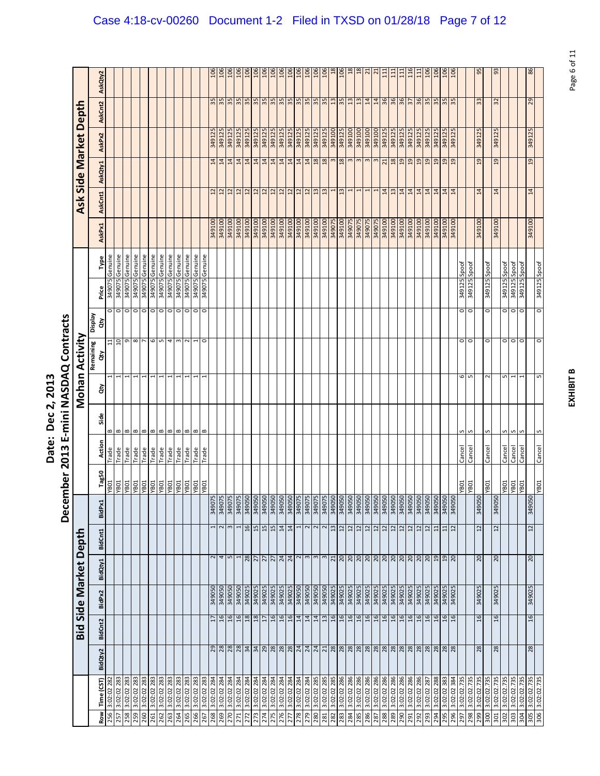|                                      | )<br>ק                                                           |
|--------------------------------------|------------------------------------------------------------------|
| ì<br><u>י</u><br>Č<br>י<br>.<br>ate. | ร<br>ผ<br>ļ<br>≧<br>۱.<br>ا<br>j<br>$\frac{3}{2}$<br>ŗ<br>Š<br>Ì |

| 86<br>106<br>$\frac{106}{106}$<br>106<br>$\frac{8}{2}$<br>$\frac{8}{2}$<br>116<br>56<br>3<br>106<br>106<br>106<br>106<br>106<br>106<br>106<br>111<br>106<br>106<br>106<br>106<br>106<br>106<br>$\overline{2}$<br>106<br>$rac{6}{2}$<br>$\overline{a}$<br>111<br>$\Xi$<br>111<br>AskQty2<br>35<br>35<br>$\frac{35}{35}$<br>35<br>35<br>35<br>$\frac{14}{36}$<br>36<br>35<br>29<br>35<br>35<br>55<br>35<br>35<br>35<br>35<br>$\frac{13}{2}$<br>13<br>$\overline{13}$<br>14<br>36<br>57<br>35<br>35<br>35<br>33<br>32<br>AskCnt2<br>Ask Side Market Deptl<br>349125<br>349125<br>349125<br>349125<br>349125<br>349125<br>349125<br>349125<br>349125<br>349125<br><b>00T6tE</b><br>349100<br>349125<br>349125<br>349125<br>349125<br>349125<br>349125<br>349100<br>349100<br>349125<br>349125<br>349125<br>349125<br>349125<br>349125<br>349100<br>349125<br>349125<br>349125<br>349125<br>349125<br>AskPx2<br>19<br>$\frac{14}{18}$<br>18<br>18<br>18<br>19<br>19<br>19<br>$^{29}$<br>19<br>19<br>19<br>19<br>14<br>14<br>$\overline{14}$<br>$\overline{14}$<br>$\overline{14}$<br>$\overline{14}$<br>14<br>$\overline{14}$<br>$\overline{14}$<br>14<br>3<br>$\overline{21}$<br>$\overline{a}$<br>AskQty1<br>14<br>14<br>14<br>14<br>14<br>14<br>14<br>14<br>14<br>$\overline{12}$<br>$\overline{12}$<br>12<br>$\frac{12}{12}$<br>12<br>$\frac{12}{12}$<br>$\frac{12}{12}$<br>$\frac{2}{13}$<br>$\frac{3}{2}$<br>$\overline{1}$<br>13<br>14<br>$\mathbf{r}$<br>AskCnt1<br>349100<br>349100<br>349100<br>349100<br>349100<br>349100<br>349100<br>349100<br><b>0016b8</b><br>349100<br>349100<br>349100<br>349100<br>349100<br>349100<br>349075<br>349100<br>349075<br>349075<br>349075<br>349075<br>349100<br><b>0016b8</b><br>349100<br>349100<br>349100<br>349100<br>349100<br>349100<br>349100<br>349100<br>349100<br>AskPx1<br>349075 Genuine<br>Genuine<br>349075 Genuine<br>Genuine<br>Genuine<br>Genuine<br>Genuine<br>Genuine<br>Genuine<br>Genuine<br>Genuine<br>Genuine<br>Type<br>349125 Spoof<br>Spoof<br>349125 Spoof<br>349125 Spoof<br>Spoof<br>Spoof<br>349125 Spoof<br>349075<br>349075<br>349075<br>349075<br>349075<br>349075<br>349075<br>349125<br>349125<br>5406bE<br>349125<br>S40022<br>349075<br>Price<br>0000000000000<br>0<br>0<br>o<br>$\frac{1}{2}$<br>o<br><b>Display</b><br>ਰੇਂ<br>Mohan Activity<br>9<br>8<br>6<br>5<br>o<br>$10 \,$<br>$\sim$<br>4<br>$\,$ $\,$<br>$\sim$<br>$\circ$<br>$\circ$<br>$\circ$<br>$\circ$<br>$\circ$<br>$\circ$<br>1<br>0<br>$\Xi$<br>Remaining<br>हे<br>6<br>S<br>S<br>1<br>1<br>1<br>$\sim$<br>1<br>S<br>ਲੇ<br>Side<br>$\bf{m}$<br>B<br>$\mathbf{m}$<br>$\bf{m}$<br>$\mathbf{m}$<br>$\,$ $\,$<br>$\bf{m}$<br>$\bf{m}$<br>$\bf{m}$<br>B<br>B<br>B<br>S<br>S<br>S<br>S<br>S<br>S<br>Action<br>Cancel<br>Cancel<br>Cancel<br>Cancel<br>Cancel<br>Cancel<br>Cancel<br>Trade<br>Trade<br>Trade<br>Trade<br>Trade<br>Trade<br>Trade<br>Trade<br>Trade<br>Trade<br>Trade<br>Trade<br>Tag50<br>TOBA.<br>T0BA<br><b>TOBA</b><br>108A<br><b>TOBA</b><br><b>TOBA</b><br>TOBA.<br><b>TOBA</b><br><b>TOBA</b><br>YBO1<br>YB01<br><b>YB01</b><br>TOBA<br>YB01<br><b>YB01</b><br>YB01<br>T0BA<br>YB01<br>TOBA<br>349075<br>349050<br>349050<br>349050<br>349050<br>349050<br>349075<br>349050<br>349050<br>349050<br>349050<br>349050<br><b>0506bE</b><br>349050<br>349050<br>349050<br>349050<br>349050<br>349050<br>349050<br>349050<br><b>0506tE</b><br>349050<br>349050<br>349075<br>349075<br>34905C<br>349075<br>34905C<br>34907<br>34907<br><b>Z06bE</b><br>BidPx1<br>$12 \overline{)}$<br>$\sim$<br>$\frac{16}{2}$<br>15<br>15<br>15<br>14<br>14<br>$\sim$<br>$\sim$<br>$\sim$<br>$\frac{13}{12}$<br>$12$<br>$12$<br>12<br>12<br>21<br>$\overline{c}$<br>$\overline{12}$<br>1<br>12<br>12<br>12<br>12<br>$\overline{11}$<br>$11\,$<br>12<br><b>BidCnt1</b><br>Depth<br>4 <sub>n</sub><br>28<br>$N \omega$<br>20<br>$\overline{\mathbf{r}}$<br>$\frac{24}{24}$<br>$\overline{c}$<br>$\overline{c}$<br>$\overline{c}$<br>$\overline{27}$<br>$\overline{2}$<br>$\overline{27}$<br>BidQty1<br>Side Market<br>349050<br>5706bE<br>349050<br>349050<br>349050<br>349050<br>349025<br>349025<br>349025<br>349050<br>349050<br>349050<br>349025<br>349025<br>349025<br>349025<br>349025<br>349025<br>349025<br>349025<br>349025<br>349025<br>349025<br>349025<br>349025<br>349025<br>349025<br>349025<br>349025<br>5706bE<br>349025<br>349025<br>BidPx2<br>16<br>16<br>16<br>16<br>$\frac{8}{2}$<br>$^{18}$<br>16<br>$\frac{16}{16}$<br>14<br>14<br>13<br>$-16$<br>$16$<br>16<br>16<br>16<br>16<br>16<br>16<br>16<br>16<br>16<br>16<br>$\frac{6}{1}$<br>16<br>$\frac{6}{2}$<br>16<br>$\overline{a}$<br>$\overline{17}$<br>17<br><b>BidCnt2</b><br>Bid |  |  | December 2013 |  |  | E-mini NASDAQ Contracts |  |  |  |  |  |
|---------------------------------------------------------------------------------------------------------------------------------------------------------------------------------------------------------------------------------------------------------------------------------------------------------------------------------------------------------------------------------------------------------------------------------------------------------------------------------------------------------------------------------------------------------------------------------------------------------------------------------------------------------------------------------------------------------------------------------------------------------------------------------------------------------------------------------------------------------------------------------------------------------------------------------------------------------------------------------------------------------------------------------------------------------------------------------------------------------------------------------------------------------------------------------------------------------------------------------------------------------------------------------------------------------------------------------------------------------------------------------------------------------------------------------------------------------------------------------------------------------------------------------------------------------------------------------------------------------------------------------------------------------------------------------------------------------------------------------------------------------------------------------------------------------------------------------------------------------------------------------------------------------------------------------------------------------------------------------------------------------------------------------------------------------------------------------------------------------------------------------------------------------------------------------------------------------------------------------------------------------------------------------------------------------------------------------------------------------------------------------------------------------------------------------------------------------------------------------------------------------------------------------------------------------------------------------------------------------------------------------------------------------------------------------------------------------------------------------------------------------------------------------------------------------------------------------------------------------------------------------------------------------------------------------------------------------------------------------------------------------------------------------------------------------------------------------------------------------------------------------------------------------------------------------------------------------------------------------------------------------------------------------------------------------------------------------------------------------------------------------------------------------------------------------------------------------------------------------------------------------------------------------------------------------------------------------------------------------------------------------------------------------------------------------------------------------------------------------------------------------------------------------------------------------------------------------------------------------------------------------------------------------------------------------------------------------------------------------------------------------------------------------------------------------------------------------------------------------------------------------------------------------------------------------------------------------------------------------------------------------------------------------------------------------------------------------------------------------------------------------------------------------------------------------------------------------------------------------------------------------------------------------------------------------------------------------------------------------------------------------------------------------------------------------------------------|--|--|---------------|--|--|-------------------------|--|--|--|--|--|
|                                                                                                                                                                                                                                                                                                                                                                                                                                                                                                                                                                                                                                                                                                                                                                                                                                                                                                                                                                                                                                                                                                                                                                                                                                                                                                                                                                                                                                                                                                                                                                                                                                                                                                                                                                                                                                                                                                                                                                                                                                                                                                                                                                                                                                                                                                                                                                                                                                                                                                                                                                                                                                                                                                                                                                                                                                                                                                                                                                                                                                                                                                                                                                                                                                                                                                                                                                                                                                                                                                                                                                                                                                                                                                                                                                                                                                                                                                                                                                                                                                                                                                                                                                                                                                                                                                                                                                                                                                                                                                                                                                                                                                                                                                   |  |  |               |  |  |                         |  |  |  |  |  |
|                                                                                                                                                                                                                                                                                                                                                                                                                                                                                                                                                                                                                                                                                                                                                                                                                                                                                                                                                                                                                                                                                                                                                                                                                                                                                                                                                                                                                                                                                                                                                                                                                                                                                                                                                                                                                                                                                                                                                                                                                                                                                                                                                                                                                                                                                                                                                                                                                                                                                                                                                                                                                                                                                                                                                                                                                                                                                                                                                                                                                                                                                                                                                                                                                                                                                                                                                                                                                                                                                                                                                                                                                                                                                                                                                                                                                                                                                                                                                                                                                                                                                                                                                                                                                                                                                                                                                                                                                                                                                                                                                                                                                                                                                                   |  |  |               |  |  |                         |  |  |  |  |  |
|                                                                                                                                                                                                                                                                                                                                                                                                                                                                                                                                                                                                                                                                                                                                                                                                                                                                                                                                                                                                                                                                                                                                                                                                                                                                                                                                                                                                                                                                                                                                                                                                                                                                                                                                                                                                                                                                                                                                                                                                                                                                                                                                                                                                                                                                                                                                                                                                                                                                                                                                                                                                                                                                                                                                                                                                                                                                                                                                                                                                                                                                                                                                                                                                                                                                                                                                                                                                                                                                                                                                                                                                                                                                                                                                                                                                                                                                                                                                                                                                                                                                                                                                                                                                                                                                                                                                                                                                                                                                                                                                                                                                                                                                                                   |  |  |               |  |  |                         |  |  |  |  |  |
|                                                                                                                                                                                                                                                                                                                                                                                                                                                                                                                                                                                                                                                                                                                                                                                                                                                                                                                                                                                                                                                                                                                                                                                                                                                                                                                                                                                                                                                                                                                                                                                                                                                                                                                                                                                                                                                                                                                                                                                                                                                                                                                                                                                                                                                                                                                                                                                                                                                                                                                                                                                                                                                                                                                                                                                                                                                                                                                                                                                                                                                                                                                                                                                                                                                                                                                                                                                                                                                                                                                                                                                                                                                                                                                                                                                                                                                                                                                                                                                                                                                                                                                                                                                                                                                                                                                                                                                                                                                                                                                                                                                                                                                                                                   |  |  |               |  |  |                         |  |  |  |  |  |
|                                                                                                                                                                                                                                                                                                                                                                                                                                                                                                                                                                                                                                                                                                                                                                                                                                                                                                                                                                                                                                                                                                                                                                                                                                                                                                                                                                                                                                                                                                                                                                                                                                                                                                                                                                                                                                                                                                                                                                                                                                                                                                                                                                                                                                                                                                                                                                                                                                                                                                                                                                                                                                                                                                                                                                                                                                                                                                                                                                                                                                                                                                                                                                                                                                                                                                                                                                                                                                                                                                                                                                                                                                                                                                                                                                                                                                                                                                                                                                                                                                                                                                                                                                                                                                                                                                                                                                                                                                                                                                                                                                                                                                                                                                   |  |  |               |  |  |                         |  |  |  |  |  |
|                                                                                                                                                                                                                                                                                                                                                                                                                                                                                                                                                                                                                                                                                                                                                                                                                                                                                                                                                                                                                                                                                                                                                                                                                                                                                                                                                                                                                                                                                                                                                                                                                                                                                                                                                                                                                                                                                                                                                                                                                                                                                                                                                                                                                                                                                                                                                                                                                                                                                                                                                                                                                                                                                                                                                                                                                                                                                                                                                                                                                                                                                                                                                                                                                                                                                                                                                                                                                                                                                                                                                                                                                                                                                                                                                                                                                                                                                                                                                                                                                                                                                                                                                                                                                                                                                                                                                                                                                                                                                                                                                                                                                                                                                                   |  |  |               |  |  |                         |  |  |  |  |  |
|                                                                                                                                                                                                                                                                                                                                                                                                                                                                                                                                                                                                                                                                                                                                                                                                                                                                                                                                                                                                                                                                                                                                                                                                                                                                                                                                                                                                                                                                                                                                                                                                                                                                                                                                                                                                                                                                                                                                                                                                                                                                                                                                                                                                                                                                                                                                                                                                                                                                                                                                                                                                                                                                                                                                                                                                                                                                                                                                                                                                                                                                                                                                                                                                                                                                                                                                                                                                                                                                                                                                                                                                                                                                                                                                                                                                                                                                                                                                                                                                                                                                                                                                                                                                                                                                                                                                                                                                                                                                                                                                                                                                                                                                                                   |  |  |               |  |  |                         |  |  |  |  |  |
|                                                                                                                                                                                                                                                                                                                                                                                                                                                                                                                                                                                                                                                                                                                                                                                                                                                                                                                                                                                                                                                                                                                                                                                                                                                                                                                                                                                                                                                                                                                                                                                                                                                                                                                                                                                                                                                                                                                                                                                                                                                                                                                                                                                                                                                                                                                                                                                                                                                                                                                                                                                                                                                                                                                                                                                                                                                                                                                                                                                                                                                                                                                                                                                                                                                                                                                                                                                                                                                                                                                                                                                                                                                                                                                                                                                                                                                                                                                                                                                                                                                                                                                                                                                                                                                                                                                                                                                                                                                                                                                                                                                                                                                                                                   |  |  |               |  |  |                         |  |  |  |  |  |
|                                                                                                                                                                                                                                                                                                                                                                                                                                                                                                                                                                                                                                                                                                                                                                                                                                                                                                                                                                                                                                                                                                                                                                                                                                                                                                                                                                                                                                                                                                                                                                                                                                                                                                                                                                                                                                                                                                                                                                                                                                                                                                                                                                                                                                                                                                                                                                                                                                                                                                                                                                                                                                                                                                                                                                                                                                                                                                                                                                                                                                                                                                                                                                                                                                                                                                                                                                                                                                                                                                                                                                                                                                                                                                                                                                                                                                                                                                                                                                                                                                                                                                                                                                                                                                                                                                                                                                                                                                                                                                                                                                                                                                                                                                   |  |  |               |  |  |                         |  |  |  |  |  |
|                                                                                                                                                                                                                                                                                                                                                                                                                                                                                                                                                                                                                                                                                                                                                                                                                                                                                                                                                                                                                                                                                                                                                                                                                                                                                                                                                                                                                                                                                                                                                                                                                                                                                                                                                                                                                                                                                                                                                                                                                                                                                                                                                                                                                                                                                                                                                                                                                                                                                                                                                                                                                                                                                                                                                                                                                                                                                                                                                                                                                                                                                                                                                                                                                                                                                                                                                                                                                                                                                                                                                                                                                                                                                                                                                                                                                                                                                                                                                                                                                                                                                                                                                                                                                                                                                                                                                                                                                                                                                                                                                                                                                                                                                                   |  |  |               |  |  |                         |  |  |  |  |  |
|                                                                                                                                                                                                                                                                                                                                                                                                                                                                                                                                                                                                                                                                                                                                                                                                                                                                                                                                                                                                                                                                                                                                                                                                                                                                                                                                                                                                                                                                                                                                                                                                                                                                                                                                                                                                                                                                                                                                                                                                                                                                                                                                                                                                                                                                                                                                                                                                                                                                                                                                                                                                                                                                                                                                                                                                                                                                                                                                                                                                                                                                                                                                                                                                                                                                                                                                                                                                                                                                                                                                                                                                                                                                                                                                                                                                                                                                                                                                                                                                                                                                                                                                                                                                                                                                                                                                                                                                                                                                                                                                                                                                                                                                                                   |  |  |               |  |  |                         |  |  |  |  |  |
|                                                                                                                                                                                                                                                                                                                                                                                                                                                                                                                                                                                                                                                                                                                                                                                                                                                                                                                                                                                                                                                                                                                                                                                                                                                                                                                                                                                                                                                                                                                                                                                                                                                                                                                                                                                                                                                                                                                                                                                                                                                                                                                                                                                                                                                                                                                                                                                                                                                                                                                                                                                                                                                                                                                                                                                                                                                                                                                                                                                                                                                                                                                                                                                                                                                                                                                                                                                                                                                                                                                                                                                                                                                                                                                                                                                                                                                                                                                                                                                                                                                                                                                                                                                                                                                                                                                                                                                                                                                                                                                                                                                                                                                                                                   |  |  |               |  |  |                         |  |  |  |  |  |
|                                                                                                                                                                                                                                                                                                                                                                                                                                                                                                                                                                                                                                                                                                                                                                                                                                                                                                                                                                                                                                                                                                                                                                                                                                                                                                                                                                                                                                                                                                                                                                                                                                                                                                                                                                                                                                                                                                                                                                                                                                                                                                                                                                                                                                                                                                                                                                                                                                                                                                                                                                                                                                                                                                                                                                                                                                                                                                                                                                                                                                                                                                                                                                                                                                                                                                                                                                                                                                                                                                                                                                                                                                                                                                                                                                                                                                                                                                                                                                                                                                                                                                                                                                                                                                                                                                                                                                                                                                                                                                                                                                                                                                                                                                   |  |  |               |  |  |                         |  |  |  |  |  |
|                                                                                                                                                                                                                                                                                                                                                                                                                                                                                                                                                                                                                                                                                                                                                                                                                                                                                                                                                                                                                                                                                                                                                                                                                                                                                                                                                                                                                                                                                                                                                                                                                                                                                                                                                                                                                                                                                                                                                                                                                                                                                                                                                                                                                                                                                                                                                                                                                                                                                                                                                                                                                                                                                                                                                                                                                                                                                                                                                                                                                                                                                                                                                                                                                                                                                                                                                                                                                                                                                                                                                                                                                                                                                                                                                                                                                                                                                                                                                                                                                                                                                                                                                                                                                                                                                                                                                                                                                                                                                                                                                                                                                                                                                                   |  |  |               |  |  |                         |  |  |  |  |  |
|                                                                                                                                                                                                                                                                                                                                                                                                                                                                                                                                                                                                                                                                                                                                                                                                                                                                                                                                                                                                                                                                                                                                                                                                                                                                                                                                                                                                                                                                                                                                                                                                                                                                                                                                                                                                                                                                                                                                                                                                                                                                                                                                                                                                                                                                                                                                                                                                                                                                                                                                                                                                                                                                                                                                                                                                                                                                                                                                                                                                                                                                                                                                                                                                                                                                                                                                                                                                                                                                                                                                                                                                                                                                                                                                                                                                                                                                                                                                                                                                                                                                                                                                                                                                                                                                                                                                                                                                                                                                                                                                                                                                                                                                                                   |  |  |               |  |  |                         |  |  |  |  |  |
|                                                                                                                                                                                                                                                                                                                                                                                                                                                                                                                                                                                                                                                                                                                                                                                                                                                                                                                                                                                                                                                                                                                                                                                                                                                                                                                                                                                                                                                                                                                                                                                                                                                                                                                                                                                                                                                                                                                                                                                                                                                                                                                                                                                                                                                                                                                                                                                                                                                                                                                                                                                                                                                                                                                                                                                                                                                                                                                                                                                                                                                                                                                                                                                                                                                                                                                                                                                                                                                                                                                                                                                                                                                                                                                                                                                                                                                                                                                                                                                                                                                                                                                                                                                                                                                                                                                                                                                                                                                                                                                                                                                                                                                                                                   |  |  |               |  |  |                         |  |  |  |  |  |
|                                                                                                                                                                                                                                                                                                                                                                                                                                                                                                                                                                                                                                                                                                                                                                                                                                                                                                                                                                                                                                                                                                                                                                                                                                                                                                                                                                                                                                                                                                                                                                                                                                                                                                                                                                                                                                                                                                                                                                                                                                                                                                                                                                                                                                                                                                                                                                                                                                                                                                                                                                                                                                                                                                                                                                                                                                                                                                                                                                                                                                                                                                                                                                                                                                                                                                                                                                                                                                                                                                                                                                                                                                                                                                                                                                                                                                                                                                                                                                                                                                                                                                                                                                                                                                                                                                                                                                                                                                                                                                                                                                                                                                                                                                   |  |  |               |  |  |                         |  |  |  |  |  |
|                                                                                                                                                                                                                                                                                                                                                                                                                                                                                                                                                                                                                                                                                                                                                                                                                                                                                                                                                                                                                                                                                                                                                                                                                                                                                                                                                                                                                                                                                                                                                                                                                                                                                                                                                                                                                                                                                                                                                                                                                                                                                                                                                                                                                                                                                                                                                                                                                                                                                                                                                                                                                                                                                                                                                                                                                                                                                                                                                                                                                                                                                                                                                                                                                                                                                                                                                                                                                                                                                                                                                                                                                                                                                                                                                                                                                                                                                                                                                                                                                                                                                                                                                                                                                                                                                                                                                                                                                                                                                                                                                                                                                                                                                                   |  |  |               |  |  |                         |  |  |  |  |  |
|                                                                                                                                                                                                                                                                                                                                                                                                                                                                                                                                                                                                                                                                                                                                                                                                                                                                                                                                                                                                                                                                                                                                                                                                                                                                                                                                                                                                                                                                                                                                                                                                                                                                                                                                                                                                                                                                                                                                                                                                                                                                                                                                                                                                                                                                                                                                                                                                                                                                                                                                                                                                                                                                                                                                                                                                                                                                                                                                                                                                                                                                                                                                                                                                                                                                                                                                                                                                                                                                                                                                                                                                                                                                                                                                                                                                                                                                                                                                                                                                                                                                                                                                                                                                                                                                                                                                                                                                                                                                                                                                                                                                                                                                                                   |  |  |               |  |  |                         |  |  |  |  |  |
|                                                                                                                                                                                                                                                                                                                                                                                                                                                                                                                                                                                                                                                                                                                                                                                                                                                                                                                                                                                                                                                                                                                                                                                                                                                                                                                                                                                                                                                                                                                                                                                                                                                                                                                                                                                                                                                                                                                                                                                                                                                                                                                                                                                                                                                                                                                                                                                                                                                                                                                                                                                                                                                                                                                                                                                                                                                                                                                                                                                                                                                                                                                                                                                                                                                                                                                                                                                                                                                                                                                                                                                                                                                                                                                                                                                                                                                                                                                                                                                                                                                                                                                                                                                                                                                                                                                                                                                                                                                                                                                                                                                                                                                                                                   |  |  |               |  |  |                         |  |  |  |  |  |
|                                                                                                                                                                                                                                                                                                                                                                                                                                                                                                                                                                                                                                                                                                                                                                                                                                                                                                                                                                                                                                                                                                                                                                                                                                                                                                                                                                                                                                                                                                                                                                                                                                                                                                                                                                                                                                                                                                                                                                                                                                                                                                                                                                                                                                                                                                                                                                                                                                                                                                                                                                                                                                                                                                                                                                                                                                                                                                                                                                                                                                                                                                                                                                                                                                                                                                                                                                                                                                                                                                                                                                                                                                                                                                                                                                                                                                                                                                                                                                                                                                                                                                                                                                                                                                                                                                                                                                                                                                                                                                                                                                                                                                                                                                   |  |  |               |  |  |                         |  |  |  |  |  |
|                                                                                                                                                                                                                                                                                                                                                                                                                                                                                                                                                                                                                                                                                                                                                                                                                                                                                                                                                                                                                                                                                                                                                                                                                                                                                                                                                                                                                                                                                                                                                                                                                                                                                                                                                                                                                                                                                                                                                                                                                                                                                                                                                                                                                                                                                                                                                                                                                                                                                                                                                                                                                                                                                                                                                                                                                                                                                                                                                                                                                                                                                                                                                                                                                                                                                                                                                                                                                                                                                                                                                                                                                                                                                                                                                                                                                                                                                                                                                                                                                                                                                                                                                                                                                                                                                                                                                                                                                                                                                                                                                                                                                                                                                                   |  |  |               |  |  |                         |  |  |  |  |  |
|                                                                                                                                                                                                                                                                                                                                                                                                                                                                                                                                                                                                                                                                                                                                                                                                                                                                                                                                                                                                                                                                                                                                                                                                                                                                                                                                                                                                                                                                                                                                                                                                                                                                                                                                                                                                                                                                                                                                                                                                                                                                                                                                                                                                                                                                                                                                                                                                                                                                                                                                                                                                                                                                                                                                                                                                                                                                                                                                                                                                                                                                                                                                                                                                                                                                                                                                                                                                                                                                                                                                                                                                                                                                                                                                                                                                                                                                                                                                                                                                                                                                                                                                                                                                                                                                                                                                                                                                                                                                                                                                                                                                                                                                                                   |  |  |               |  |  |                         |  |  |  |  |  |
|                                                                                                                                                                                                                                                                                                                                                                                                                                                                                                                                                                                                                                                                                                                                                                                                                                                                                                                                                                                                                                                                                                                                                                                                                                                                                                                                                                                                                                                                                                                                                                                                                                                                                                                                                                                                                                                                                                                                                                                                                                                                                                                                                                                                                                                                                                                                                                                                                                                                                                                                                                                                                                                                                                                                                                                                                                                                                                                                                                                                                                                                                                                                                                                                                                                                                                                                                                                                                                                                                                                                                                                                                                                                                                                                                                                                                                                                                                                                                                                                                                                                                                                                                                                                                                                                                                                                                                                                                                                                                                                                                                                                                                                                                                   |  |  |               |  |  |                         |  |  |  |  |  |
|                                                                                                                                                                                                                                                                                                                                                                                                                                                                                                                                                                                                                                                                                                                                                                                                                                                                                                                                                                                                                                                                                                                                                                                                                                                                                                                                                                                                                                                                                                                                                                                                                                                                                                                                                                                                                                                                                                                                                                                                                                                                                                                                                                                                                                                                                                                                                                                                                                                                                                                                                                                                                                                                                                                                                                                                                                                                                                                                                                                                                                                                                                                                                                                                                                                                                                                                                                                                                                                                                                                                                                                                                                                                                                                                                                                                                                                                                                                                                                                                                                                                                                                                                                                                                                                                                                                                                                                                                                                                                                                                                                                                                                                                                                   |  |  |               |  |  |                         |  |  |  |  |  |
|                                                                                                                                                                                                                                                                                                                                                                                                                                                                                                                                                                                                                                                                                                                                                                                                                                                                                                                                                                                                                                                                                                                                                                                                                                                                                                                                                                                                                                                                                                                                                                                                                                                                                                                                                                                                                                                                                                                                                                                                                                                                                                                                                                                                                                                                                                                                                                                                                                                                                                                                                                                                                                                                                                                                                                                                                                                                                                                                                                                                                                                                                                                                                                                                                                                                                                                                                                                                                                                                                                                                                                                                                                                                                                                                                                                                                                                                                                                                                                                                                                                                                                                                                                                                                                                                                                                                                                                                                                                                                                                                                                                                                                                                                                   |  |  |               |  |  |                         |  |  |  |  |  |
|                                                                                                                                                                                                                                                                                                                                                                                                                                                                                                                                                                                                                                                                                                                                                                                                                                                                                                                                                                                                                                                                                                                                                                                                                                                                                                                                                                                                                                                                                                                                                                                                                                                                                                                                                                                                                                                                                                                                                                                                                                                                                                                                                                                                                                                                                                                                                                                                                                                                                                                                                                                                                                                                                                                                                                                                                                                                                                                                                                                                                                                                                                                                                                                                                                                                                                                                                                                                                                                                                                                                                                                                                                                                                                                                                                                                                                                                                                                                                                                                                                                                                                                                                                                                                                                                                                                                                                                                                                                                                                                                                                                                                                                                                                   |  |  |               |  |  |                         |  |  |  |  |  |
|                                                                                                                                                                                                                                                                                                                                                                                                                                                                                                                                                                                                                                                                                                                                                                                                                                                                                                                                                                                                                                                                                                                                                                                                                                                                                                                                                                                                                                                                                                                                                                                                                                                                                                                                                                                                                                                                                                                                                                                                                                                                                                                                                                                                                                                                                                                                                                                                                                                                                                                                                                                                                                                                                                                                                                                                                                                                                                                                                                                                                                                                                                                                                                                                                                                                                                                                                                                                                                                                                                                                                                                                                                                                                                                                                                                                                                                                                                                                                                                                                                                                                                                                                                                                                                                                                                                                                                                                                                                                                                                                                                                                                                                                                                   |  |  |               |  |  |                         |  |  |  |  |  |
|                                                                                                                                                                                                                                                                                                                                                                                                                                                                                                                                                                                                                                                                                                                                                                                                                                                                                                                                                                                                                                                                                                                                                                                                                                                                                                                                                                                                                                                                                                                                                                                                                                                                                                                                                                                                                                                                                                                                                                                                                                                                                                                                                                                                                                                                                                                                                                                                                                                                                                                                                                                                                                                                                                                                                                                                                                                                                                                                                                                                                                                                                                                                                                                                                                                                                                                                                                                                                                                                                                                                                                                                                                                                                                                                                                                                                                                                                                                                                                                                                                                                                                                                                                                                                                                                                                                                                                                                                                                                                                                                                                                                                                                                                                   |  |  |               |  |  |                         |  |  |  |  |  |
|                                                                                                                                                                                                                                                                                                                                                                                                                                                                                                                                                                                                                                                                                                                                                                                                                                                                                                                                                                                                                                                                                                                                                                                                                                                                                                                                                                                                                                                                                                                                                                                                                                                                                                                                                                                                                                                                                                                                                                                                                                                                                                                                                                                                                                                                                                                                                                                                                                                                                                                                                                                                                                                                                                                                                                                                                                                                                                                                                                                                                                                                                                                                                                                                                                                                                                                                                                                                                                                                                                                                                                                                                                                                                                                                                                                                                                                                                                                                                                                                                                                                                                                                                                                                                                                                                                                                                                                                                                                                                                                                                                                                                                                                                                   |  |  |               |  |  |                         |  |  |  |  |  |
|                                                                                                                                                                                                                                                                                                                                                                                                                                                                                                                                                                                                                                                                                                                                                                                                                                                                                                                                                                                                                                                                                                                                                                                                                                                                                                                                                                                                                                                                                                                                                                                                                                                                                                                                                                                                                                                                                                                                                                                                                                                                                                                                                                                                                                                                                                                                                                                                                                                                                                                                                                                                                                                                                                                                                                                                                                                                                                                                                                                                                                                                                                                                                                                                                                                                                                                                                                                                                                                                                                                                                                                                                                                                                                                                                                                                                                                                                                                                                                                                                                                                                                                                                                                                                                                                                                                                                                                                                                                                                                                                                                                                                                                                                                   |  |  |               |  |  |                         |  |  |  |  |  |
|                                                                                                                                                                                                                                                                                                                                                                                                                                                                                                                                                                                                                                                                                                                                                                                                                                                                                                                                                                                                                                                                                                                                                                                                                                                                                                                                                                                                                                                                                                                                                                                                                                                                                                                                                                                                                                                                                                                                                                                                                                                                                                                                                                                                                                                                                                                                                                                                                                                                                                                                                                                                                                                                                                                                                                                                                                                                                                                                                                                                                                                                                                                                                                                                                                                                                                                                                                                                                                                                                                                                                                                                                                                                                                                                                                                                                                                                                                                                                                                                                                                                                                                                                                                                                                                                                                                                                                                                                                                                                                                                                                                                                                                                                                   |  |  |               |  |  |                         |  |  |  |  |  |
|                                                                                                                                                                                                                                                                                                                                                                                                                                                                                                                                                                                                                                                                                                                                                                                                                                                                                                                                                                                                                                                                                                                                                                                                                                                                                                                                                                                                                                                                                                                                                                                                                                                                                                                                                                                                                                                                                                                                                                                                                                                                                                                                                                                                                                                                                                                                                                                                                                                                                                                                                                                                                                                                                                                                                                                                                                                                                                                                                                                                                                                                                                                                                                                                                                                                                                                                                                                                                                                                                                                                                                                                                                                                                                                                                                                                                                                                                                                                                                                                                                                                                                                                                                                                                                                                                                                                                                                                                                                                                                                                                                                                                                                                                                   |  |  |               |  |  |                         |  |  |  |  |  |
|                                                                                                                                                                                                                                                                                                                                                                                                                                                                                                                                                                                                                                                                                                                                                                                                                                                                                                                                                                                                                                                                                                                                                                                                                                                                                                                                                                                                                                                                                                                                                                                                                                                                                                                                                                                                                                                                                                                                                                                                                                                                                                                                                                                                                                                                                                                                                                                                                                                                                                                                                                                                                                                                                                                                                                                                                                                                                                                                                                                                                                                                                                                                                                                                                                                                                                                                                                                                                                                                                                                                                                                                                                                                                                                                                                                                                                                                                                                                                                                                                                                                                                                                                                                                                                                                                                                                                                                                                                                                                                                                                                                                                                                                                                   |  |  |               |  |  |                         |  |  |  |  |  |
|                                                                                                                                                                                                                                                                                                                                                                                                                                                                                                                                                                                                                                                                                                                                                                                                                                                                                                                                                                                                                                                                                                                                                                                                                                                                                                                                                                                                                                                                                                                                                                                                                                                                                                                                                                                                                                                                                                                                                                                                                                                                                                                                                                                                                                                                                                                                                                                                                                                                                                                                                                                                                                                                                                                                                                                                                                                                                                                                                                                                                                                                                                                                                                                                                                                                                                                                                                                                                                                                                                                                                                                                                                                                                                                                                                                                                                                                                                                                                                                                                                                                                                                                                                                                                                                                                                                                                                                                                                                                                                                                                                                                                                                                                                   |  |  |               |  |  |                         |  |  |  |  |  |
|                                                                                                                                                                                                                                                                                                                                                                                                                                                                                                                                                                                                                                                                                                                                                                                                                                                                                                                                                                                                                                                                                                                                                                                                                                                                                                                                                                                                                                                                                                                                                                                                                                                                                                                                                                                                                                                                                                                                                                                                                                                                                                                                                                                                                                                                                                                                                                                                                                                                                                                                                                                                                                                                                                                                                                                                                                                                                                                                                                                                                                                                                                                                                                                                                                                                                                                                                                                                                                                                                                                                                                                                                                                                                                                                                                                                                                                                                                                                                                                                                                                                                                                                                                                                                                                                                                                                                                                                                                                                                                                                                                                                                                                                                                   |  |  |               |  |  |                         |  |  |  |  |  |
|                                                                                                                                                                                                                                                                                                                                                                                                                                                                                                                                                                                                                                                                                                                                                                                                                                                                                                                                                                                                                                                                                                                                                                                                                                                                                                                                                                                                                                                                                                                                                                                                                                                                                                                                                                                                                                                                                                                                                                                                                                                                                                                                                                                                                                                                                                                                                                                                                                                                                                                                                                                                                                                                                                                                                                                                                                                                                                                                                                                                                                                                                                                                                                                                                                                                                                                                                                                                                                                                                                                                                                                                                                                                                                                                                                                                                                                                                                                                                                                                                                                                                                                                                                                                                                                                                                                                                                                                                                                                                                                                                                                                                                                                                                   |  |  |               |  |  |                         |  |  |  |  |  |
|                                                                                                                                                                                                                                                                                                                                                                                                                                                                                                                                                                                                                                                                                                                                                                                                                                                                                                                                                                                                                                                                                                                                                                                                                                                                                                                                                                                                                                                                                                                                                                                                                                                                                                                                                                                                                                                                                                                                                                                                                                                                                                                                                                                                                                                                                                                                                                                                                                                                                                                                                                                                                                                                                                                                                                                                                                                                                                                                                                                                                                                                                                                                                                                                                                                                                                                                                                                                                                                                                                                                                                                                                                                                                                                                                                                                                                                                                                                                                                                                                                                                                                                                                                                                                                                                                                                                                                                                                                                                                                                                                                                                                                                                                                   |  |  |               |  |  |                         |  |  |  |  |  |
|                                                                                                                                                                                                                                                                                                                                                                                                                                                                                                                                                                                                                                                                                                                                                                                                                                                                                                                                                                                                                                                                                                                                                                                                                                                                                                                                                                                                                                                                                                                                                                                                                                                                                                                                                                                                                                                                                                                                                                                                                                                                                                                                                                                                                                                                                                                                                                                                                                                                                                                                                                                                                                                                                                                                                                                                                                                                                                                                                                                                                                                                                                                                                                                                                                                                                                                                                                                                                                                                                                                                                                                                                                                                                                                                                                                                                                                                                                                                                                                                                                                                                                                                                                                                                                                                                                                                                                                                                                                                                                                                                                                                                                                                                                   |  |  |               |  |  |                         |  |  |  |  |  |
|                                                                                                                                                                                                                                                                                                                                                                                                                                                                                                                                                                                                                                                                                                                                                                                                                                                                                                                                                                                                                                                                                                                                                                                                                                                                                                                                                                                                                                                                                                                                                                                                                                                                                                                                                                                                                                                                                                                                                                                                                                                                                                                                                                                                                                                                                                                                                                                                                                                                                                                                                                                                                                                                                                                                                                                                                                                                                                                                                                                                                                                                                                                                                                                                                                                                                                                                                                                                                                                                                                                                                                                                                                                                                                                                                                                                                                                                                                                                                                                                                                                                                                                                                                                                                                                                                                                                                                                                                                                                                                                                                                                                                                                                                                   |  |  |               |  |  |                         |  |  |  |  |  |
|                                                                                                                                                                                                                                                                                                                                                                                                                                                                                                                                                                                                                                                                                                                                                                                                                                                                                                                                                                                                                                                                                                                                                                                                                                                                                                                                                                                                                                                                                                                                                                                                                                                                                                                                                                                                                                                                                                                                                                                                                                                                                                                                                                                                                                                                                                                                                                                                                                                                                                                                                                                                                                                                                                                                                                                                                                                                                                                                                                                                                                                                                                                                                                                                                                                                                                                                                                                                                                                                                                                                                                                                                                                                                                                                                                                                                                                                                                                                                                                                                                                                                                                                                                                                                                                                                                                                                                                                                                                                                                                                                                                                                                                                                                   |  |  |               |  |  |                         |  |  |  |  |  |
|                                                                                                                                                                                                                                                                                                                                                                                                                                                                                                                                                                                                                                                                                                                                                                                                                                                                                                                                                                                                                                                                                                                                                                                                                                                                                                                                                                                                                                                                                                                                                                                                                                                                                                                                                                                                                                                                                                                                                                                                                                                                                                                                                                                                                                                                                                                                                                                                                                                                                                                                                                                                                                                                                                                                                                                                                                                                                                                                                                                                                                                                                                                                                                                                                                                                                                                                                                                                                                                                                                                                                                                                                                                                                                                                                                                                                                                                                                                                                                                                                                                                                                                                                                                                                                                                                                                                                                                                                                                                                                                                                                                                                                                                                                   |  |  |               |  |  |                         |  |  |  |  |  |
|                                                                                                                                                                                                                                                                                                                                                                                                                                                                                                                                                                                                                                                                                                                                                                                                                                                                                                                                                                                                                                                                                                                                                                                                                                                                                                                                                                                                                                                                                                                                                                                                                                                                                                                                                                                                                                                                                                                                                                                                                                                                                                                                                                                                                                                                                                                                                                                                                                                                                                                                                                                                                                                                                                                                                                                                                                                                                                                                                                                                                                                                                                                                                                                                                                                                                                                                                                                                                                                                                                                                                                                                                                                                                                                                                                                                                                                                                                                                                                                                                                                                                                                                                                                                                                                                                                                                                                                                                                                                                                                                                                                                                                                                                                   |  |  |               |  |  |                         |  |  |  |  |  |
|                                                                                                                                                                                                                                                                                                                                                                                                                                                                                                                                                                                                                                                                                                                                                                                                                                                                                                                                                                                                                                                                                                                                                                                                                                                                                                                                                                                                                                                                                                                                                                                                                                                                                                                                                                                                                                                                                                                                                                                                                                                                                                                                                                                                                                                                                                                                                                                                                                                                                                                                                                                                                                                                                                                                                                                                                                                                                                                                                                                                                                                                                                                                                                                                                                                                                                                                                                                                                                                                                                                                                                                                                                                                                                                                                                                                                                                                                                                                                                                                                                                                                                                                                                                                                                                                                                                                                                                                                                                                                                                                                                                                                                                                                                   |  |  |               |  |  |                         |  |  |  |  |  |
|                                                                                                                                                                                                                                                                                                                                                                                                                                                                                                                                                                                                                                                                                                                                                                                                                                                                                                                                                                                                                                                                                                                                                                                                                                                                                                                                                                                                                                                                                                                                                                                                                                                                                                                                                                                                                                                                                                                                                                                                                                                                                                                                                                                                                                                                                                                                                                                                                                                                                                                                                                                                                                                                                                                                                                                                                                                                                                                                                                                                                                                                                                                                                                                                                                                                                                                                                                                                                                                                                                                                                                                                                                                                                                                                                                                                                                                                                                                                                                                                                                                                                                                                                                                                                                                                                                                                                                                                                                                                                                                                                                                                                                                                                                   |  |  |               |  |  |                         |  |  |  |  |  |
|                                                                                                                                                                                                                                                                                                                                                                                                                                                                                                                                                                                                                                                                                                                                                                                                                                                                                                                                                                                                                                                                                                                                                                                                                                                                                                                                                                                                                                                                                                                                                                                                                                                                                                                                                                                                                                                                                                                                                                                                                                                                                                                                                                                                                                                                                                                                                                                                                                                                                                                                                                                                                                                                                                                                                                                                                                                                                                                                                                                                                                                                                                                                                                                                                                                                                                                                                                                                                                                                                                                                                                                                                                                                                                                                                                                                                                                                                                                                                                                                                                                                                                                                                                                                                                                                                                                                                                                                                                                                                                                                                                                                                                                                                                   |  |  |               |  |  |                         |  |  |  |  |  |
|                                                                                                                                                                                                                                                                                                                                                                                                                                                                                                                                                                                                                                                                                                                                                                                                                                                                                                                                                                                                                                                                                                                                                                                                                                                                                                                                                                                                                                                                                                                                                                                                                                                                                                                                                                                                                                                                                                                                                                                                                                                                                                                                                                                                                                                                                                                                                                                                                                                                                                                                                                                                                                                                                                                                                                                                                                                                                                                                                                                                                                                                                                                                                                                                                                                                                                                                                                                                                                                                                                                                                                                                                                                                                                                                                                                                                                                                                                                                                                                                                                                                                                                                                                                                                                                                                                                                                                                                                                                                                                                                                                                                                                                                                                   |  |  |               |  |  |                         |  |  |  |  |  |
|                                                                                                                                                                                                                                                                                                                                                                                                                                                                                                                                                                                                                                                                                                                                                                                                                                                                                                                                                                                                                                                                                                                                                                                                                                                                                                                                                                                                                                                                                                                                                                                                                                                                                                                                                                                                                                                                                                                                                                                                                                                                                                                                                                                                                                                                                                                                                                                                                                                                                                                                                                                                                                                                                                                                                                                                                                                                                                                                                                                                                                                                                                                                                                                                                                                                                                                                                                                                                                                                                                                                                                                                                                                                                                                                                                                                                                                                                                                                                                                                                                                                                                                                                                                                                                                                                                                                                                                                                                                                                                                                                                                                                                                                                                   |  |  |               |  |  |                         |  |  |  |  |  |
|                                                                                                                                                                                                                                                                                                                                                                                                                                                                                                                                                                                                                                                                                                                                                                                                                                                                                                                                                                                                                                                                                                                                                                                                                                                                                                                                                                                                                                                                                                                                                                                                                                                                                                                                                                                                                                                                                                                                                                                                                                                                                                                                                                                                                                                                                                                                                                                                                                                                                                                                                                                                                                                                                                                                                                                                                                                                                                                                                                                                                                                                                                                                                                                                                                                                                                                                                                                                                                                                                                                                                                                                                                                                                                                                                                                                                                                                                                                                                                                                                                                                                                                                                                                                                                                                                                                                                                                                                                                                                                                                                                                                                                                                                                   |  |  |               |  |  |                         |  |  |  |  |  |
|                                                                                                                                                                                                                                                                                                                                                                                                                                                                                                                                                                                                                                                                                                                                                                                                                                                                                                                                                                                                                                                                                                                                                                                                                                                                                                                                                                                                                                                                                                                                                                                                                                                                                                                                                                                                                                                                                                                                                                                                                                                                                                                                                                                                                                                                                                                                                                                                                                                                                                                                                                                                                                                                                                                                                                                                                                                                                                                                                                                                                                                                                                                                                                                                                                                                                                                                                                                                                                                                                                                                                                                                                                                                                                                                                                                                                                                                                                                                                                                                                                                                                                                                                                                                                                                                                                                                                                                                                                                                                                                                                                                                                                                                                                   |  |  |               |  |  |                         |  |  |  |  |  |
|                                                                                                                                                                                                                                                                                                                                                                                                                                                                                                                                                                                                                                                                                                                                                                                                                                                                                                                                                                                                                                                                                                                                                                                                                                                                                                                                                                                                                                                                                                                                                                                                                                                                                                                                                                                                                                                                                                                                                                                                                                                                                                                                                                                                                                                                                                                                                                                                                                                                                                                                                                                                                                                                                                                                                                                                                                                                                                                                                                                                                                                                                                                                                                                                                                                                                                                                                                                                                                                                                                                                                                                                                                                                                                                                                                                                                                                                                                                                                                                                                                                                                                                                                                                                                                                                                                                                                                                                                                                                                                                                                                                                                                                                                                   |  |  |               |  |  |                         |  |  |  |  |  |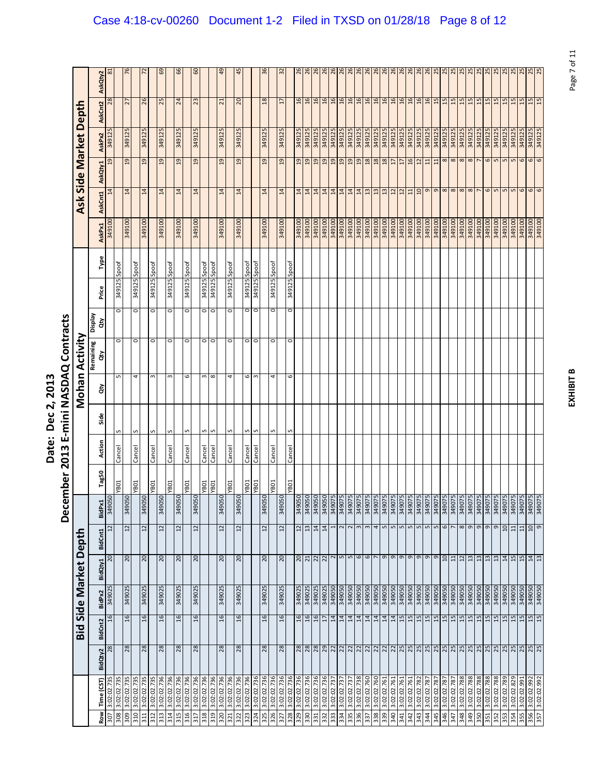|                                                                               | י<br>י                                    |
|-------------------------------------------------------------------------------|-------------------------------------------|
| ì<br><u>י</u><br>Š<br>֦֦֦֓֓֓֓֓֓֓֓֓֓֡֓֡֓֡֓֡֡֬֓֓֡֓֡֡֬֓֓֡֡֡֡֡֡֡֡֬֓<br>Ĩ<br>Pate. | くくく<br>≧<br>j<br><u>ิต</u><br>ġ<br>ŗ<br>ç |

|                                          |          |                 |                  |                                            |                            | Decer                   | mber 2013            |                  |        |               | E-mini NASDAQ Contracts |               |                              |              |                  |                      |                             |                       |                      |                                |
|------------------------------------------|----------|-----------------|------------------|--------------------------------------------|----------------------------|-------------------------|----------------------|------------------|--------|---------------|-------------------------|---------------|------------------------------|--------------|------------------|----------------------|-----------------------------|-----------------------|----------------------|--------------------------------|
|                                          |          | Bid             |                  | Side Market Depth                          |                            |                         |                      |                  |        |               | Mohan Activity          |               |                              |              |                  |                      |                             | Ask Side Market Depth |                      |                                |
| Time (CST)<br>Row                        | BidQty2  | <b>BidCnt2</b>  | BidPx2           | BidQty1                                    | BidCnt1                    | BidPx1                  | Tag50                | Action           | Side   | ਲੋ            | Remaining<br>ਲੇ         | Veldsig<br>हे | Price                        | Type         | AskPx1           | AskCnt1              | AskQty1                     | AskPx2                | AskCnt2              | AskQty2                        |
| 3:02:02.735<br>3:02:02.735<br>307        | 28       | $\overline{16}$ | 349025           | 20                                         | $\frac{1}{2}$              | O.<br>34905             |                      |                  |        |               |                         |               |                              |              | 349100           | 14                   | 19                          | 349125                | 28                   | $\approx$                      |
| 3:02:02.735<br>309<br>308                | 28       | $\frac{6}{2}$   | 349025           | $\overline{c}$                             | $12 \overline{ }$          | Os<br>3490 <sup>E</sup> | <b>YB01</b>          | Cancel           |        | Б             | 0                       | o             | 349125                       | Spoof        | 349100           | 14                   | 19                          | 349125                | 27                   | ٣                              |
| 3:02:02.735<br>310                       |          |                 |                  |                                            |                            |                         | TOBA                 | Cancel           | S      | 4             | $\circ$                 | o             | 349125                       | Spoof        |                  |                      |                             |                       |                      |                                |
| 3:02:02.735<br>311                       | 28       | $\overline{16}$ | 349025           | $\overline{c}$                             | $\overline{12}$            | I <sub>S</sub><br>30678 |                      |                  |        |               |                         |               |                              |              | 349100           | 14                   | 19                          | 349125                | 26                   |                                |
| 3:02:02.735<br>3:02:02.736<br>312<br>313 |          |                 | 349025           |                                            |                            | 50<br>34905             | <b>YB01</b>          | Cancel           | S      | S             | $\circ$                 | o             | 349125 Spoof                 |              |                  |                      |                             |                       |                      |                                |
| 3:02:02.736<br>314                       | 28       | 16              |                  | 20                                         | $\overline{12}$            |                         | TOBA.                | Cancel           | S      | ω             | $\circ$                 | 0             | 349125 Spoof                 |              | 349100           | 14                   | $^{29}$                     | 349125                | 25                   | င္မွ                           |
| 3:02:02.736<br>315                       | 28       | 16              | 349025           | 20                                         | $\overline{12}$            | $\frac{50}{2}$<br>34905 |                      |                  |        |               |                         |               |                              |              | 349100           | 14                   | 19                          | 349125                | $^{24}$              | 99                             |
| 3:02:02.736<br>316                       |          |                 |                  |                                            |                            |                         | TOBA.                | Cancel           | S      | 6             | $\circ$                 | $\circ$       | 349125                       | Spoof        |                  |                      |                             |                       |                      |                                |
| 3:02:02.736<br>317                       | 28       | 16              | 349025           | $\overline{c}$                             | $\overline{12}$            | $\overline{2}$<br>34905 |                      |                  |        |               |                         |               |                              |              | 349100           | 14                   | $\overline{a}$              | 349125                | 23                   | 6                              |
| 3:02:02.736<br>3:02:02.736<br>318<br>319 |          |                 |                  |                                            |                            |                         | <b>TOBA</b><br>TOBA. | Cancel<br>Cancel | S<br>S | ω<br>$\infty$ | $\circ$<br>$\circ$      | o<br>O        | 349125 Spoof<br>349125 Spoof |              |                  |                      |                             |                       |                      |                                |
| 3:02:02.736<br>320                       | 28       | $\frac{16}{2}$  | 349025           | 20                                         | 12                         | $\overline{a}$<br>34905 |                      |                  |        |               |                         |               |                              |              | 349100           | 14                   | $^{29}$                     | 349125                | $\overline{z}$       | ੩                              |
| 3:02:02.736<br>321                       |          |                 |                  |                                            |                            |                         | TO <sub>H</sub>      | Cancel           | S      | 4             | $\circ$                 | o             | 349125 Spoof                 |              |                  |                      |                             |                       |                      |                                |
| 3:02:02.736<br>322                       | 28       | 16              | 349025           | $\overline{c}$                             | $12 \overline{ }$          | 50<br>34905             |                      |                  |        |               |                         |               |                              |              | 349100           | $\overline{14}$      | $^{29}$                     | 349125                | 20                   | $\frac{1}{4}$                  |
| 3:02:02.736<br>323                       |          |                 |                  |                                            |                            |                         | TOBA.                | Cancel           | S      | 6             | 0                       | o             | 349125<br>349125             | Spoof        |                  |                      |                             |                       |                      |                                |
| 3:02:02.736<br>324                       |          |                 |                  |                                            |                            |                         | T0BA                 | Cancel           | S      | E             | $\circ$                 | o             |                              | <b>Joods</b> |                  |                      |                             |                       |                      |                                |
| 3:02:02.736<br>325                       | 28       | 16              | 349025           | $\overline{c}$                             | $\overline{12}$            | 0 <sup>2</sup><br>3490  |                      |                  |        |               |                         |               |                              |              | 349100           | $\sharp$             | 19                          | 349125                | $^{18}$              |                                |
| 3:02:02.736<br>326                       |          |                 |                  |                                            |                            |                         | YB01                 | Cancel           | S      | 4             | $\circ$                 | o             | 349125 Spoof                 |              |                  |                      |                             |                       |                      |                                |
| 3:02:02.736<br>327                       | 28       | 16              | 349025           | $\overline{c}$                             | 12                         | C.<br>30678             |                      |                  |        |               |                         |               |                              |              | 349100           | 14                   | $_{19}$                     | 349125                | $\overline{17}$      | 35                             |
| 3:02:02.736<br>3:02:02.736<br>328        |          |                 | 349025           |                                            |                            |                         | TOBA.                | Cancel           |        | 6             | 0                       | o             | 349125                       | Spoof        |                  |                      |                             |                       |                      |                                |
| 3:02:02.736<br>329<br>330                | 28<br>28 | 16<br>16        | 349025           | $\frac{20}{21}$                            | $\frac{12}{13}$            |                         |                      |                  |        |               |                         |               |                              |              | 349100<br>349100 | 14<br>$\overline{1}$ | $\frac{19}{19}$             | 349125<br>349125      | $\frac{6}{2}$<br>16  | $\frac{8}{2}$<br>$\frac{8}{2}$ |
| 3:02:02.736<br>331                       |          | 16              | 349025           |                                            | 14                         |                         |                      |                  |        |               |                         |               |                              |              | 349100           | 14                   | $^{29}$                     | 349125                | 16                   | $^{26}$                        |
| 3:02:02.736<br>332                       |          | $\overline{1}$  | 349025           | $\frac{2}{2}$                              | 14                         |                         |                      |                  |        |               |                         |               |                              |              | 349100           | 14                   | 19                          | 349125                | 16                   | 26                             |
| 3:02:02.737<br>333                       |          | 14              | <b>0506tE</b>    | $\sim$                                     |                            |                         |                      |                  |        |               |                         |               |                              |              | 349100           | 14                   | $_{01}$                     | 349125                | 16                   | 26                             |
| 3:02:02.737<br>334                       |          | 14              | 349050           | $\mathsf{L}\mathsf{D}$                     | 2                          |                         |                      |                  |        |               |                         |               |                              |              | 349100           | 14                   | $^{29}$                     | 349125                | 16                   | $\frac{8}{2}$                  |
| 3:02:02.737<br>335                       |          | 14              | 349050           | $\mathsf{L}\mathsf{D}$                     | $\sim$                     |                         |                      |                  |        |               |                         |               |                              |              | <b>00T6tE</b>    | 14                   | 19                          | 349125                | 16                   | 26                             |
| 3:02:02.738<br>336                       |          | 14              | 349050           | 6                                          | $\infty$                   |                         |                      |                  |        |               |                         |               |                              |              | 349100           | 14                   | 9                           | 349125                | $16$                 | $^{26}$                        |
| 3:02:02.760<br>337                       |          | 14              | 349050           | $\mathbf \omega$                           | $\infty$                   |                         |                      |                  |        |               |                         |               |                              |              | 349100           | $\overline{13}$      | $\frac{18}{18}$             | 349125                | 16                   | 26                             |
| 3:02:02.760<br>3:02:02.761<br>338<br>339 |          | 14              | 349050<br>349050 | $\sigma$                                   | 4<br>LO                    |                         |                      |                  |        |               |                         |               |                              |              | 349100<br>349100 | 13<br>$\frac{3}{2}$  |                             | 349125<br>349125      | 16                   | 26                             |
| 3:02:02.761<br>340                       |          | $\frac{14}{14}$ | 349050           | G                                          | 5                          |                         |                      |                  |        |               |                         |               |                              |              | 349100           | 12                   | $\frac{18}{17}$             | 349125                | $16$<br>$16$         | $rac{26}{26}$                  |
| 3:02:02.761<br>341                       |          | 15              | 349050           | $\sigma$                                   | LO                         |                         |                      |                  |        |               |                         |               |                              |              | 349100           | 12                   | 17                          | 349125                | 16                   | 26                             |
| 342                                      |          | 15              | 349050           | $\mathsf{\sigma}$                          | LO                         |                         |                      |                  |        |               |                         |               |                              |              | 349100           | $11$                 |                             | 349125                | 16                   |                                |
| 3:02:02.782<br>343                       |          | $\frac{15}{15}$ | 349050           | $\mathsf \sigma$                           | LO.                        |                         |                      |                  |        |               |                         |               |                              |              | <b>00T6tE</b>    | 10                   | $\frac{16}{12}$             | 349125                | 16                   | $rac{26}{26}$                  |
| 3:02:02.78<br>344                        |          |                 | <b>0506bE</b>    | $\sigma$                                   | LO                         |                         |                      |                  |        |               |                         |               |                              |              | 349100           | $\sigma$             | 11                          | 349125                | $\frac{16}{2}$       | 26                             |
| 3:02:02.787<br>345                       |          | $\frac{15}{2}$  | 349050           | e                                          | $\sqrt{2}$                 |                         |                      |                  |        |               |                         |               |                              |              | 349100           | $\mathsf{\sigma}$    | $\frac{11}{8}$              | 349125                | 15                   | $\frac{25}{25}$                |
| 3:02:02.787<br>346                       |          | 15              |                  | 5                                          | 6                          |                         |                      |                  |        |               |                         |               |                              |              | 349100           | $\infty$             |                             | 349125                | 15                   |                                |
| 3:02:02.787<br>347                       |          | 15              | <b>OSO6tE</b>    | 11                                         |                            |                         |                      |                  |        |               |                         |               |                              |              | 349100           | $\infty$             | $\infty$                    | 349125                | 15                   | $\overline{5}$                 |
| 3:02:02.788<br>348                       |          | 15              | 349050           | $\frac{12}{13}$                            | 8                          |                         |                      |                  |        |               |                         |               |                              |              | 349100           | $\infty$             | $\infty$                    | 349125                | 15                   | 25                             |
| 3:02:02.788<br>349                       |          | 15              | 349050           |                                            | 9                          |                         |                      |                  |        |               |                         |               |                              |              | 349100           | $\infty$             | $\infty$                    | 349125                | 15                   | 25                             |
| 3:02:02.788<br>350<br>351                |          | 15              | 349050           | 13                                         | 9                          |                         |                      |                  |        |               |                         |               |                              |              | 349100<br>349100 |                      |                             | 349125                | 15                   | 25                             |
| 3:02:02.788<br>3:02:02.788               |          | 15<br>15        | 349050           | $\frac{13}{13}$                            | 9                          |                         |                      |                  |        |               |                         |               |                              |              | 349100           | 6                    | 6                           | 349125<br>349125      | 15                   |                                |
| 3:02:02.789<br>352                       |          | 15              | 349050<br>349050 |                                            | $\sigma$<br>$\overline{a}$ |                         |                      |                  |        |               |                         |               |                              |              | 349100           | S                    | $\mathsf{L}\mathsf{D}$<br>S | 349125                | 15<br>$\frac{15}{2}$ | $\frac{25}{25}$                |
| 3:02:02.829<br>354<br>353                |          | 15              | 349050           | 14                                         | $\Xi$                      |                         |                      |                  |        |               |                         |               |                              |              | 349100           | Ln                   | S                           | 349125                |                      |                                |
| 3:02:02.991<br>355                       |          | 15              | <b>OSO67E</b>    | $\frac{15}{2}$ $\frac{1}{2}$ $\frac{1}{2}$ | 11                         |                         |                      |                  |        |               |                         |               |                              |              | 349100           | 6                    | 6                           | 349125                | 15<br>15             | 25<br>$^{5}$                   |
| 3:02:02.992<br>356                       |          | 15              | 349050           |                                            | 10                         |                         |                      |                  |        |               |                         |               |                              |              |                  |                      | $\sigma$                    | 349125                | 15                   | 25                             |
| 3:02:02.992<br>357                       |          | 15              | 349050           |                                            | g                          |                         |                      |                  |        |               |                         |               |                              |              | 949100           | 6                    | 6                           | 349125                | 15                   | 25                             |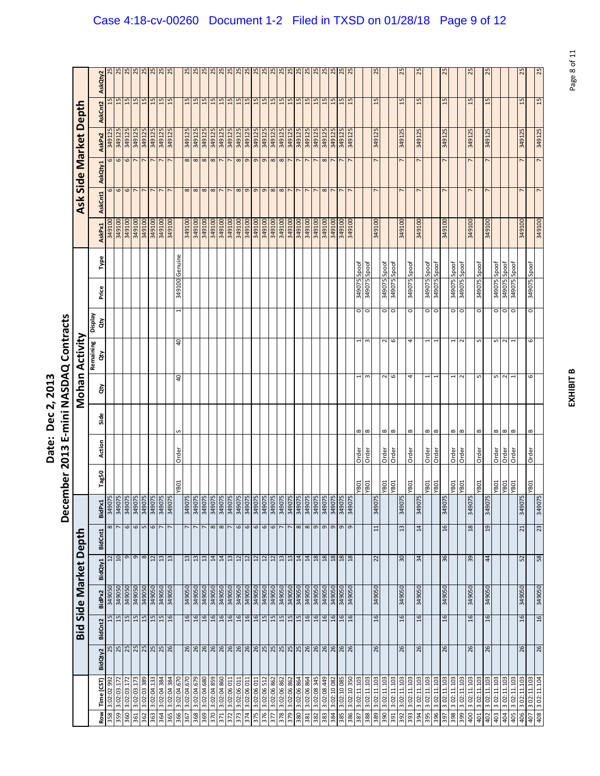|                                      | )<br>ק                                                           |
|--------------------------------------|------------------------------------------------------------------|
| ì<br><u>י</u><br>Č<br>י<br>.<br>ate. | ร<br>ผ<br>ļ<br>≧<br>۱.<br>ا<br>j<br>$\frac{3}{2}$<br>ŗ<br>Š<br>Ì |

|            |                            |                                               |                 |                  |                              |                       | Decer                     | mber 2013                  |                |                             |             | E-mini NASDAQ Contracts |                    |                     |                |                  |            |                   |                       |                 |                 |
|------------|----------------------------|-----------------------------------------------|-----------------|------------------|------------------------------|-----------------------|---------------------------|----------------------------|----------------|-----------------------------|-------------|-------------------------|--------------------|---------------------|----------------|------------------|------------|-------------------|-----------------------|-----------------|-----------------|
|            |                            |                                               |                 |                  | <b>Bid Side Market Depth</b> |                       |                           |                            |                |                             |             | Mohan Activity          |                    |                     |                |                  |            |                   | Ask Side Market Depth |                 |                 |
| <b>Row</b> | Time (CST)                 | BidQty2                                       | BidCnt2         | BidPx2           | BidQty1                      | BidCnt1               | BidPx1                    | Tag50                      | Action         | Side                        | ਲੇ          | Remaining<br>हे         | Veldsig<br>हे      | Price               | Type           | AskPx1           | AskCnt1    | AskQty1           | AskPx2                | AskCnt2         | AskQty2         |
| 358        | 992<br>3:02:02             | 25                                            | 15              | 349050           | $\overline{12}$              |                       | 34907<br>8                |                            |                |                             |             |                         |                    |                     |                | 349100           |            |                   | 349125                |                 | $\frac{5}{2}$   |
| 359        | 3:02:03.172                |                                               | $\frac{15}{15}$ | 349050           | 10                           |                       | 349075<br>349075<br>34907 |                            |                |                             |             |                         |                    |                     |                | 349100<br>949100 | 6          |                   | 349125                | $\frac{15}{15}$ | 25              |
| 360<br>361 | 3:02:03.172<br>3:02:03.173 | $\frac{18}{28}$                               | 5T              | 349050<br>349050 |                              | $\mathbf \omega$<br>G | 34907                     |                            |                |                             |             |                         |                    |                     |                | 349100           | 6          | 00077             | 349125<br>349125      | 15              | 25              |
| 362        | 3:02:03 389                |                                               |                 | 349050           |                              | G<br>$\infty$         | 34907<br>6<br>5           |                            |                |                             |             |                         |                    |                     |                | 349100           |            |                   | 349125                |                 |                 |
| 363        | 3:02:04.133                |                                               | $\frac{15}{15}$ | 349050           | $12 \overline{ }$            | $\mathbf \omega$      | 34907                     |                            |                |                             |             |                         |                    |                     |                | 349100           |            |                   | 349125                | $\frac{15}{15}$ | $\frac{25}{25}$ |
| 364        | 3:02:04 384                |                                               | 15              | <b>0506bE</b>    | 13                           |                       | 34907                     |                            |                |                             |             |                         |                    |                     |                | 349100           |            |                   | 349125                | 15              | 25              |
| 365        | 3:02:04 384                |                                               | $\overline{16}$ | 349050           | $\frac{3}{2}$                |                       | 34907                     |                            |                |                             |             |                         |                    |                     |                | 349100           |            |                   | 349125                | 15              | 25              |
| 366        | 3:02:04.670                |                                               |                 |                  |                              |                       |                           | <b>YB01</b>                | Order          | S                           | ą           | $\theta$                | 1                  | 349100              | Genuine        |                  |            |                   |                       |                 |                 |
| 367        | 3:02:04.670                |                                               | 16              | 349050           | 13                           |                       | 34907                     |                            |                |                             |             |                         |                    |                     |                | 349100           | $\infty$   |                   | 349125                | 15              | 25              |
| 368        | 3:02:04.679                | $\frac{8}{8}$ 8 8 8 8 8 8 8 8 8 8 8 8 8 8 8 8 | 16              | 349050           | 13                           |                       | 34907                     |                            |                |                             |             |                         |                    |                     |                | 349100           | $\infty$   | 888               | 349125                | 15              | 25              |
| 369        | 3:02:04.680                |                                               | 16              | 349050           | 13                           |                       | 34907                     |                            |                |                             |             |                         |                    |                     |                | 349100           | $\infty$   |                   | 349125                | 15              | 25              |
| 370        | 858 b0:20:8                |                                               | 16              | 349050           | 14                           | $\infty$              | 34907                     |                            |                |                             |             |                         |                    |                     |                | 349100           | $\infty$   |                   | 349125                | 15              | 25              |
| 371        | 3:02:04 860                |                                               | 16              | 349050           | $\overline{a}$               |                       | 34907<br>$\infty$         |                            |                |                             |             |                         |                    |                     |                | 349100           |            |                   | 349125                | 15              | 25              |
| 372        | 3:02:06 011                |                                               | 9T              | <b>0506bE</b>    | 13                           |                       | 34907                     |                            |                |                             |             |                         |                    |                     |                | <b>00T6tE</b>    |            |                   | 349125                | 15              | 25              |
| 373        | 3:02:06 011                |                                               | 9T              | 349050           | $12$                         |                       | 34907<br>$\circ$          |                            |                |                             |             |                         |                    |                     |                | <b>00T67E</b>    | $\infty$   | $\infty$          | 349125                | $\frac{15}{15}$ | 25              |
| 374        | 3:02:06 011                |                                               | 16              | 349050           | 12                           |                       | 34907<br>$\circ$          |                            |                |                             |             |                         |                    |                     |                | <b>0016b8</b>    | G          |                   | 349125                |                 | 25              |
| 375        | 3:02:06 011                |                                               | 9T              | 349050           | 12                           |                       | 34907<br>6                |                            |                |                             |             |                         |                    |                     |                | 349100           | G          | $O$ $O$           | 349125                | $\frac{15}{15}$ | 25              |
| 376        | 3:02:06 512                |                                               | 15              | <b>OSO67E</b>    | 12                           |                       | 34907<br>$\omega$         |                            |                |                             |             |                         |                    |                     |                | <b>00T6tE</b>    | $\sigma$   |                   | 349125                |                 | 25              |
| 377        | 3:02:06 862                |                                               | 15              | 349050           | 12                           |                       | 34907<br>$\circ$          |                            |                |                             |             |                         |                    |                     |                | 349100           | $^{\circ}$ | $\infty$ $\infty$ | 349125                | 15              | $\frac{25}{25}$ |
| 378        | 3:02:06 862                |                                               | 15              | <b>0506bE</b>    | 13                           |                       | 34907                     |                            |                |                             |             |                         |                    |                     |                | 349100           | $\infty$   |                   | 349125                |                 |                 |
| 379        | 3:02:06 862                |                                               | 15              | 349050           | 13                           | r                     | 34907                     |                            |                |                             |             |                         |                    |                     |                | 349100           |            | $\overline{ }$    | 349125                | $\frac{15}{15}$ | 25              |
| 380        | 3:02:06 864                |                                               | 15              | 349050           | $\overline{14}$              | $\infty$              | 34907                     |                            |                |                             |             |                         |                    |                     |                | 349100           |            |                   | 349125                |                 | 25              |
| 381        | 3:02:06 864                |                                               | 16              | 349050           | 14                           |                       | 34907<br>8                |                            |                |                             |             |                         |                    |                     |                | 349100           |            |                   | 349125                | 15              | 25              |
| 382        | 3:02:08 345                | $\frac{26}{26}$                               | $\overline{16}$ | 349050           | 18                           | $\sigma$              | 34907                     |                            |                |                             |             |                         |                    |                     |                | 349100           |            |                   | 349125                | 15              | 25              |
| 383        | 3:02:08.449                |                                               | 16              | 349050           | 18                           | $\sigma$              | 34907                     |                            |                |                             |             |                         |                    |                     |                | 349100           | $^{\circ}$ | $\infty$          | 349125                | 15              | 25              |
| 384        | 3:02:10 082                | 26<br>26                                      | 16              | 349050           | $18$                         | $\sigma$              | 34907                     |                            |                |                             |             |                         |                    |                     |                | <b>0016bE</b>    |            |                   | 349125                | 15              | 25              |
| 385        | 3:02:10 085                |                                               | 16              | 349050           | $18$                         | $\sigma$              | 34907                     |                            |                |                             |             |                         |                    |                     |                | 349100           |            |                   | 349125                | 15              | 25              |
| 386        | 3:02:10 350                |                                               | 9T              | <b>0506bE</b>    | $\overline{18}$              | $\sigma$              | 34907                     |                            |                |                             |             |                         |                    |                     |                | 349100           |            |                   | 349125                | 15              | $\overline{5}$  |
| 387        | 3:02:11.103                |                                               |                 |                  |                              |                       |                           | <b>TOBA</b><br>KBOJ        | Order          | $\mathbf{m}$                |             |                         | $\circ$            | 349075              | Spoof          |                  |            |                   |                       |                 |                 |
| 388        | 3:02:11.103                |                                               |                 |                  |                              |                       |                           |                            | Order          | $\mathbf{a}$                | $\sim$      | 3                       | $\circ$            | 349075              | Spoof          |                  |            |                   |                       |                 |                 |
| 389        | 3:02:11.103                | 26                                            | 16              | 349050           | 22                           | 11                    | 34907                     |                            |                |                             |             |                         |                    |                     |                | 349100           |            |                   | 349125                | 15              | 25              |
| 390<br>391 | 3:02:11.103<br>3:02:11.103 |                                               |                 |                  |                              |                       |                           | <b>YB01</b><br><b>YB01</b> | Order<br>Order | $\mathbf 0$<br>$\mathbf{m}$ | 9<br>$\sim$ | 2<br>6                  | $\circ$<br>$\circ$ | 349075              | Spoof<br>Spoof |                  |            |                   |                       |                 |                 |
| 392        | 3:02:11.103                | 26                                            | 16              | 349050           | 90                           | 13                    | 34907                     |                            |                |                             |             |                         |                    |                     |                | 349100           |            |                   | 349125                | 15              |                 |
| 393        | 3:02:11.103                |                                               |                 |                  |                              |                       |                           | T0BA                       | Order          | B                           | 4           | 4                       | $\circ$            | 349075 Spoof        |                |                  |            |                   |                       |                 |                 |
| 394        | 3 02:11.103                | 26                                            | 16              | 349050           | 34                           | 14                    | 34907                     |                            |                |                             |             |                         |                    |                     |                | 349100           |            |                   | 349125                | 15              | 25              |
| 395        | 3 02:11.103                |                                               |                 |                  |                              |                       |                           | <b>TOBA</b>                | Order          | $\bf{c}$                    |             | 1                       | 0                  | 5400 <sub>2</sub> 5 | Spoof          |                  |            |                   |                       |                 |                 |
| 396        | 3 02:11.103                |                                               |                 |                  |                              |                       |                           | <b>YB01</b>                | Order          | $\bf{m}$                    |             |                         | $\circ$            | 349075              | Spoof          |                  |            |                   |                       |                 |                 |
| 397        | 3 02:11.103                | 26                                            | 16              | 349050           | 36                           | 16                    | 34907                     |                            |                |                             |             |                         |                    |                     |                | 349100           |            |                   | 349125                | 15              | 25              |
| 398        | 3 02:11.103                |                                               |                 |                  |                              |                       |                           | YB01                       | Order          | $\bf{m}$                    |             |                         | $\circ$            | 349075 Spoof        |                |                  |            |                   |                       |                 |                 |
| 399        | 3 02:11.103                |                                               |                 |                  |                              |                       |                           | <b>YB01</b>                | Order          | $\bf{m}$                    | ี           | $\sim$                  | $\circ$            | 349075 Spoof        |                |                  |            |                   |                       |                 |                 |
| 400        | 3 02:11.103                | 26                                            | $\frac{6}{2}$   | 349050           | 39                           | $\overline{18}$       | 34907                     |                            |                |                             |             |                         |                    |                     |                | 349100           |            |                   | 349125                | 15              | 25              |
| 401        | 3 02:11.103                |                                               |                 |                  |                              |                       |                           | YB01                       | Order          | $\bf{c}$                    | LO          | ۱                       | 0                  | 349075 Spoof        |                |                  |            |                   |                       |                 |                 |
| 402        | 3 02:11.103                | 26                                            | 16              | 349050           | $\ddot{a}$                   | $\overline{a}$        | 34907                     |                            |                |                             |             |                         |                    |                     |                | 349100           |            |                   | 349125                | 15              | 25              |
| 403        | 3 02:11.103                |                                               |                 |                  |                              |                       |                           | <b>YB01</b>                | Order          | B                           | LO          | S                       | $\circ$            | 349075              | Spoof          |                  |            |                   |                       |                 |                 |
| 404        | 3 02:11.103                |                                               |                 |                  |                              |                       |                           | <b>YB01</b>                | Order          | $\bf{m}$                    | $\sim$      | $\sim$                  | $\circ$            | 349075              | Spoof          |                  |            |                   |                       |                 |                 |
| 405<br>406 | 3 02:11.103<br>3 02:11.103 | 26                                            | 16              | 349050           | 52                           | 21                    | 34907                     | <b>YB01</b>                | Order          | $\bf{m}$                    |             |                         | 0                  | 540075              | Spoof          | 349100           |            |                   | 349125                | 15              | 25              |
| 407        |                            |                                               |                 |                  |                              |                       |                           | <b>YB01</b>                | Order          | $\bf{c}$                    | c           | 6                       | $\circ$            | 349075 Spoof        |                |                  |            |                   |                       |                 |                 |
| 408        | 3 02:11.103                | 26                                            | 16              | 349050           | 58                           | 23                    | 34907                     |                            |                |                             |             |                         |                    |                     |                | 349100           |            |                   | 349125                | 15              | 25              |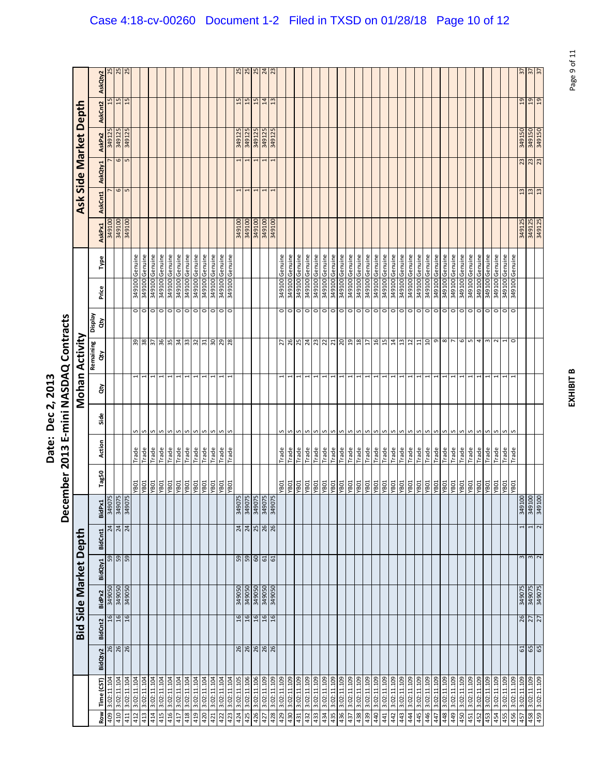|                                                                               | י<br>י                                    |
|-------------------------------------------------------------------------------|-------------------------------------------|
| ì<br><u>י</u><br>Š<br>֦֦֦֓֓֓֓֓֓֓֓֓֓֡֓֡֓֡֓֡֡֬֓֓֡֓֡֡֬֓֓֡֡֡֡֡֡֡֡֬֓<br>Ĩ<br>Pate. | くくく<br>≧<br>j<br><u>ิต</u><br>ġ<br>ŗ<br>ç |

| $\frac{25}{24}$<br>25<br>25<br>57<br>25<br>52<br>57<br>$\frac{2}{3}$<br>$\tilde{z}$<br>AskQty2<br>15<br>15<br>19<br>6T<br>15<br>$\overline{15}$<br>15<br>15<br>$\overline{14}$<br>13<br>AskCnt2<br>349125<br>349125<br>349125<br>349150<br>349150<br>349125<br>349125<br>349125<br>349125<br>AskPx2<br>$\frac{6}{5}$<br>23<br>AskQty1<br>$\frac{7}{6}$<br>13<br>13<br>1<br>1<br>1<br>AskCnt1<br>349100<br>349100<br>349100<br>349125<br>349125<br>349100<br><b>0016b8</b><br>349100<br><b>0016b8</b><br>AskPx1<br>349100 Genuine<br>349100 Genuine<br>Genuine<br>349100 Genuine<br>Genuine<br>349100 Genuine<br>349100 Genuine<br>349100 Genuine<br>349100 Genuine<br>349100 Genuine<br>349100 Genuine<br>Genuine<br>349100 Genuine<br>Genuine<br>349100 Genuine<br>349100 Genuine<br>349100 Genuine<br>349100 Genuine<br>349100 Genuine<br>349100 Genuine<br>349100 Genuine<br>349100 Genuine<br>349100 Genuine<br>349100 Genuine<br>Genuine<br>349100 Genuine<br>Genuine<br>349100 Genuine<br>Genuine<br>349100 Genuine<br>Genuine<br>Genuine<br>349100 Genuine<br>Genuine<br>Genuine<br>349100 Genuine<br>349100 Genuine<br>Genuine<br>Genuine<br>349100 Genuine<br>Type<br>349100<br>349100<br>349100<br>349100<br>949100<br>349100<br>349100<br>349100<br>349100<br>349100<br>349100<br>349100<br>349100<br>Price<br>$\frac{0}{0}$<br>0<br>$\circ$ $\circ$ $\circ$<br>$\circ$<br>$\overline{\circ}$<br>0<br>$\circ$ $\circ$<br>$\frac{0}{0}$<br>$\circ$<br>$\overline{0}$<br>$\frac{0}{0}$<br>$\frac{0}{0}$<br>ō<br>O<br>0<br>$\circ$<br>$\circ$<br>$\circ$<br>$\circ$<br>$\circ$<br>$\circ$<br>$\circ$<br>$\circ$<br>$\circ$<br>$\circ$<br>$\circ$<br>$\circ$<br>$\circ$ $\circ$<br>$\circ$<br>Veldsig<br>ਰੇਂ<br>36<br>34<br>32<br>$rac{20}{29}$<br>26<br>24<br>23<br>$\overline{20}$<br>$\frac{8}{2}$<br>16<br>15<br>5<br>99<br>38<br>35<br>$33\,$<br>$\overline{\mathbf{3}}$<br>28<br>25<br>22<br>$\overline{a}$<br>14<br>13<br>$\overline{1}$<br>$\mathsf \sigma$<br>$\infty$<br>$\overline{ }$<br>6<br>S<br>$\frac{2}{3}$<br>$\overline{z}$<br>$\overline{17}$<br>$\overline{11}$<br>4<br>S<br>$\sim$<br>1<br>$\circ$<br>21<br>Remaining<br>ਨੌ<br>1<br>ਰੇ<br>Side<br>S<br>S<br>S<br>S<br>S<br>S<br>S<br>S<br>S<br>S<br>S<br>S<br>S<br>S<br>S<br>S<br>S<br>S<br>S<br>S<br>S<br>S<br>S<br>ς<br>S<br>S<br>S<br>S<br>S<br>S<br>s<br>S<br>Action<br>Trade<br>Trade<br>Trade<br>Trade<br>Trade<br>Trade<br>Trade<br>Trade<br>Trade<br>Trade<br>Trade<br>Trade<br>Trade<br>Trade<br>Trade<br>Trade<br>Trade<br>Trade<br>Trade<br>Trade<br>Trade<br>Trade<br>Trade<br>Trade<br>Trade<br>Trade<br>Trade<br>Trade<br>Trade<br>Trade<br>Trade<br>Trade<br>Trade<br>Trade<br>Trade<br>Trade<br>Trade<br>Trade<br>Trade<br>Trade<br>Tag50<br><b>TOBA</b><br>TOBA<br><b>YB01</b><br>YB01<br><b>YB01</b><br>TOBA<br>TOBA<br>YB01<br><b>NBO1</b><br>YB01<br>YB01<br><b>YB01</b><br><b>YBO1</b><br><b>YB01</b><br><b>YB01</b><br>YB01<br>YBO1<br><b>TOBA</b><br>TOBA.<br><b>YB01</b><br>TOBA.<br><b>YB01</b><br>YB01<br>YB01<br><b>YB01</b><br><b>TOBA</b><br>ABOT<br>YB01<br><b>YB01</b><br><b>YB01</b><br>YB01<br><b>YB01</b><br>YB01<br><b>YB01</b><br><b>YB01</b><br><b>YB01</b><br>YB01<br><b>YB01</b><br>YB01<br><b>YB01</b><br>349075<br>349075<br>349100<br>540075<br>349075<br>540075<br>349075<br>349075<br>5406bg<br>349100<br>BidPx1<br>$\frac{24}{25}$<br>$\overline{1}$<br>$\overline{ }$<br>$^{24}$<br>$\frac{24}{24}$<br>$^{24}$<br>BidCnt1<br>59<br>59<br>3831<br>3<br>$\mathsf{c}$<br>59<br>$\sim$<br>BidQty1<br>349050<br>349075<br>349050<br>349050<br>349050<br>349050<br>349050<br>349075<br>349075<br>349050<br>349050<br>BidPx2<br>16<br>26<br>16<br>16<br>$\frac{16}{16}$<br>16<br>$\overline{16}$<br>16<br>$\overline{2}$<br>BidCnt2<br>26<br>26<br>26<br>26<br>26<br>65<br>26<br>$61\,$<br>BidQty2<br>3:02:11.106<br>3:02:11.106<br>3:02:11.109<br>3:02:11.109<br>3:02:11.109<br>3:02:11.109<br>3:02:11.109<br>3:02:11.109<br>3:02:11.109<br>3:02:11.104<br>3:02:11.104<br>3:02:11.104<br>3:02:11.104<br>3:02:11.104<br>3:02:11.104<br>3:02:11.104<br>3:02:11.104<br>3:02:11.104<br>3:02:11.104<br>3:02:11.104<br>3:02:11.104<br>3:02:11.104<br>3:02:11.104<br>3:02:11.105<br>3:02:11.109<br>3:02:11.109<br>3:02:11.109<br>3:02:11.109<br>3:02:11.109<br>3:02:11.109<br>3:02:11.109<br>3:02:11.109<br>3:02:11.109<br>3:02:11.109<br>3:02:11.109<br>3:02:11.109<br>3:02:11.109<br>3:02:11.109<br>3:02:11.109<br>3:02:11.109<br>3:02:11.109<br>3:02:11.109<br>3:02:11.109<br>3:02:11.109<br>3:02:11.109<br>3:02:11.109<br>3:02:11.109<br>3:02:11.109<br>3:02:11.109<br>3:02:11.09<br>3:02:11.104<br>Time (CST) |    |    | Bid Side Market Depth |   |        |  |  | Mohan Activity |  |        | Ask Side Market Depth |    |        |                 |  |
|----------------------------------------------------------------------------------------------------------------------------------------------------------------------------------------------------------------------------------------------------------------------------------------------------------------------------------------------------------------------------------------------------------------------------------------------------------------------------------------------------------------------------------------------------------------------------------------------------------------------------------------------------------------------------------------------------------------------------------------------------------------------------------------------------------------------------------------------------------------------------------------------------------------------------------------------------------------------------------------------------------------------------------------------------------------------------------------------------------------------------------------------------------------------------------------------------------------------------------------------------------------------------------------------------------------------------------------------------------------------------------------------------------------------------------------------------------------------------------------------------------------------------------------------------------------------------------------------------------------------------------------------------------------------------------------------------------------------------------------------------------------------------------------------------------------------------------------------------------------------------------------------------------------------------------------------------------------------------------------------------------------------------------------------------------------------------------------------------------------------------------------------------------------------------------------------------------------------------------------------------------------------------------------------------------------------------------------------------------------------------------------------------------------------------------------------------------------------------------------------------------------------------------------------------------------------------------------------------------------------------------------------------------------------------------------------------------------------------------------------------------------------------------------------------------------------------------------------------------------------------------------------------------------------------------------------------------------------------------------------------------------------------------------------------------------------------------------------------------------------------------------------------------------------------------------------------------------------------------------------------------------------------------------------------------------------------------------------------------------------------------------------------------------------------------------------------------------------------------------------------------------------------------------------------------------------------------------------------------------------------------------------------------------------------------------------------------------------------------------------------------------------------------------------------------------------------------------------------------------------------------------------------------------------------------------------------------------------------------------------------------------------------------------------------------------------------------------------------------------------------------------------------------------------------------------------------------------------------------------------------------------------------------------------------------------------------------------------------------------------------------------------------------------------------------------------------------------------------------------------------------------------------------------------------------------------------------------------------------------------------------|----|----|-----------------------|---|--------|--|--|----------------|--|--------|-----------------------|----|--------|-----------------|--|
|                                                                                                                                                                                                                                                                                                                                                                                                                                                                                                                                                                                                                                                                                                                                                                                                                                                                                                                                                                                                                                                                                                                                                                                                                                                                                                                                                                                                                                                                                                                                                                                                                                                                                                                                                                                                                                                                                                                                                                                                                                                                                                                                                                                                                                                                                                                                                                                                                                                                                                                                                                                                                                                                                                                                                                                                                                                                                                                                                                                                                                                                                                                                                                                                                                                                                                                                                                                                                                                                                                                                                                                                                                                                                                                                                                                                                                                                                                                                                                                                                                                                                                                                                                                                                                                                                                                                                                                                                                                                                                                                                                                                                                  |    |    |                       |   |        |  |  |                |  |        |                       |    |        |                 |  |
|                                                                                                                                                                                                                                                                                                                                                                                                                                                                                                                                                                                                                                                                                                                                                                                                                                                                                                                                                                                                                                                                                                                                                                                                                                                                                                                                                                                                                                                                                                                                                                                                                                                                                                                                                                                                                                                                                                                                                                                                                                                                                                                                                                                                                                                                                                                                                                                                                                                                                                                                                                                                                                                                                                                                                                                                                                                                                                                                                                                                                                                                                                                                                                                                                                                                                                                                                                                                                                                                                                                                                                                                                                                                                                                                                                                                                                                                                                                                                                                                                                                                                                                                                                                                                                                                                                                                                                                                                                                                                                                                                                                                                                  |    |    |                       |   |        |  |  |                |  |        |                       |    |        |                 |  |
|                                                                                                                                                                                                                                                                                                                                                                                                                                                                                                                                                                                                                                                                                                                                                                                                                                                                                                                                                                                                                                                                                                                                                                                                                                                                                                                                                                                                                                                                                                                                                                                                                                                                                                                                                                                                                                                                                                                                                                                                                                                                                                                                                                                                                                                                                                                                                                                                                                                                                                                                                                                                                                                                                                                                                                                                                                                                                                                                                                                                                                                                                                                                                                                                                                                                                                                                                                                                                                                                                                                                                                                                                                                                                                                                                                                                                                                                                                                                                                                                                                                                                                                                                                                                                                                                                                                                                                                                                                                                                                                                                                                                                                  |    |    |                       |   |        |  |  |                |  |        |                       |    |        |                 |  |
|                                                                                                                                                                                                                                                                                                                                                                                                                                                                                                                                                                                                                                                                                                                                                                                                                                                                                                                                                                                                                                                                                                                                                                                                                                                                                                                                                                                                                                                                                                                                                                                                                                                                                                                                                                                                                                                                                                                                                                                                                                                                                                                                                                                                                                                                                                                                                                                                                                                                                                                                                                                                                                                                                                                                                                                                                                                                                                                                                                                                                                                                                                                                                                                                                                                                                                                                                                                                                                                                                                                                                                                                                                                                                                                                                                                                                                                                                                                                                                                                                                                                                                                                                                                                                                                                                                                                                                                                                                                                                                                                                                                                                                  |    |    |                       |   |        |  |  |                |  |        |                       |    |        |                 |  |
|                                                                                                                                                                                                                                                                                                                                                                                                                                                                                                                                                                                                                                                                                                                                                                                                                                                                                                                                                                                                                                                                                                                                                                                                                                                                                                                                                                                                                                                                                                                                                                                                                                                                                                                                                                                                                                                                                                                                                                                                                                                                                                                                                                                                                                                                                                                                                                                                                                                                                                                                                                                                                                                                                                                                                                                                                                                                                                                                                                                                                                                                                                                                                                                                                                                                                                                                                                                                                                                                                                                                                                                                                                                                                                                                                                                                                                                                                                                                                                                                                                                                                                                                                                                                                                                                                                                                                                                                                                                                                                                                                                                                                                  |    |    |                       |   |        |  |  |                |  |        |                       |    |        |                 |  |
|                                                                                                                                                                                                                                                                                                                                                                                                                                                                                                                                                                                                                                                                                                                                                                                                                                                                                                                                                                                                                                                                                                                                                                                                                                                                                                                                                                                                                                                                                                                                                                                                                                                                                                                                                                                                                                                                                                                                                                                                                                                                                                                                                                                                                                                                                                                                                                                                                                                                                                                                                                                                                                                                                                                                                                                                                                                                                                                                                                                                                                                                                                                                                                                                                                                                                                                                                                                                                                                                                                                                                                                                                                                                                                                                                                                                                                                                                                                                                                                                                                                                                                                                                                                                                                                                                                                                                                                                                                                                                                                                                                                                                                  |    |    |                       |   |        |  |  |                |  |        |                       |    |        |                 |  |
|                                                                                                                                                                                                                                                                                                                                                                                                                                                                                                                                                                                                                                                                                                                                                                                                                                                                                                                                                                                                                                                                                                                                                                                                                                                                                                                                                                                                                                                                                                                                                                                                                                                                                                                                                                                                                                                                                                                                                                                                                                                                                                                                                                                                                                                                                                                                                                                                                                                                                                                                                                                                                                                                                                                                                                                                                                                                                                                                                                                                                                                                                                                                                                                                                                                                                                                                                                                                                                                                                                                                                                                                                                                                                                                                                                                                                                                                                                                                                                                                                                                                                                                                                                                                                                                                                                                                                                                                                                                                                                                                                                                                                                  |    |    |                       |   |        |  |  |                |  |        |                       |    |        |                 |  |
|                                                                                                                                                                                                                                                                                                                                                                                                                                                                                                                                                                                                                                                                                                                                                                                                                                                                                                                                                                                                                                                                                                                                                                                                                                                                                                                                                                                                                                                                                                                                                                                                                                                                                                                                                                                                                                                                                                                                                                                                                                                                                                                                                                                                                                                                                                                                                                                                                                                                                                                                                                                                                                                                                                                                                                                                                                                                                                                                                                                                                                                                                                                                                                                                                                                                                                                                                                                                                                                                                                                                                                                                                                                                                                                                                                                                                                                                                                                                                                                                                                                                                                                                                                                                                                                                                                                                                                                                                                                                                                                                                                                                                                  |    |    |                       |   |        |  |  |                |  |        |                       |    |        |                 |  |
|                                                                                                                                                                                                                                                                                                                                                                                                                                                                                                                                                                                                                                                                                                                                                                                                                                                                                                                                                                                                                                                                                                                                                                                                                                                                                                                                                                                                                                                                                                                                                                                                                                                                                                                                                                                                                                                                                                                                                                                                                                                                                                                                                                                                                                                                                                                                                                                                                                                                                                                                                                                                                                                                                                                                                                                                                                                                                                                                                                                                                                                                                                                                                                                                                                                                                                                                                                                                                                                                                                                                                                                                                                                                                                                                                                                                                                                                                                                                                                                                                                                                                                                                                                                                                                                                                                                                                                                                                                                                                                                                                                                                                                  |    |    |                       |   |        |  |  |                |  |        |                       |    |        |                 |  |
|                                                                                                                                                                                                                                                                                                                                                                                                                                                                                                                                                                                                                                                                                                                                                                                                                                                                                                                                                                                                                                                                                                                                                                                                                                                                                                                                                                                                                                                                                                                                                                                                                                                                                                                                                                                                                                                                                                                                                                                                                                                                                                                                                                                                                                                                                                                                                                                                                                                                                                                                                                                                                                                                                                                                                                                                                                                                                                                                                                                                                                                                                                                                                                                                                                                                                                                                                                                                                                                                                                                                                                                                                                                                                                                                                                                                                                                                                                                                                                                                                                                                                                                                                                                                                                                                                                                                                                                                                                                                                                                                                                                                                                  |    |    |                       |   |        |  |  |                |  |        |                       |    |        |                 |  |
|                                                                                                                                                                                                                                                                                                                                                                                                                                                                                                                                                                                                                                                                                                                                                                                                                                                                                                                                                                                                                                                                                                                                                                                                                                                                                                                                                                                                                                                                                                                                                                                                                                                                                                                                                                                                                                                                                                                                                                                                                                                                                                                                                                                                                                                                                                                                                                                                                                                                                                                                                                                                                                                                                                                                                                                                                                                                                                                                                                                                                                                                                                                                                                                                                                                                                                                                                                                                                                                                                                                                                                                                                                                                                                                                                                                                                                                                                                                                                                                                                                                                                                                                                                                                                                                                                                                                                                                                                                                                                                                                                                                                                                  |    |    |                       |   |        |  |  |                |  |        |                       |    |        |                 |  |
|                                                                                                                                                                                                                                                                                                                                                                                                                                                                                                                                                                                                                                                                                                                                                                                                                                                                                                                                                                                                                                                                                                                                                                                                                                                                                                                                                                                                                                                                                                                                                                                                                                                                                                                                                                                                                                                                                                                                                                                                                                                                                                                                                                                                                                                                                                                                                                                                                                                                                                                                                                                                                                                                                                                                                                                                                                                                                                                                                                                                                                                                                                                                                                                                                                                                                                                                                                                                                                                                                                                                                                                                                                                                                                                                                                                                                                                                                                                                                                                                                                                                                                                                                                                                                                                                                                                                                                                                                                                                                                                                                                                                                                  |    |    |                       |   |        |  |  |                |  |        |                       |    |        |                 |  |
|                                                                                                                                                                                                                                                                                                                                                                                                                                                                                                                                                                                                                                                                                                                                                                                                                                                                                                                                                                                                                                                                                                                                                                                                                                                                                                                                                                                                                                                                                                                                                                                                                                                                                                                                                                                                                                                                                                                                                                                                                                                                                                                                                                                                                                                                                                                                                                                                                                                                                                                                                                                                                                                                                                                                                                                                                                                                                                                                                                                                                                                                                                                                                                                                                                                                                                                                                                                                                                                                                                                                                                                                                                                                                                                                                                                                                                                                                                                                                                                                                                                                                                                                                                                                                                                                                                                                                                                                                                                                                                                                                                                                                                  |    |    |                       |   |        |  |  |                |  |        |                       |    |        |                 |  |
|                                                                                                                                                                                                                                                                                                                                                                                                                                                                                                                                                                                                                                                                                                                                                                                                                                                                                                                                                                                                                                                                                                                                                                                                                                                                                                                                                                                                                                                                                                                                                                                                                                                                                                                                                                                                                                                                                                                                                                                                                                                                                                                                                                                                                                                                                                                                                                                                                                                                                                                                                                                                                                                                                                                                                                                                                                                                                                                                                                                                                                                                                                                                                                                                                                                                                                                                                                                                                                                                                                                                                                                                                                                                                                                                                                                                                                                                                                                                                                                                                                                                                                                                                                                                                                                                                                                                                                                                                                                                                                                                                                                                                                  |    |    |                       |   |        |  |  |                |  |        |                       |    |        |                 |  |
|                                                                                                                                                                                                                                                                                                                                                                                                                                                                                                                                                                                                                                                                                                                                                                                                                                                                                                                                                                                                                                                                                                                                                                                                                                                                                                                                                                                                                                                                                                                                                                                                                                                                                                                                                                                                                                                                                                                                                                                                                                                                                                                                                                                                                                                                                                                                                                                                                                                                                                                                                                                                                                                                                                                                                                                                                                                                                                                                                                                                                                                                                                                                                                                                                                                                                                                                                                                                                                                                                                                                                                                                                                                                                                                                                                                                                                                                                                                                                                                                                                                                                                                                                                                                                                                                                                                                                                                                                                                                                                                                                                                                                                  |    |    |                       |   |        |  |  |                |  |        |                       |    |        |                 |  |
|                                                                                                                                                                                                                                                                                                                                                                                                                                                                                                                                                                                                                                                                                                                                                                                                                                                                                                                                                                                                                                                                                                                                                                                                                                                                                                                                                                                                                                                                                                                                                                                                                                                                                                                                                                                                                                                                                                                                                                                                                                                                                                                                                                                                                                                                                                                                                                                                                                                                                                                                                                                                                                                                                                                                                                                                                                                                                                                                                                                                                                                                                                                                                                                                                                                                                                                                                                                                                                                                                                                                                                                                                                                                                                                                                                                                                                                                                                                                                                                                                                                                                                                                                                                                                                                                                                                                                                                                                                                                                                                                                                                                                                  |    |    |                       |   |        |  |  |                |  |        |                       |    |        |                 |  |
|                                                                                                                                                                                                                                                                                                                                                                                                                                                                                                                                                                                                                                                                                                                                                                                                                                                                                                                                                                                                                                                                                                                                                                                                                                                                                                                                                                                                                                                                                                                                                                                                                                                                                                                                                                                                                                                                                                                                                                                                                                                                                                                                                                                                                                                                                                                                                                                                                                                                                                                                                                                                                                                                                                                                                                                                                                                                                                                                                                                                                                                                                                                                                                                                                                                                                                                                                                                                                                                                                                                                                                                                                                                                                                                                                                                                                                                                                                                                                                                                                                                                                                                                                                                                                                                                                                                                                                                                                                                                                                                                                                                                                                  |    |    |                       |   |        |  |  |                |  |        |                       |    |        |                 |  |
|                                                                                                                                                                                                                                                                                                                                                                                                                                                                                                                                                                                                                                                                                                                                                                                                                                                                                                                                                                                                                                                                                                                                                                                                                                                                                                                                                                                                                                                                                                                                                                                                                                                                                                                                                                                                                                                                                                                                                                                                                                                                                                                                                                                                                                                                                                                                                                                                                                                                                                                                                                                                                                                                                                                                                                                                                                                                                                                                                                                                                                                                                                                                                                                                                                                                                                                                                                                                                                                                                                                                                                                                                                                                                                                                                                                                                                                                                                                                                                                                                                                                                                                                                                                                                                                                                                                                                                                                                                                                                                                                                                                                                                  |    |    |                       |   |        |  |  |                |  |        |                       |    |        |                 |  |
|                                                                                                                                                                                                                                                                                                                                                                                                                                                                                                                                                                                                                                                                                                                                                                                                                                                                                                                                                                                                                                                                                                                                                                                                                                                                                                                                                                                                                                                                                                                                                                                                                                                                                                                                                                                                                                                                                                                                                                                                                                                                                                                                                                                                                                                                                                                                                                                                                                                                                                                                                                                                                                                                                                                                                                                                                                                                                                                                                                                                                                                                                                                                                                                                                                                                                                                                                                                                                                                                                                                                                                                                                                                                                                                                                                                                                                                                                                                                                                                                                                                                                                                                                                                                                                                                                                                                                                                                                                                                                                                                                                                                                                  |    |    |                       |   |        |  |  |                |  |        |                       |    |        |                 |  |
|                                                                                                                                                                                                                                                                                                                                                                                                                                                                                                                                                                                                                                                                                                                                                                                                                                                                                                                                                                                                                                                                                                                                                                                                                                                                                                                                                                                                                                                                                                                                                                                                                                                                                                                                                                                                                                                                                                                                                                                                                                                                                                                                                                                                                                                                                                                                                                                                                                                                                                                                                                                                                                                                                                                                                                                                                                                                                                                                                                                                                                                                                                                                                                                                                                                                                                                                                                                                                                                                                                                                                                                                                                                                                                                                                                                                                                                                                                                                                                                                                                                                                                                                                                                                                                                                                                                                                                                                                                                                                                                                                                                                                                  |    |    |                       |   |        |  |  |                |  |        |                       |    |        |                 |  |
|                                                                                                                                                                                                                                                                                                                                                                                                                                                                                                                                                                                                                                                                                                                                                                                                                                                                                                                                                                                                                                                                                                                                                                                                                                                                                                                                                                                                                                                                                                                                                                                                                                                                                                                                                                                                                                                                                                                                                                                                                                                                                                                                                                                                                                                                                                                                                                                                                                                                                                                                                                                                                                                                                                                                                                                                                                                                                                                                                                                                                                                                                                                                                                                                                                                                                                                                                                                                                                                                                                                                                                                                                                                                                                                                                                                                                                                                                                                                                                                                                                                                                                                                                                                                                                                                                                                                                                                                                                                                                                                                                                                                                                  |    |    |                       |   |        |  |  |                |  |        |                       |    |        |                 |  |
|                                                                                                                                                                                                                                                                                                                                                                                                                                                                                                                                                                                                                                                                                                                                                                                                                                                                                                                                                                                                                                                                                                                                                                                                                                                                                                                                                                                                                                                                                                                                                                                                                                                                                                                                                                                                                                                                                                                                                                                                                                                                                                                                                                                                                                                                                                                                                                                                                                                                                                                                                                                                                                                                                                                                                                                                                                                                                                                                                                                                                                                                                                                                                                                                                                                                                                                                                                                                                                                                                                                                                                                                                                                                                                                                                                                                                                                                                                                                                                                                                                                                                                                                                                                                                                                                                                                                                                                                                                                                                                                                                                                                                                  |    |    |                       |   |        |  |  |                |  |        |                       |    |        |                 |  |
|                                                                                                                                                                                                                                                                                                                                                                                                                                                                                                                                                                                                                                                                                                                                                                                                                                                                                                                                                                                                                                                                                                                                                                                                                                                                                                                                                                                                                                                                                                                                                                                                                                                                                                                                                                                                                                                                                                                                                                                                                                                                                                                                                                                                                                                                                                                                                                                                                                                                                                                                                                                                                                                                                                                                                                                                                                                                                                                                                                                                                                                                                                                                                                                                                                                                                                                                                                                                                                                                                                                                                                                                                                                                                                                                                                                                                                                                                                                                                                                                                                                                                                                                                                                                                                                                                                                                                                                                                                                                                                                                                                                                                                  |    |    |                       |   |        |  |  |                |  |        |                       |    |        |                 |  |
|                                                                                                                                                                                                                                                                                                                                                                                                                                                                                                                                                                                                                                                                                                                                                                                                                                                                                                                                                                                                                                                                                                                                                                                                                                                                                                                                                                                                                                                                                                                                                                                                                                                                                                                                                                                                                                                                                                                                                                                                                                                                                                                                                                                                                                                                                                                                                                                                                                                                                                                                                                                                                                                                                                                                                                                                                                                                                                                                                                                                                                                                                                                                                                                                                                                                                                                                                                                                                                                                                                                                                                                                                                                                                                                                                                                                                                                                                                                                                                                                                                                                                                                                                                                                                                                                                                                                                                                                                                                                                                                                                                                                                                  |    |    |                       |   |        |  |  |                |  |        |                       |    |        |                 |  |
|                                                                                                                                                                                                                                                                                                                                                                                                                                                                                                                                                                                                                                                                                                                                                                                                                                                                                                                                                                                                                                                                                                                                                                                                                                                                                                                                                                                                                                                                                                                                                                                                                                                                                                                                                                                                                                                                                                                                                                                                                                                                                                                                                                                                                                                                                                                                                                                                                                                                                                                                                                                                                                                                                                                                                                                                                                                                                                                                                                                                                                                                                                                                                                                                                                                                                                                                                                                                                                                                                                                                                                                                                                                                                                                                                                                                                                                                                                                                                                                                                                                                                                                                                                                                                                                                                                                                                                                                                                                                                                                                                                                                                                  |    |    |                       |   |        |  |  |                |  |        |                       |    |        |                 |  |
|                                                                                                                                                                                                                                                                                                                                                                                                                                                                                                                                                                                                                                                                                                                                                                                                                                                                                                                                                                                                                                                                                                                                                                                                                                                                                                                                                                                                                                                                                                                                                                                                                                                                                                                                                                                                                                                                                                                                                                                                                                                                                                                                                                                                                                                                                                                                                                                                                                                                                                                                                                                                                                                                                                                                                                                                                                                                                                                                                                                                                                                                                                                                                                                                                                                                                                                                                                                                                                                                                                                                                                                                                                                                                                                                                                                                                                                                                                                                                                                                                                                                                                                                                                                                                                                                                                                                                                                                                                                                                                                                                                                                                                  |    |    |                       |   |        |  |  |                |  |        |                       |    |        |                 |  |
|                                                                                                                                                                                                                                                                                                                                                                                                                                                                                                                                                                                                                                                                                                                                                                                                                                                                                                                                                                                                                                                                                                                                                                                                                                                                                                                                                                                                                                                                                                                                                                                                                                                                                                                                                                                                                                                                                                                                                                                                                                                                                                                                                                                                                                                                                                                                                                                                                                                                                                                                                                                                                                                                                                                                                                                                                                                                                                                                                                                                                                                                                                                                                                                                                                                                                                                                                                                                                                                                                                                                                                                                                                                                                                                                                                                                                                                                                                                                                                                                                                                                                                                                                                                                                                                                                                                                                                                                                                                                                                                                                                                                                                  |    |    |                       |   |        |  |  |                |  |        |                       |    |        |                 |  |
|                                                                                                                                                                                                                                                                                                                                                                                                                                                                                                                                                                                                                                                                                                                                                                                                                                                                                                                                                                                                                                                                                                                                                                                                                                                                                                                                                                                                                                                                                                                                                                                                                                                                                                                                                                                                                                                                                                                                                                                                                                                                                                                                                                                                                                                                                                                                                                                                                                                                                                                                                                                                                                                                                                                                                                                                                                                                                                                                                                                                                                                                                                                                                                                                                                                                                                                                                                                                                                                                                                                                                                                                                                                                                                                                                                                                                                                                                                                                                                                                                                                                                                                                                                                                                                                                                                                                                                                                                                                                                                                                                                                                                                  |    |    |                       |   |        |  |  |                |  |        |                       |    |        |                 |  |
|                                                                                                                                                                                                                                                                                                                                                                                                                                                                                                                                                                                                                                                                                                                                                                                                                                                                                                                                                                                                                                                                                                                                                                                                                                                                                                                                                                                                                                                                                                                                                                                                                                                                                                                                                                                                                                                                                                                                                                                                                                                                                                                                                                                                                                                                                                                                                                                                                                                                                                                                                                                                                                                                                                                                                                                                                                                                                                                                                                                                                                                                                                                                                                                                                                                                                                                                                                                                                                                                                                                                                                                                                                                                                                                                                                                                                                                                                                                                                                                                                                                                                                                                                                                                                                                                                                                                                                                                                                                                                                                                                                                                                                  |    |    |                       |   |        |  |  |                |  |        |                       |    |        |                 |  |
|                                                                                                                                                                                                                                                                                                                                                                                                                                                                                                                                                                                                                                                                                                                                                                                                                                                                                                                                                                                                                                                                                                                                                                                                                                                                                                                                                                                                                                                                                                                                                                                                                                                                                                                                                                                                                                                                                                                                                                                                                                                                                                                                                                                                                                                                                                                                                                                                                                                                                                                                                                                                                                                                                                                                                                                                                                                                                                                                                                                                                                                                                                                                                                                                                                                                                                                                                                                                                                                                                                                                                                                                                                                                                                                                                                                                                                                                                                                                                                                                                                                                                                                                                                                                                                                                                                                                                                                                                                                                                                                                                                                                                                  |    |    |                       |   |        |  |  |                |  |        |                       |    |        |                 |  |
|                                                                                                                                                                                                                                                                                                                                                                                                                                                                                                                                                                                                                                                                                                                                                                                                                                                                                                                                                                                                                                                                                                                                                                                                                                                                                                                                                                                                                                                                                                                                                                                                                                                                                                                                                                                                                                                                                                                                                                                                                                                                                                                                                                                                                                                                                                                                                                                                                                                                                                                                                                                                                                                                                                                                                                                                                                                                                                                                                                                                                                                                                                                                                                                                                                                                                                                                                                                                                                                                                                                                                                                                                                                                                                                                                                                                                                                                                                                                                                                                                                                                                                                                                                                                                                                                                                                                                                                                                                                                                                                                                                                                                                  |    |    |                       |   |        |  |  |                |  |        |                       |    |        |                 |  |
|                                                                                                                                                                                                                                                                                                                                                                                                                                                                                                                                                                                                                                                                                                                                                                                                                                                                                                                                                                                                                                                                                                                                                                                                                                                                                                                                                                                                                                                                                                                                                                                                                                                                                                                                                                                                                                                                                                                                                                                                                                                                                                                                                                                                                                                                                                                                                                                                                                                                                                                                                                                                                                                                                                                                                                                                                                                                                                                                                                                                                                                                                                                                                                                                                                                                                                                                                                                                                                                                                                                                                                                                                                                                                                                                                                                                                                                                                                                                                                                                                                                                                                                                                                                                                                                                                                                                                                                                                                                                                                                                                                                                                                  |    |    |                       |   |        |  |  |                |  |        |                       |    |        |                 |  |
|                                                                                                                                                                                                                                                                                                                                                                                                                                                                                                                                                                                                                                                                                                                                                                                                                                                                                                                                                                                                                                                                                                                                                                                                                                                                                                                                                                                                                                                                                                                                                                                                                                                                                                                                                                                                                                                                                                                                                                                                                                                                                                                                                                                                                                                                                                                                                                                                                                                                                                                                                                                                                                                                                                                                                                                                                                                                                                                                                                                                                                                                                                                                                                                                                                                                                                                                                                                                                                                                                                                                                                                                                                                                                                                                                                                                                                                                                                                                                                                                                                                                                                                                                                                                                                                                                                                                                                                                                                                                                                                                                                                                                                  |    |    |                       |   |        |  |  |                |  |        |                       |    |        |                 |  |
|                                                                                                                                                                                                                                                                                                                                                                                                                                                                                                                                                                                                                                                                                                                                                                                                                                                                                                                                                                                                                                                                                                                                                                                                                                                                                                                                                                                                                                                                                                                                                                                                                                                                                                                                                                                                                                                                                                                                                                                                                                                                                                                                                                                                                                                                                                                                                                                                                                                                                                                                                                                                                                                                                                                                                                                                                                                                                                                                                                                                                                                                                                                                                                                                                                                                                                                                                                                                                                                                                                                                                                                                                                                                                                                                                                                                                                                                                                                                                                                                                                                                                                                                                                                                                                                                                                                                                                                                                                                                                                                                                                                                                                  |    |    |                       |   |        |  |  |                |  |        |                       |    |        |                 |  |
|                                                                                                                                                                                                                                                                                                                                                                                                                                                                                                                                                                                                                                                                                                                                                                                                                                                                                                                                                                                                                                                                                                                                                                                                                                                                                                                                                                                                                                                                                                                                                                                                                                                                                                                                                                                                                                                                                                                                                                                                                                                                                                                                                                                                                                                                                                                                                                                                                                                                                                                                                                                                                                                                                                                                                                                                                                                                                                                                                                                                                                                                                                                                                                                                                                                                                                                                                                                                                                                                                                                                                                                                                                                                                                                                                                                                                                                                                                                                                                                                                                                                                                                                                                                                                                                                                                                                                                                                                                                                                                                                                                                                                                  |    |    |                       |   |        |  |  |                |  |        |                       |    |        |                 |  |
|                                                                                                                                                                                                                                                                                                                                                                                                                                                                                                                                                                                                                                                                                                                                                                                                                                                                                                                                                                                                                                                                                                                                                                                                                                                                                                                                                                                                                                                                                                                                                                                                                                                                                                                                                                                                                                                                                                                                                                                                                                                                                                                                                                                                                                                                                                                                                                                                                                                                                                                                                                                                                                                                                                                                                                                                                                                                                                                                                                                                                                                                                                                                                                                                                                                                                                                                                                                                                                                                                                                                                                                                                                                                                                                                                                                                                                                                                                                                                                                                                                                                                                                                                                                                                                                                                                                                                                                                                                                                                                                                                                                                                                  |    |    |                       |   |        |  |  |                |  |        |                       |    |        |                 |  |
|                                                                                                                                                                                                                                                                                                                                                                                                                                                                                                                                                                                                                                                                                                                                                                                                                                                                                                                                                                                                                                                                                                                                                                                                                                                                                                                                                                                                                                                                                                                                                                                                                                                                                                                                                                                                                                                                                                                                                                                                                                                                                                                                                                                                                                                                                                                                                                                                                                                                                                                                                                                                                                                                                                                                                                                                                                                                                                                                                                                                                                                                                                                                                                                                                                                                                                                                                                                                                                                                                                                                                                                                                                                                                                                                                                                                                                                                                                                                                                                                                                                                                                                                                                                                                                                                                                                                                                                                                                                                                                                                                                                                                                  |    |    |                       |   |        |  |  |                |  |        |                       |    |        |                 |  |
|                                                                                                                                                                                                                                                                                                                                                                                                                                                                                                                                                                                                                                                                                                                                                                                                                                                                                                                                                                                                                                                                                                                                                                                                                                                                                                                                                                                                                                                                                                                                                                                                                                                                                                                                                                                                                                                                                                                                                                                                                                                                                                                                                                                                                                                                                                                                                                                                                                                                                                                                                                                                                                                                                                                                                                                                                                                                                                                                                                                                                                                                                                                                                                                                                                                                                                                                                                                                                                                                                                                                                                                                                                                                                                                                                                                                                                                                                                                                                                                                                                                                                                                                                                                                                                                                                                                                                                                                                                                                                                                                                                                                                                  |    |    |                       |   |        |  |  |                |  |        |                       |    |        |                 |  |
|                                                                                                                                                                                                                                                                                                                                                                                                                                                                                                                                                                                                                                                                                                                                                                                                                                                                                                                                                                                                                                                                                                                                                                                                                                                                                                                                                                                                                                                                                                                                                                                                                                                                                                                                                                                                                                                                                                                                                                                                                                                                                                                                                                                                                                                                                                                                                                                                                                                                                                                                                                                                                                                                                                                                                                                                                                                                                                                                                                                                                                                                                                                                                                                                                                                                                                                                                                                                                                                                                                                                                                                                                                                                                                                                                                                                                                                                                                                                                                                                                                                                                                                                                                                                                                                                                                                                                                                                                                                                                                                                                                                                                                  |    |    |                       |   |        |  |  |                |  |        |                       |    |        |                 |  |
|                                                                                                                                                                                                                                                                                                                                                                                                                                                                                                                                                                                                                                                                                                                                                                                                                                                                                                                                                                                                                                                                                                                                                                                                                                                                                                                                                                                                                                                                                                                                                                                                                                                                                                                                                                                                                                                                                                                                                                                                                                                                                                                                                                                                                                                                                                                                                                                                                                                                                                                                                                                                                                                                                                                                                                                                                                                                                                                                                                                                                                                                                                                                                                                                                                                                                                                                                                                                                                                                                                                                                                                                                                                                                                                                                                                                                                                                                                                                                                                                                                                                                                                                                                                                                                                                                                                                                                                                                                                                                                                                                                                                                                  |    |    |                       |   |        |  |  |                |  |        |                       |    |        |                 |  |
|                                                                                                                                                                                                                                                                                                                                                                                                                                                                                                                                                                                                                                                                                                                                                                                                                                                                                                                                                                                                                                                                                                                                                                                                                                                                                                                                                                                                                                                                                                                                                                                                                                                                                                                                                                                                                                                                                                                                                                                                                                                                                                                                                                                                                                                                                                                                                                                                                                                                                                                                                                                                                                                                                                                                                                                                                                                                                                                                                                                                                                                                                                                                                                                                                                                                                                                                                                                                                                                                                                                                                                                                                                                                                                                                                                                                                                                                                                                                                                                                                                                                                                                                                                                                                                                                                                                                                                                                                                                                                                                                                                                                                                  |    |    |                       |   |        |  |  |                |  |        |                       |    |        |                 |  |
|                                                                                                                                                                                                                                                                                                                                                                                                                                                                                                                                                                                                                                                                                                                                                                                                                                                                                                                                                                                                                                                                                                                                                                                                                                                                                                                                                                                                                                                                                                                                                                                                                                                                                                                                                                                                                                                                                                                                                                                                                                                                                                                                                                                                                                                                                                                                                                                                                                                                                                                                                                                                                                                                                                                                                                                                                                                                                                                                                                                                                                                                                                                                                                                                                                                                                                                                                                                                                                                                                                                                                                                                                                                                                                                                                                                                                                                                                                                                                                                                                                                                                                                                                                                                                                                                                                                                                                                                                                                                                                                                                                                                                                  |    |    |                       |   |        |  |  |                |  |        |                       |    |        |                 |  |
|                                                                                                                                                                                                                                                                                                                                                                                                                                                                                                                                                                                                                                                                                                                                                                                                                                                                                                                                                                                                                                                                                                                                                                                                                                                                                                                                                                                                                                                                                                                                                                                                                                                                                                                                                                                                                                                                                                                                                                                                                                                                                                                                                                                                                                                                                                                                                                                                                                                                                                                                                                                                                                                                                                                                                                                                                                                                                                                                                                                                                                                                                                                                                                                                                                                                                                                                                                                                                                                                                                                                                                                                                                                                                                                                                                                                                                                                                                                                                                                                                                                                                                                                                                                                                                                                                                                                                                                                                                                                                                                                                                                                                                  |    |    |                       |   |        |  |  |                |  |        |                       |    |        |                 |  |
|                                                                                                                                                                                                                                                                                                                                                                                                                                                                                                                                                                                                                                                                                                                                                                                                                                                                                                                                                                                                                                                                                                                                                                                                                                                                                                                                                                                                                                                                                                                                                                                                                                                                                                                                                                                                                                                                                                                                                                                                                                                                                                                                                                                                                                                                                                                                                                                                                                                                                                                                                                                                                                                                                                                                                                                                                                                                                                                                                                                                                                                                                                                                                                                                                                                                                                                                                                                                                                                                                                                                                                                                                                                                                                                                                                                                                                                                                                                                                                                                                                                                                                                                                                                                                                                                                                                                                                                                                                                                                                                                                                                                                                  |    |    |                       |   |        |  |  |                |  |        |                       |    |        |                 |  |
|                                                                                                                                                                                                                                                                                                                                                                                                                                                                                                                                                                                                                                                                                                                                                                                                                                                                                                                                                                                                                                                                                                                                                                                                                                                                                                                                                                                                                                                                                                                                                                                                                                                                                                                                                                                                                                                                                                                                                                                                                                                                                                                                                                                                                                                                                                                                                                                                                                                                                                                                                                                                                                                                                                                                                                                                                                                                                                                                                                                                                                                                                                                                                                                                                                                                                                                                                                                                                                                                                                                                                                                                                                                                                                                                                                                                                                                                                                                                                                                                                                                                                                                                                                                                                                                                                                                                                                                                                                                                                                                                                                                                                                  |    |    |                       |   |        |  |  |                |  |        |                       |    |        |                 |  |
|                                                                                                                                                                                                                                                                                                                                                                                                                                                                                                                                                                                                                                                                                                                                                                                                                                                                                                                                                                                                                                                                                                                                                                                                                                                                                                                                                                                                                                                                                                                                                                                                                                                                                                                                                                                                                                                                                                                                                                                                                                                                                                                                                                                                                                                                                                                                                                                                                                                                                                                                                                                                                                                                                                                                                                                                                                                                                                                                                                                                                                                                                                                                                                                                                                                                                                                                                                                                                                                                                                                                                                                                                                                                                                                                                                                                                                                                                                                                                                                                                                                                                                                                                                                                                                                                                                                                                                                                                                                                                                                                                                                                                                  |    |    |                       |   |        |  |  |                |  |        |                       |    |        |                 |  |
|                                                                                                                                                                                                                                                                                                                                                                                                                                                                                                                                                                                                                                                                                                                                                                                                                                                                                                                                                                                                                                                                                                                                                                                                                                                                                                                                                                                                                                                                                                                                                                                                                                                                                                                                                                                                                                                                                                                                                                                                                                                                                                                                                                                                                                                                                                                                                                                                                                                                                                                                                                                                                                                                                                                                                                                                                                                                                                                                                                                                                                                                                                                                                                                                                                                                                                                                                                                                                                                                                                                                                                                                                                                                                                                                                                                                                                                                                                                                                                                                                                                                                                                                                                                                                                                                                                                                                                                                                                                                                                                                                                                                                                  |    |    |                       |   |        |  |  |                |  |        |                       |    |        |                 |  |
|                                                                                                                                                                                                                                                                                                                                                                                                                                                                                                                                                                                                                                                                                                                                                                                                                                                                                                                                                                                                                                                                                                                                                                                                                                                                                                                                                                                                                                                                                                                                                                                                                                                                                                                                                                                                                                                                                                                                                                                                                                                                                                                                                                                                                                                                                                                                                                                                                                                                                                                                                                                                                                                                                                                                                                                                                                                                                                                                                                                                                                                                                                                                                                                                                                                                                                                                                                                                                                                                                                                                                                                                                                                                                                                                                                                                                                                                                                                                                                                                                                                                                                                                                                                                                                                                                                                                                                                                                                                                                                                                                                                                                                  |    |    |                       |   |        |  |  |                |  |        |                       |    |        |                 |  |
|                                                                                                                                                                                                                                                                                                                                                                                                                                                                                                                                                                                                                                                                                                                                                                                                                                                                                                                                                                                                                                                                                                                                                                                                                                                                                                                                                                                                                                                                                                                                                                                                                                                                                                                                                                                                                                                                                                                                                                                                                                                                                                                                                                                                                                                                                                                                                                                                                                                                                                                                                                                                                                                                                                                                                                                                                                                                                                                                                                                                                                                                                                                                                                                                                                                                                                                                                                                                                                                                                                                                                                                                                                                                                                                                                                                                                                                                                                                                                                                                                                                                                                                                                                                                                                                                                                                                                                                                                                                                                                                                                                                                                                  |    |    |                       |   |        |  |  |                |  |        |                       |    |        |                 |  |
|                                                                                                                                                                                                                                                                                                                                                                                                                                                                                                                                                                                                                                                                                                                                                                                                                                                                                                                                                                                                                                                                                                                                                                                                                                                                                                                                                                                                                                                                                                                                                                                                                                                                                                                                                                                                                                                                                                                                                                                                                                                                                                                                                                                                                                                                                                                                                                                                                                                                                                                                                                                                                                                                                                                                                                                                                                                                                                                                                                                                                                                                                                                                                                                                                                                                                                                                                                                                                                                                                                                                                                                                                                                                                                                                                                                                                                                                                                                                                                                                                                                                                                                                                                                                                                                                                                                                                                                                                                                                                                                                                                                                                                  |    |    |                       |   |        |  |  |                |  |        |                       |    |        |                 |  |
|                                                                                                                                                                                                                                                                                                                                                                                                                                                                                                                                                                                                                                                                                                                                                                                                                                                                                                                                                                                                                                                                                                                                                                                                                                                                                                                                                                                                                                                                                                                                                                                                                                                                                                                                                                                                                                                                                                                                                                                                                                                                                                                                                                                                                                                                                                                                                                                                                                                                                                                                                                                                                                                                                                                                                                                                                                                                                                                                                                                                                                                                                                                                                                                                                                                                                                                                                                                                                                                                                                                                                                                                                                                                                                                                                                                                                                                                                                                                                                                                                                                                                                                                                                                                                                                                                                                                                                                                                                                                                                                                                                                                                                  |    |    |                       |   |        |  |  |                |  |        |                       |    |        |                 |  |
|                                                                                                                                                                                                                                                                                                                                                                                                                                                                                                                                                                                                                                                                                                                                                                                                                                                                                                                                                                                                                                                                                                                                                                                                                                                                                                                                                                                                                                                                                                                                                                                                                                                                                                                                                                                                                                                                                                                                                                                                                                                                                                                                                                                                                                                                                                                                                                                                                                                                                                                                                                                                                                                                                                                                                                                                                                                                                                                                                                                                                                                                                                                                                                                                                                                                                                                                                                                                                                                                                                                                                                                                                                                                                                                                                                                                                                                                                                                                                                                                                                                                                                                                                                                                                                                                                                                                                                                                                                                                                                                                                                                                                                  |    |    |                       |   |        |  |  |                |  |        |                       |    |        |                 |  |
|                                                                                                                                                                                                                                                                                                                                                                                                                                                                                                                                                                                                                                                                                                                                                                                                                                                                                                                                                                                                                                                                                                                                                                                                                                                                                                                                                                                                                                                                                                                                                                                                                                                                                                                                                                                                                                                                                                                                                                                                                                                                                                                                                                                                                                                                                                                                                                                                                                                                                                                                                                                                                                                                                                                                                                                                                                                                                                                                                                                                                                                                                                                                                                                                                                                                                                                                                                                                                                                                                                                                                                                                                                                                                                                                                                                                                                                                                                                                                                                                                                                                                                                                                                                                                                                                                                                                                                                                                                                                                                                                                                                                                                  |    |    |                       |   |        |  |  |                |  |        |                       |    |        |                 |  |
|                                                                                                                                                                                                                                                                                                                                                                                                                                                                                                                                                                                                                                                                                                                                                                                                                                                                                                                                                                                                                                                                                                                                                                                                                                                                                                                                                                                                                                                                                                                                                                                                                                                                                                                                                                                                                                                                                                                                                                                                                                                                                                                                                                                                                                                                                                                                                                                                                                                                                                                                                                                                                                                                                                                                                                                                                                                                                                                                                                                                                                                                                                                                                                                                                                                                                                                                                                                                                                                                                                                                                                                                                                                                                                                                                                                                                                                                                                                                                                                                                                                                                                                                                                                                                                                                                                                                                                                                                                                                                                                                                                                                                                  |    |    |                       |   |        |  |  |                |  |        |                       |    |        |                 |  |
|                                                                                                                                                                                                                                                                                                                                                                                                                                                                                                                                                                                                                                                                                                                                                                                                                                                                                                                                                                                                                                                                                                                                                                                                                                                                                                                                                                                                                                                                                                                                                                                                                                                                                                                                                                                                                                                                                                                                                                                                                                                                                                                                                                                                                                                                                                                                                                                                                                                                                                                                                                                                                                                                                                                                                                                                                                                                                                                                                                                                                                                                                                                                                                                                                                                                                                                                                                                                                                                                                                                                                                                                                                                                                                                                                                                                                                                                                                                                                                                                                                                                                                                                                                                                                                                                                                                                                                                                                                                                                                                                                                                                                                  | 65 | 27 |                       | 2 | 349100 |  |  |                |  | 349125 | 13                    | 23 | 349150 | $\overline{19}$ |  |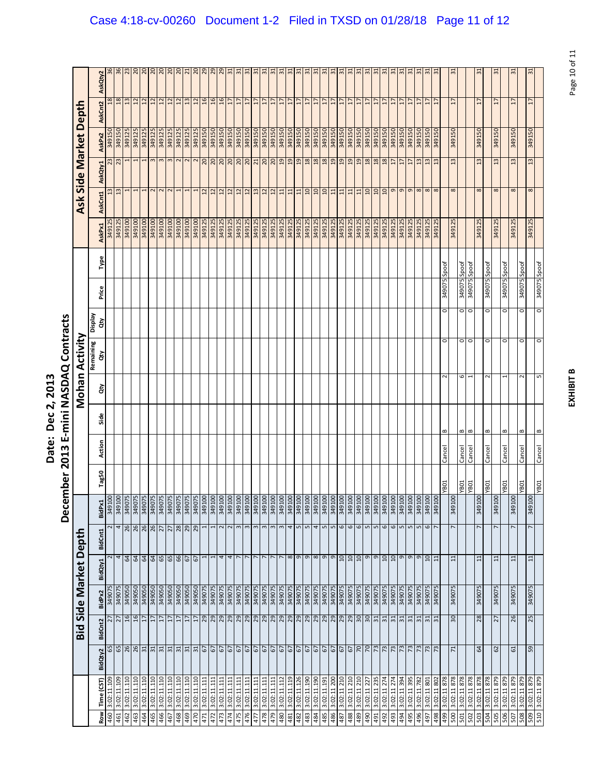|                                                          | )<br>י                                              |
|----------------------------------------------------------|-----------------------------------------------------|
| ì<br><u>י</u><br>֖֦֦ׅׅ֓֩֩֩֩֩֩֓֓֡֡֓֡֡֩֓֡֡֡֡֡֡֡֡֡֡<br>ate. | <b>SPAS</b><br>≧<br>Ξ<br>Ĩ<br>ഇ<br>Š<br>J<br>ŗ<br>į |

|            |                            |                                                                                                                                                                                                                                                                                                                                                                                                                                   |                                    |                  |         |                             | December                   |             | 2013   |              |        | E-mini NASDAQ Contracts |                      |              |       |                  |                      |                         |                       |                                    |                                  |
|------------|----------------------------|-----------------------------------------------------------------------------------------------------------------------------------------------------------------------------------------------------------------------------------------------------------------------------------------------------------------------------------------------------------------------------------------------------------------------------------|------------------------------------|------------------|---------|-----------------------------|----------------------------|-------------|--------|--------------|--------|-------------------------|----------------------|--------------|-------|------------------|----------------------|-------------------------|-----------------------|------------------------------------|----------------------------------|
|            |                            |                                                                                                                                                                                                                                                                                                                                                                                                                                   | Bid                                |                  |         | Side Market Depth           |                            |             |        |              |        | Mohan Activity          |                      |              |       |                  |                      |                         | Ask Side Market Deptl |                                    |                                  |
| <b>Row</b> | Time (CST)                 | BidQty2                                                                                                                                                                                                                                                                                                                                                                                                                           | <b>BidCnt2</b>                     | BidPx2           | BidQty1 | BidCnt1                     | BidPx1                     | Tag50       | Action | Side         | ਲੇ     | Remaining<br>हे         | <b>Display</b><br>đγ | Price        | Type  | AskPx1           | AskCnt1              | AskQty1                 | AskPx2                | AskCnt2                            | AskQty2                          |
| 460        | 3:02:11.109                |                                                                                                                                                                                                                                                                                                                                                                                                                                   |                                    | 34907            |         | 2                           | 001675                     |             |        |              |        |                         |                      |              |       | 349125           |                      | 23                      | 349150                | $\frac{8}{2}$                      |                                  |
| 461        | 3:02:11.109                |                                                                                                                                                                                                                                                                                                                                                                                                                                   | $\frac{27}{27}$                    | 349075           |         | 4                           | 349100                     |             |        |              |        |                         |                      |              |       | 349125           | $\frac{3}{2}$        | 23                      | 349150                | 18                                 | $\frac{8}{2}$                    |
| 462<br>463 | 3:02:11.110<br>3:02:11.110 | B88877                                                                                                                                                                                                                                                                                                                                                                                                                            | 16<br>16                           | 349050<br>349050 |         | $\frac{26}{28}$<br>64<br>64 | 349075<br>34907            |             |        |              |        |                         |                      |              |       | 349100<br>349100 |                      |                         | 349125<br>349125      | $\frac{2}{3}$                      | $\mathbb{Z}^3$                   |
|            |                            |                                                                                                                                                                                                                                                                                                                                                                                                                                   | 17                                 |                  |         |                             | 34907                      |             |        |              |        |                         |                      |              |       | 349100           |                      |                         |                       | $\overline{12}$                    | S                                |
| 465<br>464 | 3:02:11.110<br>3:02:11.110 |                                                                                                                                                                                                                                                                                                                                                                                                                                   | $\overline{1}$                     | 349050<br>349050 |         | 34B                         | 349075                     |             |        |              |        |                         |                      |              |       | 349100           | 2                    | m                       | 349125<br>349125      | $\overline{12}$<br>$\overline{12}$ | $\frac{20}{20}$                  |
| 466        | 3:02:11.110                | $\overline{5}$                                                                                                                                                                                                                                                                                                                                                                                                                    | F                                  | 349050           |         |                             | 349075                     |             |        |              |        |                         |                      |              |       | 349100           |                      |                         | 349125                | $\overline{12}$                    | $\overline{c}$                   |
| 467        | 3:02:11.110                |                                                                                                                                                                                                                                                                                                                                                                                                                                   | $\overline{1}$                     | 349050           |         |                             | 349075                     |             |        |              |        |                         |                      |              |       | 349100           | $\sim$               | $\infty$                | 349125                | $\frac{12}{1}$                     | $\frac{20}{20}$                  |
| 468        | 3:02:11.110                | $\frac{31}{31}$                                                                                                                                                                                                                                                                                                                                                                                                                   | H                                  | 349050           |         | 65<br>66                    | 349075                     |             |        |              |        |                         |                      |              |       | 349100           |                      | $\overline{\mathsf{c}}$ | 349125                | $\overline{12}$                    |                                  |
| 469        | 3:02:11.110                | 31                                                                                                                                                                                                                                                                                                                                                                                                                                | $\overline{1}$                     | 349050           |         | $\frac{27}{28}$<br>67       | 349075                     |             |        |              |        |                         |                      |              |       | 349100           |                      |                         | 349125                | $\overline{13}$                    | $\overline{z}$                   |
| 470        | 3:02:11.110                | $\frac{5}{10}$                                                                                                                                                                                                                                                                                                                                                                                                                    | $\overline{17}$                    | 349050           |         | 67                          | 349075                     |             |        |              |        |                         |                      |              |       | 349100           |                      |                         | 349125                | $\overline{z}$                     | $\overline{0}$                   |
| 471        | 3:02:11.111                |                                                                                                                                                                                                                                                                                                                                                                                                                                   | 29                                 | 349075           |         | 1<br>I                      | 001675                     |             |        |              |        |                         |                      |              |       | 349125           | $\overline{12}$      | 20                      | 349150                | 9T                                 | 29                               |
| 472        | 3:02:11.111                |                                                                                                                                                                                                                                                                                                                                                                                                                                   | 92                                 | 349075           |         |                             | 349100                     |             |        |              |        |                         |                      |              |       | 349125           | $\overline{12}$      | $\overline{0}$          | 349150                | $\frac{6}{2}$                      | 29                               |
| 473        | 3:02:11.111                |                                                                                                                                                                                                                                                                                                                                                                                                                                   |                                    | 349075           |         | 2<br>4                      | 349100                     |             |        |              |        |                         |                      |              |       | 349125           | $\frac{2}{1}$        | 20                      | 349150                | 16                                 | 29                               |
| 474        | 3:02:11.111                |                                                                                                                                                                                                                                                                                                                                                                                                                                   | 29 29                              | 349075           |         | $\sim$<br>4                 | 001675                     |             |        |              |        |                         |                      |              |       | 349125           | 12                   | 20                      | 349150                | $\overline{1}$                     | 51                               |
| 475        | 3:02:11.111                |                                                                                                                                                                                                                                                                                                                                                                                                                                   |                                    | 349075           |         | $\mathbf{c}$                | 349100                     |             |        |              |        |                         |                      |              |       | 349125           | $\overline{12}$      | 0 <sup>2</sup>          | 349150                | $\overline{1}$                     | $\approx$                        |
| 476        | 3:02:11.111                |                                                                                                                                                                                                                                                                                                                                                                                                                                   |                                    | 349075           |         | $\mathbf{c}$                | 349100                     |             |        |              |        |                         |                      |              |       | 349125           | $\overline{12}$      | $\frac{20}{21}$         | 349150                | 17                                 | $\frac{1}{2}$                    |
| 477        | 3:02:11.111                |                                                                                                                                                                                                                                                                                                                                                                                                                                   | $\frac{29}{29}$                    | 349075           |         | 3                           | 349100                     |             |        |              |        |                         |                      |              |       | 349125           | 13                   |                         | 349150                | $\overline{1}$                     | $\frac{1}{2}$                    |
| 478        | 3:02:11.111                |                                                                                                                                                                                                                                                                                                                                                                                                                                   |                                    | 349075           |         |                             | 349100<br>$\infty$         |             |        |              |        |                         |                      |              |       | 349125           | 12                   | 0 <sup>2</sup>          | 349150                | $\overline{17}$                    | $\approx$                        |
| 479        | 3:02:11.111                |                                                                                                                                                                                                                                                                                                                                                                                                                                   |                                    | 349075           |         | 3                           | 349100                     |             |        |              |        |                         |                      |              |       | 349125           | $\overline{12}$      | $\frac{20}{19}$         | 349150                | 17                                 | ಸ                                |
| 480        | 3:02:11.112                |                                                                                                                                                                                                                                                                                                                                                                                                                                   |                                    | 349075           |         |                             | 001675                     |             |        |              |        |                         |                      |              |       | 349125           | $\overline{11}$      |                         | <b>05T6bE</b>         | H                                  | 51                               |
| 481        | 3:02:11.119                |                                                                                                                                                                                                                                                                                                                                                                                                                                   |                                    | 349075           |         | 4<br>$\infty$ $\infty$      | 349100                     |             |        |              |        |                         |                      |              |       | 349125           | $\mathbf{11}$        | $_{19}$                 | 349150                | $\overline{17}$                    | 51                               |
| 482        | 3:02:11.126                |                                                                                                                                                                                                                                                                                                                                                                                                                                   |                                    | 349075           |         | $\mathsf{L}\mathsf{D}$      | 349100                     |             |        |              |        |                         |                      |              |       | 349125           | $11$                 | $_{19}$                 | 349150                | 17                                 | 51                               |
| 483        | 3:02:11.190                |                                                                                                                                                                                                                                                                                                                                                                                                                                   | RRRR                               | 349075           |         |                             | 349100<br>$\mathbf{L}$     |             |        |              |        |                         |                      |              |       | 349125           | $\boxed{0}$          | 18                      | 349150                | 17                                 | $\frac{1}{2}$                    |
| 484        | 3:02:11.190                | ${\mathfrak{A}} {\mathfrak{A}} {\mathfrak{A}} {\mathfrak{A}} {\mathfrak{A}} {\mathfrak{A}} {\mathfrak{A}} {\mathfrak{A}} {\mathfrak{A}} {\mathfrak{A}} {\mathfrak{A}} {\mathfrak{A}} {\mathfrak{A}} {\mathfrak{A}} {\mathfrak{A}} {\mathfrak{A}} {\mathfrak{A}} {\mathfrak{A}} {\mathfrak{A}} {\mathfrak{A}} {\mathfrak{A}} {\mathfrak{A}} {\mathfrak{A}} {\mathfrak{A}} {\mathfrak{A}} {\mathfrak{A}} {\mathfrak{A}} {\mathfrak$ |                                    | 349075           |         | 4<br>989                    | 349100                     |             |        |              |        |                         |                      |              |       | 349125           | OT                   | 18                      | 349150                | $\overline{1}$                     | $\Xi$                            |
| 58t        | 3:02:11.191                |                                                                                                                                                                                                                                                                                                                                                                                                                                   |                                    | 349075           |         |                             | 001678<br>$\sqrt{2}$       |             |        |              |        |                         |                      |              |       | 349125           | $\overline{10}$      | 18                      | 349150                | F                                  | 51                               |
| 486        | 3:02:11 200                |                                                                                                                                                                                                                                                                                                                                                                                                                                   | 29<br>29                           | 349075           |         | $\frac{9}{10}$              | 349100<br>$\mathbf{L}$     |             |        |              |        |                         |                      |              |       | 349125           | $11\,$               | $_{01}$                 | 349150                | $\overline{17}$                    | 5                                |
| 487        | 3:02:11 210                |                                                                                                                                                                                                                                                                                                                                                                                                                                   |                                    | 349075           |         | 6                           | 349100                     |             |        |              |        |                         |                      |              |       | 349125           | 11                   | 19                      | 349150                | $\overline{1}$                     | $\frac{1}{2}$                    |
| 488        | 3:02:11 210                |                                                                                                                                                                                                                                                                                                                                                                                                                                   | 29                                 | 540075           |         | $\mathbf \omega$<br>10      | 349100                     |             |        |              |        |                         |                      |              |       | 349125           | 11                   | 19                      | <b>05T6bE</b>         | H                                  | 뉴                                |
| 489        | 3:02:11 210                |                                                                                                                                                                                                                                                                                                                                                                                                                                   | $rac{10}{20}$                      | 349075           |         | 6                           | 349100                     |             |        |              |        |                         |                      |              |       | 349125           | $\frac{11}{10}$      | 9                       | 349150                | $\overline{1}$                     | $\frac{1}{2}$                    |
| 490        | 3:02:11 227                |                                                                                                                                                                                                                                                                                                                                                                                                                                   |                                    | 349075           |         | S                           | 349100                     |             |        |              |        |                         |                      |              |       | 349125           |                      | 18                      | 349150                | $\overline{17}$                    | $\overline{31}$                  |
| 491        | 3:02:11 235                |                                                                                                                                                                                                                                                                                                                                                                                                                                   | 51                                 | 349075           |         |                             | 349100<br>$\mathbf{L}$     |             |        |              |        |                         |                      |              |       | 349125           | $\overline{a}$       | 18                      | 349150                | $\overline{1}$                     | 5                                |
| 492        | 3:02:11 274                |                                                                                                                                                                                                                                                                                                                                                                                                                                   | $\frac{1}{2}$                      | 349075           |         |                             | 349100<br>$\mathbf \omega$ |             |        |              |        |                         |                      |              |       | 349125           | $\mathfrak{a}%$      | 18                      | 349150                | $\overline{1}$                     | $\overline{31}$                  |
| 493        | 3:02:11 274                |                                                                                                                                                                                                                                                                                                                                                                                                                                   |                                    | 349075           |         | $\mathbf \omega$            | 349100                     |             |        |              |        |                         |                      |              |       | 349125           | G                    | $\overline{17}$         |                       | H                                  | $\overline{31}$                  |
| 494        | 3:02:11 394                |                                                                                                                                                                                                                                                                                                                                                                                                                                   | 51                                 | 349075           |         |                             | 349100<br>$\mathsf{L}$     |             |        |              |        |                         |                      |              |       | 349125           | $\sigma$             | $\overline{1}$          | 349150                | $\overline{17}$                    | $\frac{1}{2}$                    |
| 495        | 3:02:11 395                | $\frac{2}{3}$                                                                                                                                                                                                                                                                                                                                                                                                                     | $\frac{31}{31}$                    | 349075           |         | $2^n$                       | 349100<br>$\sqrt{2}$       |             |        |              |        |                         |                      |              |       | 349125           | $\sigma$             | $\overline{17}$         | 349150                | $\overline{17}$                    | $\frac{1}{2}$                    |
| 496<br>497 | 3:02:11.782<br>3:02:11 801 | 73                                                                                                                                                                                                                                                                                                                                                                                                                                |                                    | 349075<br>349075 |         | S<br>$\overline{a}$         | 349100<br>0016tE           |             |        |              |        |                         |                      |              |       | 349125<br>349125 | $\infty$             | $\frac{3}{2}$           | 349150<br>349150      | F                                  | $\overline{31}$<br>$\frac{1}{2}$ |
| 498        | 3:02:11 802                | 73                                                                                                                                                                                                                                                                                                                                                                                                                                | $\overline{31}$<br>$\overline{31}$ | 349075           |         | 6<br>$\Xi$                  | 349100                     |             |        |              |        |                         |                      |              |       | 349125           | $\infty$<br>$\infty$ |                         | 349150                | H<br>17                            | ్గా                              |
| 667        | 3:02:11 878                |                                                                                                                                                                                                                                                                                                                                                                                                                                   |                                    |                  |         |                             |                            | YB01        | Cancel | $\bf{m}$     | $\sim$ | $\circ$                 | o                    | 349075       | Spoof |                  |                      |                         |                       |                                    |                                  |
| 500        | 3:02:11 878                | $\mathbf{z}$                                                                                                                                                                                                                                                                                                                                                                                                                      | 30                                 | 349075           |         | $\overline{11}$             | 349100                     |             |        |              |        |                         |                      |              |       | 349125           | $\infty$             | $\frac{2}{3}$           | 349150                | H                                  | $\approx$                        |
| 501        | 3:02:11 878                |                                                                                                                                                                                                                                                                                                                                                                                                                                   |                                    |                  |         |                             |                            | YB01        | Cancel | B            | 6      | $\circ$                 |                      | 349075       | Spoof |                  |                      |                         |                       |                                    |                                  |
| 502        | 3:02:11 878                |                                                                                                                                                                                                                                                                                                                                                                                                                                   |                                    |                  |         |                             |                            | LOBA        | Cancel | $\mathbf{r}$ |        | $\circ$                 | o                    | 349075       | Spoof |                  |                      |                         |                       |                                    |                                  |
| 503        | 3:02:11 878                | \$                                                                                                                                                                                                                                                                                                                                                                                                                                | 28                                 | 349075           |         | $\Xi$                       | 349100                     |             |        |              |        |                         |                      |              |       | 349125           | $\infty$             | 13                      | 349150                | 17                                 | $\sim$                           |
| 504        | 3:02:11 878                |                                                                                                                                                                                                                                                                                                                                                                                                                                   |                                    |                  |         |                             |                            | YB01        | Cancel | $\bf{m}$     | $\sim$ | $\circ$                 | o                    | 349075 Spoof |       |                  |                      |                         |                       |                                    |                                  |
| 505        | 3:02:11 879                | 62                                                                                                                                                                                                                                                                                                                                                                                                                                | 27                                 | 349075           |         | $\overline{11}$             | 349100                     |             |        |              |        |                         |                      |              |       | 349125           | $\infty$             | 13                      | 349150                | $\overline{17}$                    | 음                                |
| 506        | 3:02:11 879                |                                                                                                                                                                                                                                                                                                                                                                                                                                   |                                    |                  |         |                             |                            | <b>YB01</b> | Cancel | $\bf{m}$     |        | $\circ$                 | O                    | 349075 Spoof |       |                  |                      |                         |                       |                                    |                                  |
| 507        | 3:02:11 879                | 61                                                                                                                                                                                                                                                                                                                                                                                                                                | 26                                 | 349075           |         | $\overline{ }$<br>$\Xi$     | 349100                     |             |        |              |        |                         |                      |              |       | 349125           | $^{\circ}$           | 13                      | 349150                | $\overline{1}$                     | 5                                |
| 508        | 3:02:11 879                |                                                                                                                                                                                                                                                                                                                                                                                                                                   |                                    |                  |         |                             |                            | <b>YB01</b> | Cancel | B            | $\sim$ | $\circ$                 | $\circ$              | 349075 Spoof |       |                  |                      |                         |                       |                                    |                                  |
| 510<br>509 | 3:02:11 879<br>3:02:11 879 | 59                                                                                                                                                                                                                                                                                                                                                                                                                                | 25                                 | 349075           |         | $\overline{ }$<br>$\Xi$     | 349100                     | TOBA.       | Cancel | $\bf{m}$     | S      | $\circ$                 | o                    | 349075 Spoof |       | 349125           | $\infty$             | 13                      | 349150                | $\overline{17}$                    | $\frac{1}{2}$                    |
|            |                            |                                                                                                                                                                                                                                                                                                                                                                                                                                   |                                    |                  |         |                             |                            |             |        |              |        |                         |                      |              |       |                  |                      |                         |                       |                                    |                                  |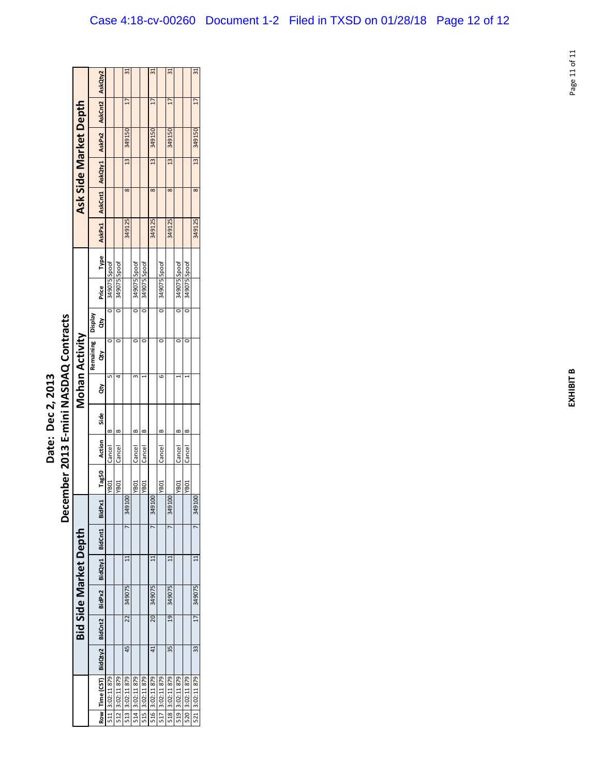|                   | ֧֧֛֢֢֜֜֜                                                              |
|-------------------|-----------------------------------------------------------------------|
| こうへん<br>7<br>pte. | Į<br>֚֓<br>Č<br>≍<br>$\frac{1}{1}$<br>1<br>ن<br>ح<br>J<br>ŗ<br>ğ<br>Š |

|                                    |                       |           |                 |                 |                  | ಸ               |                 |                  | ౢ               |                  | $\approx$       |                 |                  | 5                |
|------------------------------------|-----------------------|-----------|-----------------|-----------------|------------------|-----------------|-----------------|------------------|-----------------|------------------|-----------------|-----------------|------------------|------------------|
|                                    |                       |           | AskQty2         |                 |                  |                 |                 |                  |                 |                  |                 |                 |                  |                  |
|                                    |                       |           | AskCnt2         |                 |                  | 17              |                 |                  | 17              |                  | 17              |                 |                  | $\overline{1}$   |
|                                    |                       |           | AskPx2          |                 |                  | 349150          |                 |                  | 349150          |                  | 349150          |                 |                  | 349150           |
|                                    |                       |           |                 |                 |                  | $\frac{13}{2}$  |                 |                  | $\frac{13}{2}$  |                  | 13              |                 |                  | 13               |
|                                    | Ask Side Market Depth |           | AskCnt1 AskQty1 |                 |                  | $\infty$        |                 |                  | 8               |                  | 8               |                 |                  | 8                |
|                                    |                       |           | AskPx1          |                 |                  | 349125          |                 |                  | 349125          |                  | 349125          |                 |                  | 349125           |
|                                    |                       |           | Type            |                 |                  |                 |                 |                  |                 |                  |                 |                 |                  |                  |
|                                    |                       |           | Price           | 349075 Spoof    | 349075 Spoof     |                 | 349075 Spoof    | 349075 Spoof     |                 | 349075 Spoof     |                 | 349075 Spoof    | 349075 Spoof     |                  |
|                                    |                       | Veldsig   | ĝ               |                 |                  |                 |                 |                  |                 |                  |                 |                 |                  |                  |
| ember 2013 E-mini NASDAQ Contracts |                       | Remaining | á               |                 |                  |                 |                 |                  |                 |                  |                 |                 |                  |                  |
|                                    | Mohan Activity        |           | á               |                 |                  |                 |                 |                  |                 | G                |                 |                 |                  |                  |
|                                    |                       |           |                 |                 |                  |                 |                 |                  |                 |                  |                 |                 |                  |                  |
|                                    |                       |           | Side            | œ               |                  |                 |                 |                  |                 |                  |                 |                 |                  |                  |
|                                    |                       |           | Action          | Cancel          | Cancel           |                 | Cancel          | Cancel           |                 | Cancel           |                 | Cancel          | Cancel           |                  |
|                                    |                       |           | Tag50           | <b>YB01</b>     | YB <sub>01</sub> |                 | YB01            | YB <sub>01</sub> |                 | YB <sub>01</sub> |                 | <b>YB01</b>     | YB <sub>01</sub> |                  |
| Dece                               |                       |           | BidPx1          |                 |                  | 34910           |                 |                  | 3491            |                  | 3491            |                 |                  | $\Omega$<br>3491 |
|                                    | Bid Side Market Depth |           | BidCnt1         |                 |                  |                 |                 |                  |                 |                  |                 |                 |                  |                  |
|                                    |                       |           | BidQty1         |                 |                  |                 |                 |                  |                 |                  |                 |                 |                  |                  |
|                                    |                       |           | BidPx2          |                 |                  | 349075          |                 |                  | 349075          |                  | 349075          |                 |                  | 349075           |
|                                    |                       |           | BidCnt2         |                 |                  | 22              |                 |                  | 20              |                  | 19              |                 |                  | $\overline{17}$  |
|                                    |                       |           | BidQty2         |                 |                  | 45              |                 |                  | $^{41}$         |                  | 35              |                 |                  | 33               |
|                                    |                       |           | Row Time (CST)  | 511 3:02:11 879 | 512 3:02:11 879  | 513 3:02:11 879 | 514 3:02:11 879 | 515 3:02:11 879  | 516 3:02:11 879 | 517 3:02:11 879  | 518 3:02:11 879 | 519 3:02:11 879 | 520 3:02:11 879  | 521 3:02:11 879  |
|                                    |                       |           |                 |                 |                  |                 |                 |                  |                 |                  |                 |                 |                  |                  |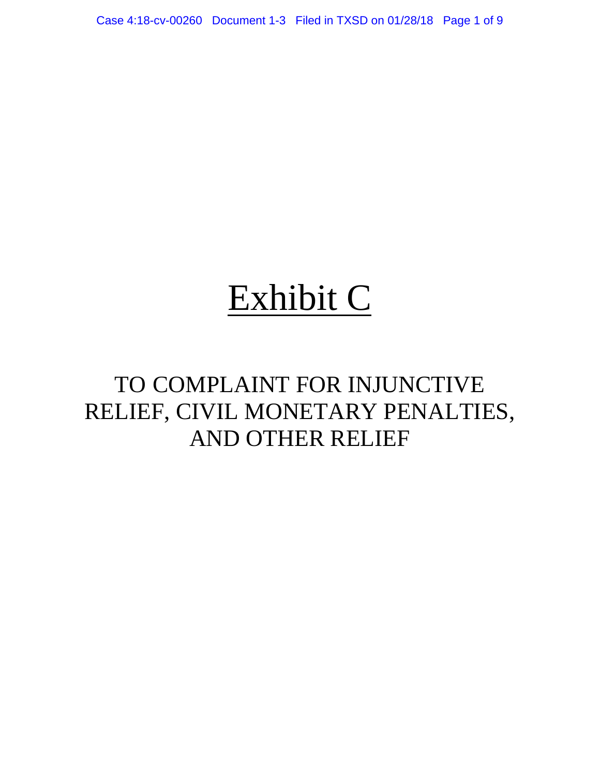Case 4:18-cv-00260 Document 1-3 Filed in TXSD on 01/28/18 Page 1 of 9

# Exhibit C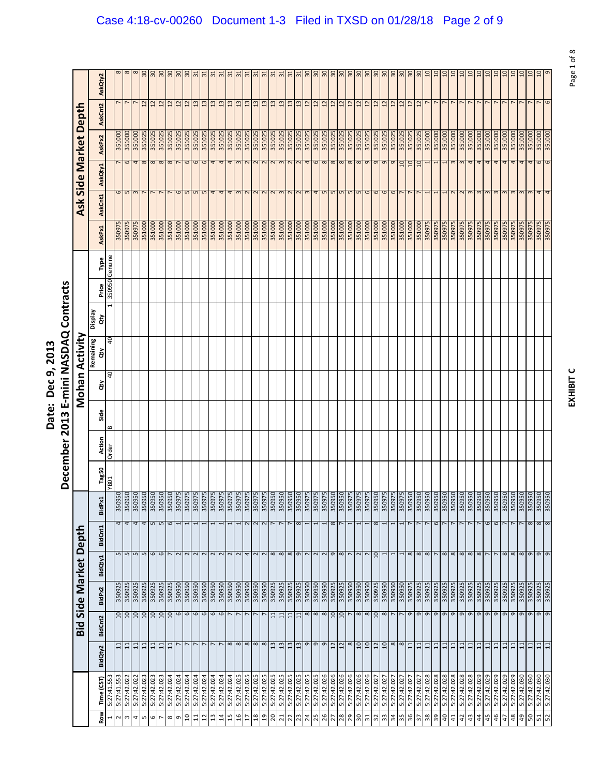|                            | Ξ<br>さく                                    |
|----------------------------|--------------------------------------------|
| j<br>ċ<br>המר ם המר<br>うりょ | NASDAC<br>׃<br>Ĺ                           |
| Ξ<br>hate:                 | min<br>$\frac{1}{2}$<br>Ξ<br>$\frac{3}{2}$ |
|                            | Ţ<br>ē<br>-cem                             |

| ႙<br>႙<br>$\Xi$<br>$\overline{a}$<br>$\overline{a}$<br>ຊ<br>5<br>ຊ<br>S.<br>g<br>œ<br>30<br>င္က<br>႙<br>႙<br>႙<br>႙<br>႙<br>႙<br>င္က<br>႙<br>င္က<br>႙<br>႙<br>င္က<br>œ<br>S<br>្អ<br>F<br>$\Xi$<br>్లా<br>5<br>్గా<br>$\approx$<br>$\Xi$<br>ò<br>$\sim$<br>$\sim$<br>ò<br>$\sim$<br>AskQty2<br>$\sim$<br>r<br>$\overline{12}$<br>$\overline{12}$<br>$\overline{12}$<br>$\mathbf{u}$<br>$\frac{2}{3}$<br>$\frac{3}{2}$<br>$\overline{13}$<br>$\frac{3}{2}$<br>$\overline{12}$<br>12<br>$\overline{12}$<br>12<br>$\overline{12}$<br>$\overline{12}$<br>$\overline{c}$<br>$\overline{12}$<br>$\overline{12}$<br>$\overline{12}$<br>5<br>$\overline{z}$<br>∺<br>ౢ<br>$\mathfrak{a}$<br>ఇ<br>G<br>$\mathbf{u}$<br>ఞ<br>ౢ<br>$\frac{2}{1}$<br>$\mathfrak{a}$<br>$\mathfrak{a}$<br>$\mathfrak{a}$<br>AskCnt2<br>Side Market Depth<br>351000<br>351000<br>351000<br>351025<br>351025<br>351025<br>351025<br>351025<br>351000<br>351000<br>351000<br>351000<br>351000<br>351025<br>351025<br>351025<br>351025<br>351025<br>351025<br>351025<br>351025<br>351025<br>351025<br>351025<br>351025<br>351025<br>351025<br>351025<br>351025<br>351025<br>351025<br>351025<br>351025<br>351025<br>351025<br>351025<br>351025<br>351000<br>351000<br>351000<br>351000<br>351000<br>351000<br>351000<br>351000<br>351000<br>351000<br>351025<br>351025<br>35102<br>351025<br>AskPx2<br>8<br>6<br>6<br>8<br>8<br>6<br>6<br>4<br>$\infty$ $\infty$<br>$\infty$<br>6<br>$\mathbf 6$<br>4<br>4<br>4<br>$\sim$<br>2<br>$\sim$<br>2<br>$\infty$<br>2<br>$\sim$<br>4<br>$\infty$<br>$\infty$ $\infty$<br>$\sigma$<br>$\sigma$<br>G<br>9<br>$\overline{a}$<br>10<br>$\overline{a}$<br>4<br>4<br>4<br>4<br>6<br>m<br>4<br>AskQty1<br>6<br>S<br>5<br>4<br>S<br>S<br>S<br>S<br>S<br>6<br>6<br>$\mathbf \omega$<br>4<br>$\omega$<br>S<br>4<br>4<br>4<br>$\sim$<br>2<br>$\infty$<br>$\overline{\phantom{0}}$<br>$\mathbf \omega$<br>3<br>AskCnt1<br>Ask<br>350975<br><b>S2605E</b><br>351000<br>351000<br>351000<br>351000<br>351000<br>350975<br>350975<br>350975<br>351000<br>351000<br>351000<br>351000<br>351000<br>351000<br>351000<br>351000<br>351000<br>351000<br>350975<br>350975<br>350975<br>350975<br>350975<br>351000<br>351000<br>351000<br>351000<br>351000<br>351000<br>351000<br>351000<br>351000<br>351000<br>351000<br>351000<br>351000<br>351000<br>351000<br>351000<br>351000<br>350975<br>350975<br>350975<br>350975<br>351000<br>350975<br>350975<br>350975<br>350975<br>AskPx1<br>Genuine<br>Type<br>350950<br>Price<br>Veldsig<br>ਰੇਂ<br>Mohan Activity<br>$\overline{a}$<br>Remaining<br>ਰੇ<br>$\overline{a}$<br>ਲੋ<br>Side<br>$\mathbf{a}$<br>Action<br>Order<br>Tag50<br>YB01<br>BidPx1<br>$\frac{4}{4}$<br>6<br>$\frac{8}{8}$<br>$\overline{4}$<br>4 <sub>W</sub><br>$\frac{2}{3}$<br>$\infty$<br>$\infty$<br>$\infty$<br>6<br>6<br>6<br>$\infty$<br>$\overline{ }$<br>$\sim$<br>$\overline{ }$<br>$\overline{ }$<br>$\overline{ }$<br>$\overline{ }$<br>$\overline{ }$<br>$\overline{ }$<br>BidCnt1<br>Side Market Depth<br>5<br>5<br>9<br>8<br>9<br>$\mathbf{L}$<br>$\mathsf{L}\mathsf{D}$<br>$\circ$<br>$\sim$<br>2<br>$\sim$<br>$\sim$<br>$\sim$<br>$\sim$<br>4<br>$\infty$<br>$\infty$<br>$\infty$<br>$\sigma$<br>$\sim$<br>$\mathbf{\sigma}$<br>$\infty$<br>$\sim$ $\sim$<br>$\overline{a}$<br>$\infty$<br>$\infty$<br>$\infty$<br>$\infty$<br>$\infty$<br>$\infty$<br>$\infty$<br>$\infty$<br>$\infty$<br>$\infty$<br>$\sigma$<br>$\mathsf{\sigma}$<br>$\sim$<br>$\sim$<br>$\sim$<br>$\overline{\mathbf{c}}$<br>$\sim$<br>$\mathbf{1}$<br>r<br>L<br>$\sim$<br>BidQty1<br>350925<br>350950<br>350950<br>350925<br>350950<br>350950<br>350925<br>350950<br>350925<br>350950<br>350950<br>350925<br>350925<br>350925<br>350925<br>350925<br>350925<br>350925<br>350950<br>350950<br>350950<br>350950<br>350950<br>350950<br>350950<br>350950<br>350950<br>350925<br>350925<br>350925<br>350950<br>350925<br>350950<br>350950<br>350950<br>350925<br>350925<br>350925<br>350925<br>350925<br>350925<br>350925<br>350925<br>350925<br>350925<br>350925<br>350925<br>350925<br>350925<br>350925<br>350925<br>BidPx2<br>6<br>6<br>6<br>8<br>$\overline{10}$<br>9<br>9<br>9<br>9<br>9<br>9<br>9<br>g<br>9<br>9<br>9<br>9<br>9<br>g<br>10<br>$\overline{10}$<br>10<br>$10 \,$<br>10<br>$\overline{a}$<br>6<br>$\circ$<br>6<br>$\infty$<br>$\overline{10}$<br>10<br>$\infty$<br>$\infty$<br>$\infty$<br>$\overline{ }$<br>$\mathsf{\sigma}$<br>$\sigma$<br>$\sigma$<br>01<br>$\Xi$<br>$\infty$<br>$\Xi$<br>$\Xi$<br>$\Xi$<br><b>BidCnt2</b><br>bid<br>Bid<br>$^{\circ}$<br>$\infty$<br>$^{\circ}$<br>$\infty$<br>თ<br>o<br>$\infty$<br>$\overline{a}$<br>01<br>$\infty$<br>$\infty$<br>$\Xi$<br>$\infty$<br>$\mathfrak{a}$<br>$\frac{3}{2}$<br>≘<br>თ<br>$\overline{12}$<br>$\overline{12}$<br>$\overline{a}$<br>$\overline{12}$<br>$\Xi$<br>$\Xi$<br>$\overline{1}$<br>ఇ<br>급<br>$\Xi$<br>$\Xi$<br>$\Xi$<br>$\Xi$<br>$\overline{1}$<br>$\Xi$<br>$\overline{1}$<br>$\Xi$<br>$\Xi$<br>$\Xi$<br>$\Xi$<br>11<br>금<br>급<br>ដ<br>급<br>급<br>금<br>급<br>BidQty2<br>5:27:42.030<br>5:27:42.022<br>5:27:42.024<br>5:27:42.024<br>5:27:42.025<br>5:27:42.025<br>5:27:42.025<br>5:27:42.026<br>5:27:42.026<br>5:27:42.026<br>5:27:42.026<br>5:27:42.026<br>5:27:42.026<br>5:27:42.028<br>5:27:42.028<br>5:27:42.029<br>5:27:42.029<br>5:27:42.030<br>5:27:42.030<br>5:27:42.023<br>5:27:42.024<br>5:27:42.024<br>5:27:42.024<br>5:27:42.024<br>5:27:42.024<br>5:27:42.025<br>5:27:42.025<br>5:27:42.025<br>5:27:42.025<br>5:27:42.025<br>5:27:42.028<br>5:27:42.028<br>5:27:42.028<br>5:27:42.028<br>5:27:42.029<br>5:27:42.029<br>5:27:42.029<br>5:27:42.030<br>5:27:41.553<br>5:27:42.023<br>5:27:42.023<br>5:27:42.024<br>5:27:42.027<br>5:27:42.027<br>5:27:42.027<br>5:27:42.027<br>5:27:42.022<br>5:27:42.027<br>5:27:42.027 |             |  |  |  | December 2013 |  | E-mini NASDAQ Contracts |  |  |  |  |  |
|-------------------------------------------------------------------------------------------------------------------------------------------------------------------------------------------------------------------------------------------------------------------------------------------------------------------------------------------------------------------------------------------------------------------------------------------------------------------------------------------------------------------------------------------------------------------------------------------------------------------------------------------------------------------------------------------------------------------------------------------------------------------------------------------------------------------------------------------------------------------------------------------------------------------------------------------------------------------------------------------------------------------------------------------------------------------------------------------------------------------------------------------------------------------------------------------------------------------------------------------------------------------------------------------------------------------------------------------------------------------------------------------------------------------------------------------------------------------------------------------------------------------------------------------------------------------------------------------------------------------------------------------------------------------------------------------------------------------------------------------------------------------------------------------------------------------------------------------------------------------------------------------------------------------------------------------------------------------------------------------------------------------------------------------------------------------------------------------------------------------------------------------------------------------------------------------------------------------------------------------------------------------------------------------------------------------------------------------------------------------------------------------------------------------------------------------------------------------------------------------------------------------------------------------------------------------------------------------------------------------------------------------------------------------------------------------------------------------------------------------------------------------------------------------------------------------------------------------------------------------------------------------------------------------------------------------------------------------------------------------------------------------------------------------------------------------------------------------------------------------------------------------------------------------------------------------------------------------------------------------------------------------------------------------------------------------------------------------------------------------------------------------------------------------------------------------------------------------------------------------------------------------------------------------------------------------------------------------------------------------------------------------------------------------------------------------------------------------------------------------------------------------------------------------------------------------------------------------------------------------------------------------------------------------------------------------------------------------------------------------------------------------------------------------------------------------------------------------------------------------------------------------------------------------------------------------------------------------------------------------------------------------------------------------------------------------------------------------------------------------------------------------------------------------------------------------------------------------------------------------------------------------------------------------------------------------------------------------------------------------------------------------------------------------------------------------------------------------------------------------------------------------------------------------------------------------------------------------------------------------------------------------------------------------------------------------------------------------------------------------------------------------------------------------------------------------------------------------------------------------------------------------------------------------------------------------------------------------------------------------------------------------------------------------------------------------------------------------------------------------------------------------------------------------------------------------------------------------------------------------------------------------------------------------------------------------------------------------------------------------------------------------------------------------------------------------------------------------------------------------------------------------------------------------------------------------|-------------|--|--|--|---------------|--|-------------------------|--|--|--|--|--|
|                                                                                                                                                                                                                                                                                                                                                                                                                                                                                                                                                                                                                                                                                                                                                                                                                                                                                                                                                                                                                                                                                                                                                                                                                                                                                                                                                                                                                                                                                                                                                                                                                                                                                                                                                                                                                                                                                                                                                                                                                                                                                                                                                                                                                                                                                                                                                                                                                                                                                                                                                                                                                                                                                                                                                                                                                                                                                                                                                                                                                                                                                                                                                                                                                                                                                                                                                                                                                                                                                                                                                                                                                                                                                                                                                                                                                                                                                                                                                                                                                                                                                                                                                                                                                                                                                                                                                                                                                                                                                                                                                                                                                                                                                                                                                                                                                                                                                                                                                                                                                                                                                                                                                                                                                                                                                                                                                                                                                                                                                                                                                                                                                                                                                                                                                                                                                   |             |  |  |  |               |  |                         |  |  |  |  |  |
|                                                                                                                                                                                                                                                                                                                                                                                                                                                                                                                                                                                                                                                                                                                                                                                                                                                                                                                                                                                                                                                                                                                                                                                                                                                                                                                                                                                                                                                                                                                                                                                                                                                                                                                                                                                                                                                                                                                                                                                                                                                                                                                                                                                                                                                                                                                                                                                                                                                                                                                                                                                                                                                                                                                                                                                                                                                                                                                                                                                                                                                                                                                                                                                                                                                                                                                                                                                                                                                                                                                                                                                                                                                                                                                                                                                                                                                                                                                                                                                                                                                                                                                                                                                                                                                                                                                                                                                                                                                                                                                                                                                                                                                                                                                                                                                                                                                                                                                                                                                                                                                                                                                                                                                                                                                                                                                                                                                                                                                                                                                                                                                                                                                                                                                                                                                                                   | Time (CST)  |  |  |  |               |  |                         |  |  |  |  |  |
|                                                                                                                                                                                                                                                                                                                                                                                                                                                                                                                                                                                                                                                                                                                                                                                                                                                                                                                                                                                                                                                                                                                                                                                                                                                                                                                                                                                                                                                                                                                                                                                                                                                                                                                                                                                                                                                                                                                                                                                                                                                                                                                                                                                                                                                                                                                                                                                                                                                                                                                                                                                                                                                                                                                                                                                                                                                                                                                                                                                                                                                                                                                                                                                                                                                                                                                                                                                                                                                                                                                                                                                                                                                                                                                                                                                                                                                                                                                                                                                                                                                                                                                                                                                                                                                                                                                                                                                                                                                                                                                                                                                                                                                                                                                                                                                                                                                                                                                                                                                                                                                                                                                                                                                                                                                                                                                                                                                                                                                                                                                                                                                                                                                                                                                                                                                                                   | 5:27:41.553 |  |  |  |               |  |                         |  |  |  |  |  |
|                                                                                                                                                                                                                                                                                                                                                                                                                                                                                                                                                                                                                                                                                                                                                                                                                                                                                                                                                                                                                                                                                                                                                                                                                                                                                                                                                                                                                                                                                                                                                                                                                                                                                                                                                                                                                                                                                                                                                                                                                                                                                                                                                                                                                                                                                                                                                                                                                                                                                                                                                                                                                                                                                                                                                                                                                                                                                                                                                                                                                                                                                                                                                                                                                                                                                                                                                                                                                                                                                                                                                                                                                                                                                                                                                                                                                                                                                                                                                                                                                                                                                                                                                                                                                                                                                                                                                                                                                                                                                                                                                                                                                                                                                                                                                                                                                                                                                                                                                                                                                                                                                                                                                                                                                                                                                                                                                                                                                                                                                                                                                                                                                                                                                                                                                                                                                   |             |  |  |  |               |  |                         |  |  |  |  |  |
|                                                                                                                                                                                                                                                                                                                                                                                                                                                                                                                                                                                                                                                                                                                                                                                                                                                                                                                                                                                                                                                                                                                                                                                                                                                                                                                                                                                                                                                                                                                                                                                                                                                                                                                                                                                                                                                                                                                                                                                                                                                                                                                                                                                                                                                                                                                                                                                                                                                                                                                                                                                                                                                                                                                                                                                                                                                                                                                                                                                                                                                                                                                                                                                                                                                                                                                                                                                                                                                                                                                                                                                                                                                                                                                                                                                                                                                                                                                                                                                                                                                                                                                                                                                                                                                                                                                                                                                                                                                                                                                                                                                                                                                                                                                                                                                                                                                                                                                                                                                                                                                                                                                                                                                                                                                                                                                                                                                                                                                                                                                                                                                                                                                                                                                                                                                                                   |             |  |  |  |               |  |                         |  |  |  |  |  |
|                                                                                                                                                                                                                                                                                                                                                                                                                                                                                                                                                                                                                                                                                                                                                                                                                                                                                                                                                                                                                                                                                                                                                                                                                                                                                                                                                                                                                                                                                                                                                                                                                                                                                                                                                                                                                                                                                                                                                                                                                                                                                                                                                                                                                                                                                                                                                                                                                                                                                                                                                                                                                                                                                                                                                                                                                                                                                                                                                                                                                                                                                                                                                                                                                                                                                                                                                                                                                                                                                                                                                                                                                                                                                                                                                                                                                                                                                                                                                                                                                                                                                                                                                                                                                                                                                                                                                                                                                                                                                                                                                                                                                                                                                                                                                                                                                                                                                                                                                                                                                                                                                                                                                                                                                                                                                                                                                                                                                                                                                                                                                                                                                                                                                                                                                                                                                   |             |  |  |  |               |  |                         |  |  |  |  |  |
|                                                                                                                                                                                                                                                                                                                                                                                                                                                                                                                                                                                                                                                                                                                                                                                                                                                                                                                                                                                                                                                                                                                                                                                                                                                                                                                                                                                                                                                                                                                                                                                                                                                                                                                                                                                                                                                                                                                                                                                                                                                                                                                                                                                                                                                                                                                                                                                                                                                                                                                                                                                                                                                                                                                                                                                                                                                                                                                                                                                                                                                                                                                                                                                                                                                                                                                                                                                                                                                                                                                                                                                                                                                                                                                                                                                                                                                                                                                                                                                                                                                                                                                                                                                                                                                                                                                                                                                                                                                                                                                                                                                                                                                                                                                                                                                                                                                                                                                                                                                                                                                                                                                                                                                                                                                                                                                                                                                                                                                                                                                                                                                                                                                                                                                                                                                                                   |             |  |  |  |               |  |                         |  |  |  |  |  |
|                                                                                                                                                                                                                                                                                                                                                                                                                                                                                                                                                                                                                                                                                                                                                                                                                                                                                                                                                                                                                                                                                                                                                                                                                                                                                                                                                                                                                                                                                                                                                                                                                                                                                                                                                                                                                                                                                                                                                                                                                                                                                                                                                                                                                                                                                                                                                                                                                                                                                                                                                                                                                                                                                                                                                                                                                                                                                                                                                                                                                                                                                                                                                                                                                                                                                                                                                                                                                                                                                                                                                                                                                                                                                                                                                                                                                                                                                                                                                                                                                                                                                                                                                                                                                                                                                                                                                                                                                                                                                                                                                                                                                                                                                                                                                                                                                                                                                                                                                                                                                                                                                                                                                                                                                                                                                                                                                                                                                                                                                                                                                                                                                                                                                                                                                                                                                   |             |  |  |  |               |  |                         |  |  |  |  |  |
|                                                                                                                                                                                                                                                                                                                                                                                                                                                                                                                                                                                                                                                                                                                                                                                                                                                                                                                                                                                                                                                                                                                                                                                                                                                                                                                                                                                                                                                                                                                                                                                                                                                                                                                                                                                                                                                                                                                                                                                                                                                                                                                                                                                                                                                                                                                                                                                                                                                                                                                                                                                                                                                                                                                                                                                                                                                                                                                                                                                                                                                                                                                                                                                                                                                                                                                                                                                                                                                                                                                                                                                                                                                                                                                                                                                                                                                                                                                                                                                                                                                                                                                                                                                                                                                                                                                                                                                                                                                                                                                                                                                                                                                                                                                                                                                                                                                                                                                                                                                                                                                                                                                                                                                                                                                                                                                                                                                                                                                                                                                                                                                                                                                                                                                                                                                                                   |             |  |  |  |               |  |                         |  |  |  |  |  |
|                                                                                                                                                                                                                                                                                                                                                                                                                                                                                                                                                                                                                                                                                                                                                                                                                                                                                                                                                                                                                                                                                                                                                                                                                                                                                                                                                                                                                                                                                                                                                                                                                                                                                                                                                                                                                                                                                                                                                                                                                                                                                                                                                                                                                                                                                                                                                                                                                                                                                                                                                                                                                                                                                                                                                                                                                                                                                                                                                                                                                                                                                                                                                                                                                                                                                                                                                                                                                                                                                                                                                                                                                                                                                                                                                                                                                                                                                                                                                                                                                                                                                                                                                                                                                                                                                                                                                                                                                                                                                                                                                                                                                                                                                                                                                                                                                                                                                                                                                                                                                                                                                                                                                                                                                                                                                                                                                                                                                                                                                                                                                                                                                                                                                                                                                                                                                   |             |  |  |  |               |  |                         |  |  |  |  |  |
|                                                                                                                                                                                                                                                                                                                                                                                                                                                                                                                                                                                                                                                                                                                                                                                                                                                                                                                                                                                                                                                                                                                                                                                                                                                                                                                                                                                                                                                                                                                                                                                                                                                                                                                                                                                                                                                                                                                                                                                                                                                                                                                                                                                                                                                                                                                                                                                                                                                                                                                                                                                                                                                                                                                                                                                                                                                                                                                                                                                                                                                                                                                                                                                                                                                                                                                                                                                                                                                                                                                                                                                                                                                                                                                                                                                                                                                                                                                                                                                                                                                                                                                                                                                                                                                                                                                                                                                                                                                                                                                                                                                                                                                                                                                                                                                                                                                                                                                                                                                                                                                                                                                                                                                                                                                                                                                                                                                                                                                                                                                                                                                                                                                                                                                                                                                                                   |             |  |  |  |               |  |                         |  |  |  |  |  |
|                                                                                                                                                                                                                                                                                                                                                                                                                                                                                                                                                                                                                                                                                                                                                                                                                                                                                                                                                                                                                                                                                                                                                                                                                                                                                                                                                                                                                                                                                                                                                                                                                                                                                                                                                                                                                                                                                                                                                                                                                                                                                                                                                                                                                                                                                                                                                                                                                                                                                                                                                                                                                                                                                                                                                                                                                                                                                                                                                                                                                                                                                                                                                                                                                                                                                                                                                                                                                                                                                                                                                                                                                                                                                                                                                                                                                                                                                                                                                                                                                                                                                                                                                                                                                                                                                                                                                                                                                                                                                                                                                                                                                                                                                                                                                                                                                                                                                                                                                                                                                                                                                                                                                                                                                                                                                                                                                                                                                                                                                                                                                                                                                                                                                                                                                                                                                   |             |  |  |  |               |  |                         |  |  |  |  |  |
|                                                                                                                                                                                                                                                                                                                                                                                                                                                                                                                                                                                                                                                                                                                                                                                                                                                                                                                                                                                                                                                                                                                                                                                                                                                                                                                                                                                                                                                                                                                                                                                                                                                                                                                                                                                                                                                                                                                                                                                                                                                                                                                                                                                                                                                                                                                                                                                                                                                                                                                                                                                                                                                                                                                                                                                                                                                                                                                                                                                                                                                                                                                                                                                                                                                                                                                                                                                                                                                                                                                                                                                                                                                                                                                                                                                                                                                                                                                                                                                                                                                                                                                                                                                                                                                                                                                                                                                                                                                                                                                                                                                                                                                                                                                                                                                                                                                                                                                                                                                                                                                                                                                                                                                                                                                                                                                                                                                                                                                                                                                                                                                                                                                                                                                                                                                                                   |             |  |  |  |               |  |                         |  |  |  |  |  |
|                                                                                                                                                                                                                                                                                                                                                                                                                                                                                                                                                                                                                                                                                                                                                                                                                                                                                                                                                                                                                                                                                                                                                                                                                                                                                                                                                                                                                                                                                                                                                                                                                                                                                                                                                                                                                                                                                                                                                                                                                                                                                                                                                                                                                                                                                                                                                                                                                                                                                                                                                                                                                                                                                                                                                                                                                                                                                                                                                                                                                                                                                                                                                                                                                                                                                                                                                                                                                                                                                                                                                                                                                                                                                                                                                                                                                                                                                                                                                                                                                                                                                                                                                                                                                                                                                                                                                                                                                                                                                                                                                                                                                                                                                                                                                                                                                                                                                                                                                                                                                                                                                                                                                                                                                                                                                                                                                                                                                                                                                                                                                                                                                                                                                                                                                                                                                   |             |  |  |  |               |  |                         |  |  |  |  |  |
|                                                                                                                                                                                                                                                                                                                                                                                                                                                                                                                                                                                                                                                                                                                                                                                                                                                                                                                                                                                                                                                                                                                                                                                                                                                                                                                                                                                                                                                                                                                                                                                                                                                                                                                                                                                                                                                                                                                                                                                                                                                                                                                                                                                                                                                                                                                                                                                                                                                                                                                                                                                                                                                                                                                                                                                                                                                                                                                                                                                                                                                                                                                                                                                                                                                                                                                                                                                                                                                                                                                                                                                                                                                                                                                                                                                                                                                                                                                                                                                                                                                                                                                                                                                                                                                                                                                                                                                                                                                                                                                                                                                                                                                                                                                                                                                                                                                                                                                                                                                                                                                                                                                                                                                                                                                                                                                                                                                                                                                                                                                                                                                                                                                                                                                                                                                                                   |             |  |  |  |               |  |                         |  |  |  |  |  |
|                                                                                                                                                                                                                                                                                                                                                                                                                                                                                                                                                                                                                                                                                                                                                                                                                                                                                                                                                                                                                                                                                                                                                                                                                                                                                                                                                                                                                                                                                                                                                                                                                                                                                                                                                                                                                                                                                                                                                                                                                                                                                                                                                                                                                                                                                                                                                                                                                                                                                                                                                                                                                                                                                                                                                                                                                                                                                                                                                                                                                                                                                                                                                                                                                                                                                                                                                                                                                                                                                                                                                                                                                                                                                                                                                                                                                                                                                                                                                                                                                                                                                                                                                                                                                                                                                                                                                                                                                                                                                                                                                                                                                                                                                                                                                                                                                                                                                                                                                                                                                                                                                                                                                                                                                                                                                                                                                                                                                                                                                                                                                                                                                                                                                                                                                                                                                   |             |  |  |  |               |  |                         |  |  |  |  |  |
|                                                                                                                                                                                                                                                                                                                                                                                                                                                                                                                                                                                                                                                                                                                                                                                                                                                                                                                                                                                                                                                                                                                                                                                                                                                                                                                                                                                                                                                                                                                                                                                                                                                                                                                                                                                                                                                                                                                                                                                                                                                                                                                                                                                                                                                                                                                                                                                                                                                                                                                                                                                                                                                                                                                                                                                                                                                                                                                                                                                                                                                                                                                                                                                                                                                                                                                                                                                                                                                                                                                                                                                                                                                                                                                                                                                                                                                                                                                                                                                                                                                                                                                                                                                                                                                                                                                                                                                                                                                                                                                                                                                                                                                                                                                                                                                                                                                                                                                                                                                                                                                                                                                                                                                                                                                                                                                                                                                                                                                                                                                                                                                                                                                                                                                                                                                                                   |             |  |  |  |               |  |                         |  |  |  |  |  |
|                                                                                                                                                                                                                                                                                                                                                                                                                                                                                                                                                                                                                                                                                                                                                                                                                                                                                                                                                                                                                                                                                                                                                                                                                                                                                                                                                                                                                                                                                                                                                                                                                                                                                                                                                                                                                                                                                                                                                                                                                                                                                                                                                                                                                                                                                                                                                                                                                                                                                                                                                                                                                                                                                                                                                                                                                                                                                                                                                                                                                                                                                                                                                                                                                                                                                                                                                                                                                                                                                                                                                                                                                                                                                                                                                                                                                                                                                                                                                                                                                                                                                                                                                                                                                                                                                                                                                                                                                                                                                                                                                                                                                                                                                                                                                                                                                                                                                                                                                                                                                                                                                                                                                                                                                                                                                                                                                                                                                                                                                                                                                                                                                                                                                                                                                                                                                   | 5:27:42.025 |  |  |  |               |  |                         |  |  |  |  |  |
|                                                                                                                                                                                                                                                                                                                                                                                                                                                                                                                                                                                                                                                                                                                                                                                                                                                                                                                                                                                                                                                                                                                                                                                                                                                                                                                                                                                                                                                                                                                                                                                                                                                                                                                                                                                                                                                                                                                                                                                                                                                                                                                                                                                                                                                                                                                                                                                                                                                                                                                                                                                                                                                                                                                                                                                                                                                                                                                                                                                                                                                                                                                                                                                                                                                                                                                                                                                                                                                                                                                                                                                                                                                                                                                                                                                                                                                                                                                                                                                                                                                                                                                                                                                                                                                                                                                                                                                                                                                                                                                                                                                                                                                                                                                                                                                                                                                                                                                                                                                                                                                                                                                                                                                                                                                                                                                                                                                                                                                                                                                                                                                                                                                                                                                                                                                                                   | 5:27:42.025 |  |  |  |               |  |                         |  |  |  |  |  |
|                                                                                                                                                                                                                                                                                                                                                                                                                                                                                                                                                                                                                                                                                                                                                                                                                                                                                                                                                                                                                                                                                                                                                                                                                                                                                                                                                                                                                                                                                                                                                                                                                                                                                                                                                                                                                                                                                                                                                                                                                                                                                                                                                                                                                                                                                                                                                                                                                                                                                                                                                                                                                                                                                                                                                                                                                                                                                                                                                                                                                                                                                                                                                                                                                                                                                                                                                                                                                                                                                                                                                                                                                                                                                                                                                                                                                                                                                                                                                                                                                                                                                                                                                                                                                                                                                                                                                                                                                                                                                                                                                                                                                                                                                                                                                                                                                                                                                                                                                                                                                                                                                                                                                                                                                                                                                                                                                                                                                                                                                                                                                                                                                                                                                                                                                                                                                   |             |  |  |  |               |  |                         |  |  |  |  |  |
|                                                                                                                                                                                                                                                                                                                                                                                                                                                                                                                                                                                                                                                                                                                                                                                                                                                                                                                                                                                                                                                                                                                                                                                                                                                                                                                                                                                                                                                                                                                                                                                                                                                                                                                                                                                                                                                                                                                                                                                                                                                                                                                                                                                                                                                                                                                                                                                                                                                                                                                                                                                                                                                                                                                                                                                                                                                                                                                                                                                                                                                                                                                                                                                                                                                                                                                                                                                                                                                                                                                                                                                                                                                                                                                                                                                                                                                                                                                                                                                                                                                                                                                                                                                                                                                                                                                                                                                                                                                                                                                                                                                                                                                                                                                                                                                                                                                                                                                                                                                                                                                                                                                                                                                                                                                                                                                                                                                                                                                                                                                                                                                                                                                                                                                                                                                                                   |             |  |  |  |               |  |                         |  |  |  |  |  |
|                                                                                                                                                                                                                                                                                                                                                                                                                                                                                                                                                                                                                                                                                                                                                                                                                                                                                                                                                                                                                                                                                                                                                                                                                                                                                                                                                                                                                                                                                                                                                                                                                                                                                                                                                                                                                                                                                                                                                                                                                                                                                                                                                                                                                                                                                                                                                                                                                                                                                                                                                                                                                                                                                                                                                                                                                                                                                                                                                                                                                                                                                                                                                                                                                                                                                                                                                                                                                                                                                                                                                                                                                                                                                                                                                                                                                                                                                                                                                                                                                                                                                                                                                                                                                                                                                                                                                                                                                                                                                                                                                                                                                                                                                                                                                                                                                                                                                                                                                                                                                                                                                                                                                                                                                                                                                                                                                                                                                                                                                                                                                                                                                                                                                                                                                                                                                   |             |  |  |  |               |  |                         |  |  |  |  |  |
|                                                                                                                                                                                                                                                                                                                                                                                                                                                                                                                                                                                                                                                                                                                                                                                                                                                                                                                                                                                                                                                                                                                                                                                                                                                                                                                                                                                                                                                                                                                                                                                                                                                                                                                                                                                                                                                                                                                                                                                                                                                                                                                                                                                                                                                                                                                                                                                                                                                                                                                                                                                                                                                                                                                                                                                                                                                                                                                                                                                                                                                                                                                                                                                                                                                                                                                                                                                                                                                                                                                                                                                                                                                                                                                                                                                                                                                                                                                                                                                                                                                                                                                                                                                                                                                                                                                                                                                                                                                                                                                                                                                                                                                                                                                                                                                                                                                                                                                                                                                                                                                                                                                                                                                                                                                                                                                                                                                                                                                                                                                                                                                                                                                                                                                                                                                                                   |             |  |  |  |               |  |                         |  |  |  |  |  |
|                                                                                                                                                                                                                                                                                                                                                                                                                                                                                                                                                                                                                                                                                                                                                                                                                                                                                                                                                                                                                                                                                                                                                                                                                                                                                                                                                                                                                                                                                                                                                                                                                                                                                                                                                                                                                                                                                                                                                                                                                                                                                                                                                                                                                                                                                                                                                                                                                                                                                                                                                                                                                                                                                                                                                                                                                                                                                                                                                                                                                                                                                                                                                                                                                                                                                                                                                                                                                                                                                                                                                                                                                                                                                                                                                                                                                                                                                                                                                                                                                                                                                                                                                                                                                                                                                                                                                                                                                                                                                                                                                                                                                                                                                                                                                                                                                                                                                                                                                                                                                                                                                                                                                                                                                                                                                                                                                                                                                                                                                                                                                                                                                                                                                                                                                                                                                   |             |  |  |  |               |  |                         |  |  |  |  |  |
|                                                                                                                                                                                                                                                                                                                                                                                                                                                                                                                                                                                                                                                                                                                                                                                                                                                                                                                                                                                                                                                                                                                                                                                                                                                                                                                                                                                                                                                                                                                                                                                                                                                                                                                                                                                                                                                                                                                                                                                                                                                                                                                                                                                                                                                                                                                                                                                                                                                                                                                                                                                                                                                                                                                                                                                                                                                                                                                                                                                                                                                                                                                                                                                                                                                                                                                                                                                                                                                                                                                                                                                                                                                                                                                                                                                                                                                                                                                                                                                                                                                                                                                                                                                                                                                                                                                                                                                                                                                                                                                                                                                                                                                                                                                                                                                                                                                                                                                                                                                                                                                                                                                                                                                                                                                                                                                                                                                                                                                                                                                                                                                                                                                                                                                                                                                                                   |             |  |  |  |               |  |                         |  |  |  |  |  |
|                                                                                                                                                                                                                                                                                                                                                                                                                                                                                                                                                                                                                                                                                                                                                                                                                                                                                                                                                                                                                                                                                                                                                                                                                                                                                                                                                                                                                                                                                                                                                                                                                                                                                                                                                                                                                                                                                                                                                                                                                                                                                                                                                                                                                                                                                                                                                                                                                                                                                                                                                                                                                                                                                                                                                                                                                                                                                                                                                                                                                                                                                                                                                                                                                                                                                                                                                                                                                                                                                                                                                                                                                                                                                                                                                                                                                                                                                                                                                                                                                                                                                                                                                                                                                                                                                                                                                                                                                                                                                                                                                                                                                                                                                                                                                                                                                                                                                                                                                                                                                                                                                                                                                                                                                                                                                                                                                                                                                                                                                                                                                                                                                                                                                                                                                                                                                   |             |  |  |  |               |  |                         |  |  |  |  |  |
|                                                                                                                                                                                                                                                                                                                                                                                                                                                                                                                                                                                                                                                                                                                                                                                                                                                                                                                                                                                                                                                                                                                                                                                                                                                                                                                                                                                                                                                                                                                                                                                                                                                                                                                                                                                                                                                                                                                                                                                                                                                                                                                                                                                                                                                                                                                                                                                                                                                                                                                                                                                                                                                                                                                                                                                                                                                                                                                                                                                                                                                                                                                                                                                                                                                                                                                                                                                                                                                                                                                                                                                                                                                                                                                                                                                                                                                                                                                                                                                                                                                                                                                                                                                                                                                                                                                                                                                                                                                                                                                                                                                                                                                                                                                                                                                                                                                                                                                                                                                                                                                                                                                                                                                                                                                                                                                                                                                                                                                                                                                                                                                                                                                                                                                                                                                                                   |             |  |  |  |               |  |                         |  |  |  |  |  |
|                                                                                                                                                                                                                                                                                                                                                                                                                                                                                                                                                                                                                                                                                                                                                                                                                                                                                                                                                                                                                                                                                                                                                                                                                                                                                                                                                                                                                                                                                                                                                                                                                                                                                                                                                                                                                                                                                                                                                                                                                                                                                                                                                                                                                                                                                                                                                                                                                                                                                                                                                                                                                                                                                                                                                                                                                                                                                                                                                                                                                                                                                                                                                                                                                                                                                                                                                                                                                                                                                                                                                                                                                                                                                                                                                                                                                                                                                                                                                                                                                                                                                                                                                                                                                                                                                                                                                                                                                                                                                                                                                                                                                                                                                                                                                                                                                                                                                                                                                                                                                                                                                                                                                                                                                                                                                                                                                                                                                                                                                                                                                                                                                                                                                                                                                                                                                   |             |  |  |  |               |  |                         |  |  |  |  |  |
|                                                                                                                                                                                                                                                                                                                                                                                                                                                                                                                                                                                                                                                                                                                                                                                                                                                                                                                                                                                                                                                                                                                                                                                                                                                                                                                                                                                                                                                                                                                                                                                                                                                                                                                                                                                                                                                                                                                                                                                                                                                                                                                                                                                                                                                                                                                                                                                                                                                                                                                                                                                                                                                                                                                                                                                                                                                                                                                                                                                                                                                                                                                                                                                                                                                                                                                                                                                                                                                                                                                                                                                                                                                                                                                                                                                                                                                                                                                                                                                                                                                                                                                                                                                                                                                                                                                                                                                                                                                                                                                                                                                                                                                                                                                                                                                                                                                                                                                                                                                                                                                                                                                                                                                                                                                                                                                                                                                                                                                                                                                                                                                                                                                                                                                                                                                                                   |             |  |  |  |               |  |                         |  |  |  |  |  |
|                                                                                                                                                                                                                                                                                                                                                                                                                                                                                                                                                                                                                                                                                                                                                                                                                                                                                                                                                                                                                                                                                                                                                                                                                                                                                                                                                                                                                                                                                                                                                                                                                                                                                                                                                                                                                                                                                                                                                                                                                                                                                                                                                                                                                                                                                                                                                                                                                                                                                                                                                                                                                                                                                                                                                                                                                                                                                                                                                                                                                                                                                                                                                                                                                                                                                                                                                                                                                                                                                                                                                                                                                                                                                                                                                                                                                                                                                                                                                                                                                                                                                                                                                                                                                                                                                                                                                                                                                                                                                                                                                                                                                                                                                                                                                                                                                                                                                                                                                                                                                                                                                                                                                                                                                                                                                                                                                                                                                                                                                                                                                                                                                                                                                                                                                                                                                   |             |  |  |  |               |  |                         |  |  |  |  |  |
|                                                                                                                                                                                                                                                                                                                                                                                                                                                                                                                                                                                                                                                                                                                                                                                                                                                                                                                                                                                                                                                                                                                                                                                                                                                                                                                                                                                                                                                                                                                                                                                                                                                                                                                                                                                                                                                                                                                                                                                                                                                                                                                                                                                                                                                                                                                                                                                                                                                                                                                                                                                                                                                                                                                                                                                                                                                                                                                                                                                                                                                                                                                                                                                                                                                                                                                                                                                                                                                                                                                                                                                                                                                                                                                                                                                                                                                                                                                                                                                                                                                                                                                                                                                                                                                                                                                                                                                                                                                                                                                                                                                                                                                                                                                                                                                                                                                                                                                                                                                                                                                                                                                                                                                                                                                                                                                                                                                                                                                                                                                                                                                                                                                                                                                                                                                                                   |             |  |  |  |               |  |                         |  |  |  |  |  |
|                                                                                                                                                                                                                                                                                                                                                                                                                                                                                                                                                                                                                                                                                                                                                                                                                                                                                                                                                                                                                                                                                                                                                                                                                                                                                                                                                                                                                                                                                                                                                                                                                                                                                                                                                                                                                                                                                                                                                                                                                                                                                                                                                                                                                                                                                                                                                                                                                                                                                                                                                                                                                                                                                                                                                                                                                                                                                                                                                                                                                                                                                                                                                                                                                                                                                                                                                                                                                                                                                                                                                                                                                                                                                                                                                                                                                                                                                                                                                                                                                                                                                                                                                                                                                                                                                                                                                                                                                                                                                                                                                                                                                                                                                                                                                                                                                                                                                                                                                                                                                                                                                                                                                                                                                                                                                                                                                                                                                                                                                                                                                                                                                                                                                                                                                                                                                   |             |  |  |  |               |  |                         |  |  |  |  |  |
|                                                                                                                                                                                                                                                                                                                                                                                                                                                                                                                                                                                                                                                                                                                                                                                                                                                                                                                                                                                                                                                                                                                                                                                                                                                                                                                                                                                                                                                                                                                                                                                                                                                                                                                                                                                                                                                                                                                                                                                                                                                                                                                                                                                                                                                                                                                                                                                                                                                                                                                                                                                                                                                                                                                                                                                                                                                                                                                                                                                                                                                                                                                                                                                                                                                                                                                                                                                                                                                                                                                                                                                                                                                                                                                                                                                                                                                                                                                                                                                                                                                                                                                                                                                                                                                                                                                                                                                                                                                                                                                                                                                                                                                                                                                                                                                                                                                                                                                                                                                                                                                                                                                                                                                                                                                                                                                                                                                                                                                                                                                                                                                                                                                                                                                                                                                                                   |             |  |  |  |               |  |                         |  |  |  |  |  |
|                                                                                                                                                                                                                                                                                                                                                                                                                                                                                                                                                                                                                                                                                                                                                                                                                                                                                                                                                                                                                                                                                                                                                                                                                                                                                                                                                                                                                                                                                                                                                                                                                                                                                                                                                                                                                                                                                                                                                                                                                                                                                                                                                                                                                                                                                                                                                                                                                                                                                                                                                                                                                                                                                                                                                                                                                                                                                                                                                                                                                                                                                                                                                                                                                                                                                                                                                                                                                                                                                                                                                                                                                                                                                                                                                                                                                                                                                                                                                                                                                                                                                                                                                                                                                                                                                                                                                                                                                                                                                                                                                                                                                                                                                                                                                                                                                                                                                                                                                                                                                                                                                                                                                                                                                                                                                                                                                                                                                                                                                                                                                                                                                                                                                                                                                                                                                   |             |  |  |  |               |  |                         |  |  |  |  |  |
|                                                                                                                                                                                                                                                                                                                                                                                                                                                                                                                                                                                                                                                                                                                                                                                                                                                                                                                                                                                                                                                                                                                                                                                                                                                                                                                                                                                                                                                                                                                                                                                                                                                                                                                                                                                                                                                                                                                                                                                                                                                                                                                                                                                                                                                                                                                                                                                                                                                                                                                                                                                                                                                                                                                                                                                                                                                                                                                                                                                                                                                                                                                                                                                                                                                                                                                                                                                                                                                                                                                                                                                                                                                                                                                                                                                                                                                                                                                                                                                                                                                                                                                                                                                                                                                                                                                                                                                                                                                                                                                                                                                                                                                                                                                                                                                                                                                                                                                                                                                                                                                                                                                                                                                                                                                                                                                                                                                                                                                                                                                                                                                                                                                                                                                                                                                                                   |             |  |  |  |               |  |                         |  |  |  |  |  |
|                                                                                                                                                                                                                                                                                                                                                                                                                                                                                                                                                                                                                                                                                                                                                                                                                                                                                                                                                                                                                                                                                                                                                                                                                                                                                                                                                                                                                                                                                                                                                                                                                                                                                                                                                                                                                                                                                                                                                                                                                                                                                                                                                                                                                                                                                                                                                                                                                                                                                                                                                                                                                                                                                                                                                                                                                                                                                                                                                                                                                                                                                                                                                                                                                                                                                                                                                                                                                                                                                                                                                                                                                                                                                                                                                                                                                                                                                                                                                                                                                                                                                                                                                                                                                                                                                                                                                                                                                                                                                                                                                                                                                                                                                                                                                                                                                                                                                                                                                                                                                                                                                                                                                                                                                                                                                                                                                                                                                                                                                                                                                                                                                                                                                                                                                                                                                   |             |  |  |  |               |  |                         |  |  |  |  |  |
|                                                                                                                                                                                                                                                                                                                                                                                                                                                                                                                                                                                                                                                                                                                                                                                                                                                                                                                                                                                                                                                                                                                                                                                                                                                                                                                                                                                                                                                                                                                                                                                                                                                                                                                                                                                                                                                                                                                                                                                                                                                                                                                                                                                                                                                                                                                                                                                                                                                                                                                                                                                                                                                                                                                                                                                                                                                                                                                                                                                                                                                                                                                                                                                                                                                                                                                                                                                                                                                                                                                                                                                                                                                                                                                                                                                                                                                                                                                                                                                                                                                                                                                                                                                                                                                                                                                                                                                                                                                                                                                                                                                                                                                                                                                                                                                                                                                                                                                                                                                                                                                                                                                                                                                                                                                                                                                                                                                                                                                                                                                                                                                                                                                                                                                                                                                                                   |             |  |  |  |               |  |                         |  |  |  |  |  |
|                                                                                                                                                                                                                                                                                                                                                                                                                                                                                                                                                                                                                                                                                                                                                                                                                                                                                                                                                                                                                                                                                                                                                                                                                                                                                                                                                                                                                                                                                                                                                                                                                                                                                                                                                                                                                                                                                                                                                                                                                                                                                                                                                                                                                                                                                                                                                                                                                                                                                                                                                                                                                                                                                                                                                                                                                                                                                                                                                                                                                                                                                                                                                                                                                                                                                                                                                                                                                                                                                                                                                                                                                                                                                                                                                                                                                                                                                                                                                                                                                                                                                                                                                                                                                                                                                                                                                                                                                                                                                                                                                                                                                                                                                                                                                                                                                                                                                                                                                                                                                                                                                                                                                                                                                                                                                                                                                                                                                                                                                                                                                                                                                                                                                                                                                                                                                   |             |  |  |  |               |  |                         |  |  |  |  |  |
|                                                                                                                                                                                                                                                                                                                                                                                                                                                                                                                                                                                                                                                                                                                                                                                                                                                                                                                                                                                                                                                                                                                                                                                                                                                                                                                                                                                                                                                                                                                                                                                                                                                                                                                                                                                                                                                                                                                                                                                                                                                                                                                                                                                                                                                                                                                                                                                                                                                                                                                                                                                                                                                                                                                                                                                                                                                                                                                                                                                                                                                                                                                                                                                                                                                                                                                                                                                                                                                                                                                                                                                                                                                                                                                                                                                                                                                                                                                                                                                                                                                                                                                                                                                                                                                                                                                                                                                                                                                                                                                                                                                                                                                                                                                                                                                                                                                                                                                                                                                                                                                                                                                                                                                                                                                                                                                                                                                                                                                                                                                                                                                                                                                                                                                                                                                                                   |             |  |  |  |               |  |                         |  |  |  |  |  |
|                                                                                                                                                                                                                                                                                                                                                                                                                                                                                                                                                                                                                                                                                                                                                                                                                                                                                                                                                                                                                                                                                                                                                                                                                                                                                                                                                                                                                                                                                                                                                                                                                                                                                                                                                                                                                                                                                                                                                                                                                                                                                                                                                                                                                                                                                                                                                                                                                                                                                                                                                                                                                                                                                                                                                                                                                                                                                                                                                                                                                                                                                                                                                                                                                                                                                                                                                                                                                                                                                                                                                                                                                                                                                                                                                                                                                                                                                                                                                                                                                                                                                                                                                                                                                                                                                                                                                                                                                                                                                                                                                                                                                                                                                                                                                                                                                                                                                                                                                                                                                                                                                                                                                                                                                                                                                                                                                                                                                                                                                                                                                                                                                                                                                                                                                                                                                   |             |  |  |  |               |  |                         |  |  |  |  |  |
|                                                                                                                                                                                                                                                                                                                                                                                                                                                                                                                                                                                                                                                                                                                                                                                                                                                                                                                                                                                                                                                                                                                                                                                                                                                                                                                                                                                                                                                                                                                                                                                                                                                                                                                                                                                                                                                                                                                                                                                                                                                                                                                                                                                                                                                                                                                                                                                                                                                                                                                                                                                                                                                                                                                                                                                                                                                                                                                                                                                                                                                                                                                                                                                                                                                                                                                                                                                                                                                                                                                                                                                                                                                                                                                                                                                                                                                                                                                                                                                                                                                                                                                                                                                                                                                                                                                                                                                                                                                                                                                                                                                                                                                                                                                                                                                                                                                                                                                                                                                                                                                                                                                                                                                                                                                                                                                                                                                                                                                                                                                                                                                                                                                                                                                                                                                                                   |             |  |  |  |               |  |                         |  |  |  |  |  |
|                                                                                                                                                                                                                                                                                                                                                                                                                                                                                                                                                                                                                                                                                                                                                                                                                                                                                                                                                                                                                                                                                                                                                                                                                                                                                                                                                                                                                                                                                                                                                                                                                                                                                                                                                                                                                                                                                                                                                                                                                                                                                                                                                                                                                                                                                                                                                                                                                                                                                                                                                                                                                                                                                                                                                                                                                                                                                                                                                                                                                                                                                                                                                                                                                                                                                                                                                                                                                                                                                                                                                                                                                                                                                                                                                                                                                                                                                                                                                                                                                                                                                                                                                                                                                                                                                                                                                                                                                                                                                                                                                                                                                                                                                                                                                                                                                                                                                                                                                                                                                                                                                                                                                                                                                                                                                                                                                                                                                                                                                                                                                                                                                                                                                                                                                                                                                   |             |  |  |  |               |  |                         |  |  |  |  |  |
|                                                                                                                                                                                                                                                                                                                                                                                                                                                                                                                                                                                                                                                                                                                                                                                                                                                                                                                                                                                                                                                                                                                                                                                                                                                                                                                                                                                                                                                                                                                                                                                                                                                                                                                                                                                                                                                                                                                                                                                                                                                                                                                                                                                                                                                                                                                                                                                                                                                                                                                                                                                                                                                                                                                                                                                                                                                                                                                                                                                                                                                                                                                                                                                                                                                                                                                                                                                                                                                                                                                                                                                                                                                                                                                                                                                                                                                                                                                                                                                                                                                                                                                                                                                                                                                                                                                                                                                                                                                                                                                                                                                                                                                                                                                                                                                                                                                                                                                                                                                                                                                                                                                                                                                                                                                                                                                                                                                                                                                                                                                                                                                                                                                                                                                                                                                                                   |             |  |  |  |               |  |                         |  |  |  |  |  |
|                                                                                                                                                                                                                                                                                                                                                                                                                                                                                                                                                                                                                                                                                                                                                                                                                                                                                                                                                                                                                                                                                                                                                                                                                                                                                                                                                                                                                                                                                                                                                                                                                                                                                                                                                                                                                                                                                                                                                                                                                                                                                                                                                                                                                                                                                                                                                                                                                                                                                                                                                                                                                                                                                                                                                                                                                                                                                                                                                                                                                                                                                                                                                                                                                                                                                                                                                                                                                                                                                                                                                                                                                                                                                                                                                                                                                                                                                                                                                                                                                                                                                                                                                                                                                                                                                                                                                                                                                                                                                                                                                                                                                                                                                                                                                                                                                                                                                                                                                                                                                                                                                                                                                                                                                                                                                                                                                                                                                                                                                                                                                                                                                                                                                                                                                                                                                   |             |  |  |  |               |  |                         |  |  |  |  |  |
|                                                                                                                                                                                                                                                                                                                                                                                                                                                                                                                                                                                                                                                                                                                                                                                                                                                                                                                                                                                                                                                                                                                                                                                                                                                                                                                                                                                                                                                                                                                                                                                                                                                                                                                                                                                                                                                                                                                                                                                                                                                                                                                                                                                                                                                                                                                                                                                                                                                                                                                                                                                                                                                                                                                                                                                                                                                                                                                                                                                                                                                                                                                                                                                                                                                                                                                                                                                                                                                                                                                                                                                                                                                                                                                                                                                                                                                                                                                                                                                                                                                                                                                                                                                                                                                                                                                                                                                                                                                                                                                                                                                                                                                                                                                                                                                                                                                                                                                                                                                                                                                                                                                                                                                                                                                                                                                                                                                                                                                                                                                                                                                                                                                                                                                                                                                                                   |             |  |  |  |               |  |                         |  |  |  |  |  |
|                                                                                                                                                                                                                                                                                                                                                                                                                                                                                                                                                                                                                                                                                                                                                                                                                                                                                                                                                                                                                                                                                                                                                                                                                                                                                                                                                                                                                                                                                                                                                                                                                                                                                                                                                                                                                                                                                                                                                                                                                                                                                                                                                                                                                                                                                                                                                                                                                                                                                                                                                                                                                                                                                                                                                                                                                                                                                                                                                                                                                                                                                                                                                                                                                                                                                                                                                                                                                                                                                                                                                                                                                                                                                                                                                                                                                                                                                                                                                                                                                                                                                                                                                                                                                                                                                                                                                                                                                                                                                                                                                                                                                                                                                                                                                                                                                                                                                                                                                                                                                                                                                                                                                                                                                                                                                                                                                                                                                                                                                                                                                                                                                                                                                                                                                                                                                   |             |  |  |  |               |  |                         |  |  |  |  |  |
|                                                                                                                                                                                                                                                                                                                                                                                                                                                                                                                                                                                                                                                                                                                                                                                                                                                                                                                                                                                                                                                                                                                                                                                                                                                                                                                                                                                                                                                                                                                                                                                                                                                                                                                                                                                                                                                                                                                                                                                                                                                                                                                                                                                                                                                                                                                                                                                                                                                                                                                                                                                                                                                                                                                                                                                                                                                                                                                                                                                                                                                                                                                                                                                                                                                                                                                                                                                                                                                                                                                                                                                                                                                                                                                                                                                                                                                                                                                                                                                                                                                                                                                                                                                                                                                                                                                                                                                                                                                                                                                                                                                                                                                                                                                                                                                                                                                                                                                                                                                                                                                                                                                                                                                                                                                                                                                                                                                                                                                                                                                                                                                                                                                                                                                                                                                                                   |             |  |  |  |               |  |                         |  |  |  |  |  |
|                                                                                                                                                                                                                                                                                                                                                                                                                                                                                                                                                                                                                                                                                                                                                                                                                                                                                                                                                                                                                                                                                                                                                                                                                                                                                                                                                                                                                                                                                                                                                                                                                                                                                                                                                                                                                                                                                                                                                                                                                                                                                                                                                                                                                                                                                                                                                                                                                                                                                                                                                                                                                                                                                                                                                                                                                                                                                                                                                                                                                                                                                                                                                                                                                                                                                                                                                                                                                                                                                                                                                                                                                                                                                                                                                                                                                                                                                                                                                                                                                                                                                                                                                                                                                                                                                                                                                                                                                                                                                                                                                                                                                                                                                                                                                                                                                                                                                                                                                                                                                                                                                                                                                                                                                                                                                                                                                                                                                                                                                                                                                                                                                                                                                                                                                                                                                   |             |  |  |  |               |  |                         |  |  |  |  |  |
|                                                                                                                                                                                                                                                                                                                                                                                                                                                                                                                                                                                                                                                                                                                                                                                                                                                                                                                                                                                                                                                                                                                                                                                                                                                                                                                                                                                                                                                                                                                                                                                                                                                                                                                                                                                                                                                                                                                                                                                                                                                                                                                                                                                                                                                                                                                                                                                                                                                                                                                                                                                                                                                                                                                                                                                                                                                                                                                                                                                                                                                                                                                                                                                                                                                                                                                                                                                                                                                                                                                                                                                                                                                                                                                                                                                                                                                                                                                                                                                                                                                                                                                                                                                                                                                                                                                                                                                                                                                                                                                                                                                                                                                                                                                                                                                                                                                                                                                                                                                                                                                                                                                                                                                                                                                                                                                                                                                                                                                                                                                                                                                                                                                                                                                                                                                                                   |             |  |  |  |               |  |                         |  |  |  |  |  |
|                                                                                                                                                                                                                                                                                                                                                                                                                                                                                                                                                                                                                                                                                                                                                                                                                                                                                                                                                                                                                                                                                                                                                                                                                                                                                                                                                                                                                                                                                                                                                                                                                                                                                                                                                                                                                                                                                                                                                                                                                                                                                                                                                                                                                                                                                                                                                                                                                                                                                                                                                                                                                                                                                                                                                                                                                                                                                                                                                                                                                                                                                                                                                                                                                                                                                                                                                                                                                                                                                                                                                                                                                                                                                                                                                                                                                                                                                                                                                                                                                                                                                                                                                                                                                                                                                                                                                                                                                                                                                                                                                                                                                                                                                                                                                                                                                                                                                                                                                                                                                                                                                                                                                                                                                                                                                                                                                                                                                                                                                                                                                                                                                                                                                                                                                                                                                   |             |  |  |  |               |  |                         |  |  |  |  |  |
|                                                                                                                                                                                                                                                                                                                                                                                                                                                                                                                                                                                                                                                                                                                                                                                                                                                                                                                                                                                                                                                                                                                                                                                                                                                                                                                                                                                                                                                                                                                                                                                                                                                                                                                                                                                                                                                                                                                                                                                                                                                                                                                                                                                                                                                                                                                                                                                                                                                                                                                                                                                                                                                                                                                                                                                                                                                                                                                                                                                                                                                                                                                                                                                                                                                                                                                                                                                                                                                                                                                                                                                                                                                                                                                                                                                                                                                                                                                                                                                                                                                                                                                                                                                                                                                                                                                                                                                                                                                                                                                                                                                                                                                                                                                                                                                                                                                                                                                                                                                                                                                                                                                                                                                                                                                                                                                                                                                                                                                                                                                                                                                                                                                                                                                                                                                                                   |             |  |  |  |               |  |                         |  |  |  |  |  |
|                                                                                                                                                                                                                                                                                                                                                                                                                                                                                                                                                                                                                                                                                                                                                                                                                                                                                                                                                                                                                                                                                                                                                                                                                                                                                                                                                                                                                                                                                                                                                                                                                                                                                                                                                                                                                                                                                                                                                                                                                                                                                                                                                                                                                                                                                                                                                                                                                                                                                                                                                                                                                                                                                                                                                                                                                                                                                                                                                                                                                                                                                                                                                                                                                                                                                                                                                                                                                                                                                                                                                                                                                                                                                                                                                                                                                                                                                                                                                                                                                                                                                                                                                                                                                                                                                                                                                                                                                                                                                                                                                                                                                                                                                                                                                                                                                                                                                                                                                                                                                                                                                                                                                                                                                                                                                                                                                                                                                                                                                                                                                                                                                                                                                                                                                                                                                   |             |  |  |  |               |  |                         |  |  |  |  |  |
|                                                                                                                                                                                                                                                                                                                                                                                                                                                                                                                                                                                                                                                                                                                                                                                                                                                                                                                                                                                                                                                                                                                                                                                                                                                                                                                                                                                                                                                                                                                                                                                                                                                                                                                                                                                                                                                                                                                                                                                                                                                                                                                                                                                                                                                                                                                                                                                                                                                                                                                                                                                                                                                                                                                                                                                                                                                                                                                                                                                                                                                                                                                                                                                                                                                                                                                                                                                                                                                                                                                                                                                                                                                                                                                                                                                                                                                                                                                                                                                                                                                                                                                                                                                                                                                                                                                                                                                                                                                                                                                                                                                                                                                                                                                                                                                                                                                                                                                                                                                                                                                                                                                                                                                                                                                                                                                                                                                                                                                                                                                                                                                                                                                                                                                                                                                                                   |             |  |  |  |               |  |                         |  |  |  |  |  |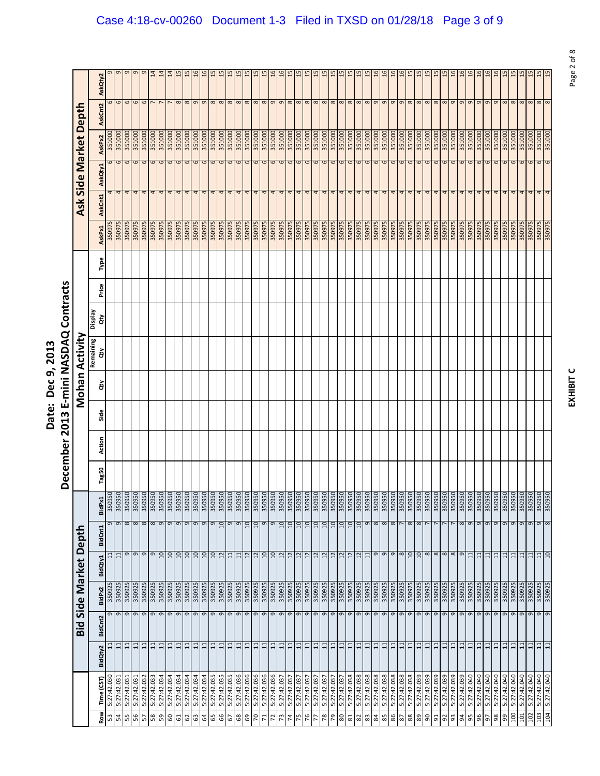|                                                                             | Ξ                                                                                |
|-----------------------------------------------------------------------------|----------------------------------------------------------------------------------|
| ì<br>$\overline{\phantom{a}}$<br>è<br>์<br>-<br>こりり<br>a<br>S<br>Ξ<br>iate: | <b>NASDAQ Co</b><br>min<br>$\frac{1}{2}$<br>Ĩ<br>$\frac{3}{2}$<br>Ţ<br>ë<br>-cem |
|                                                                             |                                                                                  |

| 351000<br>351000<br>351000<br>351000<br>351000<br>351000<br>351000<br>351000<br>351000<br>351000<br>351000<br>351000<br>351000<br>351000<br>351000<br>351000<br>351000<br>351000<br>351000<br>351000<br>351000<br>351000<br>351000<br>351000<br>351000<br>351000<br>351000<br>351000<br>351000<br>351000<br>351000<br>351000<br>351000<br>351000<br>$\mathbf \omega$<br>$\circ$<br>6<br>$\circ$<br>6<br>$\circ$<br>$\mathbf 6$<br>6<br>$\mathbf 6$<br>$\epsilon$<br>6<br>$\sigma$<br>$\mathbf \omega$<br>$\circ$<br>$\mathbf 6$<br>$\mathbf 6$<br>6<br>6<br>6<br>6<br>$\mathbf 6$<br>$\mathbf{\overline{6}}$<br>6<br>$\mathbf \sigma$<br>6<br>$\mathbf \omega$<br>$\frac{6}{5}$<br>6<br>6<br>$\mathbf 6$<br>$\mathbf \omega$<br>$\mathbf 6$<br>$\circ$<br>4<br>4<br>4<br>4<br>4<br>4<br>4<br>4<br>4<br>4<br>4<br>4<br>4<br>4<br>4<br>4<br>4<br>4<br>4<br>4<br>4<br>4<br>4<br>4<br>4<br>4<br>4<br>4<br>4<br>4<br>4<br>4<br>4<br>4<br>350975<br>350975<br>350975<br>350975<br>350975<br>350975<br>350975<br>350975<br>350975<br>350975<br>350975<br>350975<br>350975<br>350975<br>350975<br>350975<br>350975<br>350975<br>350975<br>350975<br>350975<br>350975<br>350975<br>350975<br>350975<br>350975<br>350975<br>350975<br>350975<br>350975<br>350975<br>350975<br>350975<br>350975 |
|--------------------------------------------------------------------------------------------------------------------------------------------------------------------------------------------------------------------------------------------------------------------------------------------------------------------------------------------------------------------------------------------------------------------------------------------------------------------------------------------------------------------------------------------------------------------------------------------------------------------------------------------------------------------------------------------------------------------------------------------------------------------------------------------------------------------------------------------------------------------------------------------------------------------------------------------------------------------------------------------------------------------------------------------------------------------------------------------------------------------------------------------------------------------------------------------------------------------------------------------------------------------------------------|
|                                                                                                                                                                                                                                                                                                                                                                                                                                                                                                                                                                                                                                                                                                                                                                                                                                                                                                                                                                                                                                                                                                                                                                                                                                                                                      |
|                                                                                                                                                                                                                                                                                                                                                                                                                                                                                                                                                                                                                                                                                                                                                                                                                                                                                                                                                                                                                                                                                                                                                                                                                                                                                      |
|                                                                                                                                                                                                                                                                                                                                                                                                                                                                                                                                                                                                                                                                                                                                                                                                                                                                                                                                                                                                                                                                                                                                                                                                                                                                                      |
|                                                                                                                                                                                                                                                                                                                                                                                                                                                                                                                                                                                                                                                                                                                                                                                                                                                                                                                                                                                                                                                                                                                                                                                                                                                                                      |
|                                                                                                                                                                                                                                                                                                                                                                                                                                                                                                                                                                                                                                                                                                                                                                                                                                                                                                                                                                                                                                                                                                                                                                                                                                                                                      |
|                                                                                                                                                                                                                                                                                                                                                                                                                                                                                                                                                                                                                                                                                                                                                                                                                                                                                                                                                                                                                                                                                                                                                                                                                                                                                      |
|                                                                                                                                                                                                                                                                                                                                                                                                                                                                                                                                                                                                                                                                                                                                                                                                                                                                                                                                                                                                                                                                                                                                                                                                                                                                                      |
|                                                                                                                                                                                                                                                                                                                                                                                                                                                                                                                                                                                                                                                                                                                                                                                                                                                                                                                                                                                                                                                                                                                                                                                                                                                                                      |
|                                                                                                                                                                                                                                                                                                                                                                                                                                                                                                                                                                                                                                                                                                                                                                                                                                                                                                                                                                                                                                                                                                                                                                                                                                                                                      |
|                                                                                                                                                                                                                                                                                                                                                                                                                                                                                                                                                                                                                                                                                                                                                                                                                                                                                                                                                                                                                                                                                                                                                                                                                                                                                      |
|                                                                                                                                                                                                                                                                                                                                                                                                                                                                                                                                                                                                                                                                                                                                                                                                                                                                                                                                                                                                                                                                                                                                                                                                                                                                                      |
|                                                                                                                                                                                                                                                                                                                                                                                                                                                                                                                                                                                                                                                                                                                                                                                                                                                                                                                                                                                                                                                                                                                                                                                                                                                                                      |
|                                                                                                                                                                                                                                                                                                                                                                                                                                                                                                                                                                                                                                                                                                                                                                                                                                                                                                                                                                                                                                                                                                                                                                                                                                                                                      |
|                                                                                                                                                                                                                                                                                                                                                                                                                                                                                                                                                                                                                                                                                                                                                                                                                                                                                                                                                                                                                                                                                                                                                                                                                                                                                      |
|                                                                                                                                                                                                                                                                                                                                                                                                                                                                                                                                                                                                                                                                                                                                                                                                                                                                                                                                                                                                                                                                                                                                                                                                                                                                                      |
|                                                                                                                                                                                                                                                                                                                                                                                                                                                                                                                                                                                                                                                                                                                                                                                                                                                                                                                                                                                                                                                                                                                                                                                                                                                                                      |
|                                                                                                                                                                                                                                                                                                                                                                                                                                                                                                                                                                                                                                                                                                                                                                                                                                                                                                                                                                                                                                                                                                                                                                                                                                                                                      |
|                                                                                                                                                                                                                                                                                                                                                                                                                                                                                                                                                                                                                                                                                                                                                                                                                                                                                                                                                                                                                                                                                                                                                                                                                                                                                      |
|                                                                                                                                                                                                                                                                                                                                                                                                                                                                                                                                                                                                                                                                                                                                                                                                                                                                                                                                                                                                                                                                                                                                                                                                                                                                                      |
|                                                                                                                                                                                                                                                                                                                                                                                                                                                                                                                                                                                                                                                                                                                                                                                                                                                                                                                                                                                                                                                                                                                                                                                                                                                                                      |
|                                                                                                                                                                                                                                                                                                                                                                                                                                                                                                                                                                                                                                                                                                                                                                                                                                                                                                                                                                                                                                                                                                                                                                                                                                                                                      |
|                                                                                                                                                                                                                                                                                                                                                                                                                                                                                                                                                                                                                                                                                                                                                                                                                                                                                                                                                                                                                                                                                                                                                                                                                                                                                      |
|                                                                                                                                                                                                                                                                                                                                                                                                                                                                                                                                                                                                                                                                                                                                                                                                                                                                                                                                                                                                                                                                                                                                                                                                                                                                                      |
|                                                                                                                                                                                                                                                                                                                                                                                                                                                                                                                                                                                                                                                                                                                                                                                                                                                                                                                                                                                                                                                                                                                                                                                                                                                                                      |
| 351000<br>6<br>4<br>350975                                                                                                                                                                                                                                                                                                                                                                                                                                                                                                                                                                                                                                                                                                                                                                                                                                                                                                                                                                                                                                                                                                                                                                                                                                                           |
| 351000<br>$\mathbf 6$<br>4<br>350975                                                                                                                                                                                                                                                                                                                                                                                                                                                                                                                                                                                                                                                                                                                                                                                                                                                                                                                                                                                                                                                                                                                                                                                                                                                 |
| 351000<br>351000<br>6<br>$\sigma$<br>4<br>350975<br>350975                                                                                                                                                                                                                                                                                                                                                                                                                                                                                                                                                                                                                                                                                                                                                                                                                                                                                                                                                                                                                                                                                                                                                                                                                           |
| 351000<br>$\mathbf \omega$<br>4<br>4<br>350975                                                                                                                                                                                                                                                                                                                                                                                                                                                                                                                                                                                                                                                                                                                                                                                                                                                                                                                                                                                                                                                                                                                                                                                                                                       |
| 351000<br>6<br>4<br>350975                                                                                                                                                                                                                                                                                                                                                                                                                                                                                                                                                                                                                                                                                                                                                                                                                                                                                                                                                                                                                                                                                                                                                                                                                                                           |
| 351000<br>$\circ$<br>4<br>350975                                                                                                                                                                                                                                                                                                                                                                                                                                                                                                                                                                                                                                                                                                                                                                                                                                                                                                                                                                                                                                                                                                                                                                                                                                                     |
| 351000<br>$\sigma$<br>4<br>350975                                                                                                                                                                                                                                                                                                                                                                                                                                                                                                                                                                                                                                                                                                                                                                                                                                                                                                                                                                                                                                                                                                                                                                                                                                                    |
| 351000<br>6<br>4<br>350975                                                                                                                                                                                                                                                                                                                                                                                                                                                                                                                                                                                                                                                                                                                                                                                                                                                                                                                                                                                                                                                                                                                                                                                                                                                           |
| 351000<br>6<br>4<br>350975                                                                                                                                                                                                                                                                                                                                                                                                                                                                                                                                                                                                                                                                                                                                                                                                                                                                                                                                                                                                                                                                                                                                                                                                                                                           |
| 351000<br>$\mathbf{\sigma}$<br>4<br>350975                                                                                                                                                                                                                                                                                                                                                                                                                                                                                                                                                                                                                                                                                                                                                                                                                                                                                                                                                                                                                                                                                                                                                                                                                                           |
| 351000<br>6<br>4<br>350975                                                                                                                                                                                                                                                                                                                                                                                                                                                                                                                                                                                                                                                                                                                                                                                                                                                                                                                                                                                                                                                                                                                                                                                                                                                           |
| 351000<br>6<br>4<br>350975                                                                                                                                                                                                                                                                                                                                                                                                                                                                                                                                                                                                                                                                                                                                                                                                                                                                                                                                                                                                                                                                                                                                                                                                                                                           |
| 351000<br>$\circ$<br>4<br>350975                                                                                                                                                                                                                                                                                                                                                                                                                                                                                                                                                                                                                                                                                                                                                                                                                                                                                                                                                                                                                                                                                                                                                                                                                                                     |
| 351000<br>351000<br>6<br>$\circ$<br>4<br>350975<br>35097                                                                                                                                                                                                                                                                                                                                                                                                                                                                                                                                                                                                                                                                                                                                                                                                                                                                                                                                                                                                                                                                                                                                                                                                                             |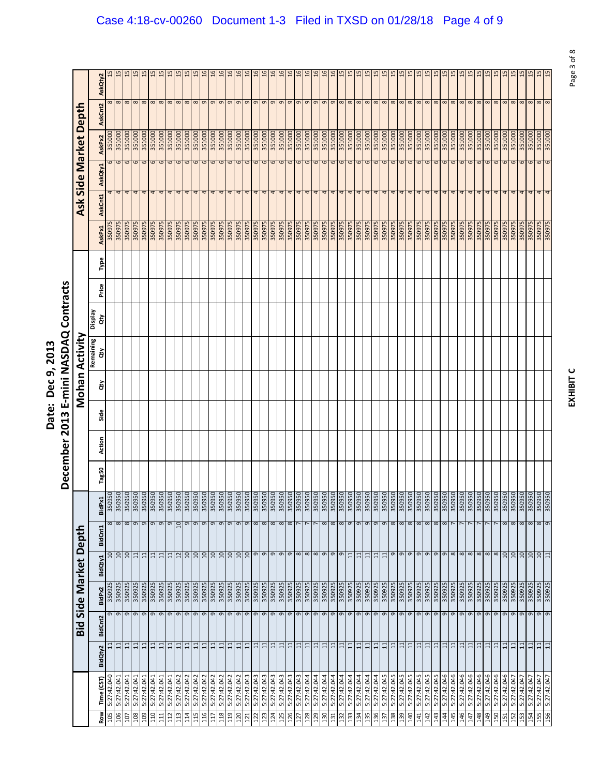|                                                                             | Ξ                                                                                |
|-----------------------------------------------------------------------------|----------------------------------------------------------------------------------|
| ì<br>$\overline{\phantom{a}}$<br>è<br>์<br>-<br>こりり<br>a<br>S<br>Ξ<br>iate: | <b>NASDAQ Co</b><br>min<br>$\frac{1}{2}$<br>Ĩ<br>$\frac{3}{2}$<br>Ţ<br>ë<br>-cem |
|                                                                             |                                                                                  |

|                 |                            |                 |          |                   |                                     |                      |        |       | December 2013 |      |    | E-mini NASDAQ Contracts |                      |       |      |                  |         |                  |                   |          |               |
|-----------------|----------------------------|-----------------|----------|-------------------|-------------------------------------|----------------------|--------|-------|---------------|------|----|-------------------------|----------------------|-------|------|------------------|---------|------------------|-------------------|----------|---------------|
|                 |                            |                 | Bid      | Side Market Depth |                                     |                      |        |       |               |      |    | Mohan Activity          |                      |       |      |                  | Ask     |                  | Side Market Depth |          |               |
| ξ               | Time (CST)                 | BidQty2         | BidCnt2  | BidPx2            | BidQty1                             | <b>BidCnt1</b>       | BidPx1 | Tag50 | Action        | Side | ਲੋ | Remaining<br>έř         | <b>Display</b><br>ਨੇ | Price | Type | AskPx1           | AskCnt1 | AskQty1          | AskPx2            | AskCnt2  | AskQty2       |
| 105             | 5:27:42.040                | $\Xi$           | 9        | 350925            | $\overline{a}$                      | $\infty$             |        |       |               |      |    |                         |                      |       |      | 350975           |         | 6                | 351000            | 8        |               |
| 106             | 5:27:42.041                | 금               | 9        | 350925            | $\overline{a}$                      | $\infty$             |        |       |               |      |    |                         |                      |       |      | 350975           | 4       | $\mathbf \omega$ | 351000            | 8        |               |
| 107<br>108      | 5:27:42.041<br>5:27:42.041 | 급<br>$\Xi$      | 9<br>9   | 350925<br>350925  | $\overline{a}$<br>11                | $\infty$<br>$\sigma$ |        |       |               |      |    |                         |                      |       |      | 350975<br>350975 | 4       | 6<br>6           | 351000<br>351000  | 8        |               |
| 601             | 5:27:42.041                |                 | $\sigma$ | 350925            | 11                                  | $\sigma$             |        |       |               |      |    |                         |                      |       |      | 350975           | 4       | $\overline{6}$   | 351000            | 8<br>8   |               |
| 110             | 5:27:42.041                | $\frac{11}{11}$ | 9        | 350925            | $\overline{11}$                     | G                    |        |       |               |      |    |                         |                      |       |      | 350975           | 4       | 6                | 351000            | 8        |               |
| 111             | 5:27:42.041                | $\Xi$           | 9        | 350925            | 11                                  | $\mathsf \sigma$     |        |       |               |      |    |                         |                      |       |      | 350975           | 4       | $\mathbf \omega$ | 351000            | 8        |               |
| 112             | 5:27:42.041                | $\Xi$           | G        | 350925            | 11                                  | G                    |        |       |               |      |    |                         |                      |       |      | 350975           |         | 6                | 351000            | 8        |               |
| $\overline{13}$ | 5:27:42.042                | $\overline{11}$ | $\sigma$ | 350925            | 12                                  | $\supseteq$          |        |       |               |      |    |                         |                      |       |      | 350975           |         | $\circ$          | 351000            | 8        |               |
| 114             | 5:27:42.042                | $\Xi$           | 9        | 350925            | $\frac{10}{10}$                     | G                    |        |       |               |      |    |                         |                      |       |      | 350975           |         | 6                | 351000            | 8        |               |
| 115             | 5:27:42.042                | $\Xi$           | G        | 350925            |                                     | o                    |        |       |               |      |    |                         |                      |       |      | 350975           |         | 6                | 351000            | 8        |               |
| 116             | 5:27:42.042                | 日               | 9        | 350925            | 10                                  | $\mathsf \sigma$     |        |       |               |      |    |                         |                      |       |      | 350975           | 4       | 6                | 351000            | 9        |               |
| 117             | 5:27:42.042                | $\Xi$           | 9        | 350925            | $\overline{a}$                      | G                    |        |       |               |      |    |                         |                      |       |      | 350975           |         | 6                | 351000            | G        |               |
| 118             | 5:27:42.042                | 11              | $\sigma$ | 350925            | $\overline{a}$                      | $\sigma$             |        |       |               |      |    |                         |                      |       |      | 350975           |         | $\mathbf \Omega$ | 351000            | $\sigma$ |               |
| 119             | 5:27:42.042                | $\Xi$           | 9        | 350925            | $\frac{10}{10}$                     | G                    |        |       |               |      |    |                         |                      |       |      | 350975           | 4       | 6                | 351000            | $\sigma$ |               |
| 120             | 5:27:42.042                | $\Xi$           | 9        | 350925            |                                     | o                    |        |       |               |      |    |                         |                      |       |      | 350975           | 4       | 6                | 351000            | 9        |               |
| 121             | 5:27:42.043                | $\Xi$           | 9        | 350925            |                                     | $\mathsf{\sigma}$    |        |       |               |      |    |                         |                      |       |      | 350975           | 4       | $\mathbf \omega$ | 351000            | 9        |               |
| 122             | 5:27:42.043                | 日               | 9        | 350925            |                                     | ${}^{\circ}$         |        |       |               |      |    |                         |                      |       |      | 350975           |         | 6                | 351000            | 9        |               |
| 23              | 5:27:42.043                | $\overline{11}$ | g        | 350925            |                                     | $\infty$             |        |       |               |      |    |                         |                      |       |      | 350975           | 4       | $\mathbf 6$      | 351000            | $\sigma$ |               |
| 124             | 5:27:42.043                | 7 7             | 9        | 350925            |                                     | $\infty$             |        |       |               |      |    |                         |                      |       |      | 350975           | 4       | 6                | 351000            | $\sigma$ |               |
| 125             | 5:27:42.043                |                 | 9        | 350925            | ခြုပြစြစြ                           | $\infty$             |        |       |               |      |    |                         |                      |       |      | 350975           | 4       | 6                | 351000            | 9        |               |
| 126             | 5:27:42.043                | $\Xi$           | 9        | 350925            |                                     | $\infty$             |        |       |               |      |    |                         |                      |       |      | 350975           | 4       | 6                | 351000            | 9        |               |
| 127             | 5:27:42.043                | $\Xi$           | 9        | 350925            |                                     | r                    |        |       |               |      |    |                         |                      |       |      | 350975           |         | 6                | 351000            | 9        |               |
| 28              | 5:27:42.044                | 11              | 9        | 350925            | $\frac{9}{8}$ $\frac{8}{8}$         |                      |        |       |               |      |    |                         |                      |       |      | 350975           | 4       | 6                | 351000            | 9        |               |
| 129             | 5:27:42.044                | $\frac{11}{11}$ | 9        | 350925            |                                     | $\overline{ }$       |        |       |               |      |    |                         |                      |       |      | 350975           | 4       | $\frac{6}{6}$    | 351000            | $\sigma$ |               |
| 130             | 5:27:42.044                |                 | 9        | 350925            |                                     | $\infty$             |        |       |               |      |    |                         |                      |       |      | 350975           | 4       |                  | 351000            | 9        | $\frac{6}{1}$ |
| 131             | 5:27:42.044                | $\overline{11}$ | 9        | 350925            | $\sigma$                            | $\infty$             |        |       |               |      |    |                         |                      |       |      | 350975           | 4       | 6                | 351000            | 9        |               |
| 132             | 5:27:42.044                | $\Xi$           | 9        | 350925            | g                                   | $\infty$             |        |       |               |      |    |                         |                      |       |      | 350975           | 4       | 6                | 351000            | 8        |               |
| 33              | 5:27:42.044                | 11              | 9        | 350925            | $\Xi$                               | $\sigma$             |        |       |               |      |    |                         |                      |       |      | 350975           | 4       | 6                | 351000            | 8        |               |
| 134             | 5:27:42.044                | 11              | g        | 350925            | 11                                  | $\sigma$             |        |       |               |      |    |                         |                      |       |      | 350975           | 4       | 9                | 351000            | 8        |               |
| 135             | 5:27:42.044                |                 | 9        | 350925            | $\overline{11}$                     | G                    |        |       |               |      |    |                         |                      |       |      | 350975           | 4       | 6                | 351000            | 8        |               |
| 136             | 5:27:42.044                | $\frac{11}{11}$ | 9        | 350925            | $\frac{11}{11}$                     | $\sigma$             |        |       |               |      |    |                         |                      |       |      | 350975           | 4       | 6                | 351000            | 8        |               |
| 137             | 5:27:42.045                |                 | 9        | 350925            |                                     | G                    |        |       |               |      |    |                         |                      |       |      | 350975           |         | 6                | 351000            | 8        |               |
| 38              | 5:27:42.045                | $\overline{11}$ | 9        | 350925            |                                     | $\infty$             |        |       |               |      |    |                         |                      |       |      | 350975           | 4       | 6                | 351000            | 8        |               |
| 139             | 5:27:42.045                | $\frac{11}{11}$ | 9        | 350925            | $\sigma$ $\sigma$ $\sigma$ $\sigma$ | $\infty$             |        |       |               |      |    |                         |                      |       |      | 350975           | 4       | $\frac{6}{6}$    | 351000            | $\infty$ |               |
| 140             | 5:27:42.045                |                 | 9        | 350925            |                                     | $\infty$             |        |       |               |      |    |                         |                      |       |      | 350975           | 4       |                  | 351000            | 8        | $\mathbf{5}$  |
| 141             | 5:27:42.045                | $\Xi$           | 9        | 350925            |                                     | $\infty$             |        |       |               |      |    |                         |                      |       |      | 350975           | 4       | 6                | 351000            | 8        |               |
| 142             | 5:27:42.045                | $\Xi$           | 9        | 350925            |                                     | $\infty$             |        |       |               |      |    |                         |                      |       |      | 350975           |         | 6                | 351000            | 8        |               |
| 143             | 5:27:42.045                | $\Xi$           | 9        | 350925            | $\frac{9}{8}$                       | $\infty$             |        |       |               |      |    |                         |                      |       |      | 350975           | 4       | 6                | 351000            | 8        |               |
| 144             | 5:27:42.046                | 다               | 9        | 350925            |                                     | $\infty$             |        |       |               |      |    |                         |                      |       |      | 350975           | 4       | 6                | 351000            | 8        |               |
| 145             | 5:27:42.046                | $\Xi$           | 9        | 350925            |                                     |                      |        |       |               |      |    |                         |                      |       |      | 350975           | 4       | 6                | 351000            | 8        |               |
| 146             | 5:27:42.046                | $\frac{11}{11}$ | 9        | 350925            |                                     |                      |        |       |               |      |    |                         |                      |       |      | 350975           | 4       | 6                | 351000            | 8        |               |
| 147             | 5:27:42.046                |                 | 9        | 350925            |                                     |                      |        |       |               |      |    |                         |                      |       |      | 350975           | 4       | 6                | 351000            | 8        |               |
| 148             | 5:27:42.046                | 급               | 9        | 350925            | $\frac{8}{8}$                       |                      |        |       |               |      |    |                         |                      |       |      | 350975           |         | 6                | 351000            | 8        |               |
| 149             | 5:27:42.046                | $\Xi$           | 9        | 350925            |                                     |                      |        |       |               |      |    |                         |                      |       |      | 350975           |         | 6                | 351000            | $\infty$ |               |
| L50             | 5:27:42.046                | 11              | 9        | 350925            | $\overline{8}$                      |                      |        |       |               |      |    |                         |                      |       |      | 350975           | 4       | 6                | 351000            | 8        |               |
| 51              | 5:27:42.046                | $\Xi$           | $\sigma$ | 350925            | 10                                  | $\infty$             |        |       |               |      |    |                         |                      |       |      | 350975           |         | 6                | 351000            | 8        |               |
| 152             | 5:27:42.047                | 日               | 9        | 350925            | 10                                  | 8                    |        |       |               |      |    |                         |                      |       |      | 350975           |         | 6                | 351000            | 8        | 15            |
| 153             | 5:27:42.047                | $\overline{11}$ | 9        | 350925            | 10                                  | $\infty$             |        |       |               |      |    |                         |                      |       |      | 350975           |         | $\mathbf \omega$ | 351000            | 8        |               |
| 154             | 5:27:42.047                | $\Xi$           | $\sigma$ | 350925            |                                     | $\infty$             |        |       |               |      |    |                         |                      |       |      | 350975           |         | $\omega$         | 351000            | 8        |               |
| 155             | 5:27:42.047                | 7               | 9        | 350925            | $\frac{10}{11}$                     | 8                    |        |       |               |      |    |                         |                      |       |      | 350975           | 4       | 6                | 351000            | 8        | 15            |
| 156             | 5:27:42.047                |                 | 9        | 350925            |                                     | $\sigma$             |        |       |               |      |    |                         |                      |       |      | 350975           |         | $\circ$          | 351000            | 8        | 15            |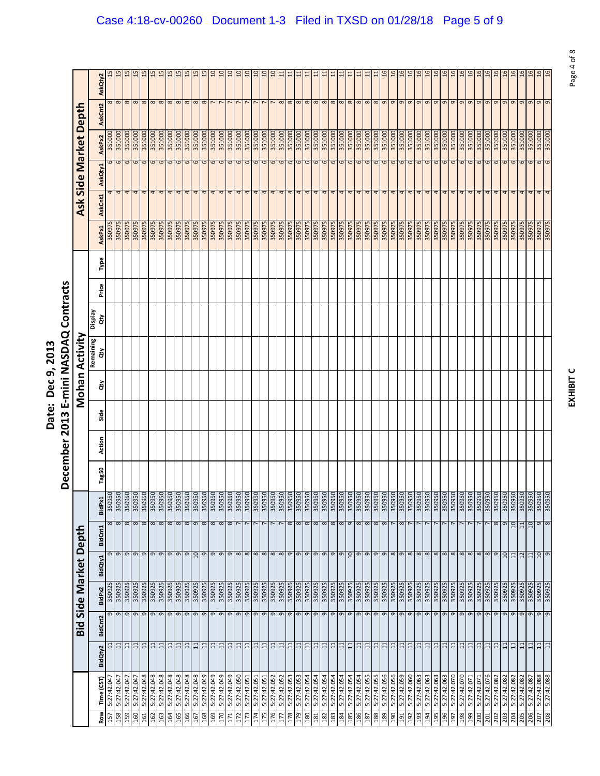|                                                                             | Ξ                                                                                |
|-----------------------------------------------------------------------------|----------------------------------------------------------------------------------|
| ì<br>$\overline{\phantom{a}}$<br>è<br>์<br>-<br>こりり<br>a<br>S<br>Ξ<br>iate: | <b>NASDAQ Co</b><br>min<br>$\frac{1}{2}$<br>Ĩ<br>$\frac{3}{2}$<br>Ţ<br>ë<br>-cem |
|                                                                             |                                                                                  |

|                  |                            |                       |         |                                      |                |                   |        |       | December 2013 |      |    |                  | E-mini NASDAQ Contracts |       |      |                  |         |         |                       |               |                 |
|------------------|----------------------------|-----------------------|---------|--------------------------------------|----------------|-------------------|--------|-------|---------------|------|----|------------------|-------------------------|-------|------|------------------|---------|---------|-----------------------|---------------|-----------------|
|                  |                            |                       | Bid     | Side Market                          |                | Depth             |        |       |               |      |    | Mohan Activity   |                         |       |      |                  |         |         | Ask Side Market Depth |               |                 |
| Row              | Time (CST)                 | BidQty2               | BidCnt2 | BidPx2                               | BidQty1        | BidCnt1           | BidPx1 | Tag50 | Action        | Side | ਲੋ | Remaining<br>ਰੇਂ | Veldsig<br>ਰੇਂ          | Price | Type | AskPx1           | AskCnt1 | AskQty1 | AskPx2                | AskCnt2       | AskQty2         |
| 157              | 5:27:42.04                 | $\Xi$                 |         | 350925<br>G                          |                | $\infty$<br>G     |        |       |               |      |    |                  |                         |       |      | 350975           |         | 6       | 351000                | $^{\circ}$    |                 |
| 158              | 5:27:42.047                | $\Xi$                 |         | 350925<br>9                          |                | $\infty$ $\infty$ |        |       |               |      |    |                  |                         |       |      | 350975           | 4       | 6       | 351000                | $\infty$      |                 |
| 159<br>160       | 5:27:42.047<br>5:27:42.04  | $\Xi$<br>금            |         | 350925<br>350925<br>9                |                | $\infty$          |        |       |               |      |    |                  |                         |       |      | 350975<br>350975 |         | 6<br>6  | 351000<br>351000      | 8<br>$\infty$ |                 |
| 161              | 5:27:42.048                |                       |         | 350925                               |                |                   |        |       |               |      |    |                  |                         |       |      | 350975           | 4       | 6       | 351000                | $\infty$      |                 |
| 162              | 5:27:42.048                | $\frac{1}{2}$         |         | 350925<br>999                        |                | $\infty$ $\infty$ |        |       |               |      |    |                  |                         |       |      | 350975           | 4       | 6       | 351000                | $\infty$      |                 |
| 163              | 5:27:42.048                | $\Xi$                 |         | 350925<br>$\sigma$                   |                | $\infty$          |        |       |               |      |    |                  |                         |       |      | 350975           |         | 6       | 351000                | $\infty$      |                 |
| 164              | 5:27:42.048                | 日                     |         | 350925<br>$\sigma$                   |                | $\infty$          |        |       |               |      |    |                  |                         |       |      | 350975           |         | 6       | 351000                | $^{\circ}$    | $\frac{15}{2}$  |
| 165              | 5:27:42.048                | $\Xi$                 |         | 350925<br>$\sigma$                   |                | $\infty$          |        |       |               |      |    |                  |                         |       |      | 350975           | 4       | 6       | 351000                | $\infty$      |                 |
| 166              | 5:27:42.048                | 급                     |         | 350925<br>$\sigma$ $\sigma$          |                | $\infty$ $\infty$ |        |       |               |      |    |                  |                         |       |      | 350975           | 4       | 6       | 351000                | $\infty$      |                 |
| 167              | 5:27:42.048                | $\overline{1}$        |         | 350925                               |                |                   |        |       |               |      |    |                  |                         |       |      | 350975           | 4       | 6       | 351000                | ∞             |                 |
| 168              | 5:27:42.049                | $\Xi$                 |         | 350925                               |                | $\infty$          |        |       |               |      |    |                  |                         |       |      | 350975           |         | 6       | 351000                | $\infty$      |                 |
| 169              | 5:27:42.049                | $\overline{11}$       |         | 350925<br>$\sigma$ $\sigma$ $\sigma$ |                | $\infty$          |        |       |               |      |    |                  |                         |       |      | 350975           | 4       | 6       | 351000                |               | $\Xi$           |
| 041              | 5:27:42.049                | $\overline{11}$       |         | 350925                               |                | $\infty$          |        |       |               |      |    |                  |                         |       |      | 350975           | 4       | 6       | 351000                |               |                 |
| $\overline{171}$ | 5:27:42.049                | 비비                    |         | 350925<br>$\sigma$ $\sigma$ $\sigma$ |                | $\infty$          |        |       |               |      |    |                  |                         |       |      | 350975           | 4       | 6       | 351000                |               | ຊ               |
| 172              | 5:27:42.050                |                       |         | 350925                               |                |                   |        |       |               |      |    |                  |                         |       |      | 350975           | 4       | 6       | 351000                |               |                 |
| 173              | 5:27:42.051                | 且                     |         | 350925                               |                |                   |        |       |               |      |    |                  |                         |       |      | 350975           |         | 6       | 351000                |               |                 |
| 174              | 5:27:42.051                | $\overline{11}$       |         | 350925<br>99                         |                |                   |        |       |               |      |    |                  |                         |       |      | 350975           | 4       | 6       | 351000                |               | $\overline{a}$  |
| 175              | 5:27:42.051                | $\overline{11}$       |         | 350925                               |                |                   |        |       |               |      |    |                  |                         |       |      | 350975           | 4       | 6       | 351000                |               |                 |
| 176              | 5:27:42.052                | 日                     |         | 350925                               |                |                   |        |       |               |      |    |                  |                         |       |      | 350975           | 4       | 6       | 351000                |               |                 |
| Ε                | 5:27:42.052                | 11                    |         | 350925<br>$\sigma$ $\sigma$          |                |                   |        |       |               |      |    |                  |                         |       |      | 350975           | 4       | 6       | 351000                | $^{\circ}$    |                 |
| 178              | 5:27:42.053                | $\Xi$                 |         | 350925                               |                | $\infty$          |        |       |               |      |    |                  |                         |       |      | 350975           | 4       | 6       | 351000                | $\infty$      |                 |
| 179              | 5:27:42.053                | $\Xi$                 |         | 350925<br>9                          |                | 8                 |        |       |               |      |    |                  |                         |       |      | 350975           | 4       | 6       | 351000                | $\infty$      | ⊟               |
| 180              | 5:27:42.054                | $\Xi$                 |         | 350925<br>$\frac{9}{9}$              |                | $\infty$          |        |       |               |      |    |                  |                         |       |      | 350975           | 4       | 6       | 351000                | $\infty$      |                 |
| 181              | 5:27:42.054                | $\overline{11}$       |         | 350925                               |                | $\infty$          |        |       |               |      |    |                  |                         |       |      | 350975           | 4       | 6       | 351000                | $\infty$      |                 |
| 182              | 5:27:42.054                | $\overline{11}$       |         | 350925<br>e<br>e                     |                | $\infty$          |        |       |               |      |    |                  |                         |       |      | 350975           | 4       | 6       | 351000                | $\infty$      |                 |
| 183              | 5:27:42.054                | 7 7                   |         | 350925                               |                | $\infty$          |        |       |               |      |    |                  |                         |       |      | 350975           | 4       | 6       | 351000                | $\infty$      |                 |
| 184              | 5:27:42.054                |                       |         | $\sigma$                             |                | $\infty$          |        |       |               |      |    |                  |                         |       |      | 350975           | 4       | 6       | 351000                | $\infty$      |                 |
| 185              | 5:27:42.054                | $\frac{11}{11}$       |         | 350925<br>$\frac{9}{9}$              |                | $\sigma$          |        |       |               |      |    |                  |                         |       |      | 350975           | 4       | 6       | 351000                | $\infty$      |                 |
| 186              | 5:27:42.054                |                       |         | 350925                               |                | $\infty$          |        |       |               |      |    |                  |                         |       |      | 350975           | 4       | 6       | 351000                | $\infty$      |                 |
| 187              | 5:27:42.055                | $\Xi$                 |         | 350925<br>$\sigma$                   |                | $\infty$          |        |       |               |      |    |                  |                         |       |      | 350975           | 4       | 6       | 351000                | $\infty$      |                 |
| 188              | 5:27:42.055                | 71                    |         | 350925<br>9                          |                | $\infty$          |        |       |               |      |    |                  |                         |       |      | 350975           | 4       | 6       | 351000                | $\infty$      | $\Xi$           |
| 189              | 5:27:42.056                |                       |         | 350925                               |                | $\infty$          |        |       |               |      |    |                  |                         |       |      | 350975           | 4       | 6       | 351000                | $\sigma$      | $\frac{6}{1}$   |
| 190              | 5:27:42.056                | $\Xi$                 |         | 350925<br>$\sigma$                   |                |                   |        |       |               |      |    |                  |                         |       |      | 350975           | 4       | 6       | 351000                | $\sigma$      |                 |
| 191              | 5:27:42.059<br>5:27:42.060 | $\Xi$                 |         | 350925<br>999                        |                | $\infty$          |        |       |               |      |    |                  |                         |       |      | 350975           |         | 6       | 351000                | თ             | $\frac{16}{2}$  |
| 193<br>192       | 5:27:42.063                | $\overline{11}$<br>금. |         | 350925<br>350925                     |                |                   |        |       |               |      |    |                  |                         |       |      | 350975<br>350975 | 4<br>4  | 6<br>6  | 351000<br>351000      | $\sigma$<br>G | $\frac{6}{1}$   |
| 194              | 5:27:42.063                | $\overline{1}$        |         | 350925                               |                |                   |        |       |               |      |    |                  |                         |       |      | 350975           | 4       | 6       | 351000                | $\sigma$      |                 |
| 195              | 5:27:42.063                | $\Xi$                 |         | 350925<br>$\sigma$                   |                |                   |        |       |               |      |    |                  |                         |       |      | 350975           |         | 6       | 351000                | $\sigma$      | 16              |
| 196              | 5:27:42.063                | 11                    |         | 350925                               |                |                   |        |       |               |      |    |                  |                         |       |      | 350975           | 4       | 6       | 351000                | Ō             | 16              |
| 197              | 5:27:42.070                | $\overline{11}$       |         | 350925<br>$\frac{9}{9}$              |                |                   |        |       |               |      |    |                  |                         |       |      | 350975           | 4       | 6       | 351000                | $\sigma$      |                 |
| 198              | 5:27:42.070                | 금                     |         | 350925                               |                |                   |        |       |               |      |    |                  |                         |       |      | 350975           |         | 6       | 351000                | $\sigma$      | $\frac{6}{1}$   |
| 199              | 5:27:42.071                | 11                    |         | 350925<br>$\sigma$ $\sigma$          |                |                   |        |       |               |      |    |                  |                         |       |      | 350975           | 4       | 6       | 351000                | თ             | $\frac{6}{2}$   |
| 200              | 5:27:42.071                | $\Xi$                 |         | 350925<br>$\sigma$                   |                |                   |        |       |               |      |    |                  |                         |       |      | 350975           |         | 6       | 351000                | $\sigma$      |                 |
| 201              | 5:27:42.076                | $\Xi$                 |         | 350925<br>$\sigma$                   |                |                   |        |       |               |      |    |                  |                         |       |      | 350975           |         | 6       | 351000                | G             | 16              |
| 202              | 5:27:42.082                | $\Xi$                 |         | 350925<br>$\sigma$                   | $\frac{9}{10}$ | $\infty$          |        |       |               |      |    |                  |                         |       |      | 350975           |         | 6       | 351000                | $\sigma$      | 16              |
| 203              | 5:27:42.082                | $\Xi$                 |         | 350925<br>$\mathbf{g}$               |                | 9                 |        |       |               |      |    |                  |                         |       |      | 350975           | 4       | 6       | 351000                | σ             | $\frac{6}{2}$   |
| 204              | 5:27:42.082                | 日                     |         | 350925<br>$\sigma$                   | 11             | $\overline{10}$   |        |       |               |      |    |                  |                         |       |      | 350975           | 4       | 6       | 351000                | თ             |                 |
| 205              | 5:27:42.082                | $\Xi$                 |         | 350925<br>$\sigma$                   | $\frac{2}{11}$ | $\Xi$             |        |       |               |      |    |                  |                         |       |      | 350975           | 4       | 6       | 351000                | $\sigma$      | 16              |
| 206              | 5:27:42.087                | $\Xi$                 |         | 350925<br>9                          |                | $\overline{a}$    |        |       |               |      |    |                  |                         |       |      | 350975           | 4       | 6       | 351000                | $\sigma$      | 16              |
| 207              | 5:27:42.088                | 비표                    |         | 350925<br>9                          | $\frac{10}{9}$ | $\sigma$          |        |       |               |      |    |                  |                         |       |      | 350975           |         | 6       | 351000                | $\sigma$      |                 |
| 208              | 5:27:42.088                |                       |         | 350925                               |                | 8                 |        |       |               |      |    |                  |                         |       |      | 350975           | 4       | 6       | 351000                | $\sigma$      | $\overline{16}$ |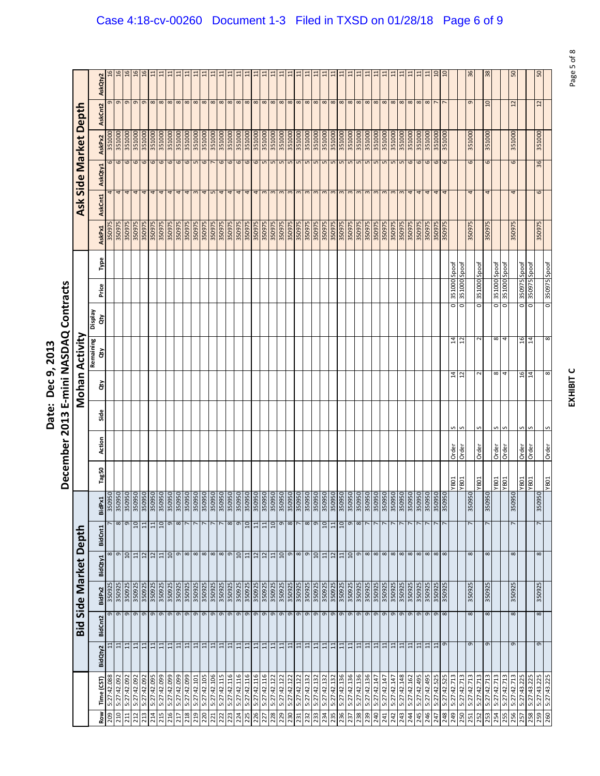|                                                                             | Ξ                                                                                |
|-----------------------------------------------------------------------------|----------------------------------------------------------------------------------|
| ì<br>$\overline{\phantom{a}}$<br>è<br>์<br>-<br>こりり<br>a<br>S<br>Ξ<br>iate: | <b>NASDAQ Co</b><br>min<br>$\frac{1}{2}$<br>Ĩ<br>$\frac{3}{2}$<br>Ţ<br>ë<br>-cem |
|                                                                             |                                                                                  |

|            |                            |                 |                |                                        |         |                                                                                 |                   |                     | December 2013 |      |                | E-mini NASDAQ Contracts |                      |                                               |       |                  |          |                        |                   |                        |                 |
|------------|----------------------------|-----------------|----------------|----------------------------------------|---------|---------------------------------------------------------------------------------|-------------------|---------------------|---------------|------|----------------|-------------------------|----------------------|-----------------------------------------------|-------|------------------|----------|------------------------|-------------------|------------------------|-----------------|
|            |                            |                 | Bid            | Side Market                            |         | Depth                                                                           |                   |                     |               |      |                | Mohan Activity          |                      |                                               |       |                  | Ask      |                        | Side Market Depth |                        |                 |
| ROW        | Time (CST)                 | BidQty2         | <b>BidCnt2</b> | BidPx2                                 | BidQty1 | BidCnt1                                                                         | BidPx1            | Tag50               | Action        | Side | ਲੋ             | Remaining<br>ਰੇਂ        | <b>Display</b><br>ਰੇ | Price                                         | Type  | AskPx1           | AskCnt1  | AskQty1                | AskPx2            | AskCnt2                | AskQty2         |
| 209        | 5:27:42.088                | $\Xi$           |                | 350925<br>o                            |         |                                                                                 |                   |                     |               |      |                |                         |                      |                                               |       | 350975           | 4        | 6                      | 351000            | ᡡ                      |                 |
| 210        | 5:27:42.092                | 日               |                | 350925<br>$\sigma$                     |         | $\frac{8}{9}$                                                                   | $\infty$ 0        |                     |               |      |                |                         |                      |                                               |       | 350975           | 4        | $\mathbf 6$            | 351000            | $\sigma$               |                 |
| 211<br>212 | 5:27:42.092<br>5:27:42.092 | $\Xi$<br>日      |                | 350925<br>350925<br>G                  |         | 11                                                                              | 10                |                     |               |      |                |                         |                      |                                               |       | 350975<br>350975 |          | $\mathbf \omega$       | 351000<br>351000  | G                      |                 |
| 213        | 5:27:42.092                |                 |                | 350925<br>$\sigma$                     |         |                                                                                 |                   |                     |               |      |                |                         |                      |                                               |       | 350975           | 4<br>4   | $\omega$               | 351000            | G<br>$\sigma$          |                 |
| 214        | 5:27:42.095                | 비표              |                | 350925<br>$\sigma$<br>$\mathsf \sigma$ |         | बिबिबिबिालेबबिबबिर                                                              | 11                |                     |               |      |                |                         |                      |                                               |       | 350975           | 4        | $\circ$<br>6           | 351000            | $\infty$               | ੜ               |
| 215        | 5:27:42.099                | 급               |                | 350925<br>$\sigma$                     |         |                                                                                 | $\overline{a}$    |                     |               |      |                |                         |                      |                                               |       | 350975           | 4        | 6                      | 351000            | $\infty$               |                 |
| 216        | 5:27:42.099                | 日               |                | 350925<br>$\sigma$                     |         |                                                                                 | $\sigma$          |                     |               |      |                |                         |                      |                                               |       | 350975           | 4        | $\mathbf \omega$       | 351000            | $\infty$               |                 |
| 217        | 5:27:42.099                | 급               |                | 350925<br>G                            |         |                                                                                 | $\infty$          |                     |               |      |                |                         |                      |                                               |       | 350975           | 4        | 6                      | 351000            | $\infty$               |                 |
| 218        | 5:27:42.099                | 금               |                | 350925<br>G                            |         |                                                                                 |                   |                     |               |      |                |                         |                      |                                               |       | 350975           | 4        | $\epsilon$             | 351000            | $\infty$               | 급               |
| 219        | 5:27:42.101                | $\overline{11}$ |                | 350925<br>$\sigma$                     |         |                                                                                 |                   |                     |               |      |                |                         |                      |                                               |       | 350975           | S        | $\mathsf{L}\mathsf{D}$ | 351000            | $\infty$               |                 |
| 220        | 5:27:42.105                | 급               |                | 350925<br>$\sigma$                     |         |                                                                                 |                   |                     |               |      |                |                         |                      |                                               |       | 350975           | 4        | 6                      | 351000            | $\infty$               | ੜ               |
| 221        | 5:27:42.106                | $\Xi$           |                | 350925<br>$\sigma$                     |         |                                                                                 |                   |                     |               |      |                |                         |                      |                                               |       | 350975           | S        | r                      | 351000            | $\infty$               | ੜ               |
| 222        | 5:27:42.115                | $\Xi$           |                | 350925<br>G                            |         |                                                                                 |                   |                     |               |      |                |                         |                      |                                               |       | 350975           | 4        | 6                      | 351000            | $\infty$               |                 |
| 223        | 5:27:42.116                | H,              |                | 350925<br>$\sigma$                     |         |                                                                                 | $\infty$          |                     |               |      |                |                         |                      |                                               |       | 350975           | 4        | $\circ$ $\circ$        | 351000            | $\infty$ $\infty$      | ੜ               |
| 224        | 5:27:42.116                | $\overline{1}$  |                | 350925<br>$\sigma$                     |         |                                                                                 | $\sigma$          |                     |               |      |                |                         |                      |                                               |       | 350975           | 4        |                        | 351000            |                        |                 |
| 225        | 5:27:42.116                | 급               |                | 350925<br>$\mathsf \sigma$             |         | $\Xi$                                                                           | $\overline{a}$    |                     |               |      |                |                         |                      |                                               |       | 350975           | 4        | 6                      | 351000            | $\infty$               |                 |
| 226        | 5:27:42.116                | $\overline{11}$ |                | 350925<br>$\sigma$                     |         | 12                                                                              | $\overline{11}$   |                     |               |      |                |                         |                      |                                               |       | 350975           | 4        | 6                      | 351000            | $\infty$               | ੜ               |
| 227        | 5:27:42.116                | $\Xi$           |                | 350925<br>$\sigma$                     |         | 12                                                                              | $\Xi$             |                     |               |      |                |                         |                      |                                               |       | 350975           | $\infty$ | $\mathbf{L}$           | 351000            | $\infty$               |                 |
| 228        | 5:27:42.122                | 금               |                | 350925<br>G                            |         |                                                                                 | $\overline{a}$    |                     |               |      |                |                         |                      |                                               |       | 350975           |          | $\mathsf{L}\cap$       | 351000            | $\infty$               |                 |
| 229        | 5:27:42.122                | 日               |                | 350925<br>$\sigma$                     |         |                                                                                 | $\mathsf{\sigma}$ |                     |               |      |                |                         |                      |                                               |       | 350975           | m        | $\mathsf{L}\mathsf{D}$ | 351000            | $\infty$               |                 |
| 230        | 5:27:42.122                | $\Xi$           |                | 350925<br>G                            |         |                                                                                 | $\infty$          |                     |               |      |                |                         |                      |                                               |       | 350975           |          | S                      | 351000            | $\infty$               |                 |
| 231        | 5:27:42.122                | $\Xi$           |                | 350925<br>G                            |         | 吕일 이∞ ⊙                                                                         | $\overline{ }$    |                     |               |      |                |                         |                      |                                               |       | 350975           | 3        | $\overline{5}$         | 351000            | $\infty$               |                 |
| 232        | 5:27:42.132                | 日               |                | 350925<br>$\mathsf{\sigma}$            |         |                                                                                 | $\infty$          |                     |               |      |                |                         |                      |                                               |       | 350975           | $\infty$ | $\mathsf{L}\mathsf{D}$ | 351000            | $\infty$               |                 |
| 233        | 5:27:42.132                | 금               |                | 350925<br>G                            |         | $\frac{10}{11}$                                                                 | e                 |                     |               |      |                |                         |                      |                                               |       | 350975           |          | $\sqrt{2}$             | 351000            | $\infty$               |                 |
| 234        | 5:27:42.132                | $\overline{11}$ |                | 350925<br>$\sigma$                     |         |                                                                                 | OT                |                     |               |      |                |                         |                      |                                               |       | 350975           | m        | $\mathsf{L}\mathsf{D}$ | 351000            | $\infty$               |                 |
| 235        | 5:27:42.132                | 급               |                | 350925<br>$\sigma$                     |         |                                                                                 | $\overline{11}$   |                     |               |      |                |                         |                      |                                               |       | 350975           |          | S                      | 351000            | $\infty$               |                 |
| 236        | 5:27:42.136                | $\Xi$           |                | 350925<br>G                            |         | $11\,$                                                                          | $\mathsf{C}$      |                     |               |      |                |                         |                      |                                               |       | 350975           | 3        | $\overline{5}$         | 351000            | $\infty$               |                 |
| 237        | 5:27:42.136                | 日               |                | 350925<br>9                            |         | 10                                                                              | $\mathsf \sigma$  |                     |               |      |                |                         |                      |                                               |       | 350975           | $\omega$ | $\mathsf{L}\mathsf{D}$ | 351000            | $\infty$               |                 |
| 238        | 5:27:42.136                | $\Xi$           |                | 350925<br>G                            |         |                                                                                 | $\infty$          |                     |               |      |                |                         |                      |                                               |       | 350975           | 3        | $\mathsf{L}\mathsf{D}$ | 351000            | $\infty$               |                 |
| 239        | 5:27:42.136                | 日               |                | 350925<br>$\sigma$                     |         |                                                                                 |                   |                     |               |      |                |                         |                      |                                               |       | 350975           |          | $\mathsf{L}\mathsf{D}$ | 351000            | $\infty$               |                 |
| 240        | 5:27:42.147                | $\Xi$           |                | 350925<br>$\mathsf{\sigma}$            |         | $\boxed{0}$ $\boxed{\infty}$ $\boxed{\infty}$ $\boxed{\infty}$ $\boxed{\infty}$ |                   |                     |               |      |                |                         |                      |                                               |       | 350975           | 3        | 5                      | 351000            | $\infty$               |                 |
| 241        | 5:27:42.147                | $\Xi$           |                | 350925<br>$\sigma$                     |         |                                                                                 |                   |                     |               |      |                |                         |                      |                                               |       | 350975           | 3        | 5                      | 351000            | $\infty$               | ੜ               |
| 242        | 5:27:42.147                | $\Xi$           |                | 350925<br>$\sigma$                     |         |                                                                                 |                   |                     |               |      |                |                         |                      |                                               |       | 350975           | $\infty$ | S                      | 351000            | $\infty$               |                 |
| 243        | 5:27:42.148                | $\Xi$           |                | 350925<br>9                            |         |                                                                                 |                   |                     |               |      |                |                         |                      |                                               |       | 350975           | 3        | 5                      | 351000            | $\infty$               | $\Xi$           |
| 244        | 5:27:42.162                | 日               |                | 350925<br>$\sigma$                     |         |                                                                                 |                   |                     |               |      |                |                         |                      |                                               |       | 350975           | 4        | $\mathbf \omega$       | 351000            | $\infty$               | Ξ               |
| 245<br>246 | 5:27:42.495<br>5:27:42.495 | $\Xi$           |                | 350925<br>350925<br>G                  |         |                                                                                 |                   |                     |               |      |                |                         |                      |                                               |       | 350975<br>350975 | 4<br>4   | 6                      | 351000<br>351000  | $\infty$<br>$^{\circ}$ | Ξ               |
| 247        | 5:27:42.525                | $\Xi$<br>日      |                | 350925<br>G                            |         |                                                                                 |                   |                     |               |      |                |                         |                      |                                               |       | 350975           | 4        | 6<br>6                 | 351000            |                        | $\overline{a}$  |
| 248        | 5:27:42.525                |                 | G              | 350925<br>$\sigma$<br>$\infty$         |         | $\infty$ $\infty$ $\infty$ $\infty$                                             |                   |                     |               |      |                |                         |                      |                                               |       | 350975           |          | 6                      | 351000            |                        | $\overline{10}$ |
| 249        | 5:27:42.713                |                 |                |                                        |         |                                                                                 |                   | <b>TOBA</b>         | Order         | s    | $\overline{1}$ | $\overline{1}$          |                      | 351000<br>$\circ$                             | Spoot |                  |          |                        |                   |                        |                 |
| 250        | 5:27:42.713                |                 |                |                                        |         |                                                                                 |                   | <b>YB01</b>         | Order         | S    | 5              | $\overline{12}$         |                      | 351000 Spoot<br>O                             |       |                  |          |                        |                   |                        |                 |
| 251        | 5:27:42.713                |                 | $\sigma$       | 350925<br>8                            |         | $\infty$                                                                        | 35095             | 50                  |               |      |                |                         |                      |                                               |       | 350975           | 4        | 6                      | 351000            | G                      | 36              |
| 252        | 5:27:42.713                |                 |                |                                        |         |                                                                                 |                   | <b>YB01</b>         | Order         | S    | $\sim$         |                         |                      | 351000<br>$\circ$                             | Spoof |                  |          |                        |                   |                        |                 |
| 253        | 5:27:42.713                |                 | G              | 350925<br>${}^{\circ}$                 |         | ${}^{\circ}$                                                                    | 3509              | 50                  |               |      |                |                         |                      |                                               |       | 350975           | 4        | 6                      | 351000            | g                      | $\frac{8}{3}$   |
| 254        | 5:27:42.713                |                 |                |                                        |         |                                                                                 |                   | YB01                | Order         | n    | $^{\circ}$     | $\infty$                |                      | 351000<br>o                                   | Spoof |                  |          |                        |                   |                        |                 |
| 255        | 5:27:42.713                |                 |                |                                        |         |                                                                                 |                   | <b>YB01</b>         | Order         | S    | 4              |                         |                      | 351000<br>O                                   | Spoof |                  |          |                        |                   |                        |                 |
| 256        | 5:27:42.713                |                 | G              | 350925<br>$\infty$                     |         | ${}^{\circ}$                                                                    | 3509              | 50                  |               |      |                |                         |                      |                                               |       | 350975           | 4        | 6                      | 351000            | $\mathbf{z}$           | SO              |
| 257        | 5:27:43.225                |                 |                |                                        |         |                                                                                 |                   | <b>108A</b><br>108A | Order         | S    | 16             | 16                      |                      | 350975 Spoof<br>350975 Spoof<br>$\frac{0}{0}$ |       |                  |          |                        |                   |                        |                 |
| 258        | 5:27:43.225                |                 |                |                                        |         |                                                                                 |                   |                     | Order         | S    | $\overline{1}$ | $\overline{14}$         |                      |                                               |       |                  |          |                        |                   |                        |                 |
| 259        | 5:27:43.225                |                 | G              | 350925<br>$^{\circ}$                   |         | $\infty$                                                                        | 35095             | 50                  |               |      |                |                         |                      |                                               |       | 350975           | 6        | 36                     | 351000            | $\approx$              |                 |
| 260        | 5:27:43.225                |                 |                |                                        |         |                                                                                 |                   | TOBA.               | Order         | S    | 8              | $\infty$                |                      | soods   sz605E<br>$\overline{\circ}$          |       |                  |          |                        |                   |                        |                 |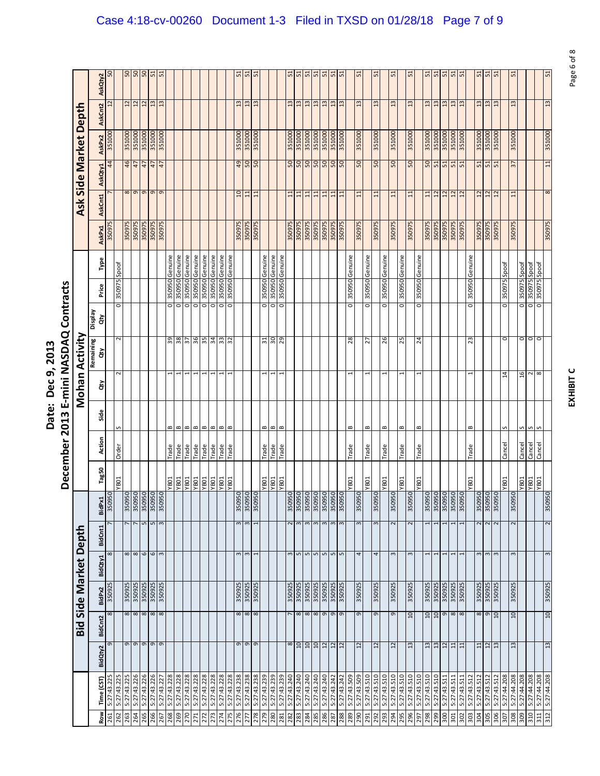|                            | Ξ<br>さく                                    |
|----------------------------|--------------------------------------------|
| j<br>ċ<br>המר ם המר<br>うりょ | NASDAC<br>׃<br>Ĺ                           |
| Ξ<br>hate:                 | min<br>$\frac{1}{1}$<br>Ξ<br>$\frac{3}{2}$ |
|                            | Ţ<br>ē<br>-cem                             |

|            |                            |                            |                |                            |         |                      |                         |                                                                    |                            | December 2013 |                |    |                 | E-mini NASDAQ Contracts   |                    |                |                  |         |                      |                                         |                              |                 |
|------------|----------------------------|----------------------------|----------------|----------------------------|---------|----------------------|-------------------------|--------------------------------------------------------------------|----------------------------|---------------|----------------|----|-----------------|---------------------------|--------------------|----------------|------------------|---------|----------------------|-----------------------------------------|------------------------------|-----------------|
|            |                            |                            | <b>bid</b>     | Side Market Depth          |         |                      |                         |                                                                    |                            |               |                |    | Mohan Activity  |                           |                    |                |                  |         |                      |                                         | Ask Side Market Depth        |                 |
| Row        | Time (CST)                 | BidQty2                    | BidCnt2        | BidPx2                     | BidQty1 |                      | BidCnt1                 | BidPx1                                                             | Tag50                      | Action        | Side           | ਣੇ | Remaining<br>ਠੰ | Veldsig<br>ਰੇਂ            | Price              | Type           | AskPx1           | AskCnt1 | AskQty1              | AskPx2                                  | AskCnt2                      | AskQty2         |
| 261        | 5:27:43.225                | G                          |                | 350925<br>$\infty$         |         | 8                    |                         | <sub>50</sub><br>35095                                             |                            |               |                |    |                 |                           |                    |                | 350975           |         |                      | 351000<br>44                            | $\overline{c}$               | SO <sub>1</sub> |
| 262        | 5:27:43.225                |                            |                |                            |         |                      |                         |                                                                    | <b>YB01</b>                | Order         |                |    | $\sim$          | $\sim$                    | 350975<br>o        | Spoof          |                  |         |                      |                                         |                              |                 |
| 263<br>264 | 5:27:43.225<br>5:27:43.226 | G                          | $\sigma$       | 350925<br>350925<br>8<br>8 |         | $\frac{8}{8}$        |                         | 50 5 50 50<br>3509<br>3509                                         |                            |               |                |    |                 |                           |                    |                | 350975<br>350975 |         | 8<br>$\sigma$        | 351000<br>351000<br>$\frac{4}{6}$<br>47 | $\approx$<br>$\overline{12}$ | $rac{10}{50}$   |
| 265        | 5:27:43.226                |                            |                | 350925                     |         |                      |                         | 3509 <sup>t</sup>                                                  |                            |               |                |    |                 |                           |                    |                | 350975           |         | $\sigma$             | 351000<br>47                            |                              |                 |
| 266        | 5:27:43.226                | $\sigma$ $\sigma$ $\sigma$ |                | 350925<br>$\frac{8}{8}$    |         |                      | n w                     | 3509 <sup>t</sup>                                                  |                            |               |                |    |                 |                           |                    |                | 350975           |         | G                    | 351000<br>L <sub>T</sub>                | $\frac{12}{13}$              | 50<br>51        |
| 267        | 5:27:43.227                |                            |                | 350925                     |         |                      |                         | 3509 <sup>t</sup>                                                  |                            |               |                |    |                 |                           |                    |                | 350975           |         | $\sigma$             | 351000<br>$\ddot{t}$                    | 13                           | 51              |
| 268        | 5:27:43.228                |                            |                |                            |         |                      |                         |                                                                    | <b>YB01</b>                | Trade         | B              |    |                 | 39                        | o                  | 350950 Genuine |                  |         |                      |                                         |                              |                 |
| 269        | 5:27:43.228                |                            |                |                            |         |                      |                         |                                                                    | <b>YB01</b>                | Trade         | $\blacksquare$ |    |                 | 38                        | <b>0560SE</b><br>o | Genuine        |                  |         |                      |                                         |                              |                 |
| 270        | 5:27:43.228                |                            |                |                            |         |                      |                         |                                                                    | <b>TOBA</b><br>TOBA        | Trade         | $\bf{m}$       |    |                 | 57                        | 350950<br>o        | Genuine        |                  |         |                      |                                         |                              |                 |
| 271        | 5:27:43.228                |                            |                |                            |         |                      |                         |                                                                    |                            | Trade         | $\,$ $\,$      |    |                 | 36                        | 350950<br>0        | Genuine        |                  |         |                      |                                         |                              |                 |
| 272        | 5:27:43.228                |                            |                |                            |         |                      |                         |                                                                    | <b>YBO1</b><br><b>YBO1</b> | Trade         | $\blacksquare$ |    |                 | 55                        | 350950<br>o        | Genuine        |                  |         |                      |                                         |                              |                 |
| 273        | 5:27:43.228                |                            |                |                            |         |                      |                         |                                                                    |                            | Trade         | $\bf{m}$       |    |                 | 34                        | o                  | 350950 Genuine |                  |         |                      |                                         |                              |                 |
| 274        | 5:27:43.228                |                            |                |                            |         |                      |                         |                                                                    | YB01                       | Trade         | $\, \text{m}$  |    |                 | 33                        | 350950<br>O        | Genuine        |                  |         |                      |                                         |                              |                 |
| 275        | 5:27:43.228                |                            |                |                            |         |                      |                         |                                                                    | <b>YB01</b>                | Trade         | ∞              |    |                 | 32                        | o                  | 350950 Genuine |                  |         |                      |                                         |                              |                 |
| 276        | 5:27:43.238                |                            | G              | 350925<br>$\infty$         |         | $\mathsf{c}$         | $\mathbf{c}$            | 350950<br>350950<br>350950                                         |                            |               |                |    |                 |                           |                    |                | 350975           |         | 01                   | 351000<br>$\overline{6}$                | $\frac{3}{2}$                | 51              |
| 277        | 5:27:43.238                | $\sigma$ $\sigma$          |                | 350925<br>$\frac{8}{8}$    |         | $\mathbf{c}$         | $\mathbf{c}$            |                                                                    |                            |               |                |    |                 |                           |                    |                | 350975           |         | $\overline{11}$      | 351000<br>50                            | $\frac{3}{2}$                | 51              |
| 278        | 5:27:43.238                |                            |                | 350925                     |         |                      |                         |                                                                    |                            |               |                |    |                 |                           |                    |                | 350975           |         | $\Xi$                | 351000<br><sub>50</sub>                 | $\frac{2}{3}$                | 51              |
| 279        | 5:27:43.239                |                            |                |                            |         |                      |                         |                                                                    | <b>TOBA</b>                | Trade         | B              |    |                 | $\overline{\mathrm{s}}$ 1 | O                  | 350950 Genuine |                  |         |                      |                                         |                              |                 |
| 280        | 5:27:43.239                |                            |                |                            |         |                      |                         |                                                                    |                            | <b>ape.1</b>  | B              |    | $\overline{ }$  | OE                        | o                  | 350950 Genuine |                  |         |                      |                                         |                              |                 |
| 281        | 5:27:43.239                |                            |                |                            |         |                      |                         |                                                                    | TOBA.                      | Trade         | $\,$ $\,$      |    |                 | 29                        | 350950<br>o        | Genuine        |                  |         |                      |                                         |                              |                 |
| 282        | 5:27:43.240                | $\infty$                   |                | 350925                     |         |                      | $\overline{\mathbf{c}}$ |                                                                    |                            |               |                |    |                 |                           |                    |                | 350975           |         | $\Xi$                | 351000<br>$\frac{50}{50}$               | $\frac{3}{2}$                | 51              |
| 283        | 5:27:43.240                | $\overline{10}$            |                | 350925<br>8                |         |                      | $\sim$                  |                                                                    |                            |               |                |    |                 |                           |                    |                | 350975           |         | 11                   | 351000                                  | 51                           |                 |
| 284        | 5:27:43.240                | $10$                       |                | 350925<br>$\infty$         |         |                      | $\mathsf{m}$            |                                                                    |                            |               |                |    |                 |                           |                    |                | 350975           |         | $11$                 | 351000<br>$\frac{50}{50}$               | 13                           | 51              |
| 285        | 5:27:43.240                | 0T                         |                | 350925<br>8                |         | <u>៣ ២ ២ ២ ២ ២ ២</u> | $\mathfrak{g}$          | 350950<br>350950<br>350950<br>350950<br>350950<br>350950<br>350950 |                            |               |                |    |                 |                           |                    |                | 350975           |         | $\overline{1}$       | 351000                                  | $\overline{13}$              | $\frac{51}{51}$ |
| 286        | 5:27:43.240                | 12                         |                | 350925<br>$\sigma$         |         |                      | $\omega$                |                                                                    |                            |               |                |    |                 |                           |                    |                | 350975           |         | 11                   | 351000<br>OS                            | $\frac{13}{2}$               |                 |
| 287        | 5:27:43.242                | 12                         |                | 350925<br>G                |         |                      | 3                       |                                                                    |                            |               |                |    |                 |                           |                    |                | 350975           |         | $\overline{11}$      | 351000<br><b>DS</b>                     | $\ddot{a}$                   | 51              |
| 288        | 5:27:43.242                | $\overline{12}$            |                | 350925<br>$\sigma$         |         |                      |                         |                                                                    |                            |               |                |    |                 |                           |                    |                | 350975           |         | $\overline{11}$      | 351000<br><sub>50</sub>                 | $\overline{13}$              | 51              |
| 289        | 5:27:43.509                |                            |                |                            |         |                      |                         |                                                                    | <b>YB01</b>                | Trade         | B              |    |                 | 28                        | 350950<br>o        | Genuine        |                  |         |                      |                                         |                              |                 |
| 290        | 5:27:43.509                | $\overline{12}$            |                | 350925<br>9                |         | 4                    | $\mathsf{c}$            | 50<br>3509 <sup>t</sup>                                            |                            |               |                |    |                 |                           |                    |                | 350975           |         | $\overline{11}$      | 351000<br>SO <sub>1</sub>               | $\mathbf{u}$                 | 51              |
| 291        | 5:27:43.510                |                            |                |                            |         |                      |                         |                                                                    | YB01                       | Trade         | $\bf{m}$       |    |                 | 27                        | 350950<br>o        | Genuine        |                  |         |                      |                                         |                              |                 |
| 292        | 5:27:43.510                | $\overline{12}$            |                | 350925<br>თ                |         | 4                    | 3                       | 50<br>3509                                                         |                            |               |                |    |                 |                           |                    |                | 350975           |         | $\overline{11}$      | 351000<br>50                            | $\frac{2}{3}$                | 51              |
| 293        | 5:27:43.510                |                            |                |                            |         |                      |                         |                                                                    | <b>TOBA</b>                | Trade         | B              |    |                 | 26                        | 1056058<br>o       | Genuine        |                  |         |                      |                                         |                              |                 |
| 294        | 5:27:43.510                | 12                         |                | 350925<br>G                |         | 3                    | $\mathbf 2$             | 50<br>3509                                                         |                            |               |                |    |                 |                           |                    |                | 350975           |         | $\overline{11}$      | 351000<br>SO <sub>1</sub>               | $\frac{13}{2}$               | 51              |
| 295        | 5:27:43.510                |                            |                |                            |         |                      |                         |                                                                    | YB01                       | Trade         | ≃              |    |                 | 25                        | 350950<br>0        | Genuine        |                  |         |                      |                                         |                              |                 |
| 297<br>296 | 5:27:43.510<br>5:27:43.510 | $\mathfrak{a}$             |                | 350925<br>$\overline{a}$   |         | $\sim$               | $\sim$                  | 50<br>3509                                                         | <b>TOBA</b>                |               |                |    |                 |                           | 056058             |                | 350975           |         | $\overline{1}$       | 351000<br>50                            | $\frac{2}{3}$                | 51              |
| 86Z        | 5:27:43.510                |                            |                | 350925                     |         |                      |                         | 35095                                                              |                            | Trade         | ≃              |    |                 | $^{24}$                   | $\circ$            | Genuine        | 350975           |         |                      |                                         |                              |                 |
|            | 5:27:43.510                | 3                          | $\overline{c}$ | 350925<br>$\overline{a}$   |         |                      |                         | 3509                                                               |                            |               |                |    |                 |                           |                    |                | 350975           |         | $\overline{12}$<br>급 | 351000<br>351000<br>50<br>51            | $\ddot{a}$                   | 51<br>5         |
| 299<br>300 | 5:27:43.511                | 12<br>$\frac{3}{2}$        |                | 350925<br>G                |         | 1                    | $\mathbf{r}$            | 388888<br>3509 <sup>t</sup>                                        |                            |               |                |    |                 |                           |                    |                | 350975           |         | $\overline{12}$      | 351000<br>51                            | 13                           | 51              |
| 301        | 5:27:43.511                | 급                          |                | 350925<br>$\infty$         |         |                      |                         | 3509 <sup>t</sup>                                                  |                            |               |                |    |                 |                           |                    |                | 350975           |         | 12                   | 351000<br>51                            | $\mathfrak{a}$               |                 |
| 302        | 5:27:43.511                | $\overline{1}$             |                | 350925<br>8                |         |                      |                         | 3509 <sup>t</sup>                                                  |                            |               |                |    |                 |                           |                    |                | 350975           |         | $\overline{u}$       | 351000<br>51                            | $\frac{3}{2}$                | $\frac{51}{51}$ |
| 303        | 5:27:43.512                |                            |                |                            |         |                      |                         |                                                                    | YB01                       | Trade         | B              |    |                 | 23                        | 350950<br>o        | Genuine        |                  |         |                      |                                         |                              |                 |
| 304        | 5:27:43.512                | $\Xi$                      |                | 350925<br>$\infty$         |         | ω                    |                         |                                                                    |                            |               |                |    |                 |                           |                    |                | 350975           |         | $\frac{1}{2}$        | 351000<br>51                            | ౢ                            | 51              |
| 305        | 5:27:43.512                | 12                         |                | 350925<br>G                |         | $\mathsf m$          | $\sim$                  | 350950<br>350950<br>350950                                         |                            |               |                |    |                 |                           |                    |                | 350975           |         | $\overline{12}$      | 351000<br>51                            | $\ddot{u}$                   | 51              |
| 306        | 5:27:43.512                | $\ddot{u}$                 |                | 350925<br>$\overline{a}$   |         | $\,$ $\,$            | $\sim$                  |                                                                    |                            |               |                |    |                 |                           |                    |                | 350975           |         | $\overline{12}$      | 351000<br>51                            | $\overline{13}$              | 51              |
| 307        | 5:27:44.208                |                            |                |                            |         |                      |                         |                                                                    | <b>YB01</b>                | Cancel        | S              |    | $^{14}$         | 0                         | 350975<br>0        | Spoof          |                  |         |                      |                                         |                              |                 |
| 308        | 5:27:44.208                | 13                         |                | 350925<br>$\overline{10}$  |         | 3                    | $\sim$                  | 350950                                                             |                            |               |                |    |                 |                           |                    |                | 350975           |         | $\overline{1}$       | 351000<br>$\overline{37}$               | $\frac{2}{3}$                | 51              |
| 309        | 5:27:44.208                |                            |                |                            |         |                      |                         |                                                                    | TOBA.                      | Cancel        | n              |    | 16              | $\circ$                   | 0                  | 350975 Spoof   |                  |         |                      |                                         |                              |                 |
| 310        | 5:27:44.208                |                            |                |                            |         |                      |                         |                                                                    | YB01                       | Cancel        | S              |    | $\sim$          | $\circ$                   | SL60SE<br>$\circ$  | <b>Joods</b>   |                  |         |                      |                                         |                              |                 |
| 312<br>311 | 5:27:44.208<br>5:27:44.208 | 13                         |                | 350925<br>10               |         | 3                    | 2                       | 350950                                                             | <b>YB01</b>                | Cancel        | S              |    | $\infty$        | $\circ$                   | 350975<br>O        | Spoof          | 350975           |         | 8                    | 351000<br>$11\phantom{.0}$              | $\frac{13}{2}$               | 51              |
|            |                            |                            |                |                            |         |                      |                         |                                                                    |                            |               |                |    |                 |                           |                    |                |                  |         |                      |                                         |                              |                 |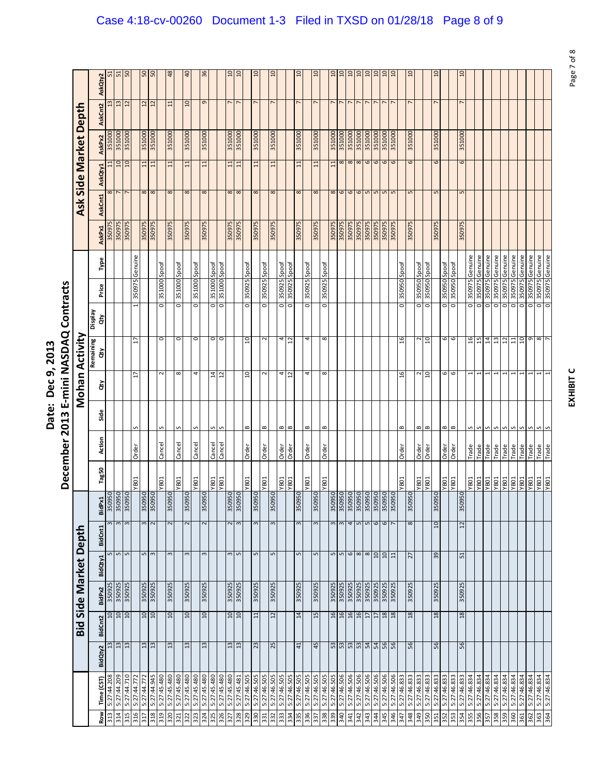|                                                                             | Ξ                                                                                |
|-----------------------------------------------------------------------------|----------------------------------------------------------------------------------|
| ì<br>$\overline{\phantom{a}}$<br>è<br>์<br>-<br>こりり<br>a<br>S<br>Ξ<br>iate: | <b>NASDAQ Co</b><br>min<br>$\frac{1}{2}$<br>Ĩ<br>$\frac{3}{2}$<br>Ţ<br>ë<br>-cem |
|                                                                             |                                                                                  |

|            |                            |                 |                                           |                  |                   |                        |                                                                    |                     | December 2013  |              |                | E-mini NASDAQ Contracts |                         |                  |                           |               |                   |                 |                       |                |                 |
|------------|----------------------------|-----------------|-------------------------------------------|------------------|-------------------|------------------------|--------------------------------------------------------------------|---------------------|----------------|--------------|----------------|-------------------------|-------------------------|------------------|---------------------------|---------------|-------------------|-----------------|-----------------------|----------------|-----------------|
|            |                            |                 | Bid                                       |                  | Side Market Depth |                        |                                                                    |                     |                |              |                | Mohan Activity          |                         |                  |                           |               |                   |                 | Ask Side Market Depth |                |                 |
| Row        | Time (CST)                 | BidQty2         | BidCnt2                                   |                  | BidQty1           | BidCnt1                | BidPx1                                                             | Tag50               | Action         | Side         | ਰੇਂ            | Remaining<br>ਰੇਂ        | Veldsig<br>ਰੇ           | Price            | Type                      | AskPx1        | AskCnt1           | AskQty1         | AskPx2                | AskCnt2        | AskQty2         |
| 313        | 5:27:44.208                | ∄               | $\overline{a}$                            | BidPx2<br>350925 |                   | 5                      | 350950<br>350950<br>350950                                         |                     |                |              |                |                         |                         |                  |                           | 350975        | $\infty$          | $\Xi$           | 351000                |                | 5               |
| 314        | 5:27:44.209                | 13              | 10                                        | 350925           |                   | $\sim$<br>5            |                                                                    |                     |                |              |                |                         |                         |                  |                           | 350975        |                   | 10              | 351000                | $\ddot{a}$     | 51              |
| 315<br>316 | 5:27:44.710<br>5:27:44.772 | $\frac{3}{2}$   | $\overline{a}$                            | 350925           |                   |                        |                                                                    | <b>YB01</b>         | Order          |              | 17             | F                       |                         | 350975           | Genuine                   | 350975        |                   | $\overline{a}$  | 351000                | ุว             | SO <sub>1</sub> |
| 317        | 5:27:44.772                |                 |                                           |                  |                   | 3                      |                                                                    |                     |                |              |                |                         |                         |                  |                           | 350975        |                   | $\Xi$           | 351000                | $\approx$      |                 |
| 318        | 5:27:44.945                | $\frac{13}{13}$ | $\begin{array}{c}\n10 \\ 10\n\end{array}$ | 350925           | $\frac{5}{3}$     | $\sim$                 | 350950<br>350950<br>50                                             |                     |                |              |                |                         |                         |                  |                           | 350975        | $\infty$ $\infty$ | $\overline{1}$  | 351000                | $\overline{z}$ | <b>SO</b>       |
| 319        | 5:27:45.480                |                 |                                           |                  |                   |                        |                                                                    | <b>YB01</b>         | Cancel         |              | $\sim$         | $\circ$                 | $\circ$                 | 351000           | Spoof                     |               |                   |                 |                       |                |                 |
| 320        | 5:27:45.480                | 13              | 10                                        | 350925           | $\sim$            | $\sim$                 | 350950                                                             |                     |                |              |                |                         |                         |                  |                           | 350975        | $\infty$          | 11              | 351000                | $\Xi$          | $\frac{8}{3}$   |
| 321        | 5:27:45.480                |                 |                                           |                  |                   |                        | 50                                                                 | <b>YB01</b>         | Cancel         | s            | $\infty$       | 0                       | $\circ$                 | 351000 Spoof     |                           |               |                   |                 |                       |                |                 |
| 322<br>323 | 5:27:45.480<br>5:27:45.480 | $\mathbf{r}$    | $\overline{a}$                            | 350925           | 3                 | 2                      | 3509                                                               | <b>TOBA</b>         | Cancel         |              | 4              | 0                       | $\overline{\circ}$      | 351000 Spoof     |                           | 350975        | $\infty$          | $\overline{11}$ | 351000                | å              | ੩               |
| 324        | 5:27:45.480                | 13              | $\overline{a}$                            | 350925           |                   | 2<br>$\infty$          | 350950                                                             |                     |                |              |                |                         |                         |                  |                           | 350975        | $\infty$          | $\Xi$           | 351000                | e              | 96              |
| 325        | 5:27:45.480                |                 |                                           |                  |                   |                        |                                                                    | <b>TOBA</b>         | Cancel         | S            | $^{14}$        | $\circ$                 | $\overline{\circ}$      | 351000 Spoof     |                           |               |                   |                 |                       |                |                 |
| 326        | 5:27:45.480                |                 |                                           |                  |                   |                        |                                                                    | TOBA.               | Cancel         |              | $\overline{1}$ | っ                       | $\circ$                 | 351000           | Spoof                     |               |                   |                 |                       |                |                 |
| 327        | 5:27:45.480                | $\mathfrak{u}$  | $10 \,$                                   | 350925           | 3                 | 2                      | 350950<br>350950                                                   |                     |                |              |                |                         |                         |                  |                           | 350975        | $^{\circ}$        | $\Xi$           | 351000                |                | $\Xi$           |
| 328        | 5:27:45.481                | 13              | $\overline{a}$                            | 350925           |                   | $\mathbf{L}$           | 50                                                                 |                     |                |              |                |                         |                         |                  |                           | 350975        | $\infty$          | $\Xi$           | 351000                |                |                 |
| 329        | 5:27:46.505                |                 |                                           |                  |                   |                        |                                                                    | YBO1                | Order          | B            | ្ក             | ្ក                      | o                       | 350925 Spoof     |                           |               |                   |                 |                       |                |                 |
| 330        | 5:27:46.505                | 23              | $\Xi$                                     | 350925           | S                 | 3                      | 350950                                                             |                     |                |              |                |                         |                         |                  |                           | 350975        | $\infty$          | $\Xi$           | 351000                |                | ຊ               |
| 331        | 5:27:46.505                |                 |                                           |                  |                   |                        | 350950                                                             | <b>YB01</b>         | Order          | $\bf{c}$     | $\sim$         | $\sim$                  | $\circ$                 | 350925 Spoof     |                           |               |                   |                 |                       |                |                 |
| 332        | 5:27:46.505                | 25              | $\overline{12}$                           | 350925           | S                 | 3                      |                                                                    |                     |                |              |                |                         |                         |                  |                           | 350975        | $\infty$          | $\overline{11}$ | 351000                |                | $\overline{a}$  |
| 333        | 5:27:46.505<br>5:27:46.505 |                 |                                           |                  |                   |                        |                                                                    | <b>YB01</b><br>YB01 | Order          | B            | 4              | 4<br>F                  | 0                       | 350925<br>350925 | Spoof                     |               |                   |                 |                       |                |                 |
| 334<br>335 | 5:27:46.505                | 41              | 14                                        | 350925           | 5                 | 3                      | 350950                                                             |                     | Order          | $\bf{m}$     | 5              |                         | $\overline{\circ}$      |                  | Spoof                     | 350975        | $\infty$          | $\overline{11}$ | 351000                |                | ຊ               |
| 336        | 5:27:46.505                |                 |                                           |                  |                   |                        |                                                                    | <b>YB01</b>         | Order          | $\mathbf{a}$ | 4              | 4                       | 0                       | 350925           | Spoof                     |               |                   |                 |                       |                |                 |
| 337        | 5:27:46.505                | 45              | 15                                        | 350925           | S                 | $\mathsf{S}$           | 350950                                                             |                     |                |              |                |                         |                         |                  |                           | 350975        | $\infty$          | $\overline{11}$ | 351000                |                | å               |
| 338        | 5:27:46.505                |                 |                                           |                  |                   |                        |                                                                    | <b>YB01</b>         | Order          | Б            | $\infty$       | $\infty$                | 0                       | 350925           | Spoof                     |               |                   |                 |                       |                |                 |
| 339        | 5:27:46.505                | 53              | $\overline{a}$                            | 350925           | $\mathsf{r}$      |                        |                                                                    |                     |                |              |                |                         |                         |                  |                           | <b>SL605E</b> | $\infty$          | 11              | 351000                |                | a               |
| 340        | 5:27:46.506                | 53              | 16                                        | 350925           | S                 |                        |                                                                    |                     |                |              |                |                         |                         |                  |                           | 350975        | $\sigma$          | $\infty$        | 351000                |                | g               |
| 341        | 5:27:46.506                | 53<br>53        | 16                                        | 350925           | $\frac{6}{8}$     | 4                      |                                                                    |                     |                |              |                |                         |                         |                  |                           | 350975        | 6                 | $\infty$        | 351000                |                | $\overline{a}$  |
| 342        | 5:27:46.506                |                 | 16                                        | 350925           |                   | S                      |                                                                    |                     |                |              |                |                         |                         |                  |                           | 350975        | 6                 | 8               | 351000                |                | $\overline{a}$  |
| 343        | 5:27:46.506                |                 | $\overline{17}$                           | 350925           |                   | $\mathsf{L}\mathsf{D}$ |                                                                    |                     |                |              |                |                         |                         |                  |                           | 350975        | S                 | 6               | 351000                |                | $\overline{a}$  |
| 344        | 5:27:46.506                | 54<br>56        | 17                                        | 350925           | 01                | 9                      | 150950<br>350950<br>350950<br>350950<br>350950<br>350950<br>350950 |                     |                |              |                |                         |                         |                  |                           | 350975        | S                 | 6               | 351000                |                | $\Xi$           |
| 345        | 5:27:46.506                |                 | 18                                        | 350925           | 01                | $\mathbf \omega$       |                                                                    |                     |                |              |                |                         |                         |                  |                           | 350975        | S                 | 6               | 351000                |                | $\overline{10}$ |
| 346<br>347 | 5:27:46.506<br>5:27:46.833 |                 | $\overline{18}$                           | 350925           | $\overline{11}$   |                        |                                                                    | <b>YB01</b>         | Order          |              | $\frac{6}{1}$  | $\frac{6}{1}$           | O                       | 350950           | Spoof                     | 350975        | S                 | 6               | 351000                |                | $\overline{a}$  |
| 348        | 5:27:46.833                | 56              | 18                                        | 350925           | 27                | 8                      | 350950                                                             |                     |                |              |                |                         |                         |                  |                           | 350975        | S                 | 6               | 351000                |                | $\overline{10}$ |
| 349        | 5:27:46.833                |                 |                                           |                  |                   |                        |                                                                    | <b>TOBA</b>         | Order          | B            | $\sim$         | $\sim$                  | $\overline{\circ}$      | 350950 Spoof     |                           |               |                   |                 |                       |                |                 |
| 350        | 5:27:46.833                |                 |                                           |                  |                   |                        |                                                                    | TOBA                | Order          |              | ្ក             | ្អ                      | 0                       | 350950           | Spoof                     |               |                   |                 |                       |                |                 |
| 351        | 5:27:46.833                | 56              | $\overline{18}$                           | 350925           | 39                | $\overline{a}$         | 350950                                                             |                     |                |              |                |                         |                         |                  |                           | 350975        | S                 | 6               | 351000                |                | g               |
| 352        | 5:27:46.833                |                 |                                           |                  |                   |                        |                                                                    | YB01                | Order          | B            | 6              | 6                       | o                       | 350950 Spoof     |                           |               |                   |                 |                       |                |                 |
| 353        | 5:27:46.833                |                 |                                           |                  |                   |                        |                                                                    | <b>YB01</b>         | Order          | $\bf{m}$     | G              |                         | $\circ$                 | <b>0560SE</b>    | Spoof                     |               |                   |                 |                       |                |                 |
| 354        | 5:27:46.833                | 56              | 18                                        | 350925           | 51                | $12 \overline{ }$      | 350950                                                             |                     |                |              |                |                         |                         |                  |                           | 350975        | S                 | 6               | 351000                |                | ₽               |
| 355        | 5:27:46.834                |                 |                                           |                  |                   |                        |                                                                    | <b>TOBA</b>         | Trade          |              |                | $^{16}$                 | ō                       |                  | 350975 Genuine            |               |                   |                 |                       |                |                 |
| 356        | 5:27:46.834                |                 |                                           |                  |                   |                        |                                                                    | <b>TOBA</b>         | Trade          |              |                | 15                      | O                       |                  | 350975 Genuine            |               |                   |                 |                       |                |                 |
| 357        | 5:27:46.834                |                 |                                           |                  |                   |                        |                                                                    |                     | Trade          |              |                | $\overline{14}$         | o                       | 350975           | Genuine                   |               |                   |                 |                       |                |                 |
| 358        | 5:27:46.834                |                 |                                           |                  |                   |                        |                                                                    | <b>TOBA</b><br>TOBA | Trade          |              |                | ఇ                       | $\overline{\circ}$      | 350975           | Genuine                   |               |                   |                 |                       |                |                 |
| 359        | 5:27:46.834                |                 |                                           |                  |                   |                        |                                                                    |                     | Trade          |              |                | ุ≃ุ<br>日                | 0                       |                  | 350975 Genuine            |               |                   |                 |                       |                |                 |
| 360        | 5:27:46.834                |                 |                                           |                  |                   |                        |                                                                    | <b>TOBA</b><br>TOBA | Trade          |              |                |                         | o                       | 350975           | Genuine                   |               |                   |                 |                       |                |                 |
| 361<br>362 | 5:27:46.834<br>5:27:46.834 |                 |                                           |                  |                   |                        |                                                                    | YB01                | Trade<br>Trade |              |                | å                       | $\overline{\circ}$<br>o | 350975           | 350975 Genuine<br>Genuine |               |                   |                 |                       |                |                 |
| 363        | 5:27:46.834                |                 |                                           |                  |                   |                        |                                                                    |                     | Trade          |              |                | $\infty$                | o                       |                  | 350975 Genuine            |               |                   |                 |                       |                |                 |
| 364        | 5:27:46.834                |                 |                                           |                  |                   |                        |                                                                    | <b>YBO1</b><br>YBO1 | Trade          |              |                |                         |                         | 0 350975 Genuine |                           |               |                   |                 |                       |                |                 |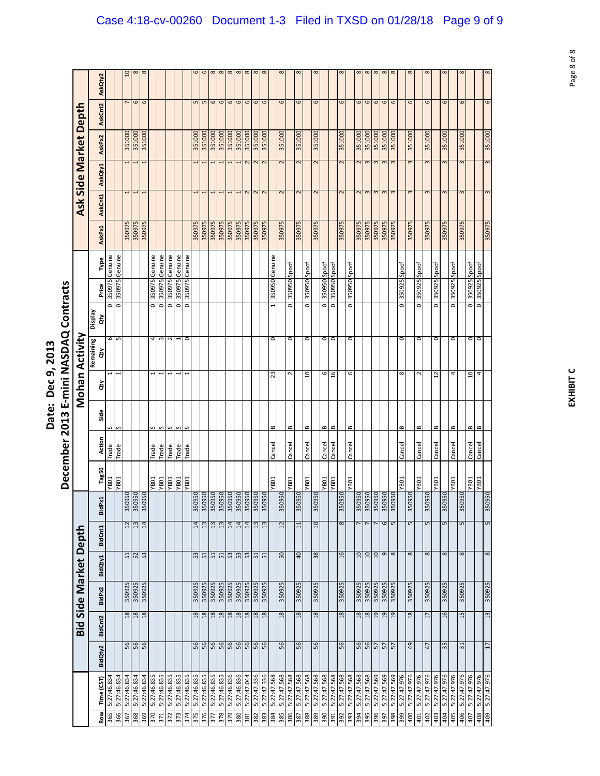|                            | Ξ<br>さく                                                    |
|----------------------------|------------------------------------------------------------|
| j<br>ċ<br>המר ם המר<br>うりょ | NASDAC<br>֧֦֧֦֧֦֧֦֧֦֧֦֧֦֧֦֧֧֦֧֖֧֚֚֚֚֚֚֚֞֝֜֓֜֓֝֜֞֞֞֝֬֝<br>Ĺ |
| Ξ<br>hate:                 | min<br>$\frac{1}{1}$<br>Ξ<br>$\frac{3}{2}$                 |
|                            | Ţ<br>ē<br>-cem                                             |

|                   |                            |          |                 |                       |                             |              |                                                           |                      |                 |              |                 |                | December 2013 E-mini NASDAQ Contracts |                 |                 |        |                         |                       |        |                  |            |
|-------------------|----------------------------|----------|-----------------|-----------------------|-----------------------------|--------------|-----------------------------------------------------------|----------------------|-----------------|--------------|-----------------|----------------|---------------------------------------|-----------------|-----------------|--------|-------------------------|-----------------------|--------|------------------|------------|
|                   |                            |          |                 | Bid Side Market Depth |                             |              |                                                           |                      |                 |              |                 | Mohan Activity |                                       |                 |                 |        |                         | Ask Side Market Depth |        |                  |            |
|                   |                            |          |                 |                       |                             |              |                                                           |                      |                 |              |                 | Remaining      | <b>Display</b>                        |                 |                 |        |                         |                       |        |                  |            |
| <b>Row</b><br>365 | 5:27:46.834<br>Time (CST   | BidQty2  | BidCnt2         | BidPx2                | BidQty1                     | BidCnt1      | 4<br>Bid <sup>p</sup>                                     | Tag50<br><b>YB01</b> | Action<br>Trade | Side<br>S    | ਲੋ              | 6<br>ਨੂੰ       | o<br>ਰੇ                               | 350975<br>Price | Genuine<br>Type | AskPx1 | AskCnt1                 | AskQty1               | AskPx2 | AskCnt2          | AskQty2    |
|                   | 5:27:46.834                |          |                 |                       |                             |              |                                                           | YB01                 | Trade           | S            |                 | S              | o                                     | 350975          | Genuine         |        |                         |                       |        |                  |            |
| 366<br>367        | 5:27:46.834                |          |                 | 350925                |                             |              |                                                           |                      |                 |              |                 |                |                                       |                 |                 | 350975 |                         |                       | 351000 |                  | a          |
| 368               | 5:27:46.834                | 56<br>56 | $\frac{18}{18}$ | 350925                | $\frac{51}{52}$             |              | 350950<br>350950<br>350950<br>$\frac{2}{3}$ $\frac{1}{4}$ |                      |                 |              |                 |                |                                       |                 |                 | 350975 | 1                       |                       | 351000 | 6                | $^{\circ}$ |
|                   | 5:27:46.834                |          |                 |                       |                             |              |                                                           |                      |                 |              |                 |                |                                       |                 |                 | 350975 |                         |                       | 351000 | 6                | $\infty$   |
| 370               | 5:27:46.835                |          |                 |                       |                             |              |                                                           | <b>YB01</b>          | Trade           | S            | ٠               | 4              | $\overline{\circ}$                    |                 | 350975 Genuine  |        |                         |                       |        |                  |            |
| 371               | 5:27:46.835                |          |                 |                       |                             |              |                                                           | YB01                 | <b>Trade</b>    | S            |                 | S              | ō                                     | 350975          | Genuine         |        |                         |                       |        |                  |            |
| 372               | 5:27:46.835                |          |                 |                       |                             |              |                                                           | <b>TOBA</b>          | <b>Trade</b>    | S            |                 | $\sim$         | o                                     |                 | 350975 Genuine  |        |                         |                       |        |                  |            |
| 373               | 5:27:46.835                |          |                 |                       |                             |              |                                                           | YB01                 | Trade           | S            |                 |                | ō                                     | <b>SZ60SE</b>   | Genuine         |        |                         |                       |        |                  |            |
| 374               | 5:27:46.835                |          |                 |                       |                             |              |                                                           | YB01                 | Trade           |              |                 | 0              | o                                     | <b>SZ60SE</b>   | Genuine         |        |                         |                       |        |                  |            |
| 375               | 5:27:46.835                | 56       | 18              | 350925                | 53                          |              | 350950<br>14                                              |                      |                 |              |                 |                |                                       |                 |                 | 350975 |                         |                       | 351000 |                  |            |
| 376               | 5:27:46.835                |          | 18              | 350925                | <u>ច្ច្រ្ទៃច្រ</u> ុទ្ធត្រូ |              | 350950<br>13                                              |                      |                 |              |                 |                |                                       |                 |                 | 350975 |                         |                       | 351000 |                  | S          |
| 377               | 5:27:46.835                |          |                 | 350925                |                             |              | 350950<br>350950<br>350950<br>350950<br>13                |                      |                 |              |                 |                |                                       |                 |                 | 350975 |                         |                       | 351000 | $\circ$          | $\infty$   |
| 378               | 5:27:46.835                |          |                 | 350925                |                             |              | 13                                                        |                      |                 |              |                 |                |                                       |                 |                 | 350975 |                         |                       | 351000 | 6                | $\infty$   |
| 379               | 5:27:46.836                |          | $\frac{28}{18}$ | 350925                |                             |              | 14                                                        |                      |                 |              |                 |                |                                       |                 |                 | 350975 |                         |                       | 351000 | 6                | $\infty$   |
| 380               | 5:27:46.836                |          |                 | 350925                |                             |              | 14                                                        |                      |                 |              |                 |                |                                       |                 |                 | 350975 |                         |                       | 351000 | 6                | $\infty$   |
| 381               | 5:27:47.044                |          | 18              | 350925                |                             |              | 350950<br>14                                              |                      |                 |              |                 |                |                                       |                 |                 | 350975 |                         |                       | 351000 | 9                | $\infty$   |
| 382               | 5:27:47.336                |          | 18              | 350925                |                             |              | 350950<br>13                                              |                      |                 |              |                 |                |                                       |                 |                 | 350975 |                         |                       | 351000 | 6                | $\infty$   |
| 383               | 5:27:47.336                |          | $18\,$          | 350925                |                             |              | 350950<br>51                                              |                      |                 |              |                 |                |                                       |                 |                 | 350975 |                         |                       | 351000 | 6                | $\infty$   |
| 384               | 5:27:47.568                |          |                 |                       |                             |              |                                                           | <b>YB01</b>          | Cancel          | $\mathbf{a}$ | 23              | 0              |                                       | 350950          | Genuine         |        |                         |                       |        |                  |            |
| 385               | 5:27:47.568                | 56       | 18              | 350925                | 50                          |              | 350950<br>12                                              |                      |                 |              |                 |                |                                       |                 |                 | 350975 | $\overline{c}$          | 2                     | 351000 | 6                |            |
| 386               | 5:27:47.568                |          |                 |                       |                             |              |                                                           | YB01                 | Cancel          | B            | ∼               | 0              | o                                     |                 | 350950 Spoof    |        |                         |                       |        |                  |            |
| 387               | 5:27:47.568                | 56       | 18              | 350925                | 40                          |              | 350950<br>$\Xi$                                           |                      |                 |              |                 |                |                                       |                 |                 | 350975 | $\overline{\mathsf{C}}$ | 2                     | 351000 | 6                | $\propto$  |
| 388               | 5:27:47.568<br>5:27:47.568 |          |                 |                       |                             |              |                                                           | <b>YB01</b>          | Cancel          | B            | ្អ              | 0              | o                                     |                 | 350950 Spoof    |        |                         |                       |        |                  |            |
| 389               |                            | 56       | 18              | 350925                | 38                          |              | 350950<br>10                                              |                      |                 |              |                 |                |                                       |                 |                 | 350975 | $\overline{\mathbf{C}}$ | 2                     | 351000 | 6                | $\propto$  |
| <b>OGE</b>        | 5:27:47.568<br>5:27:47.568 |          |                 |                       |                             |              |                                                           | <b>NBO1</b>          | Cancel          | B            | 6               | $\circ$        | o                                     | 350950          | Spoof           |        |                         |                       |        |                  |            |
| 391               |                            |          |                 |                       |                             |              |                                                           | <b>YB01</b>          | Cancel          | $\,$ $\,$    | ٩               | 0              | o                                     |                 | 350950 Spoof    |        |                         |                       |        |                  |            |
| 392               | 5:27:47.568                | 56       | 18              | 350925                | 16                          |              | 350950<br>8                                               |                      |                 |              |                 |                |                                       |                 |                 | 350975 | $\sim$                  | 2                     | 351000 | 6                | $\propto$  |
| <b>S65</b>        | 5:27:47.568                |          |                 |                       |                             |              |                                                           | <b>YB01</b>          | Cancel          | $\bf{m}$     | 6               | 0              | 0                                     |                 | 350950 Spoof    |        |                         |                       |        |                  |            |
| 394               | 5:27:47.568                |          |                 | 350925                | $10$                        |              | 350950                                                    |                      |                 |              |                 |                |                                       |                 |                 | 350975 | $\overline{\mathsf{c}}$ | $\sim$                | 351000 | 6                | $^{\circ}$ |
| 395               | 5:27:47.568                |          |                 | 350925                | 01                          |              |                                                           |                      |                 |              |                 |                |                                       |                 |                 | 350975 | 3                       | 3                     | 351000 | 6                | $\infty$   |
| 396               | 5:27:47.569                | 8822     | $\frac{1}{2}$   | 350925                | 0T                          |              | 350950                                                    |                      |                 |              |                 |                |                                       |                 |                 | 350975 | $\infty$                | 3                     | 351000 | 6                | $\infty$   |
| <b>165</b>        | 5:27:47.569                |          |                 | 350925                |                             | o            | 350950<br>$\frac{6}{5}$                                   |                      |                 |              |                 |                |                                       |                 |                 | 350975 | m                       |                       | 351000 | 6                | $\infty$   |
| 398               | 5:27:47.569                |          | 19              | 350925                |                             | $\infty$     | 350950                                                    |                      |                 |              |                 |                |                                       |                 |                 | 350975 | m                       |                       | 351000 | $\mathbf \omega$ | $\infty$   |
| 399               | 5:27:47.976                |          |                 |                       |                             |              |                                                           | <b>YB01</b>          | Cancel          | B            | $\infty$        | 0              | $\circ$                               | 350925          | Spoof           |        |                         |                       |        |                  |            |
| 400               | 5:27:47.976                | 49       | 18              | 350925                |                             | 8            | 350950<br>5                                               |                      |                 |              |                 |                |                                       |                 |                 | 350975 | $\infty$                | $\mathbf{c}$          | 351000 | 6                | $\infty$   |
| 401               | 5:27:47.976                |          |                 |                       |                             |              |                                                           | <b>YB01</b>          | Cancel          | B            | $\sim$          | $\circ$        | o                                     |                 | 350925 Spoof    |        |                         |                       |        |                  |            |
| 402               | 5:27:47.976                | 47       | 17              | 350925                |                             | 8            | 350950<br>5                                               |                      |                 |              |                 |                |                                       |                 |                 | 350975 | $\infty$                | 3                     | 351000 | 6                |            |
| 403               | 5:27:47.976                |          |                 |                       |                             |              |                                                           | <b>YB01</b>          | Cancel          | $\bf{c}$     | 2               | $\circ$        | o                                     |                 | 350925 Spoof    |        |                         |                       |        |                  |            |
| 404               | 5:27:47.976                | 35       | 16              | 350925                |                             | ${}^{\circ}$ | 350950<br>5                                               |                      |                 |              |                 |                |                                       |                 |                 | 350975 | $\sim$                  | 3                     | 351000 | 6                | $\alpha$   |
| 405               | 5:27:47.976                |          |                 |                       |                             |              |                                                           | <b>YB01</b>          | Cancel          | B            | 4               | $\circ$        | 0                                     |                 | 350925 Spoof    |        |                         |                       |        |                  |            |
| 406               | 5:27:47.976                | 51       | 15              | 350925                |                             | 8            | 950<br>350<br>5                                           |                      |                 |              |                 |                |                                       |                 |                 | 350975 | $\mathbf{r}$            | 3                     | 351000 | 6                |            |
| 407               | 5:27:47.976                |          |                 |                       |                             |              |                                                           | TOBA.                | Cancel          | B            | $\overline{10}$ | O              | ō                                     |                 | 350925 Spoof    |        |                         |                       |        |                  |            |
| 408               | 5:27:47.976<br>5:27:47.976 |          |                 |                       |                             |              |                                                           | <b>YB01</b>          | Cancel          | $\bf{m}$     | 4               | $\circ$        | o                                     | SC605E          | Spoof           |        |                         |                       |        |                  |            |
|                   |                            | 17       | 13              | 350925                |                             | 8            | 350950<br>5                                               |                      |                 |              |                 |                |                                       |                 |                 | 350975 | 3                       | 3                     | 351000 | 6                | $\infty$   |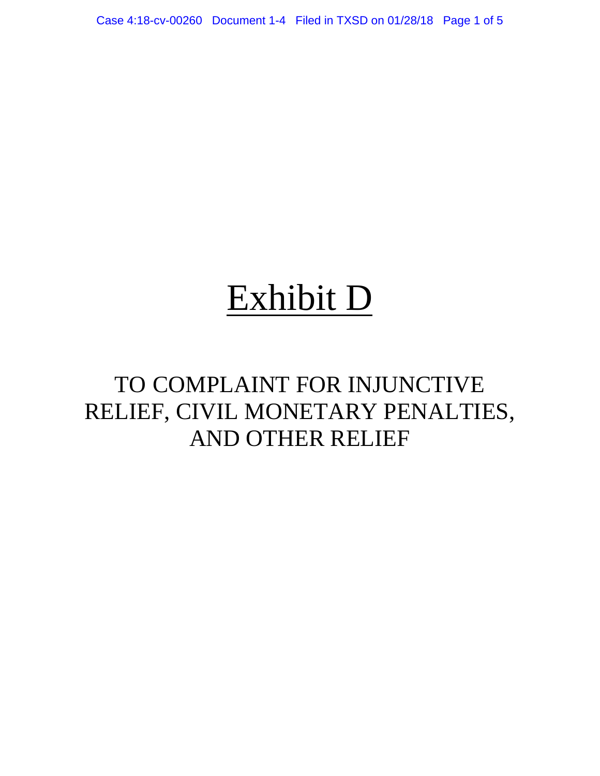Case 4:18-cv-00260 Document 1-4 Filed in TXSD on 01/28/18 Page 1 of 5

# Exhibit D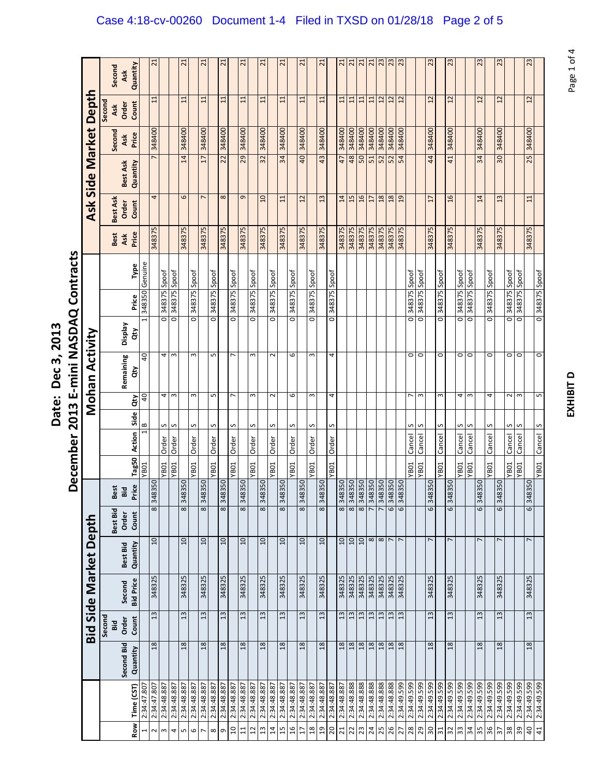| <b>., 2013</b><br>;<br>י<br>har 7<br>۶ | ind dependent<br>)<br>2<br> <br>j<br>é<br>J                                                     |
|----------------------------------------|-------------------------------------------------------------------------------------------------|
| Vate.                                  | $\sim$ 2012                                                                                     |
|                                        | nahai<br>こりりりりょう カルファイル しゅうしゅう しゅうしゅう しんけいしゅう しんけいしゅう しんけいしゅう しんけいしゅう けいしゅう しんけいしゅう しんけいしゃ<br>ć |

|                       |               |                            |                | 21                                                                                                                                                                                                                                                                                                                                                                                                                                                                  |                    |                      | 21                  |                    | 21                      |              | 21                 |                    | 21                      |                 | 21                      |                    | 21                  |                    | 21                                                                                                                                                                                                                                                                                                                                                                                                                                                                  |              | 21                      |                    | 21                      | $\overline{21}$ | 21                      |             | $\frac{21}{23}$                                                                                                     | 23          | 23                    |                    |                    |                 | 23             |                                                                                                                                                                                                                                                                                                                                                                                                                                                                     | 23                 |        |                    | 23                    |                            | 23                      |                  | 23                         |
|-----------------------|---------------|----------------------------|----------------|---------------------------------------------------------------------------------------------------------------------------------------------------------------------------------------------------------------------------------------------------------------------------------------------------------------------------------------------------------------------------------------------------------------------------------------------------------------------|--------------------|----------------------|---------------------|--------------------|-------------------------|--------------|--------------------|--------------------|-------------------------|-----------------|-------------------------|--------------------|---------------------|--------------------|---------------------------------------------------------------------------------------------------------------------------------------------------------------------------------------------------------------------------------------------------------------------------------------------------------------------------------------------------------------------------------------------------------------------------------------------------------------------|--------------|-------------------------|--------------------|-------------------------|-----------------|-------------------------|-------------|---------------------------------------------------------------------------------------------------------------------|-------------|-----------------------|--------------------|--------------------|-----------------|----------------|---------------------------------------------------------------------------------------------------------------------------------------------------------------------------------------------------------------------------------------------------------------------------------------------------------------------------------------------------------------------------------------------------------------------------------------------------------------------|--------------------|--------|--------------------|-----------------------|----------------------------|-------------------------|------------------|----------------------------|
|                       | Second        | Quantity<br>Ask            |                |                                                                                                                                                                                                                                                                                                                                                                                                                                                                     |                    |                      |                     |                    |                         |              |                    |                    |                         |                 |                         |                    |                     |                    |                                                                                                                                                                                                                                                                                                                                                                                                                                                                     |              |                         |                    |                         |                 |                         |             |                                                                                                                     |             |                       |                    |                    |                 |                |                                                                                                                                                                                                                                                                                                                                                                                                                                                                     |                    |        |                    |                       |                            |                         |                  |                            |
| Depth                 | Second<br>Ask | Count<br>Order             |                | 11                                                                                                                                                                                                                                                                                                                                                                                                                                                                  |                    |                      | $\mathbf{11}$       |                    | 11                      |              | $\Xi$              |                    | 11                      |                 | $\Xi$                   |                    | 11                  |                    | 11                                                                                                                                                                                                                                                                                                                                                                                                                                                                  |              | 11                      |                    | $\Xi$                   | 11              | 11                      | 11          | 12                                                                                                                  | 12          | 12                    |                    |                    | 12              |                |                                                                                                                                                                                                                                                                                                                                                                                                                                                                     | 12                 |        |                    | 12                    |                            | 12                      |                  | 12                         |
|                       | Second        | Price<br>Ask               |                | 348400                                                                                                                                                                                                                                                                                                                                                                                                                                                              |                    |                      | 348400              |                    | 348400                  |              | 348400             |                    | 348400                  |                 | 348400                  |                    | 348400              |                    | 348400                                                                                                                                                                                                                                                                                                                                                                                                                                                              |              | 348400                  |                    | 348400                  | 348400          | 348400                  | 348400      | 348400                                                                                                              | 348400      | 348400                |                    |                    | 348400          |                |                                                                                                                                                                                                                                                                                                                                                                                                                                                                     |                    | 348400 |                    | 348400                |                            | 348400                  |                  | 348400                     |
| Ask Side Market       |               | Quantity<br>Best Ask       |                |                                                                                                                                                                                                                                                                                                                                                                                                                                                                     |                    |                      | 14                  |                    | 17                      |              | 22                 |                    | 29                      |                 | 32                      |                    | 34                  |                    | 40                                                                                                                                                                                                                                                                                                                                                                                                                                                                  |              | 43                      |                    | 47                      | 48              | 50                      | 51          | 52                                                                                                                  | 52          | 54                    |                    |                    | 44              |                |                                                                                                                                                                                                                                                                                                                                                                                                                                                                     | 41                 |        |                    | $\overline{34}$       |                            | 30                      |                  | 25                         |
|                       | Best Ask      | Count<br>Order             |                | 4                                                                                                                                                                                                                                                                                                                                                                                                                                                                   |                    |                      | 6                   |                    | $\overline{ }$          |              | $\infty$           |                    | 9                       |                 | $\overline{a}$          |                    | 11                  |                    | 12                                                                                                                                                                                                                                                                                                                                                                                                                                                                  |              | 13                      |                    | 14                      | 15              | 16                      | 17          | 18                                                                                                                  | 18          | 19                    |                    |                    | $\overline{17}$ |                | 16                                                                                                                                                                                                                                                                                                                                                                                                                                                                  |                    |        |                    | 14                    |                            | 13                      |                  |                            |
|                       | Best          | Price<br>Ask               |                | 348375                                                                                                                                                                                                                                                                                                                                                                                                                                                              |                    |                      | 348375              |                    | 348375                  |              | 348375             |                    | 348375                  |                 | 348375                  |                    | 348375              |                    | 348375                                                                                                                                                                                                                                                                                                                                                                                                                                                              |              | 348375                  |                    | 348375                  | 348375          | 348375                  | 348375      | 348375                                                                                                              | 348375      | 348375                |                    |                    | <b>548375</b>   |                | 348375                                                                                                                                                                                                                                                                                                                                                                                                                                                              |                    |        |                    | 348375                |                            | 348375                  |                  | 348375                     |
|                       |               | Type                       |                |                                                                                                                                                                                                                                                                                                                                                                                                                                                                     |                    |                      |                     |                    |                         |              |                    |                    |                         |                 |                         |                    |                     |                    |                                                                                                                                                                                                                                                                                                                                                                                                                                                                     |              |                         |                    |                         |                 |                         |             |                                                                                                                     |             |                       |                    |                    |                 |                |                                                                                                                                                                                                                                                                                                                                                                                                                                                                     |                    |        |                    |                       |                            |                         |                  |                            |
|                       |               | Price                      | 348350 Genuine |                                                                                                                                                                                                                                                                                                                                                                                                                                                                     | 348375 Spoof       | 348375 Spoot         |                     | 348375 Spoof       |                         | 348375 Spoof |                    | 348375 Spoof       |                         | 348375 Spoof    |                         | 348375 Spoof       |                     | 348375 Spoof       |                                                                                                                                                                                                                                                                                                                                                                                                                                                                     | 348375 Spoof |                         | 348375 Spoof       |                         |                 |                         |             |                                                                                                                     |             |                       | 348375 Spoof       | 348375 Spoof       |                 | 0 348375 Spoof |                                                                                                                                                                                                                                                                                                                                                                                                                                                                     | 348375 Spoof       |        | 348375 Spoot       |                       |                            | 348375 Spoof            | 0 348375 Spoof   | 348375 Spoof               |
|                       |               |                            | 1              |                                                                                                                                                                                                                                                                                                                                                                                                                                                                     | $\overline{\circ}$ | $\overline{\bullet}$ |                     | $\overline{\circ}$ |                         | O            |                    | $\overline{\circ}$ |                         | O               |                         | $\overline{\circ}$ |                     | $\overline{\circ}$ |                                                                                                                                                                                                                                                                                                                                                                                                                                                                     | O            |                         | $\overline{\circ}$ |                         |                 |                         |             |                                                                                                                     |             |                       | $\overline{\circ}$ | $\overline{\circ}$ |                 |                |                                                                                                                                                                                                                                                                                                                                                                                                                                                                     | $\overline{\circ}$ |        | $\overline{\circ}$ |                       | $\overline{\circ}$         |                         |                  | $\overline{\bullet}$       |
|                       |               | Veldsig<br>đ               |                |                                                                                                                                                                                                                                                                                                                                                                                                                                                                     |                    |                      |                     |                    |                         |              |                    |                    |                         |                 |                         |                    |                     |                    |                                                                                                                                                                                                                                                                                                                                                                                                                                                                     |              |                         |                    |                         |                 |                         |             |                                                                                                                     |             |                       |                    |                    |                 |                |                                                                                                                                                                                                                                                                                                                                                                                                                                                                     |                    |        |                    |                       |                            |                         |                  |                            |
| Mohan Activity        |               | Remaining<br>đ             | 40             |                                                                                                                                                                                                                                                                                                                                                                                                                                                                     | 4                  | $\mathsf{m}$         |                     | 3                  |                         | S            |                    | L                  |                         | $\mathsf{c}$    |                         | $\sim$             |                     | 6                  |                                                                                                                                                                                                                                                                                                                                                                                                                                                                     | S            |                         | 4                  |                         |                 |                         |             |                                                                                                                     |             |                       | $\circ$            | $\circ$            |                 | $\circ$        |                                                                                                                                                                                                                                                                                                                                                                                                                                                                     | 0                  |        | O                  |                       | $\circ$                    |                         | 0                | O                          |
|                       |               | đ                          | $\overline{a}$ |                                                                                                                                                                                                                                                                                                                                                                                                                                                                     | 4                  | $\mathsf{m}$         |                     | 3                  |                         | L            |                    | $\overline{ }$     |                         | $\mathsf{c}$    |                         | $\sim$             |                     | 6                  |                                                                                                                                                                                                                                                                                                                                                                                                                                                                     | 3            |                         | 4                  |                         |                 |                         |             |                                                                                                                     |             |                       | $\overline{ }$     | $\mathsf{m}$       |                 | 3              |                                                                                                                                                                                                                                                                                                                                                                                                                                                                     | 4                  |        | $\,$ $\,$          |                       | 4                          |                         |                  | 2<br>$\mathbf{m}$          |
|                       |               |                            | $\frac{8}{1}$  |                                                                                                                                                                                                                                                                                                                                                                                                                                                                     | S                  | S                    |                     | S                  |                         | S            |                    | n                  |                         | S               |                         | n                  |                     | S                  |                                                                                                                                                                                                                                                                                                                                                                                                                                                                     | S            |                         | s                  |                         |                 |                         |             |                                                                                                                     |             |                       | S                  | S                  |                 | S              |                                                                                                                                                                                                                                                                                                                                                                                                                                                                     | S                  |        | n                  |                       | S                          |                         | S                | S                          |
|                       |               | Tag50 Action Side          |                |                                                                                                                                                                                                                                                                                                                                                                                                                                                                     | Order              | Order                |                     | Order              |                         | Order        |                    | Order              |                         | Order           |                         | Order              |                     | Order              |                                                                                                                                                                                                                                                                                                                                                                                                                                                                     | Order        |                         | Order              |                         |                 |                         |             |                                                                                                                     |             |                       | Cancel             | Cancel             |                 | Cancel         |                                                                                                                                                                                                                                                                                                                                                                                                                                                                     | Cancel             |        | Cancel             |                       | Cancel                     |                         | Cancel           | Cancel                     |
|                       |               |                            | <b>YB01</b>    |                                                                                                                                                                                                                                                                                                                                                                                                                                                                     | <b>YB01</b>        | YB01                 |                     | <b>YB01</b>        |                         | <b>YB01</b>  |                    | <b>YB01</b>        |                         | <b>YB01</b>     |                         | <b>YB01</b>        |                     | <b>YB01</b>        |                                                                                                                                                                                                                                                                                                                                                                                                                                                                     | <b>YB01</b>  |                         | <b>YB01</b>        |                         |                 |                         |             |                                                                                                                     |             |                       | YB <sub>01</sub>   | YB01               |                 | YB01           |                                                                                                                                                                                                                                                                                                                                                                                                                                                                     | <b>YB01</b>        |        | YB01               |                       | <b>YB01</b>                |                         | YB <sub>01</sub> | YB01                       |
|                       | Best          | Price<br>Bid               |                | 058876                                                                                                                                                                                                                                                                                                                                                                                                                                                              |                    |                      | 8350<br>$\ddot{34}$ |                    | 348350                  |              | 8350<br>$\ddot{a}$ |                    | 8350<br>$\overline{34}$ |                 | 8350<br>$\frac{4}{3}$   |                    | 8350<br>$\ddot{a}$  |                    | 8350<br>$\ddot{a}$                                                                                                                                                                                                                                                                                                                                                                                                                                                  |              | 8350<br>$\overline{34}$ |                    | 8350<br>$\ddot{a}$      | $\frac{4}{3}$   | 8350<br>$\ddot{34}$     |             | $\begin{array}{ l l } \hline 3 & 50 \\ \hline 3 & 350 \\ \hline 3 & 350 \\ \hline \end{array}$<br>$\frac{1}{2}$ 348 | $\ddot{a}$  | 8350<br>$\frac{4}{3}$ |                    |                    | 8350<br>34      |                | 348350                                                                                                                                                                                                                                                                                                                                                                                                                                                              |                    |        |                    | 8350<br>$\frac{4}{3}$ |                            | 8350<br>$\overline{34}$ |                  | 8350<br>$\frac{4}{3}$      |
|                       | Best Bid      | Count<br>Order             |                | $\infty$                                                                                                                                                                                                                                                                                                                                                                                                                                                            |                    |                      | $\overline{\infty}$ |                    | $\overline{\mathbf{8}}$ |              | 8                  |                    | $\overline{\mathbf{8}}$ |                 | $\overline{\mathbf{8}}$ |                    | $\overline{\infty}$ |                    | $\overline{\infty}$                                                                                                                                                                                                                                                                                                                                                                                                                                                 |              | $\overline{\mathbf{8}}$ |                    | $\overline{\mathbf{8}}$ | $\infty$        | $\overline{\mathbf{8}}$ |             |                                                                                                                     | 6           | 6                     |                    |                    | 6               |                | 6                                                                                                                                                                                                                                                                                                                                                                                                                                                                   |                    |        |                    | 6                     |                            | 6                       |                  | 6                          |
| Bid Side Market Depth |               | Quantity<br>Best Bid       |                | 10                                                                                                                                                                                                                                                                                                                                                                                                                                                                  |                    |                      | $10 \,$             |                    | 10                      |              | $\overline{a}$     |                    | 10                      |                 | $\overline{a}$          |                    | 10                  |                    | $\overline{10}$                                                                                                                                                                                                                                                                                                                                                                                                                                                     |              | $\overline{a}$          |                    | $\overline{10}$         | 10              | 10                      |             | $\frac{8}{7}$                                                                                                       |             | $\overline{ }$        |                    |                    | r               |                |                                                                                                                                                                                                                                                                                                                                                                                                                                                                     |                    |        |                    | L                     |                            | $\overline{ }$          |                  | $\overline{ }$             |
|                       |               | <b>Bid Price</b><br>Second |                | 348325                                                                                                                                                                                                                                                                                                                                                                                                                                                              |                    |                      | 348325              |                    | 348325                  |              | 348325             |                    | 348325                  |                 | 348325                  |                    | 348325              |                    | 348325                                                                                                                                                                                                                                                                                                                                                                                                                                                              |              | 348325                  |                    | 348325                  | 348325          | 348325                  | 348325      | 348325                                                                                                              | 348325      | 348325                |                    |                    | 348325          |                | 348325                                                                                                                                                                                                                                                                                                                                                                                                                                                              |                    |        |                    | 348325                |                            | 348325                  |                  | 348325                     |
|                       | Second<br>Bid | Count<br>Order             |                | $\mathfrak{L}% _{0}\!\left( \mathfrak{L}_{1}\right) ^{2}\!\left( \mathfrak{L}_{2}\right) ^{2}\!\left( \mathfrak{L}_{1}\right) ^{2}\!\left( \mathfrak{L}_{2}\right) ^{2}\!\left( \mathfrak{L}_{1}\right) ^{2}\!\left( \mathfrak{L}_{2}\right) ^{2}\!\left( \mathfrak{L}_{1}\right) ^{2}\!\left( \mathfrak{L}_{2}\right) ^{2}\!\left( \mathfrak{L}_{1}\right) ^{2}\!\left( \mathfrak{L}_{2}\right) ^{2}\!\left( \mathfrak{L}_{2}\right) ^{2}\!\left( \mathfrak{L}_{1$ |                    |                      | $\frac{13}{2}$      |                    | 13                      |              | $\mathfrak{u}$     |                    | 13                      |                 | 13                      |                    | $\mathfrak{u}$      |                    | $\mathfrak{L}% _{0}\!\left( \mathfrak{L}_{1}\right) ^{2}\!\left( \mathfrak{L}_{2}\right) ^{2}\!\left( \mathfrak{L}_{1}\right) ^{2}\!\left( \mathfrak{L}_{2}\right) ^{2}\!\left( \mathfrak{L}_{1}\right) ^{2}\!\left( \mathfrak{L}_{2}\right) ^{2}\!\left( \mathfrak{L}_{1}\right) ^{2}\!\left( \mathfrak{L}_{2}\right) ^{2}\!\left( \mathfrak{L}_{1}\right) ^{2}\!\left( \mathfrak{L}_{2}\right) ^{2}\!\left( \mathfrak{L}_{2}\right) ^{2}\!\left( \mathfrak{L}_{1$ |              | 13                      |                    | $\mathfrak{u}$          | 13              | $\mathbf{13}$           |             | $\frac{13}{13}$                                                                                                     | 13          | 13                    |                    |                    | $\mathfrak{u}$  |                | $\mathfrak{L}% _{0}\!\left( \mathfrak{L}_{1}\right) ^{2}\!\left( \mathfrak{L}_{2}\right) ^{2}\!\left( \mathfrak{L}_{1}\right) ^{2}\!\left( \mathfrak{L}_{2}\right) ^{2}\!\left( \mathfrak{L}_{1}\right) ^{2}\!\left( \mathfrak{L}_{2}\right) ^{2}\!\left( \mathfrak{L}_{1}\right) ^{2}\!\left( \mathfrak{L}_{2}\right) ^{2}\!\left( \mathfrak{L}_{1}\right) ^{2}\!\left( \mathfrak{L}_{2}\right) ^{2}\!\left( \mathfrak{L}_{2}\right) ^{2}\!\left( \mathfrak{L}_{1$ |                    |        |                    | $\frac{13}{2}$        |                            | 13                      |                  | $\mathfrak{u}$             |
|                       |               | Second Bid<br>Quantity     |                | 18                                                                                                                                                                                                                                                                                                                                                                                                                                                                  |                    |                      | 18                  |                    | 18                      |              | 18                 |                    | 18                      |                 | 18                      |                    | 18                  |                    | 18                                                                                                                                                                                                                                                                                                                                                                                                                                                                  |              | 18                      |                    | 18                      | 18              | 18                      |             | $\frac{18}{18}$                                                                                                     | 18          | 18                    |                    |                    | 18              |                | 18                                                                                                                                                                                                                                                                                                                                                                                                                                                                  |                    |        |                    | 18                    |                            | 18                      |                  | 18                         |
|                       |               |                            |                |                                                                                                                                                                                                                                                                                                                                                                                                                                                                     |                    |                      |                     |                    |                         |              |                    |                    |                         |                 |                         |                    |                     |                    |                                                                                                                                                                                                                                                                                                                                                                                                                                                                     |              |                         |                    |                         |                 |                         |             |                                                                                                                     |             |                       |                    |                    |                 |                |                                                                                                                                                                                                                                                                                                                                                                                                                                                                     |                    |        |                    |                       |                            |                         |                  |                            |
|                       |               | Time (CST)                 | 2:34:47.807    | 2:34:47.807                                                                                                                                                                                                                                                                                                                                                                                                                                                         | 2:34:48.887        | 2:34:48.887          | 188.87:48           | 2:34:48.887        | 2:34:48.887             | 2:34:48.887  | 2:34:48.887        | 2:34:48.887        | 2:34:48.887             | 2:34:48.887     | 2:34:48.887             | 2:34:48.887        | 2:34:48.887         | 2:34:48.887        | 2:34:48.887                                                                                                                                                                                                                                                                                                                                                                                                                                                         | 2:34:48.887  | 2:34:48.887             | 2:34:48.887        | 2:34:48.887             | 2:34:48.888     | 2:34:48.888             | 2:34:48.888 | 2:34:48.888                                                                                                         | 2:34:48.888 | 2:34:49.599           | 2:34:49.599        | 2:34:49.599        | 2:34:49.599     | 565.67.75.2    | 2:34:49.599                                                                                                                                                                                                                                                                                                                                                                                                                                                         | 2:34:49.599        |        | 2:34:49.599        |                       | 2:34:49.599<br>2:34:49.599 | 2:34:49.599             | 2:34:49.599      | 2:34:49.599<br>2:34:49.599 |
|                       |               | <b>Row</b>                 |                | $\sim$                                                                                                                                                                                                                                                                                                                                                                                                                                                              | 3                  | 4                    | LŊ                  | 6                  |                         | $\infty$     | G                  | $\overline{a}$     | $\mathbf{1}$            | $\overline{12}$ | $\overline{13}$         | 14                 | 15                  | $\frac{6}{1}$      | $\overline{17}$                                                                                                                                                                                                                                                                                                                                                                                                                                                     | $18$         | $29$                    | 20                 | 21                      | 22              | 23                      | 24          | 25                                                                                                                  | 26          | 27                    | 28                 | $\frac{29}{20}$    |                 | 31             | 32                                                                                                                                                                                                                                                                                                                                                                                                                                                                  | 33                 |        |                    | $\frac{34}{35}$       | 36                         | 57                      | 38               | $\overline{40}$<br>39      |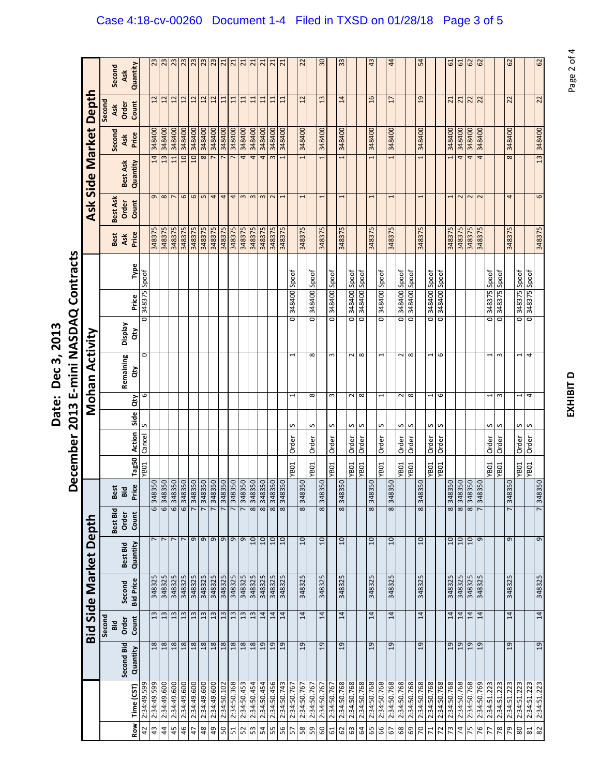|                   | <b>IASDAQ Contracts</b>       |
|-------------------|-------------------------------|
| Date: Dec 3, 2013 | $\frac{1}{2}$                 |
|                   | $-$ cr 2013 F- $-$<br>ecember |

|        | Ask      | Quantity                                                               |                                                                                               | 23                                                                  |                                 |                             | $\overline{c}$                                |                                                    |                |                                                                                     |                                 |                                                             |                             |                                                             |                                                             | $\overline{21}$             | $\overline{21}$                                     |                          | $\overline{c}$                                                                                     |                       | $\frac{8}{2}$                                                      |                       | 33                                                       |                                                     |                                                                           | $\ddot{a}$                                                                                             |                       | $\ddot{a}$                                                         |                                 |                                                                                     | 54                                                                        |                                                                      |                                                                    | 5                                                                                   | 61                                                                   |                                                                              |                                      |                                                                                                                         |                                                                    | 62                                                                        |                             |                                                                                     | 62                                                                                  |
|--------|----------|------------------------------------------------------------------------|-----------------------------------------------------------------------------------------------|---------------------------------------------------------------------|---------------------------------|-----------------------------|-----------------------------------------------|----------------------------------------------------|----------------|-------------------------------------------------------------------------------------|---------------------------------|-------------------------------------------------------------|-----------------------------|-------------------------------------------------------------|-------------------------------------------------------------|-----------------------------|-----------------------------------------------------|--------------------------|----------------------------------------------------------------------------------------------------|-----------------------|--------------------------------------------------------------------|-----------------------|----------------------------------------------------------|-----------------------------------------------------|---------------------------------------------------------------------------|--------------------------------------------------------------------------------------------------------|-----------------------|--------------------------------------------------------------------|---------------------------------|-------------------------------------------------------------------------------------|---------------------------------------------------------------------------|----------------------------------------------------------------------|--------------------------------------------------------------------|-------------------------------------------------------------------------------------|----------------------------------------------------------------------|------------------------------------------------------------------------------|--------------------------------------|-------------------------------------------------------------------------------------------------------------------------|--------------------------------------------------------------------|---------------------------------------------------------------------------|-----------------------------|-------------------------------------------------------------------------------------|-------------------------------------------------------------------------------------|
| Second | Order    | Count                                                                  |                                                                                               |                                                                     | 12                              | 12                          | $\overline{12}$                               | $12 \overline{ }$                                  | 12             | 12                                                                                  | $\Xi$                           | 11                                                          | $\overline{11}$             | 11                                                          | $\overline{11}$                                             | $\Xi$                       | $\overline{11}$                                     |                          | 12                                                                                                 |                       | 13                                                                 |                       | 14                                                       |                                                     |                                                                           | 16                                                                                                     |                       | $\overline{17}$                                                    |                                 |                                                                                     | 19                                                                        |                                                                      |                                                                    | 21                                                                                  |                                                                      |                                                                              |                                      |                                                                                                                         |                                                                    | 22                                                                        |                             |                                                                                     | 22                                                                                  |
|        | Ask      | Price                                                                  |                                                                                               | 348400                                                              | 348400                          | 348400                      |                                               |                                                    | 348400         | 348400                                                                              | 348400                          |                                                             | 348400                      |                                                             | 348400                                                      | 348400                      |                                                     |                          | 348400                                                                                             |                       | 348400                                                             |                       |                                                          |                                                     |                                                                           | 348400                                                                                                 |                       |                                                                    |                                 |                                                                                     |                                                                           |                                                                      |                                                                    |                                                                                     |                                                                      |                                                                              |                                      |                                                                                                                         |                                                                    | 348400                                                                    |                             |                                                                                     | 13 348400                                                                           |
|        | Best Ask | Quantity                                                               |                                                                                               | 14                                                                  | 13                              | 11                          | $\overline{a}$                                | $\overline{a}$                                     | 8              |                                                                                     |                                 | $\overline{ }$                                              | 4                           | 4                                                           | 4                                                           |                             |                                                     |                          | 1                                                                                                  |                       |                                                                    |                       |                                                          |                                                     |                                                                           |                                                                                                        |                       |                                                                    |                                 |                                                                                     |                                                                           |                                                                      |                                                                    |                                                                                     | 4                                                                    | $\overline{4}$                                                               | 4                                    |                                                                                                                         |                                                                    | 8                                                                         |                             |                                                                                     |                                                                                     |
|        | Order    | Count                                                                  |                                                                                               |                                                                     |                                 |                             | $\circ$                                       |                                                    |                |                                                                                     | $\overline{4}$                  |                                                             |                             |                                                             |                                                             |                             |                                                     |                          |                                                                                                    |                       | $\mathbf -$                                                        |                       |                                                          |                                                     |                                                                           | 1                                                                                                      |                       | I                                                                  |                                 |                                                                                     |                                                                           |                                                                      |                                                                    |                                                                                     | $\sim$                                                               |                                                                              |                                      |                                                                                                                         |                                                                    | 4                                                                         |                             |                                                                                     | 6                                                                                   |
|        | Ask      | Price                                                                  |                                                                                               | 348375                                                              | 348375                          | 348375                      | 348375                                        | 348375                                             | 348375         | 348375                                                                              | 348375                          | 348375                                                      | 348375                      | 348375                                                      | 348375                                                      | 348375                      | 348375                                              |                          | 348375                                                                                             |                       | 348375                                                             |                       |                                                          |                                                     |                                                                           | 348375                                                                                                 |                       | 348375                                                             |                                 |                                                                                     |                                                                           |                                                                      |                                                                    |                                                                                     |                                                                      | 348375                                                                       |                                      |                                                                                                                         |                                                                    | 348375                                                                    |                             |                                                                                     | 348375                                                                              |
|        |          | Type                                                                   |                                                                                               |                                                                     |                                 |                             |                                               |                                                    |                |                                                                                     |                                 |                                                             |                             |                                                             |                                                             |                             |                                                     |                          |                                                                                                    |                       |                                                                    |                       |                                                          |                                                     |                                                                           |                                                                                                        |                       |                                                                    |                                 |                                                                                     |                                                                           |                                                                      |                                                                    |                                                                                     |                                                                      |                                                                              |                                      |                                                                                                                         |                                                                    |                                                                           |                             |                                                                                     |                                                                                     |
|        |          | Price                                                                  |                                                                                               |                                                                     |                                 |                             |                                               |                                                    |                |                                                                                     |                                 |                                                             |                             |                                                             |                                                             |                             |                                                     |                          |                                                                                                    | 348400                |                                                                    |                       |                                                          |                                                     |                                                                           |                                                                                                        |                       |                                                                    |                                 |                                                                                     |                                                                           |                                                                      |                                                                    |                                                                                     |                                                                      |                                                                              |                                      | 348375                                                                                                                  |                                                                    |                                                                           |                             |                                                                                     |                                                                                     |
|        | Veldsia  | đ                                                                      |                                                                                               |                                                                     |                                 |                             |                                               |                                                    |                |                                                                                     |                                 |                                                             |                             |                                                             |                                                             |                             |                                                     |                          |                                                                                                    |                       |                                                                    |                       |                                                          |                                                     |                                                                           |                                                                                                        |                       |                                                                    |                                 |                                                                                     |                                                                           |                                                                      |                                                                    |                                                                                     |                                                                      |                                                                              |                                      |                                                                                                                         |                                                                    |                                                                           |                             |                                                                                     |                                                                                     |
|        |          | đ                                                                      | $\circ$                                                                                       |                                                                     |                                 |                             |                                               |                                                    |                |                                                                                     |                                 |                                                             |                             |                                                             |                                                             |                             |                                                     | $\overline{\phantom{0}}$ |                                                                                                    | ${}^{\circ}$          |                                                                    | $\sim$                |                                                          | $\sim$                                              | $\infty$                                                                  |                                                                                                        | 1                     |                                                                    | $\sim$                          | $\infty$                                                                            |                                                                           | 1                                                                    | 6                                                                  |                                                                                     |                                                                      |                                                                              |                                      | $\mathbf -$                                                                                                             | $\sim$                                                             |                                                                           | 1                           | 4                                                                                   |                                                                                     |
|        |          | đη                                                                     | 6                                                                                             |                                                                     |                                 |                             |                                               |                                                    |                |                                                                                     |                                 |                                                             |                             |                                                             |                                                             |                             |                                                     | $\overline{\phantom{0}}$ |                                                                                                    | $\infty$              |                                                                    | S                     |                                                          | 2                                                   |                                                                           |                                                                                                        | 1                     |                                                                    | $\sim$                          | $\infty$                                                                            |                                                                           | 1                                                                    | 9                                                                  |                                                                                     |                                                                      |                                                                              |                                      | 1                                                                                                                       | 3                                                                  |                                                                           | 1                           | 4                                                                                   |                                                                                     |
|        |          |                                                                        | S                                                                                             |                                                                     |                                 |                             |                                               |                                                    |                |                                                                                     |                                 |                                                             |                             |                                                             |                                                             |                             |                                                     | s                        |                                                                                                    | S                     |                                                                    | S                     |                                                          | S                                                   | S                                                                         |                                                                                                        | S                     |                                                                    | S                               | S                                                                                   |                                                                           | S                                                                    |                                                                    |                                                                                     |                                                                      |                                                                              |                                      | S                                                                                                                       | S                                                                  |                                                                           |                             |                                                                                     |                                                                                     |
|        |          |                                                                        |                                                                                               |                                                                     |                                 |                             |                                               |                                                    |                |                                                                                     |                                 |                                                             |                             |                                                             |                                                             |                             |                                                     |                          |                                                                                                    |                       |                                                                    |                       |                                                          |                                                     |                                                                           |                                                                                                        |                       |                                                                    |                                 |                                                                                     |                                                                           |                                                                      |                                                                    |                                                                                     |                                                                      |                                                                              |                                      |                                                                                                                         |                                                                    |                                                                           |                             |                                                                                     |                                                                                     |
|        |          |                                                                        |                                                                                               |                                                                     |                                 |                             |                                               |                                                    |                |                                                                                     |                                 |                                                             |                             |                                                             |                                                             |                             |                                                     |                          |                                                                                                    |                       |                                                                    |                       |                                                          |                                                     |                                                                           |                                                                                                        |                       |                                                                    |                                 |                                                                                     |                                                                           |                                                                      |                                                                    |                                                                                     |                                                                      |                                                                              |                                      |                                                                                                                         |                                                                    |                                                                           |                             |                                                                                     |                                                                                     |
|        | Bid      |                                                                        |                                                                                               |                                                                     |                                 |                             |                                               |                                                    |                |                                                                                     |                                 |                                                             |                             |                                                             |                                                             |                             |                                                     |                          |                                                                                                    |                       |                                                                    |                       |                                                          |                                                     |                                                                           |                                                                                                        |                       |                                                                    |                                 |                                                                                     |                                                                           |                                                                      |                                                                    |                                                                                     |                                                                      |                                                                              |                                      |                                                                                                                         |                                                                    |                                                                           |                             |                                                                                     | 348350                                                                              |
|        | Order    | Count                                                                  |                                                                                               | 6                                                                   | 6                               | 6                           | 6                                             | 7                                                  | $\overline{2}$ | 7                                                                                   | 7                               | $\overline{ }$                                              | 7                           | $\overline{\mathbf{8}}$                                     | 8                                                           | 8                           | 8                                                   |                          | $\overline{\mathbf{8}}$                                                                            |                       | $\overline{\mathbf{8}}$                                            |                       | $\overline{\mathbf{8}}$                                  |                                                     |                                                                           | 8                                                                                                      |                       | $\overline{\mathbf{8}}$                                            |                                 |                                                                                     | 8                                                                         |                                                                      |                                                                    | $\overline{\mathbf{8}}$                                                             | $\infty$                                                             |                                                                              | $\overline{r}$                       |                                                                                                                         |                                                                    | $\overline{ }$                                                            |                             |                                                                                     | 7                                                                                   |
|        | Best Bid | Quantity                                                               |                                                                                               |                                                                     |                                 |                             | $\overline{ }$                                |                                                    | $\sigma$       | $\mathsf{\sigma}$                                                                   | $\mathsf{\sigma}$               | $\sigma$                                                    | G                           | $\overline{a}$                                              | 10                                                          | 10                          | 10                                                  |                          | $\overline{a}$                                                                                     |                       | 10                                                                 |                       | $\overline{a}$                                           |                                                     |                                                                           | $\overline{a}$                                                                                         |                       | $\overline{a}$                                                     |                                 |                                                                                     | $\overline{a}$                                                            |                                                                      |                                                                    | $10 \overline{ }$                                                                   |                                                                      | 10                                                                           | $\sigma$                             |                                                                                                                         |                                                                    | G                                                                         |                             |                                                                                     | 9                                                                                   |
|        | Second   |                                                                        |                                                                                               | 348325                                                              | 348325                          | 348325                      | 348325                                        |                                                    | 348325         | 348325                                                                              | 348325                          | 348325                                                      |                             |                                                             | 348325                                                      | 348325                      | 348325                                              |                          | 348325                                                                                             |                       | 348325                                                             |                       |                                                          |                                                     |                                                                           | 348325                                                                                                 |                       |                                                                    |                                 |                                                                                     |                                                                           |                                                                      |                                                                    |                                                                                     |                                                                      |                                                                              |                                      |                                                                                                                         |                                                                    | 348325                                                                    |                             |                                                                                     | 348325                                                                              |
| Second | Order    | Count                                                                  |                                                                                               | 13                                                                  | 13                              | 13                          | 13                                            |                                                    | 13             | 13                                                                                  | 13                              | 13                                                          |                             |                                                             | 14                                                          | 14                          | $\overline{14}$                                     |                          | 14                                                                                                 |                       | 14                                                                 |                       | $\overline{1}$                                           |                                                     |                                                                           | 14                                                                                                     |                       | 14                                                                 |                                 |                                                                                     | 14                                                                        |                                                                      |                                                                    | 14                                                                                  | $\overline{14}$                                                      | 14                                                                           |                                      |                                                                                                                         |                                                                    | 14                                                                        |                             |                                                                                     | 14                                                                                  |
|        |          | Quantity                                                               |                                                                                               | 18                                                                  |                                 | 18                          | 18                                            |                                                    | 18             |                                                                                     |                                 |                                                             |                             |                                                             |                                                             | 19                          | 19                                                  |                          | 19                                                                                                 |                       | $\overline{c}$                                                     |                       | $\overline{c}$                                           |                                                     |                                                                           | 19                                                                                                     |                       | 19                                                                 |                                 |                                                                                     | 19                                                                        |                                                                      |                                                                    | 19                                                                                  | 19                                                                   | 19                                                                           |                                      |                                                                                                                         |                                                                    | 19                                                                        |                             |                                                                                     | 19                                                                                  |
|        |          |                                                                        |                                                                                               |                                                                     |                                 |                             |                                               |                                                    |                |                                                                                     |                                 |                                                             |                             |                                                             |                                                             |                             |                                                     |                          |                                                                                                    |                       |                                                                    |                       |                                                          |                                                     |                                                                           |                                                                                                        |                       |                                                                    |                                 |                                                                                     |                                                                           |                                                                      |                                                                    |                                                                                     |                                                                      |                                                                              |                                      |                                                                                                                         |                                                                    |                                                                           |                             |                                                                                     | 2:34:51.223                                                                         |
|        |          | Row                                                                    | $\overline{a}$                                                                                | $43\,$                                                              | $\ddot{a}$                      | 45                          | 46                                            | $\ddot{t}$                                         | $48$           | 49                                                                                  | S                               | 51                                                          |                             |                                                             | 54                                                          | 55                          | 95                                                  | 57                       | $58\,$                                                                                             | S9                    | 60                                                                 | $61$                  | 62                                                       | 63                                                  |                                                                           | 65                                                                                                     | 99                    | 67                                                                 | 89                              | ශ                                                                                   |                                                                           | $\mathbf{z}$                                                         | 72                                                                 |                                                                                     | $\overline{\mathcal{X}}$                                             | 75                                                                           | 76                                   | 77                                                                                                                      | $\overline{78}$                                                    |                                                                           |                             |                                                                                     | 82                                                                                  |
|        |          | Second<br>Ask<br>Second<br>Best Ask<br>Best<br>Best<br>Best Bid<br>3id | Remaining<br>Side<br>Action<br>Tag50<br>Price<br><b>Bid Price</b><br>Second Bid<br>Time (CST) | Spoof<br>$\overline{\circ}$<br>Cancel<br><b>YB01</b><br>2:34:49.599 | 348375<br>348350<br>565'67:75:2 | 348350<br>87<br>2:34:49.600 | $\sim$ $\sim$ $\sim$<br>348350<br>2:34:49.600 | $\frac{23}{23}$<br>348400<br>348350<br>2:34:49.600 |                | 348400<br>348350<br>$\mathbf 0$<br>348325<br>13<br>18<br>2:34:49.600<br>2:34:49.600 | 348350<br>348350<br>2:34:49.600 | G <sub>n</sub><br>348350<br>$18\,$<br>$18\,$<br>2:34:50.102 | 348400<br>18<br>2:34:50.368 | 0SE87E<br>0SE87E<br>348325<br>13<br>18<br>2:34:50.453<br>52 | 348400<br>348350<br>348325<br>13<br>18<br>2:34:50.454<br>53 | 348350<br>19<br>2:34:50.454 | $\frac{d}{d}$ m m m $\sim$<br>348350<br>2:34:50.456 | 348400                   | 348400 Spoof<br>$\overline{\circ}$<br>Order<br><b>YB01</b><br>348350<br>2:34:50.743<br>2:34:50.767 | 348350<br>2:34:50.767 | Spoof<br>$\overline{\circ}$<br>Order<br><b>YB01</b><br>2:34:50.767 | 348350<br>2:34:50.767 | 348400 Spoof<br>o<br>Order<br><b>YB01</b><br>2:34:50.767 | 348400<br>348375<br>348350<br>348325<br>2:34:50.768 | 348400 Spoof<br>$\overline{\circ}$<br>Order<br><b>YB01</b><br>2:34:50.768 | 348400 Spoof<br>$\overline{\circ}$<br>$\infty$<br>Order<br><b>YB01</b><br>2:34:50.768<br>$\mathcal{R}$ | 348350<br>2:34:50.768 | 348400 Spoof<br>$\overline{\circ}$<br>Order<br>YB01<br>2:34:50.768 | 348400<br>348325<br>2:34:50.768 | 348400 Spoof<br>$\overline{\circ}$<br>Order<br><b>YB01</b><br>348350<br>2:34:50.768 | 348400 Spoof<br>$\overline{\circ}$<br>Order<br><b>YB01</b><br>2:34:50.768 | 348400<br>348375<br>348350<br>348325<br>2:34:50.768<br>$\mathcal{R}$ | 348400 Spoof<br>$\overline{\circ}$<br>Order<br>YB01<br>2:34:50.768 | 348400 Spoof<br>$\overline{\circ}$<br>S<br>Order<br>YB <sub>01</sub><br>2:34:50.768 | 348400<br>348375<br>348350<br>348325<br>2:34:50.768<br>$\mathcal{L}$ | $\overline{21}$<br>348400<br>348375<br>348350<br>10<br>348325<br>2:34:50.768 | 348400<br>348350<br>8<br>2:34:50.768 | $\frac{2}{6}$<br>22<br>22<br>348400<br>$\frac{1}{2}$<br>348375<br>348350<br>348325<br>348325<br>14<br>19<br>2:34:50.769 | Spoof<br>$\overline{\circ}$<br>Order<br><b>YB01</b><br>2:34:51.223 | 348375 Spoof<br>$\overline{\circ}$<br>Order<br><b>YB01</b><br>2:34:51.223 | 348350<br>2:34:51.223<br>P9 | 348375 Spoof<br>$\overline{\circ}$<br>Order<br><b>YB01</b><br>2:34:51.223<br>$80\,$ | 348375 Spoof<br>$\overline{\circ}$<br>n n<br>Order<br>TOBA.<br>2:34:51.223<br>$\Xi$ |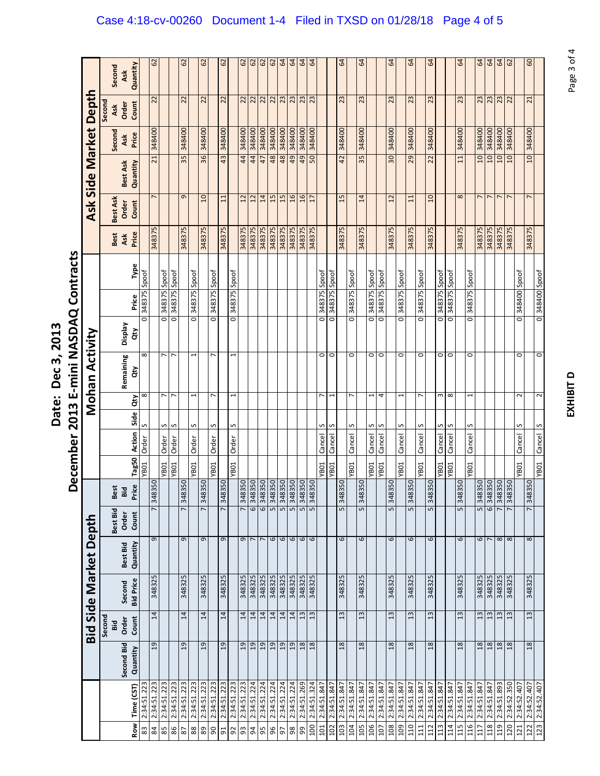December 2013 E-mini NASDAQ Contracts **E‐mini NASDAQ Contracts** Date: Dec 3, 2013 **Date: Dec 3, 2013 December 2013**

|              |             |                |                      |                  | <b>Bid Side Market Depth</b> |                       |                                  |       |                          |           | Mohan Activity                                       |                    |                |       |        |                | Ask Side Market Depth |        |                 |                 |
|--------------|-------------|----------------|----------------------|------------------|------------------------------|-----------------------|----------------------------------|-------|--------------------------|-----------|------------------------------------------------------|--------------------|----------------|-------|--------|----------------|-----------------------|--------|-----------------|-----------------|
|              |             |                | Second<br><b>Bid</b> |                  |                              | Best Bid              | <b>t</b><br>ക്                   |       |                          |           |                                                      |                    |                |       | Best   | Best Ask       |                       | Second | Second<br>Ask   | Second          |
|              |             | Second Bid     | Order                | Second           | Best Bid                     | Order                 | $\overline{\phantom{a}}$<br>ö    |       |                          |           | Remaining                                            | <b>Display</b>     |                |       | Ask    | Order          | Best Ask              | Ask    | Order           | Ask             |
| Row          | Time (CST)  | Quantity       | Count                | <b>Bid Price</b> | Quantity                     | Count                 | Tag50<br>Price                   |       | Action                   | đ<br>Side | đ                                                    | đ                  | Price          | Type  | Price  | Count          | Quantity              | Price  | Count           | Quantity        |
| 83           | 2:34:51.223 |                |                      |                  |                              |                       | <b>YB01</b>                      | Order | S                        |           | $\infty$<br>$\infty$                                 | Ó                  | 348375         | Spoof |        |                |                       |        |                 |                 |
| 84           | 2:34:51.223 | 19             | 14                   | 348325           | G                            | 348<br>7              | 350                              |       |                          |           |                                                      |                    |                |       | 348375 | $\overline{ }$ | 21                    | 348400 | 22              | 62              |
| 85           | 2:34:51.223 |                |                      |                  |                              |                       | <b>YB01</b>                      | Order | S                        |           | L<br>L                                               | $\overline{\circ}$ | 348375         | Spoof |        |                |                       |        |                 |                 |
| 86           | 2:34:51.223 |                |                      |                  |                              |                       | TOBA.                            | Order | S                        |           | r<br>$\overline{ }$                                  | o                  | 348375         | Spoof |        |                |                       |        |                 |                 |
| $\rm 82$     | 2:34:51.223 | 19             | 14                   | 348325           | G                            | 348<br>$\overline{ }$ | 350                              |       |                          |           |                                                      |                    |                |       | 348375 | G              | 35                    | 348400 | $\overline{2}$  | 62              |
| 88           | 2:34:51.223 |                |                      |                  |                              |                       | <b>YB01</b>                      | Order | S                        |           | 1<br>$\overline{ }$                                  | 0                  | 348375 Spoof   |       |        |                |                       |        |                 |                 |
| 89           | 2:34:51.223 | 19             | 14                   | 348325           | 9                            | 348                   | 350                              |       |                          |           |                                                      |                    |                |       | 348375 | $\overline{a}$ | 36                    | 348400 | 22              | 62              |
| $\mathsf{S}$ | 2:34:51.223 |                |                      |                  |                              |                       | YB01                             | Order | S                        |           | r                                                    | $\overline{\circ}$ | 348375         | Spoof |        |                |                       |        |                 |                 |
| 51           | 2:34:51.223 | 19             | 14                   | 348325           | G                            | 348                   | 350                              |       |                          |           |                                                      |                    |                |       | 348375 | 11             | 43                    | 348400 | 22              | 62              |
| 92           | 2:34:51.223 |                |                      |                  |                              |                       | YB01                             | Order | S                        |           | $\overline{\phantom{0}}$<br>$\overline{\phantom{0}}$ | O                  | 348375 Spoof   |       |        |                |                       |        |                 |                 |
| 93           | 2:34:51.223 | $\overline{0}$ | 14                   | 348325           | G                            | 348                   | 350                              |       |                          |           |                                                      |                    |                |       | 348375 | 12             | 44                    | 348400 | 22              | 62              |
| 54           | 2:34:51.224 | 19             | 14                   | 348325           |                              |                       | 6 348350<br>6 348350<br>5 348350 |       |                          |           |                                                      |                    |                |       | 348375 | 12             | 44                    | 348400 |                 |                 |
| 95           | 2:34:51.224 | 19             | 14                   | 348325           | $\overline{ }$               |                       |                                  |       |                          |           |                                                      |                    |                |       | 348375 | 14             | 47                    | 348400 |                 | $\frac{62}{62}$ |
| 96           | 2:34:51.224 | 19             | 14                   | 348325           | $\mathbf \omega$             |                       |                                  |       |                          |           |                                                      |                    |                |       | 348375 | 15             | 48                    | 348400 | $\frac{22}{22}$ | 62              |
| 5            | 2:34:51.224 | 19             | 14                   | 348325           | $\mathbf \omega$             | 5                     | 348350                           |       |                          |           |                                                      |                    |                |       | 348375 | 15             | 48                    | 348400 | 23              | 64              |
| 88           | 2:34:51.224 | 19             | 14                   | 348325           | $\mathbf \omega$             | 5                     | 348350                           |       |                          |           |                                                      |                    |                |       | 348375 | 16             | 49                    | 348400 | 23              | 64              |
| ஜ            | 2:34:51.269 |                |                      | 348325           |                              |                       |                                  |       |                          |           |                                                      |                    |                |       |        |                |                       | 348400 |                 |                 |
|              |             | 18             | 13                   |                  | $\circ$ $\circ$              | 5                     | 348350                           |       |                          |           |                                                      |                    |                |       | 348375 | 16             | 49                    |        | $\frac{23}{23}$ | 64              |
| 100          | 2:34:51.324 | 18             | 13                   | 348325           |                              | 5                     |                                  |       |                          |           |                                                      |                    |                |       | 348375 | 17             | 50                    | 348400 |                 | 64              |
| 101          | 2:34:51.847 |                |                      |                  |                              |                       | <b>YB01</b>                      |       | S<br>Cancel              |           | 0<br>$\overline{ }$                                  | 0                  | 348375 Spoof   |       |        |                |                       |        |                 |                 |
| 102          | 2:34:51.847 |                |                      |                  |                              |                       | YBO1                             |       | S<br>Cancel              |           | o<br>$\overline{\phantom{0}}$                        | o                  | 348375 Spoof   |       |        |                |                       |        |                 |                 |
| 103          | 2:34:51.847 | 18             | 13                   | 348325           | 6                            | 348<br>5              | 350                              |       |                          |           |                                                      |                    |                |       | 348375 | 15             | 42                    | 348400 | 23              | $\mathfrak{g}$  |
| 104          | 2:34:51.847 |                |                      |                  |                              |                       | YB01                             |       | S<br>Cancel              |           | 0<br>L                                               | 0                  | 348375 Spoof   |       |        |                |                       |        |                 |                 |
| 105          | 2:34:51.847 | 18             | $\frac{3}{2}$        | 348325           | 6                            | 348<br>5              | <b>OSE</b>                       |       |                          |           |                                                      |                    |                |       | 348375 | 14             | 35                    | 348400 | 23              | 3               |
| 106          | 2:34:51.847 |                |                      |                  |                              |                       | <b>YB01</b>                      |       | S<br>Cancel              |           | 0<br>$\overline{\phantom{0}}$                        | 0                  | 348375 Spoof   |       |        |                |                       |        |                 |                 |
| 107          | 2:34:51.847 |                |                      |                  |                              |                       | YBO1                             |       | S<br>Cancel              |           | O<br>4                                               | o                  | 348375 Spoof   |       |        |                |                       |        |                 |                 |
| 108          | 2:34:51.847 | 18             | 13                   | 348325           | 6                            | 348<br>5              | 350                              |       |                          |           |                                                      |                    |                |       | 348375 | 12             | 30                    | 348400 | 23              | $\mathfrak{g}$  |
| 109          | 2:34:51.847 |                |                      |                  |                              |                       | <b>YB01</b>                      |       | S<br>Cancel              |           | $\circ$<br>1                                         | O                  | 348375         | Spoof |        |                |                       |        |                 |                 |
| 10           | 2:34:51.847 | 18             | 13                   | 348325           | 6                            | 348<br>5              | 350                              |       |                          |           |                                                      |                    |                |       | 348375 | $\Xi$          | 29                    | 348400 | 23              | 3               |
| 111          | 2:34:51.847 |                |                      |                  |                              |                       | YBO1                             |       | S<br>Cancel              |           | 0<br>$\overline{ }$                                  | 0                  | 348375 Spoof   |       |        |                |                       |        |                 |                 |
| 112          | 2:34:51.847 | 18             | 13                   | 348325           | 6                            | 348<br>5              | 350                              |       |                          |           |                                                      |                    |                |       | 348375 | $\overline{a}$ | 22                    | 348400 | 23              | $\mathfrak{g}$  |
| 113          | 2:34:51.847 |                |                      |                  |                              |                       | <b>YB01</b>                      |       | S<br>Cancel              |           | $\circ$<br>$\sim$                                    | 0                  | 348375         | Spoof |        |                |                       |        |                 |                 |
| 114          | 2:34:51.847 |                |                      |                  |                              |                       | YB01                             |       | S<br>Cancel              |           | $\circ$<br>$\infty$                                  | $\circ$            | 348375         | Spoof |        |                |                       |        |                 |                 |
| <b>L15</b>   | 2:34:51.847 | $\frac{8}{18}$ | $\frac{3}{2}$        | 348325           | 6                            | 348<br>5              | 350                              |       |                          |           |                                                      |                    |                |       | 348375 | $\infty$       | 11                    | 348400 | 23              | 64              |
| 116          | 2:34:51.847 |                |                      |                  |                              |                       | YB01                             |       | S<br>Cancel              |           | 0<br>$\overline{\phantom{0}}$                        | 0                  | 348375 Spoof   |       |        |                |                       |        |                 |                 |
| ГIJ          | 2:34:51.847 | 18             | 13                   | 348325           | 6                            | 5                     | 348350                           |       |                          |           |                                                      |                    |                |       | 348375 | $\overline{ }$ | 10                    | 348400 | 23              | $\mathcal{Q}$   |
| 118          | 2:34:51.847 | 18             | 13                   | 348325           | $\overline{ }$               |                       |                                  |       |                          |           |                                                      |                    |                |       | 348375 | $\overline{ }$ | $\overline{a}$        | 348400 | 23              | 64              |
| 119          | 2:34:51.893 | 8 <sub>L</sub> | 13                   | 348325           | $\infty$ $\infty$            |                       | 01348350<br>7 348350<br>7 348350 |       |                          |           |                                                      |                    |                |       | 348375 | $\overline{ }$ | OT.                   | 348400 | 23              | 64              |
| 120          | 2:34:52.350 | 18             | 13                   | 348325           |                              |                       |                                  |       |                          |           |                                                      |                    |                |       | 348375 |                | 10                    | 348400 | $\overline{2}$  | 62              |
| 121          | 2:34:52.407 |                |                      |                  |                              |                       | YB01                             |       | S<br>Cancel              |           | 0<br>$\sim$                                          | 0                  | 348400 Spoof   |       |        |                |                       |        |                 |                 |
| 122          | 2:34:52.407 | 18             | 13                   | 348325           | $\infty$                     | $\overline{ }$        | 348350                           |       |                          |           |                                                      |                    |                |       | 348375 | $\overline{ }$ | $\overline{a}$        | 348400 | 21              | 60              |
| 123          | 2:34:52.407 |                |                      |                  |                              |                       | YB01                             |       | $\overline{S}$<br>Cancel |           | $\overline{\circ}$<br>2                              |                    | 0 348400 Spoof |       |        |                |                       |        |                 |                 |